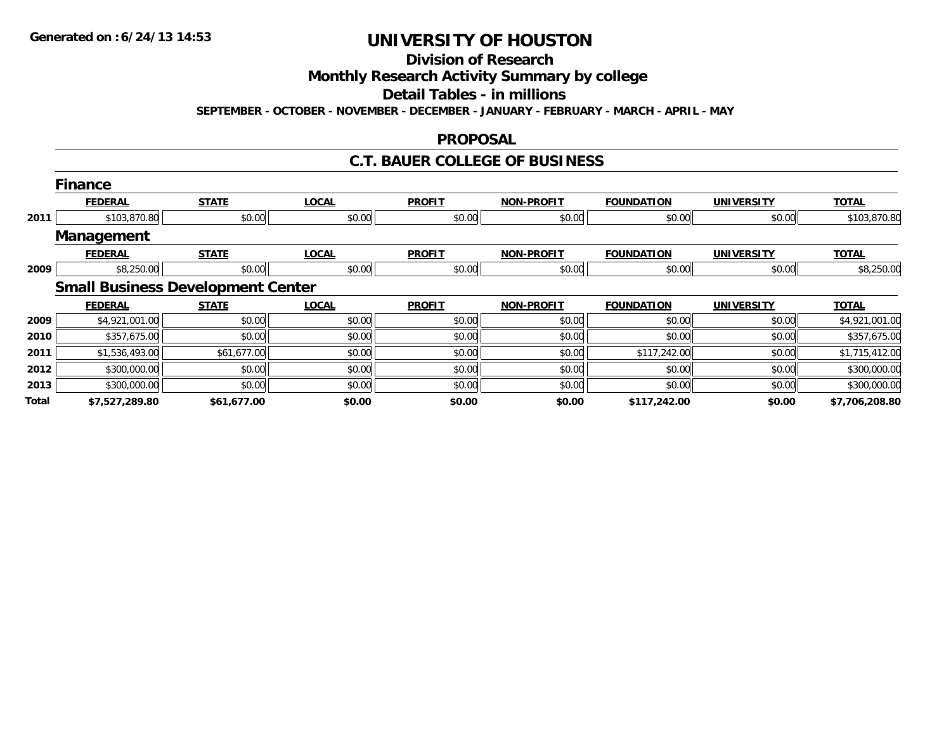## **Division of Research**

**Monthly Research Activity Summary by college**

**Detail Tables - in millions**

**SEPTEMBER - OCTOBER - NOVEMBER - DECEMBER - JANUARY - FEBRUARY - MARCH - APRIL - MAY**

#### **PROPOSAL**

#### **C.T. BAUER COLLEGE OF BUSINESS**

|       | <b>Finance</b>    |                                          |              |               |                   |                   |                   |                |
|-------|-------------------|------------------------------------------|--------------|---------------|-------------------|-------------------|-------------------|----------------|
|       | <b>FEDERAL</b>    | <b>STATE</b>                             | <b>LOCAL</b> | <b>PROFIT</b> | NON-PROFIT        | <b>FOUNDATION</b> | <b>UNIVERSITY</b> | <b>TOTAL</b>   |
| 2011  | \$103,870.80      | \$0.00                                   | \$0.00       | \$0.00        | \$0.00            | \$0.00            | \$0.00            | \$103,870.80   |
|       | <b>Management</b> |                                          |              |               |                   |                   |                   |                |
|       | <b>FEDERAL</b>    | <b>STATE</b>                             | <b>LOCAL</b> | <b>PROFIT</b> | <b>NON-PROFIT</b> | <b>FOUNDATION</b> | <b>UNIVERSITY</b> | <b>TOTAL</b>   |
| 2009  | \$8,250.00        | \$0.00                                   | \$0.00       | \$0.00        | \$0.00            | \$0.00            | \$0.00            | \$8,250.00     |
|       |                   | <b>Small Business Development Center</b> |              |               |                   |                   |                   |                |
|       | <b>FEDERAL</b>    | <b>STATE</b>                             | <b>LOCAL</b> | <b>PROFIT</b> | NON-PROFIT        | <b>FOUNDATION</b> | <b>UNIVERSITY</b> | <b>TOTAL</b>   |
| 2009  | \$4,921,001.00    | \$0.00                                   | \$0.00       | \$0.00        | \$0.00            | \$0.00            | \$0.00            | \$4,921,001.00 |
| 2010  | \$357,675.00      | \$0.00                                   | \$0.00       | \$0.00        | \$0.00            | \$0.00            | \$0.00            | \$357,675.00   |
| 2011  | \$1,536,493.00    | \$61,677.00                              | \$0.00       | \$0.00        | \$0.00            | \$117,242.00      | \$0.00            | \$1,715,412.00 |
| 2012  | \$300,000.00      | \$0.00                                   | \$0.00       | \$0.00        | \$0.00            | \$0.00            | \$0.00            | \$300,000.00   |
| 2013  | \$300,000.00      | \$0.00                                   | \$0.00       | \$0.00        | \$0.00            | \$0.00            | \$0.00            | \$300,000.00   |
| Total | \$7,527,289.80    | \$61,677.00                              | \$0.00       | \$0.00        | \$0.00            | \$117,242.00      | \$0.00            | \$7,706,208.80 |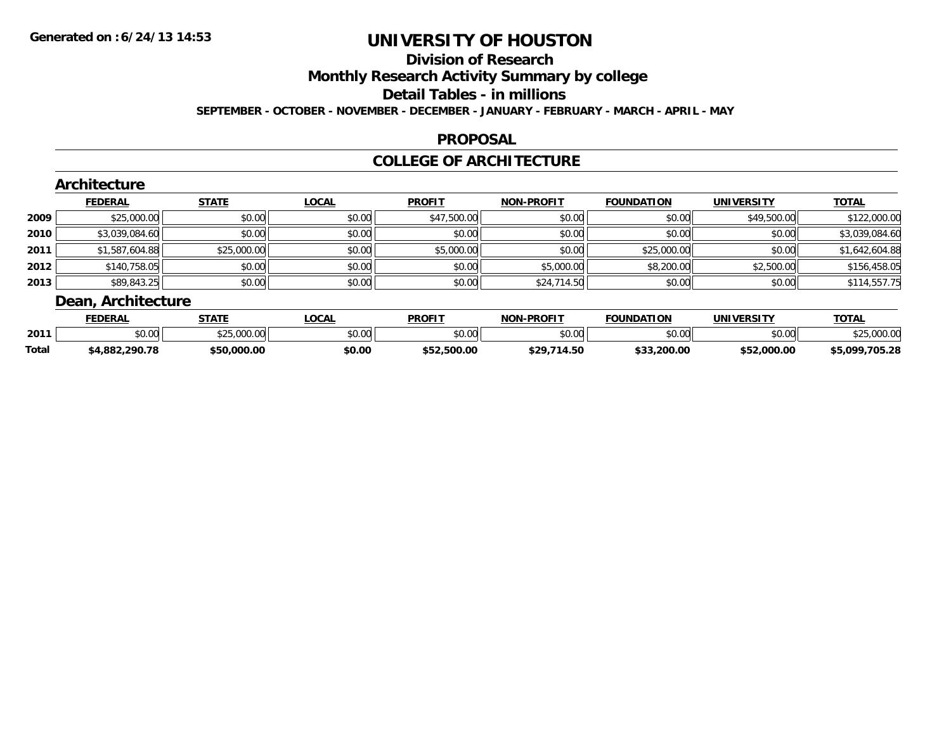## **Division of Research**

**Monthly Research Activity Summary by college**

**Detail Tables - in millions**

**SEPTEMBER - OCTOBER - NOVEMBER - DECEMBER - JANUARY - FEBRUARY - MARCH - APRIL - MAY**

#### **PROPOSAL**

#### **COLLEGE OF ARCHITECTURE**

|        | Architecture<br><b>FEDERAL</b> | <b>STATE</b> | <b>LOCAL</b> | <b>PROFIT</b> | <b>NON-PROFIT</b> | <b>FOUNDATION</b> | <b>UNIVERSITY</b> | <b>TOTAL</b>   |
|--------|--------------------------------|--------------|--------------|---------------|-------------------|-------------------|-------------------|----------------|
| 2009   | \$25,000.00                    | \$0.00       | \$0.00       | \$47,500.00   | \$0.00            | \$0.00            | \$49,500.00       | \$122,000.00   |
| ا 2010 | \$3,039,084.60                 | \$0.00       | \$0.00       | \$0.00        | \$0.00            | \$0.00            | \$0.00            | \$3,039,084.60 |
| 2011   | \$1,587,604.88                 | \$25,000.00  | \$0.00       | \$5,000.00    | \$0.00            | \$25,000.00       | \$0.00            | \$1,642,604.88 |
| 2012   | \$140,758.05                   | \$0.00       | \$0.00       | \$0.00        | \$5,000.00        | \$8,200.00        | \$2,500.00        | \$156,458.05   |
| 2013   | \$89,843.25                    | \$0.00       | \$0.00       | \$0.00        | \$24,714.50       | \$0.00            | \$0.00            | \$114,557.75   |
|        | Dean, Architecture             |              |              |               |                   |                   |                   |                |

|              | <b>EDERAL</b>     | <b>STATE</b>                                        | <b>LOCAL</b>  | <b>PROFIT</b>  | <b>-PROFIT</b><br>NON. | <b>FOUNDATION</b> | UNIVERSITY     | <b>TOTAL</b>   |
|--------------|-------------------|-----------------------------------------------------|---------------|----------------|------------------------|-------------------|----------------|----------------|
| 2011         | 0000<br>DU.UU     | $\sim$ $\sim$ $\sim$ $\sim$ $\sim$<br>$\mathcal{L}$ | 0000<br>JU.UU | 0000<br>90.UU  | \$0.00                 | ደበ በበ<br>JU.UU    | ደበ በበ<br>40.00 |                |
| <b>Total</b> | 290.78<br>4,882,2 | \$50,000.00                                         | \$0.00        | .500.00<br>ぐにつ | <b>t 20</b><br>.714.50 | \$33,200.00       | \$52,000.00    | \$5.099.705.28 |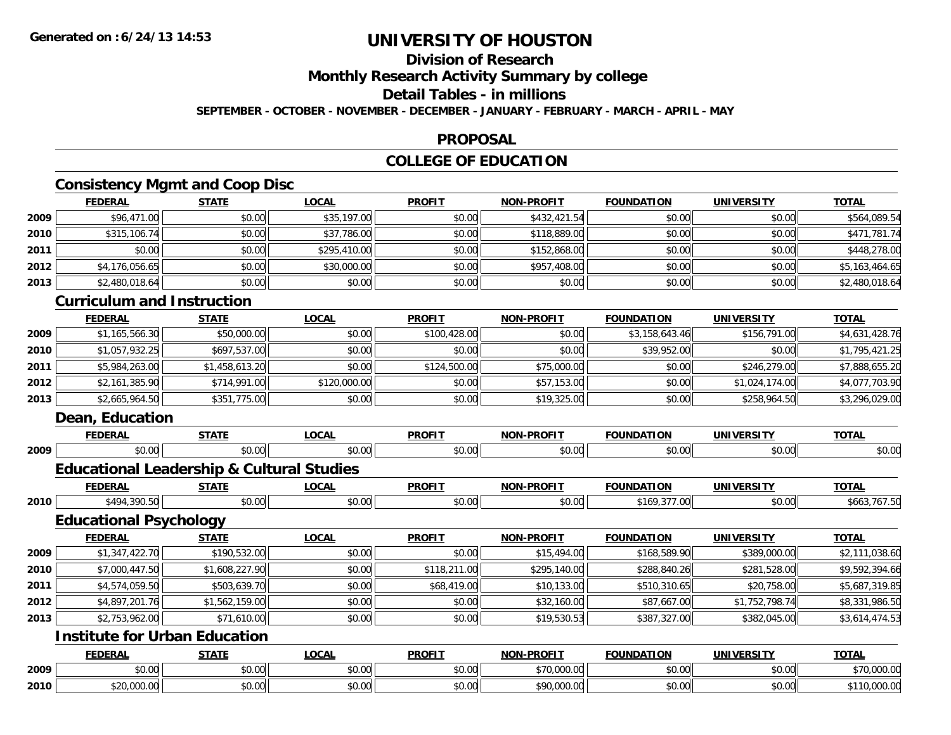## **Division of Research**

**Monthly Research Activity Summary by college**

#### **Detail Tables - in millions**

**SEPTEMBER - OCTOBER - NOVEMBER - DECEMBER - JANUARY - FEBRUARY - MARCH - APRIL - MAY**

#### **PROPOSAL**

### **COLLEGE OF EDUCATION**

### **Consistency Mgmt and Coop Disc**

|      | <b>FEDERAL</b>                    | <b>STATE</b> | <b>LOCAL</b> | <b>PROFIT</b> | <b>NON-PROFIT</b> | <b>FOUNDATION</b> | <b>UNIVERSITY</b> | <b>TOTAL</b>   |
|------|-----------------------------------|--------------|--------------|---------------|-------------------|-------------------|-------------------|----------------|
| 2009 | \$96,471.00                       | \$0.00       | \$35,197.00  | \$0.00        | \$432,421.54      | \$0.00            | \$0.00            | \$564,089.54   |
| 2010 | \$315,106.74                      | \$0.00       | \$37,786.00  | \$0.00        | \$118,889.00      | \$0.00            | \$0.00            | \$471,781.74   |
| 2011 | \$0.00                            | \$0.00       | \$295,410.00 | \$0.00        | \$152,868.00      | \$0.00            | \$0.00            | \$448,278.00   |
| 2012 | \$4,176,056.65                    | \$0.00       | \$30,000.00  | \$0.00        | \$957,408.00      | \$0.00            | \$0.00            | \$5,163,464.65 |
| 2013 | \$2,480,018.64                    | \$0.00       | \$0.00       | \$0.00        | \$0.00            | \$0.00            | \$0.00            | \$2,480,018.64 |
|      | <b>Curriculum and Instruction</b> |              |              |               |                   |                   |                   |                |

|      | <b>FEDERAL</b> | <u>STATE</u>   | <u>LOCAL</u> | <b>PROFIT</b> | <b>NON-PROFIT</b> | <b>FOUNDATION</b> | UNIVERSITY     | <b>TOTAL</b>   |
|------|----------------|----------------|--------------|---------------|-------------------|-------------------|----------------|----------------|
| 2009 | \$1,165,566.30 | \$50,000.00    | \$0.00       | \$100,428.00  | \$0.00            | \$3,158,643.46    | \$156,791.00   | \$4,631,428.76 |
| 2010 | \$1.057.932.25 | \$697,537.00   | \$0.00       | \$0.00        | \$0.00            | \$39,952.00       | \$0.00         | \$1,795,421.25 |
| 2011 | \$5,984,263.00 | \$1,458,613.20 | \$0.00       | \$124,500.00  | \$75,000.00       | \$0.00            | \$246,279.00   | \$7,888,655.20 |
| 2012 | \$2,161,385.90 | \$714,991.00   | \$120,000.00 | \$0.00        | \$57,153.00       | \$0.00            | \$1,024,174.00 | \$4,077,703.90 |
| 2013 | \$2,665,964.50 | \$351,775.00   | \$0.00       | \$0.00        | \$19,325.00       | \$0.00            | \$258,964.50   | \$3,296,029.00 |

#### **Dean, Education**

|      | <b>FEDERAL</b>                                       | <b>STATE</b>   | <b>LOCAL</b> | <b>PROFIT</b> | <b>NON-PROFIT</b> | <b>FOUNDATION</b>  | <b>UNIVERSITY</b>  | <b>TOTAL</b>   |
|------|------------------------------------------------------|----------------|--------------|---------------|-------------------|--------------------|--------------------|----------------|
| 2009 | \$0.00                                               | \$0.00         | \$0.00       | \$0.00        | \$0.00            | \$0.00             | \$0.00             | \$0.00         |
|      | <b>Educational Leadership &amp; Cultural Studies</b> |                |              |               |                   |                    |                    |                |
|      | <b>FEDERAL</b>                                       | <b>STATE</b>   | <b>LOCAL</b> | <b>PROFIT</b> | <b>NON-PROFIT</b> | <b>FOUNDATION</b>  | <b>UNIVERSITY</b>  | <b>TOTAL</b>   |
| 2010 | \$494,390.50                                         | \$0.00         | \$0.00       | \$0.00        | \$0.00            | \$169,377.00       | \$0.00             | \$663,767.50   |
|      | <b>Educational Psychology</b>                        |                |              |               |                   |                    |                    |                |
|      | <b>FEDERAL</b>                                       | <b>STATE</b>   | <b>LOCAL</b> | <b>PROFIT</b> | <b>NON-PROFIT</b> | <b>FOUNDATION</b>  | <b>UNIVERSITY</b>  | <b>TOTAL</b>   |
| 2009 | \$1,347,422.70                                       | \$190,532.00   | \$0.00       | \$0.00        | \$15,494.00       | \$168,589.90       | \$389,000.00       | \$2,111,038.60 |
| 2010 | \$7,000,447.50                                       | \$1,608,227.90 | \$0.00       | \$118,211.00  | \$295,140.00      | \$288,840.26       | \$281,528.00       | \$9,592,394.66 |
| 2011 | \$4,574,059.50                                       | \$503,639.70   | \$0.00       | \$68,419.00   | \$10,133.00       | \$510,310.65       | \$20,758.00        | \$5,687,319.85 |
| 2012 | \$4,897,201.76                                       | \$1,562,159.00 | \$0.00       | \$0.00        | \$32,160.00       | \$87,667.00        | \$1,752,798.74     | \$8,331,986.50 |
| 2013 | \$2,753,962.00                                       | \$71,610.00    | \$0.00       | \$0.00        | \$19,530.53       | \$387,327.00       | \$382,045.00       | \$3,614,474.53 |
|      | <b>Institute for Urban Education</b>                 |                |              |               |                   |                    |                    |                |
|      | EENEDAI                                              | <b>CTATE</b>   | 1001         | <b>DDOEIT</b> | MON DDOEIT        | <b>EQUINDATION</b> | <b>IINIVEDCITY</b> | <b>TOTAL</b>   |

|      | <b>FEDERAL</b>    | .                              | _OCAI                | <b>PROFI</b>   | <b>NIAN</b><br><b>DDAEI</b>    | ATION<br>UNI | UNIVI<br>EDCIT<br>. | тота.                |
|------|-------------------|--------------------------------|----------------------|----------------|--------------------------------|--------------|---------------------|----------------------|
| 2009 | $\sim$<br>JU.UU   | $\sim$ 00<br>DU.UU             | $\sim$ 0.01<br>JU.UU | 0000<br>DU.UU  | \$70,000.00                    | \$0.00       | $\sim$ 00<br>pu.uu  | 0.00000<br>70,000.00 |
| 2010 | 0.0000<br>,uuu.uu | $n \cap \overline{a}$<br>JU.UU | ሶስ ስስ<br>JU.UU       | ልስ ለሰ<br>DU.UU | <b>COO OOO OO</b><br>90.UUU.UU | \$0.00       | $\sim$ 00<br>PU.UU  | nnn nn<br>TU.UUU.UU  |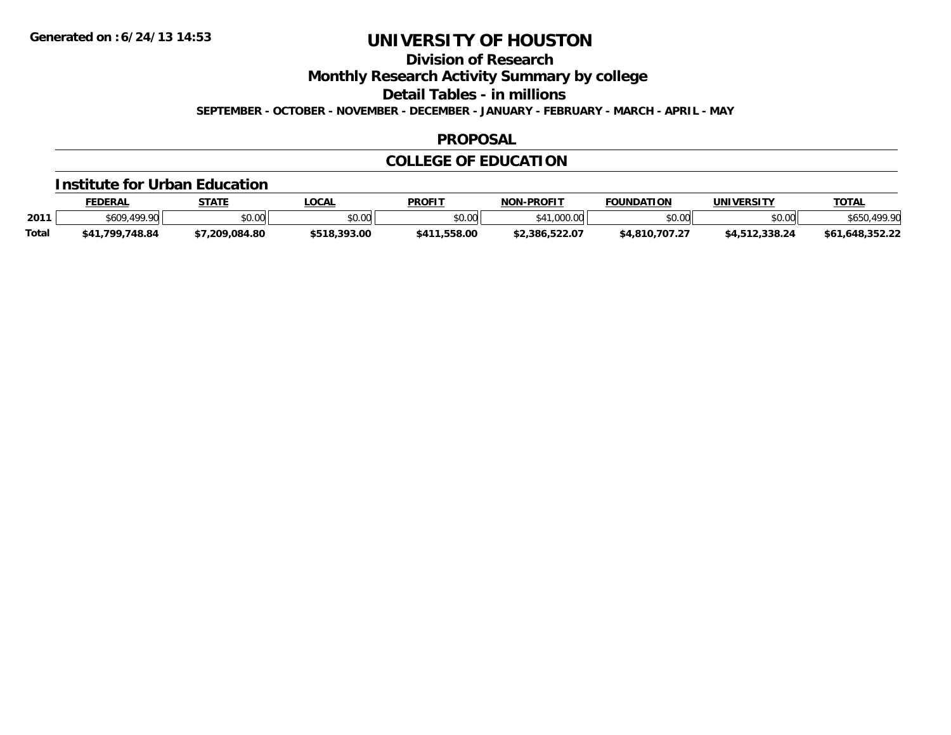**Division of Research**

**Monthly Research Activity Summary by college**

**Detail Tables - in millions**

**SEPTEMBER - OCTOBER - NOVEMBER - DECEMBER - JANUARY - FEBRUARY - MARCH - APRIL - MAY**

#### **PROPOSAL**

### **COLLEGE OF EDUCATION**

#### **Institute for Urban Education**

|              | <b>FEDERAL</b>    | <b>STATE</b> | .OCAL        | <b>PROFIT</b>   | <b>NON-PROFIT</b>                                                      | <b>FOUNDATION</b> | UNIVERSITY     | <b>TOTAL</b>    |
|--------------|-------------------|--------------|--------------|-----------------|------------------------------------------------------------------------|-------------------|----------------|-----------------|
| 2011         | \$609.<br>.499.90 | \$0.00       | \$0.00       | \$0.00          | 00000<br><b>+11</b><br>$\cdot$ , $\circ$ , $\circ$ , $\circ$ , $\circ$ | \$0.00            | \$0.00         | .499.90         |
| <b>Total</b> | \$41,799,748.84   | 7.209.084.80 | \$518,393.00 | .558.00<br>411ه | \$2,386,522.07                                                         | \$4.810.707.27    | \$4,512,338.24 | \$61,648,352,22 |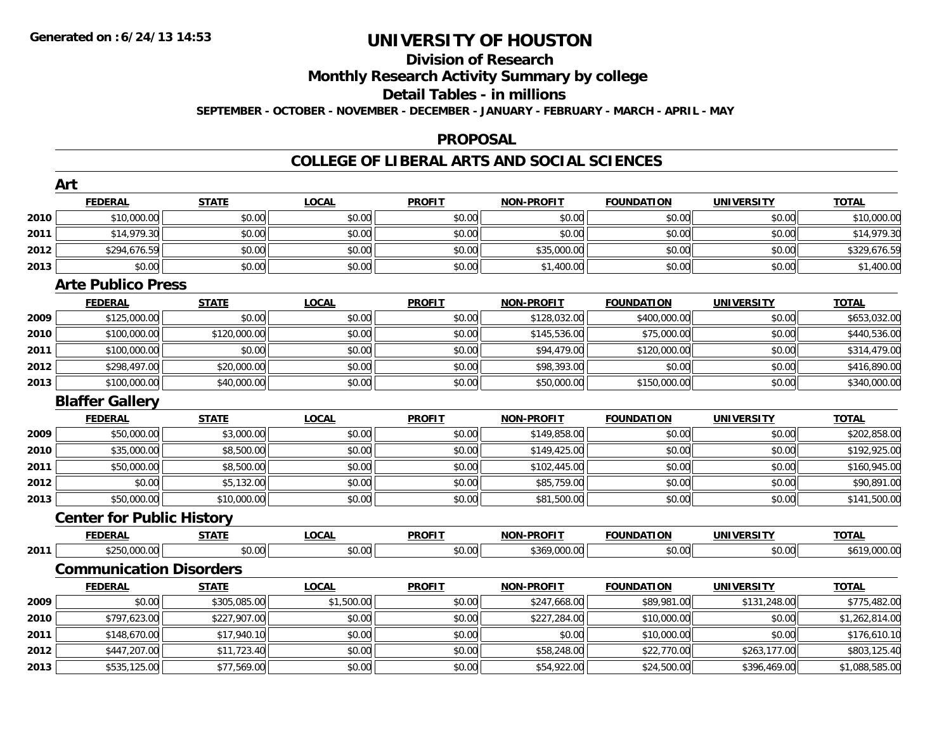### **Division of ResearchMonthly Research Activity Summary by college**

#### **Detail Tables - in millions**

**SEPTEMBER - OCTOBER - NOVEMBER - DECEMBER - JANUARY - FEBRUARY - MARCH - APRIL - MAY**

#### **PROPOSAL**

|      | Art                              |              |              |               |                   |                   |                   |                |
|------|----------------------------------|--------------|--------------|---------------|-------------------|-------------------|-------------------|----------------|
|      | <b>FEDERAL</b>                   | <b>STATE</b> | <b>LOCAL</b> | <b>PROFIT</b> | <b>NON-PROFIT</b> | <b>FOUNDATION</b> | <b>UNIVERSITY</b> | <b>TOTAL</b>   |
| 2010 | \$10,000.00                      | \$0.00       | \$0.00       | \$0.00        | \$0.00            | \$0.00            | \$0.00            | \$10,000.00    |
| 2011 | \$14,979.30                      | \$0.00       | \$0.00       | \$0.00        | \$0.00            | \$0.00            | \$0.00            | \$14,979.30    |
| 2012 | \$294,676.59                     | \$0.00       | \$0.00       | \$0.00        | \$35,000.00       | \$0.00            | \$0.00            | \$329,676.59   |
| 2013 | \$0.00                           | \$0.00       | \$0.00       | \$0.00        | \$1,400.00        | \$0.00            | \$0.00            | \$1,400.00     |
|      | <b>Arte Publico Press</b>        |              |              |               |                   |                   |                   |                |
|      | <b>FEDERAL</b>                   | <b>STATE</b> | <b>LOCAL</b> | <b>PROFIT</b> | <b>NON-PROFIT</b> | <b>FOUNDATION</b> | <b>UNIVERSITY</b> | <b>TOTAL</b>   |
| 2009 | \$125,000.00                     | \$0.00       | \$0.00       | \$0.00        | \$128,032.00      | \$400,000.00      | \$0.00            | \$653,032.00   |
| 2010 | \$100,000.00                     | \$120,000.00 | \$0.00       | \$0.00        | \$145,536.00      | \$75,000.00       | \$0.00            | \$440,536.00   |
| 2011 | \$100,000.00                     | \$0.00       | \$0.00       | \$0.00        | \$94,479.00       | \$120,000.00      | \$0.00            | \$314,479.00   |
| 2012 | \$298,497.00                     | \$20,000.00  | \$0.00       | \$0.00        | \$98,393.00       | \$0.00            | \$0.00            | \$416,890.00   |
| 2013 | \$100,000.00                     | \$40,000.00  | \$0.00       | \$0.00        | \$50,000.00       | \$150,000.00      | \$0.00            | \$340,000.00   |
|      | <b>Blaffer Gallery</b>           |              |              |               |                   |                   |                   |                |
|      | <b>FEDERAL</b>                   | <b>STATE</b> | <b>LOCAL</b> | <b>PROFIT</b> | <b>NON-PROFIT</b> | <b>FOUNDATION</b> | <b>UNIVERSITY</b> | <b>TOTAL</b>   |
| 2009 | \$50,000.00                      | \$3,000.00   | \$0.00       | \$0.00        | \$149,858.00      | \$0.00            | \$0.00            | \$202,858.00   |
| 2010 | \$35,000.00                      | \$8,500.00   | \$0.00       | \$0.00        | \$149,425.00      | \$0.00            | \$0.00            | \$192,925.00   |
| 2011 | \$50,000.00                      | \$8,500.00   | \$0.00       | \$0.00        | \$102,445.00      | \$0.00            | \$0.00            | \$160,945.00   |
| 2012 | \$0.00                           | \$5,132.00   | \$0.00       | \$0.00        | \$85,759.00       | \$0.00            | \$0.00            | \$90,891.00    |
| 2013 | \$50,000.00                      | \$10,000.00  | \$0.00       | \$0.00        | \$81,500.00       | \$0.00            | \$0.00            | \$141,500.00   |
|      | <b>Center for Public History</b> |              |              |               |                   |                   |                   |                |
|      | <b>FEDERAL</b>                   | <b>STATE</b> | <b>LOCAL</b> | <b>PROFIT</b> | <b>NON-PROFIT</b> | <b>FOUNDATION</b> | <b>UNIVERSITY</b> | <b>TOTAL</b>   |
| 2011 | \$250,000.00                     | \$0.00       | \$0.00       | \$0.00        | \$369,000.00      | \$0.00            | \$0.00            | \$619,000.00   |
|      | <b>Communication Disorders</b>   |              |              |               |                   |                   |                   |                |
|      | <b>FEDERAL</b>                   | <b>STATE</b> | <b>LOCAL</b> | <b>PROFIT</b> | <b>NON-PROFIT</b> | <b>FOUNDATION</b> | <b>UNIVERSITY</b> | <b>TOTAL</b>   |
| 2009 | \$0.00                           | \$305,085.00 | \$1,500.00   | \$0.00        | \$247,668.00      | \$89,981.00       | \$131,248.00      | \$775,482.00   |
| 2010 | \$797,623.00                     | \$227,907.00 | \$0.00       | \$0.00        | \$227,284.00      | \$10,000.00       | \$0.00            | \$1,262,814.00 |
| 2011 | \$148,670.00                     | \$17,940.10  | \$0.00       | \$0.00        | \$0.00            | \$10,000.00       | \$0.00            | \$176,610.10   |
| 2012 | \$447,207.00                     | \$11,723.40  | \$0.00       | \$0.00        | \$58,248.00       | \$22,770.00       | \$263,177.00      | \$803,125.40   |
| 2013 | \$535,125.00                     | \$77,569.00  | \$0.00       | \$0.00        | \$54,922.00       | \$24,500.00       | \$396,469.00      | \$1,088,585.00 |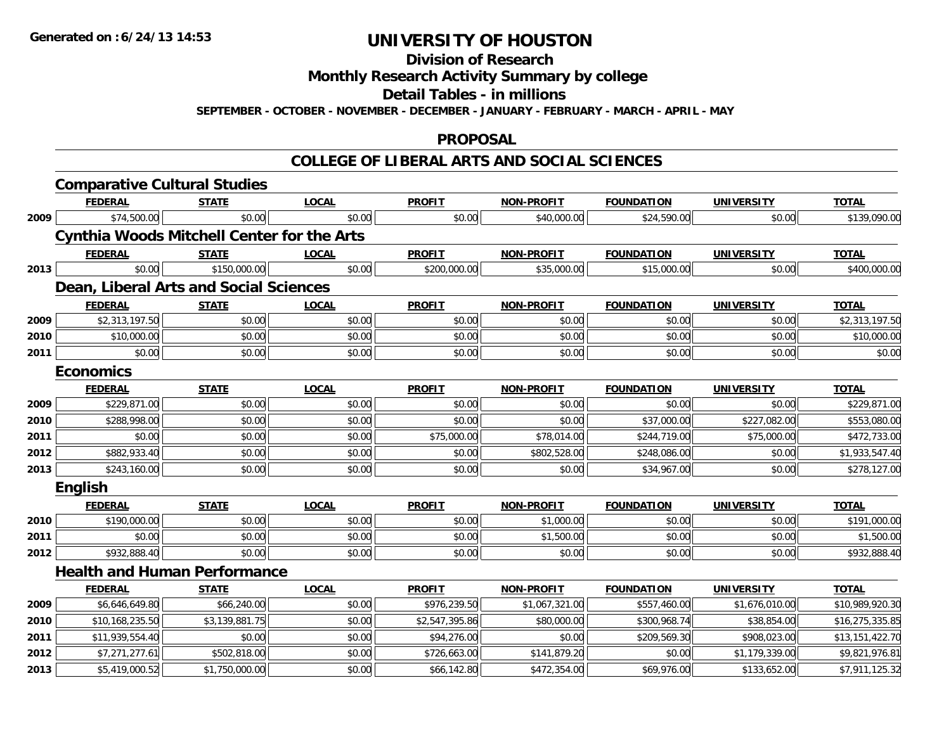**Division of Research**

**Monthly Research Activity Summary by college**

**Detail Tables - in millions**

**SEPTEMBER - OCTOBER - NOVEMBER - DECEMBER - JANUARY - FEBRUARY - MARCH - APRIL - MAY**

#### **PROPOSAL**

|      | <b>Comparative Cultural Studies</b>               |                |              |                |                   |                   |                   |                 |
|------|---------------------------------------------------|----------------|--------------|----------------|-------------------|-------------------|-------------------|-----------------|
|      | <b>FEDERAL</b>                                    | <b>STATE</b>   | <b>LOCAL</b> | <b>PROFIT</b>  | <b>NON-PROFIT</b> | <b>FOUNDATION</b> | <b>UNIVERSITY</b> | <b>TOTAL</b>    |
| 2009 | \$74,500.00                                       | \$0.00         | \$0.00       | \$0.00         | \$40,000.00       | \$24,590.00       | \$0.00            | \$139,090.00    |
|      | <b>Cynthia Woods Mitchell Center for the Arts</b> |                |              |                |                   |                   |                   |                 |
|      | <b>FEDERAL</b>                                    | <b>STATE</b>   | <b>LOCAL</b> | <b>PROFIT</b>  | <b>NON-PROFIT</b> | <b>FOUNDATION</b> | <b>UNIVERSITY</b> | <b>TOTAL</b>    |
| 2013 | \$0.00                                            | \$150,000.00   | \$0.00       | \$200,000.00   | \$35,000.00       | \$15,000.00       | \$0.00            | \$400,000.00    |
|      | Dean, Liberal Arts and Social Sciences            |                |              |                |                   |                   |                   |                 |
|      | <b>FEDERAL</b>                                    | <b>STATE</b>   | <b>LOCAL</b> | <b>PROFIT</b>  | <b>NON-PROFIT</b> | <b>FOUNDATION</b> | <b>UNIVERSITY</b> | <b>TOTAL</b>    |
| 2009 | \$2,313,197.50                                    | \$0.00         | \$0.00       | \$0.00         | \$0.00            | \$0.00            | \$0.00            | \$2,313,197.50  |
| 2010 | \$10,000.00                                       | \$0.00         | \$0.00       | \$0.00         | \$0.00            | \$0.00            | \$0.00            | \$10,000.00     |
| 2011 | \$0.00                                            | \$0.00         | \$0.00       | \$0.00         | \$0.00            | \$0.00            | \$0.00            | \$0.00          |
|      | <b>Economics</b>                                  |                |              |                |                   |                   |                   |                 |
|      | <b>FEDERAL</b>                                    | <b>STATE</b>   | <b>LOCAL</b> | <b>PROFIT</b>  | <b>NON-PROFIT</b> | <b>FOUNDATION</b> | <b>UNIVERSITY</b> | <b>TOTAL</b>    |
| 2009 | \$229,871.00                                      | \$0.00         | \$0.00       | \$0.00         | \$0.00            | \$0.00            | \$0.00            | \$229,871.00    |
| 2010 | \$288,998.00                                      | \$0.00         | \$0.00       | \$0.00         | \$0.00            | \$37,000.00       | \$227,082.00      | \$553,080.00    |
| 2011 | \$0.00                                            | \$0.00         | \$0.00       | \$75,000.00    | \$78,014.00       | \$244,719.00      | \$75,000.00       | \$472,733.00    |
| 2012 | \$882,933.40                                      | \$0.00         | \$0.00       | \$0.00         | \$802,528.00      | \$248,086.00      | \$0.00            | \$1,933,547.40  |
| 2013 | \$243,160.00                                      | \$0.00         | \$0.00       | \$0.00         | \$0.00            | \$34,967.00       | \$0.00            | \$278,127.00    |
|      | <b>English</b>                                    |                |              |                |                   |                   |                   |                 |
|      | <b>FEDERAL</b>                                    | <b>STATE</b>   | <b>LOCAL</b> | <b>PROFIT</b>  | <b>NON-PROFIT</b> | <b>FOUNDATION</b> | <b>UNIVERSITY</b> | <b>TOTAL</b>    |
| 2010 | \$190,000.00                                      | \$0.00         | \$0.00       | \$0.00         | \$1,000.00        | \$0.00            | \$0.00            | \$191,000.00    |
| 2011 | \$0.00                                            | \$0.00         | \$0.00       | \$0.00         | \$1,500.00        | \$0.00            | \$0.00            | \$1,500.00      |
| 2012 | \$932,888.40                                      | \$0.00         | \$0.00       | \$0.00         | \$0.00            | \$0.00            | \$0.00            | \$932,888.40    |
|      | <b>Health and Human Performance</b>               |                |              |                |                   |                   |                   |                 |
|      | <b>FEDERAL</b>                                    | <b>STATE</b>   | <b>LOCAL</b> | <b>PROFIT</b>  | <b>NON-PROFIT</b> | <b>FOUNDATION</b> | <b>UNIVERSITY</b> | <b>TOTAL</b>    |
| 2009 | \$6,646,649.80                                    | \$66,240.00    | \$0.00       | \$976,239.50   | \$1,067,321.00    | \$557,460.00      | \$1,676,010.00    | \$10,989,920.30 |
| 2010 | \$10,168,235.50                                   | \$3,139,881.75 | \$0.00       | \$2,547,395.86 | \$80,000.00       | \$300,968.74      | \$38,854.00       | \$16,275,335.85 |
| 2011 | \$11,939,554.40                                   | \$0.00         | \$0.00       | \$94,276.00    | \$0.00            | \$209,569.30      | \$908,023.00      | \$13,151,422.70 |
| 2012 | \$7,271,277.61                                    | \$502,818.00   | \$0.00       | \$726,663.00   | \$141,879.20      | \$0.00            | \$1,179,339.00    | \$9,821,976.81  |
| 2013 | \$5,419,000.52                                    | \$1,750,000.00 | \$0.00       | \$66,142.80    | \$472,354.00      | \$69,976.00       | \$133,652.00      | \$7,911,125.32  |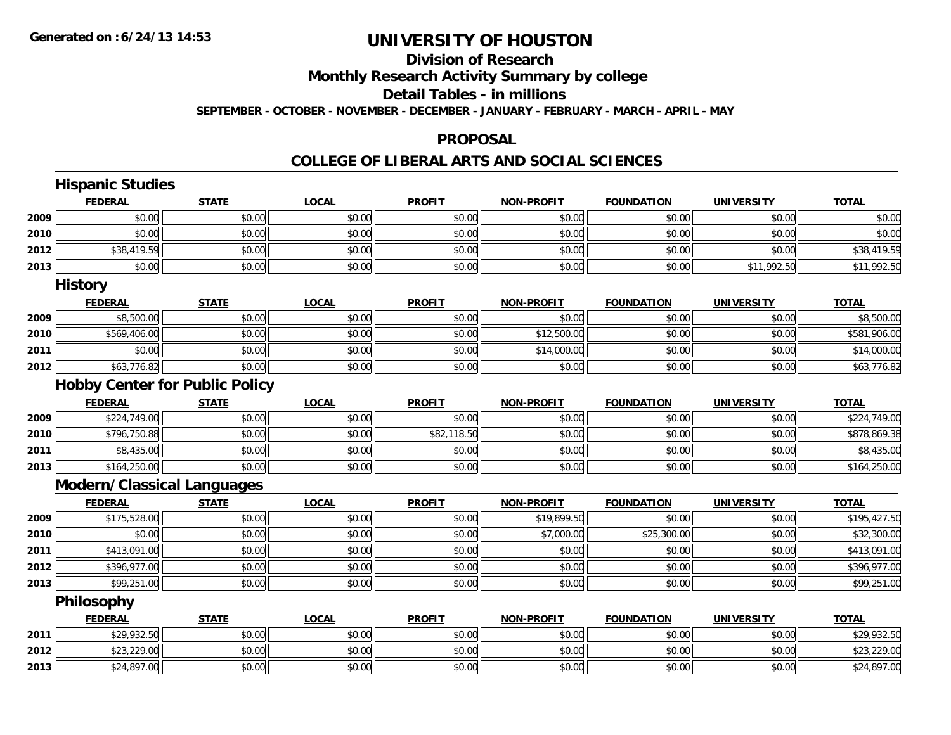# **Division of Research**

**Monthly Research Activity Summary by college**

**Detail Tables - in millions**

**SEPTEMBER - OCTOBER - NOVEMBER - DECEMBER - JANUARY - FEBRUARY - MARCH - APRIL - MAY**

#### **PROPOSAL**

|      | <b>Hispanic Studies</b>               |              |              |               |                   |                   |                   |              |
|------|---------------------------------------|--------------|--------------|---------------|-------------------|-------------------|-------------------|--------------|
|      | <b>FEDERAL</b>                        | <b>STATE</b> | <b>LOCAL</b> | <b>PROFIT</b> | <b>NON-PROFIT</b> | <b>FOUNDATION</b> | <b>UNIVERSITY</b> | <b>TOTAL</b> |
| 2009 | \$0.00                                | \$0.00       | \$0.00       | \$0.00        | \$0.00            | \$0.00            | \$0.00            | \$0.00       |
| 2010 | \$0.00                                | \$0.00       | \$0.00       | \$0.00        | \$0.00            | \$0.00            | \$0.00            | \$0.00       |
| 2012 | \$38,419.59                           | \$0.00       | \$0.00       | \$0.00        | \$0.00            | \$0.00            | \$0.00            | \$38,419.59  |
| 2013 | \$0.00                                | \$0.00       | \$0.00       | \$0.00        | \$0.00            | \$0.00            | \$11,992.50       | \$11,992.50  |
|      | <b>History</b>                        |              |              |               |                   |                   |                   |              |
|      | <b>FEDERAL</b>                        | <b>STATE</b> | <b>LOCAL</b> | <b>PROFIT</b> | <b>NON-PROFIT</b> | <b>FOUNDATION</b> | <b>UNIVERSITY</b> | <b>TOTAL</b> |
| 2009 | \$8,500.00                            | \$0.00       | \$0.00       | \$0.00        | \$0.00            | \$0.00            | \$0.00            | \$8,500.00   |
| 2010 | \$569,406.00                          | \$0.00       | \$0.00       | \$0.00        | \$12,500.00       | \$0.00            | \$0.00            | \$581,906.00 |
| 2011 | \$0.00                                | \$0.00       | \$0.00       | \$0.00        | \$14,000.00       | \$0.00            | \$0.00            | \$14,000.00  |
| 2012 | \$63,776.82                           | \$0.00       | \$0.00       | \$0.00        | \$0.00            | \$0.00            | \$0.00            | \$63,776.82  |
|      | <b>Hobby Center for Public Policy</b> |              |              |               |                   |                   |                   |              |
|      | <b>FEDERAL</b>                        | <b>STATE</b> | <b>LOCAL</b> | <b>PROFIT</b> | <b>NON-PROFIT</b> | <b>FOUNDATION</b> | <b>UNIVERSITY</b> | <b>TOTAL</b> |
| 2009 | \$224,749.00                          | \$0.00       | \$0.00       | \$0.00        | \$0.00            | \$0.00            | \$0.00            | \$224,749.00 |
| 2010 | \$796,750.88                          | \$0.00       | \$0.00       | \$82,118.50   | \$0.00            | \$0.00            | \$0.00            | \$878,869.38 |
| 2011 | \$8,435.00                            | \$0.00       | \$0.00       | \$0.00        | \$0.00            | \$0.00            | \$0.00            | \$8,435.00   |
| 2013 | \$164,250.00                          | \$0.00       | \$0.00       | \$0.00        | \$0.00            | \$0.00            | \$0.00            | \$164,250.00 |
|      | Modern/Classical Languages            |              |              |               |                   |                   |                   |              |
|      | <b>FEDERAL</b>                        | <b>STATE</b> | <b>LOCAL</b> | <b>PROFIT</b> | <b>NON-PROFIT</b> | <b>FOUNDATION</b> | <b>UNIVERSITY</b> | <b>TOTAL</b> |
| 2009 | \$175,528.00                          | \$0.00       | \$0.00       | \$0.00        | \$19,899.50       | \$0.00            | \$0.00            | \$195,427.50 |
| 2010 | \$0.00                                | \$0.00       | \$0.00       | \$0.00        | \$7,000.00        | \$25,300.00       | \$0.00            | \$32,300.00  |
| 2011 | \$413,091.00                          | \$0.00       | \$0.00       | \$0.00        | \$0.00            | \$0.00            | \$0.00            | \$413,091.00 |
| 2012 | \$396,977.00                          | \$0.00       | \$0.00       | \$0.00        | \$0.00            | \$0.00            | \$0.00            | \$396,977.00 |
| 2013 | \$99,251.00                           | \$0.00       | \$0.00       | \$0.00        | \$0.00            | \$0.00            | \$0.00            | \$99,251.00  |
|      | Philosophy                            |              |              |               |                   |                   |                   |              |
|      | <b>FEDERAL</b>                        | <b>STATE</b> | <b>LOCAL</b> | <b>PROFIT</b> | <b>NON-PROFIT</b> | <b>FOUNDATION</b> | <b>UNIVERSITY</b> | <b>TOTAL</b> |
| 2011 | \$29,932.50                           | \$0.00       | \$0.00       | \$0.00        | \$0.00            | \$0.00            | \$0.00            | \$29,932.50  |
| 2012 | \$23,229.00                           | \$0.00       | \$0.00       | \$0.00        | \$0.00            | \$0.00            | \$0.00            | \$23,229.00  |
| 2013 | \$24,897.00                           | \$0.00       | \$0.00       | \$0.00        | \$0.00            | \$0.00            | \$0.00            | \$24,897.00  |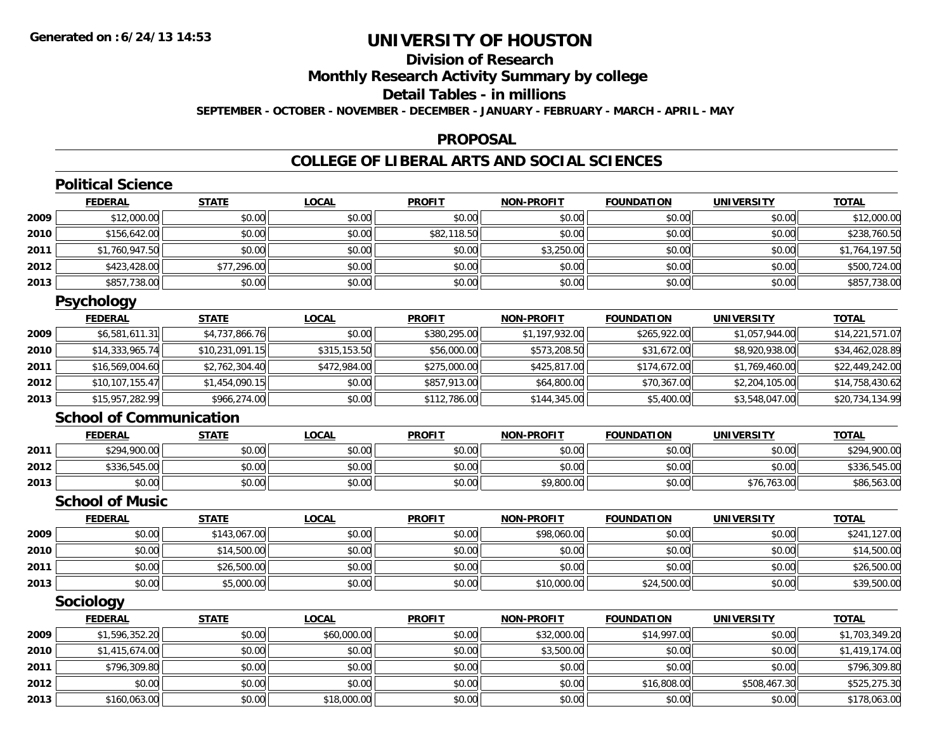## **Division of ResearchMonthly Research Activity Summary by college Detail Tables - in millions**

**SEPTEMBER - OCTOBER - NOVEMBER - DECEMBER - JANUARY - FEBRUARY - MARCH - APRIL - MAY**

#### **PROPOSAL**

### **COLLEGE OF LIBERAL ARTS AND SOCIAL SCIENCES**

|      | <b>Political Science</b>       |                 |              |               |                   |                   |                   |                 |
|------|--------------------------------|-----------------|--------------|---------------|-------------------|-------------------|-------------------|-----------------|
|      | <b>FEDERAL</b>                 | <b>STATE</b>    | <b>LOCAL</b> | <b>PROFIT</b> | <b>NON-PROFIT</b> | <b>FOUNDATION</b> | <b>UNIVERSITY</b> | <b>TOTAL</b>    |
| 2009 | \$12,000.00                    | \$0.00          | \$0.00       | \$0.00        | \$0.00            | \$0.00            | \$0.00            | \$12,000.00     |
| 2010 | \$156,642.00                   | \$0.00          | \$0.00       | \$82,118.50   | \$0.00            | \$0.00            | \$0.00            | \$238,760.50    |
| 2011 | \$1,760,947.50                 | \$0.00          | \$0.00       | \$0.00        | \$3,250.00        | \$0.00            | \$0.00            | \$1,764,197.50  |
| 2012 | \$423,428.00                   | \$77,296.00     | \$0.00       | \$0.00        | \$0.00            | \$0.00            | \$0.00            | \$500,724.00    |
| 2013 | \$857,738.00                   | \$0.00          | \$0.00       | \$0.00        | \$0.00            | \$0.00            | \$0.00            | \$857,738.00    |
|      | <b>Psychology</b>              |                 |              |               |                   |                   |                   |                 |
|      | <b>FEDERAL</b>                 | <b>STATE</b>    | <b>LOCAL</b> | <b>PROFIT</b> | <b>NON-PROFIT</b> | <b>FOUNDATION</b> | <b>UNIVERSITY</b> | <b>TOTAL</b>    |
| 2009 | \$6,581,611.31                 | \$4,737,866.76  | \$0.00       | \$380,295.00  | \$1,197,932.00    | \$265,922.00      | \$1,057,944.00    | \$14,221,571.07 |
| 2010 | \$14,333,965.74                | \$10,231,091.15 | \$315,153.50 | \$56,000.00   | \$573,208.50      | \$31,672.00       | \$8,920,938.00    | \$34,462,028.89 |
| 2011 | \$16,569,004.60                | \$2,762,304.40  | \$472,984.00 | \$275,000.00  | \$425,817.00      | \$174,672.00      | \$1,769,460.00    | \$22,449,242.00 |
| 2012 | \$10,107,155.47                | \$1,454,090.15  | \$0.00       | \$857,913.00  | \$64,800.00       | \$70,367.00       | \$2,204,105.00    | \$14,758,430.62 |
| 2013 | \$15,957,282.99                | \$966,274.00    | \$0.00       | \$112,786.00  | \$144,345.00      | \$5,400.00        | \$3,548,047.00    | \$20,734,134.99 |
|      | <b>School of Communication</b> |                 |              |               |                   |                   |                   |                 |
|      | <b>FEDERAL</b>                 | <b>STATE</b>    | <b>LOCAL</b> | <b>PROFIT</b> | <b>NON-PROFIT</b> | <b>FOUNDATION</b> | <b>UNIVERSITY</b> | <b>TOTAL</b>    |
| 2011 | \$294,900.00                   | \$0.00          | \$0.00       | \$0.00        | \$0.00            | \$0.00            | \$0.00            | \$294,900.00    |
| 2012 | \$336,545.00                   | \$0.00          | \$0.00       | \$0.00        | \$0.00            | \$0.00            | \$0.00            | \$336,545.00    |
| 2013 | \$0.00                         | \$0.00          | \$0.00       | \$0.00        | \$9,800.00        | \$0.00            | \$76,763.00       | \$86,563.00     |
|      | <b>School of Music</b>         |                 |              |               |                   |                   |                   |                 |
|      | <b>FEDERAL</b>                 | <b>STATE</b>    | <b>LOCAL</b> | <b>PROFIT</b> | <b>NON-PROFIT</b> | <b>FOUNDATION</b> | <b>UNIVERSITY</b> | <b>TOTAL</b>    |
| 2009 | \$0.00                         | \$143,067.00    | \$0.00       | \$0.00        | \$98,060.00       | \$0.00            | \$0.00            | \$241,127.00    |
| 2010 | \$0.00                         | \$14,500.00     | \$0.00       | \$0.00        | \$0.00            | \$0.00            | \$0.00            | \$14,500.00     |
| 2011 | \$0.00                         | \$26,500.00     | \$0.00       | \$0.00        | \$0.00            | \$0.00            | \$0.00            | \$26,500.00     |
| 2013 | \$0.00                         | \$5,000.00      | \$0.00       | \$0.00        | \$10,000.00       | \$24,500.00       | \$0.00            | \$39,500.00     |
|      | Sociology                      |                 |              |               |                   |                   |                   |                 |
|      | <b>FEDERAL</b>                 | <b>STATE</b>    | <b>LOCAL</b> | <b>PROFIT</b> | <b>NON-PROFIT</b> | <b>FOUNDATION</b> | <b>UNIVERSITY</b> | <b>TOTAL</b>    |
| 2009 | \$1,596,352.20                 | \$0.00          | \$60,000.00  | \$0.00        | \$32,000.00       | \$14,997.00       | \$0.00            | \$1,703,349.20  |
| 2010 | \$1,415,674.00                 | \$0.00          | \$0.00       | \$0.00        | \$3,500.00        | \$0.00            | \$0.00            | \$1,419,174.00  |
| 2011 | \$796,309.80                   | \$0.00          | \$0.00       | \$0.00        | \$0.00            | \$0.00            | \$0.00            | \$796,309.80    |
| 2012 | \$0.00                         | \$0.00          | \$0.00       | \$0.00        | \$0.00            | \$16,808.00       | \$508,467.30      | \$525,275.30    |
| 2013 | \$160,063.00                   | \$0.00          | \$18,000.00  | \$0.00        | \$0.00            | \$0.00            | \$0.00            | \$178,063.00    |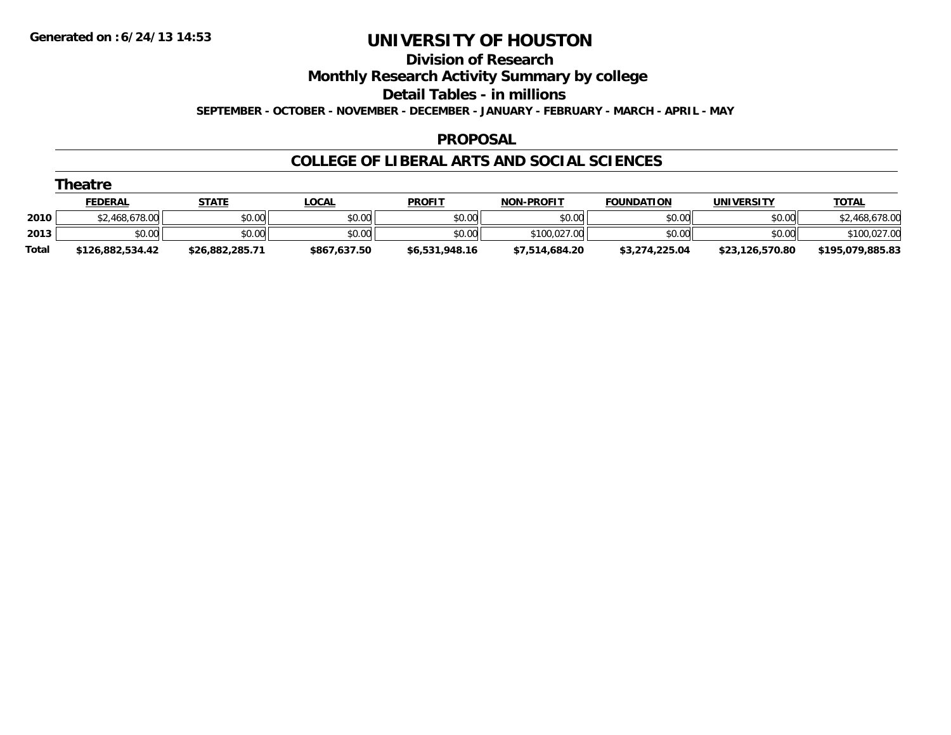#### **Division of Research**

**Monthly Research Activity Summary by college**

**Detail Tables - in millions**

**SEPTEMBER - OCTOBER - NOVEMBER - DECEMBER - JANUARY - FEBRUARY - MARCH - APRIL - MAY**

#### **PROPOSAL**

|              | Theatre          |                 |              |                |                   |                   |                 |                  |
|--------------|------------------|-----------------|--------------|----------------|-------------------|-------------------|-----------------|------------------|
|              | <b>FEDERAL</b>   | STATE           | <u>LOCAL</u> | <b>PROFIT</b>  | <b>NON-PROFIT</b> | <b>FOUNDATION</b> | UNIVERSITY      | <b>TOTAL</b>     |
| 2010         | \$2,468,678.00   | \$0.00          | \$0.00       | \$0.00         | \$0.00            | \$0.00            | \$0.00          | \$2,468,678.00   |
| 2013         | \$0.00           | \$0.00          | \$0.00       | \$0.00         | \$100,027,00      | \$0.00            | \$0.00          | \$100,027.00     |
| <b>Total</b> | \$126,882,534.42 | \$26,882,285.71 | \$867,637.50 | \$6,531,948.16 | \$7,514,684.20    | \$3,274,225.04    | \$23,126,570.80 | \$195,079,885.83 |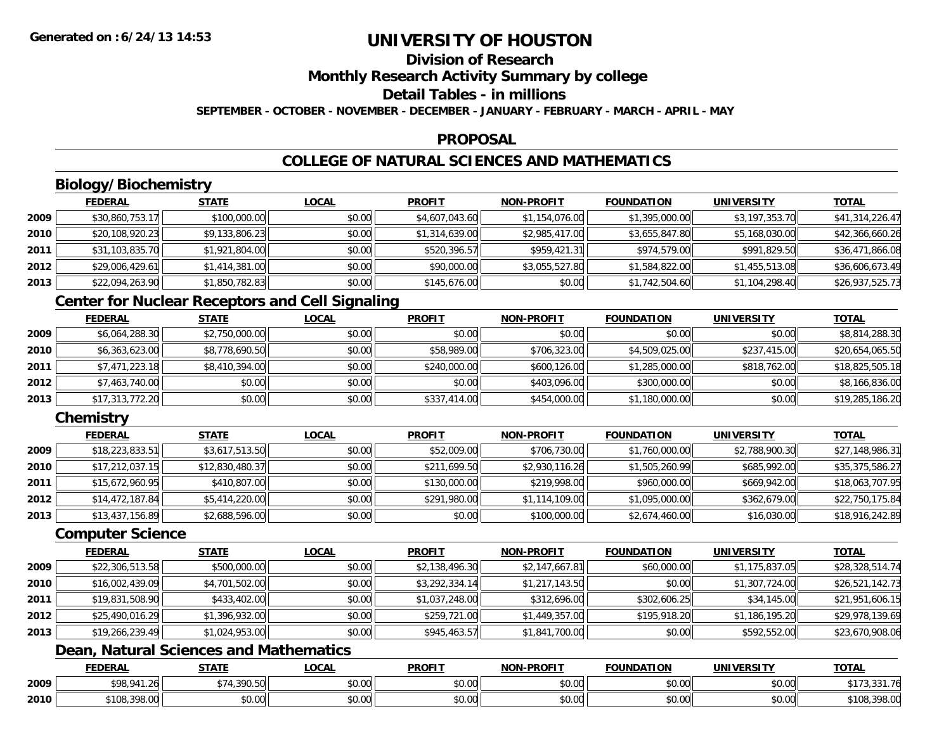## **Division of Research**

**Monthly Research Activity Summary by college**

**Detail Tables - in millions**

**SEPTEMBER - OCTOBER - NOVEMBER - DECEMBER - JANUARY - FEBRUARY - MARCH - APRIL - MAY**

#### **PROPOSAL**

### **COLLEGE OF NATURAL SCIENCES AND MATHEMATICS**

## **Biology/Biochemistry**

|      | <b>FEDERAL</b>  | <b>STATE</b>   | <u>LOCAL</u> | <b>PROFIT</b>  | <b>NON-PROFIT</b> | <b>FOUNDATION</b> | <b>UNIVERSITY</b> | <b>TOTAL</b>    |
|------|-----------------|----------------|--------------|----------------|-------------------|-------------------|-------------------|-----------------|
| 2009 | \$30,860,753.17 | \$100,000.00   | \$0.00       | \$4,607,043.60 | \$1,154,076.00    | \$1,395,000.00    | \$3,197,353.70    | \$41,314,226.47 |
| 2010 | \$20,108,920.23 | \$9,133,806.23 | \$0.00       | \$1,314,639.00 | \$2,985,417.00    | \$3,655,847.80    | \$5,168,030.00    | \$42,366,660.26 |
| 2011 | \$31,103,835.70 | \$1,921,804.00 | \$0.00       | \$520,396.57   | \$959,421.31      | \$974,579.00      | \$991,829.50      | \$36,471,866.08 |
| 2012 | \$29,006,429.61 | \$1,414,381.00 | \$0.00       | \$90,000.00    | \$3,055,527.80    | \$1,584,822.00    | \$1,455,513.08    | \$36,606,673.49 |
| 2013 | \$22,094,263.90 | \$1,850,782.83 | \$0.00       | \$145,676.00   | \$0.00            | \$1,742,504.60    | \$1,104,298.40    | \$26,937,525.73 |

### **Center for Nuclear Receptors and Cell Signaling**

|      | <b>FEDERAL</b>  | <b>STATE</b>   | <u>LOCAL</u> | <b>PROFIT</b> | NON-PROFIT   | <b>FOUNDATION</b> | <b>UNIVERSITY</b> | <b>TOTAL</b>    |
|------|-----------------|----------------|--------------|---------------|--------------|-------------------|-------------------|-----------------|
| 2009 | \$6,064,288.30  | \$2,750,000.00 | \$0.00       | \$0.00        | \$0.00       | \$0.00            | \$0.00            | \$8,814,288.30  |
| 2010 | \$6,363,623.00  | \$8,778,690.50 | \$0.00       | \$58,989.00   | \$706,323.00 | \$4,509,025.00    | \$237,415.00      | \$20,654,065.50 |
| 2011 | \$7,471,223.18  | \$8,410,394.00 | \$0.00       | \$240,000.00  | \$600,126.00 | \$1,285,000.00    | \$818,762.00      | \$18,825,505.18 |
| 2012 | \$7,463,740.00  | \$0.00         | \$0.00       | \$0.00        | \$403,096.00 | \$300,000.00      | \$0.00            | \$8,166,836.00  |
| 2013 | \$17,313,772.20 | \$0.00         | \$0.00       | \$337,414.00  | \$454,000.00 | \$1,180,000.00    | \$0.00            | \$19,285,186.20 |

### **Chemistry**

|      | <b>FEDERAL</b>  | <u>STATE</u>    | <b>LOCAL</b> | <b>PROFIT</b> | <b>NON-PROFIT</b> | <b>FOUNDATION</b> | <b>UNIVERSITY</b> | <u>TOTAL</u>    |
|------|-----------------|-----------------|--------------|---------------|-------------------|-------------------|-------------------|-----------------|
| 2009 | \$18,223,833.51 | \$3,617,513.50  | \$0.00       | \$52,009.00   | \$706,730.00      | \$1,760,000.00    | \$2,788,900.30    | \$27,148,986.31 |
| 2010 | \$17,212,037.15 | \$12,830,480.37 | \$0.00       | \$211,699.50  | \$2,930,116.26    | \$1,505,260.99    | \$685,992.00      | \$35,375,586.27 |
| 2011 | \$15,672,960.95 | \$410,807.00    | \$0.00       | \$130,000.00  | \$219,998.00      | \$960,000.00      | \$669,942.00      | \$18,063,707.95 |
| 2012 | \$14,472,187.84 | \$5,414,220.00  | \$0.00       | \$291,980.00  | \$1,114,109.00    | \$1,095,000.00    | \$362,679.00      | \$22,750,175.84 |
| 2013 | \$13,437,156.89 | \$2,688,596.00  | \$0.00       | \$0.00        | \$100,000.00      | \$2,674,460.00    | \$16,030.00       | \$18,916,242.89 |

#### **Computer Science**

|      | <b>FEDERAL</b>  | <b>STATE</b>   | <u>LOCAL</u> | <b>PROFIT</b>  | <b>NON-PROFIT</b> | <b>FOUNDATION</b> | <b>UNIVERSITY</b> | <b>TOTAL</b>    |
|------|-----------------|----------------|--------------|----------------|-------------------|-------------------|-------------------|-----------------|
| 2009 | \$22,306,513.58 | \$500,000.00   | \$0.00       | \$2,138,496.30 | \$2,147,667.81    | \$60,000.00       | \$1,175,837.05    | \$28,328,514.74 |
| 2010 | \$16,002,439.09 | \$4,701,502.00 | \$0.00       | \$3,292,334.14 | \$1,217,143.50    | \$0.00            | \$1,307,724.00    | \$26,521,142.73 |
| 2011 | \$19,831,508.90 | \$433,402.00   | \$0.00       | \$1,037,248.00 | \$312,696.00      | \$302,606.25      | \$34,145.00       | \$21,951,606.15 |
| 2012 | \$25,490,016.29 | \$1,396,932.00 | \$0.00       | \$259,721.00   | \$1,449,357.00    | \$195,918.20      | \$1,186,195.20    | \$29,978,139.69 |
| 2013 | \$19,266,239.49 | \$1,024,953.00 | \$0.00       | \$945,463.57   | \$1,841,700.00    | \$0.00            | \$592,552.00      | \$23,670,908.06 |

### **Dean, Natural Sciences and Mathematics**

|      | <b>FEDERAL</b>                           | $- - - -$                        | .OCAI                 | <b>PROFIT</b>             | <b>M-PROF!</b><br>ימות | <b>FOUNDATION</b> | ידו את:<br>UNIVE   | <b>TOTAL</b><br>'ת י              |
|------|------------------------------------------|----------------------------------|-----------------------|---------------------------|------------------------|-------------------|--------------------|-----------------------------------|
| 2009 | 000011<br>$\sim$<br>1.20<br>-70          | ึ 20∩<br><b>. –</b><br>, , , , , | $\sim$ $\sim$<br>וטט. | ტი იი<br>JU.UU            | $\sim$ $\sim$<br>vu.uu | \$0.00            | $\sim$ 00<br>vu.vu | .<br>$0.04 - 74$<br>.<br>JJ I./ U |
| 2010 | $\sim$ $\sim$ $\sim$<br>\$108.3<br>70.UU | $\sim$ 00<br>,u.u                | vv.vv                 | $\sim$<br>$\sim$<br>JU.UL | $\sim$ 00<br>PO.OO     | \$0.00            | 0.00<br>\$0.00     | מח חחי<br>`10ઠ<br>70.UU           |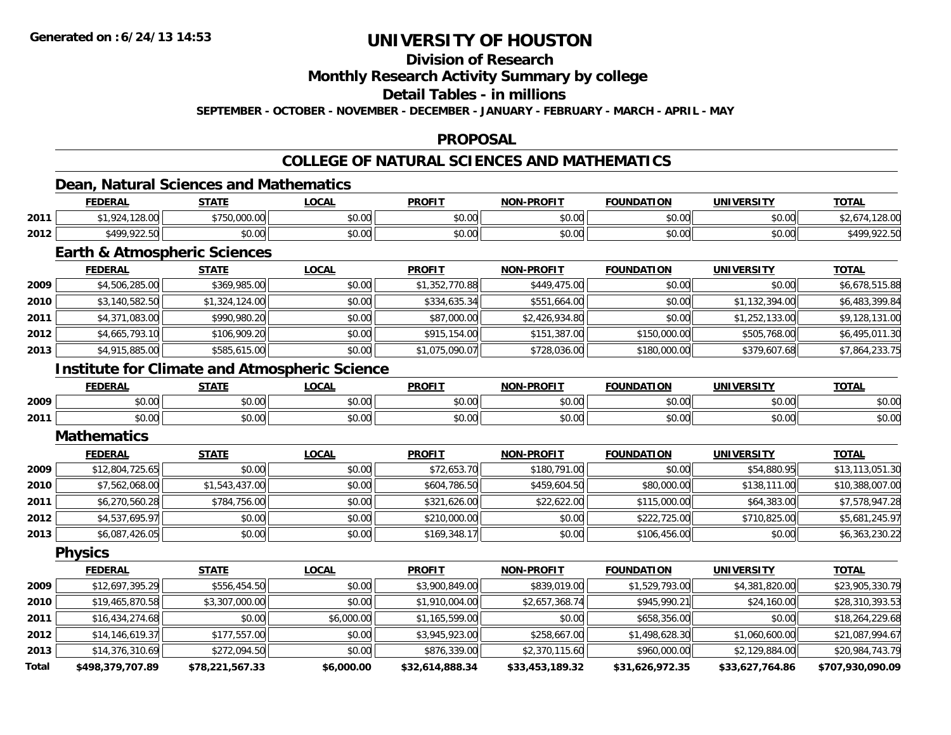### **Division of Research**

**Monthly Research Activity Summary by college**

**Detail Tables - in millions**

**SEPTEMBER - OCTOBER - NOVEMBER - DECEMBER - JANUARY - FEBRUARY - MARCH - APRIL - MAY**

#### **PROPOSAL**

### **COLLEGE OF NATURAL SCIENCES AND MATHEMATICS**

## **Dean, Natural Sciences and Mathematics**

|      | <b>FEDERAL</b>                                                                                                      | <b>CTATE</b>                       | _OCAL  | <b>PROFIT</b> | -PROFIT<br>NON- | <b>FOUNDATION</b> | <b>UNIVERSITY</b> | <b>TOTAL</b>                           |
|------|---------------------------------------------------------------------------------------------------------------------|------------------------------------|--------|---------------|-----------------|-------------------|-------------------|----------------------------------------|
| 2011 | 1.12000<br>$\begin{array}{c} \hline \text{A} & \text{A} \\ \text{B} & \text{B} \end{array}$<br>120.UU<br>, <u>,</u> | $ATEAA$ $AAA$ $AAA$<br>-750.000.00 | \$0.00 | \$0.00        | 0000<br>JU.UU   | 0000<br>JU.UU     | 4000<br>JU.UU     | ∠õ.U∖                                  |
| 2012 | \$499,922.50                                                                                                        | $\circ$ $\circ$<br>JU.UU           | \$0.00 | \$0.00        | 0000<br>pu.uu   | 0000<br>JU.UU     | 0000<br>JU.UU     | 6490<br>$\sim$ $\sim$ $\sim$<br>722.JU |

### **Earth & Atmospheric Sciences**

|      | <b>FEDERAL</b> | <b>STATE</b>   | <b>LOCAL</b> | <b>PROFIT</b>  | <b>NON-PROFIT</b> | <b>FOUNDATION</b> | <b>UNIVERSITY</b> | <u>TOTAL</u>   |
|------|----------------|----------------|--------------|----------------|-------------------|-------------------|-------------------|----------------|
| 2009 | \$4,506,285.00 | \$369,985.00   | \$0.00       | \$1,352,770.88 | \$449,475,00      | \$0.00            | \$0.00            | \$6,678,515.88 |
| 2010 | \$3,140,582.50 | \$1,324,124.00 | \$0.00       | \$334,635.34   | \$551,664.00      | \$0.00            | \$1,132,394.00    | \$6,483,399.84 |
| 2011 | \$4,371,083.00 | \$990,980.20   | \$0.00       | \$87,000.00    | \$2,426,934.80    | \$0.00            | \$1,252,133.00    | \$9,128,131.00 |
| 2012 | \$4,665,793.10 | \$106,909.20   | \$0.00       | \$915,154.00   | \$151,387.00      | \$150,000.00      | \$505,768.00      | \$6,495,011.30 |
| 2013 | \$4,915,885.00 | \$585,615.00   | \$0.00       | \$1,075,090.07 | \$728,036.00      | \$180,000.00      | \$379,607.68      | \$7,864,233.75 |

### **Institute for Climate and Atmospheric Science**

|      | <b>FEDERA</b>  | 27.77<br>,,,,,    | $\sim$<br><b>UUA.</b> | <b>PROFIT</b>  | <b>-PROFIT</b><br>חחו | IDΔ.<br>.     | <b>IINIVERSITY</b><br>. | TOTA.                  |
|------|----------------|-------------------|-----------------------|----------------|-----------------------|---------------|-------------------------|------------------------|
| 2009 | nn on<br>DU.UU | $\sim$ 00<br>ט.טע | ሶስ ሰሰ<br>pu.uu        | 0.001<br>JU.UU | 0000<br>\$U.UC        | ቀስ ስስ<br>,uu  | $\sim$ 00<br>pu.uu      | 0000<br>PU.UU          |
| 2011 | ልስ ባህ<br>DU.UG | $\sim$<br>JU.UL   | $\sim$ 00<br>PU.UU    | 0.00<br>JU.UU  | \$0.00                | 0000<br>DU.UU | nn nn<br>pu.uu          | $\sim$ $\sim$<br>DU.UU |

#### **Mathematics**

|      | <b>FEDERAL</b>  | <b>STATE</b>   | <b>LOCAL</b> | <b>PROFIT</b> | <b>NON-PROFIT</b> | <b>FOUNDATION</b> | <b>UNIVERSITY</b> | <b>TOTAL</b>    |
|------|-----------------|----------------|--------------|---------------|-------------------|-------------------|-------------------|-----------------|
| 2009 | \$12,804,725.65 | \$0.00         | \$0.00       | \$72,653.70   | \$180,791.00      | \$0.00            | \$54,880.95       | \$13,113,051.30 |
| 2010 | \$7,562,068.00  | \$1,543,437.00 | \$0.00       | \$604,786.50  | \$459,604.50      | \$80,000.00       | \$138,111.00      | \$10,388,007.00 |
| 2011 | \$6,270,560.28  | \$784,756.00   | \$0.00       | \$321,626.00  | \$22,622.00       | \$115,000.00      | \$64,383.00       | \$7,578,947.28  |
| 2012 | \$4,537,695.97  | \$0.00         | \$0.00       | \$210,000.00  | \$0.00            | \$222,725.00      | \$710,825.00      | \$5,681,245.97  |
| 2013 | \$6,087,426.05  | \$0.00         | \$0.00       | \$169,348.17  | \$0.00            | \$106,456.00      | \$0.00            | \$6,363,230.22  |

**Physics**

|              | <b>FEDERAL</b>    | <b>STATE</b>    | LOCAL      | <b>PROFIT</b>   | <b>NON-PROFIT</b> | <b>FOUNDATION</b> | <b>UNIVERSITY</b> | <b>TOTAL</b>     |
|--------------|-------------------|-----------------|------------|-----------------|-------------------|-------------------|-------------------|------------------|
| 2009         | \$12,697,395.29   | \$556,454.50    | \$0.00     | \$3,900,849.00  | \$839,019.00      | \$1,529,793.00    | \$4,381,820.00    | \$23,905,330.79  |
| 2010         | \$19,465,870.58   | \$3,307,000.00  | \$0.00     | \$1,910,004.00  | \$2,657,368.74    | \$945,990.21      | \$24,160.00       | \$28,310,393.53  |
| 2011         | \$16,434,274.68   | \$0.00          | \$6,000.00 | \$1,165,599.00  | \$0.00            | \$658,356.00      | \$0.00            | \$18,264,229.68  |
| 2012         | \$14, 146, 619.37 | \$177,557.00    | \$0.00     | \$3,945,923.00  | \$258,667.00      | \$1,498,628.30    | \$1,060,600.00    | \$21,087,994.67  |
| 2013         | \$14,376,310.69   | \$272,094.50    | \$0.00     | \$876,339.00    | \$2,370,115.60    | \$960,000.00      | \$2,129,884.00    | \$20,984,743.79  |
| <b>Total</b> | \$498,379,707.89  | \$78,221,567.33 | \$6,000.00 | \$32,614,888.34 | \$33,453,189.32   | \$31,626,972.35   | \$33,627,764.86   | \$707,930,090.09 |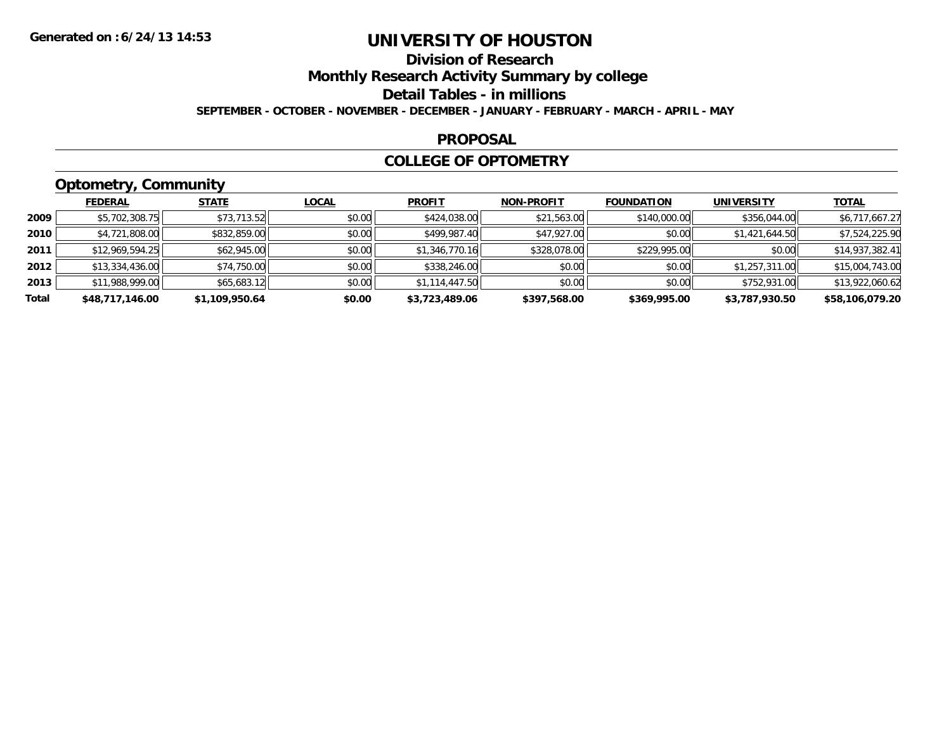## **Division of Research**

**Monthly Research Activity Summary by college**

**Detail Tables - in millions**

**SEPTEMBER - OCTOBER - NOVEMBER - DECEMBER - JANUARY - FEBRUARY - MARCH - APRIL - MAY**

#### **PROPOSAL**

#### **COLLEGE OF OPTOMETRY**

## **Optometry, Community**

|       | ___             |                |              |                |                   |                   |                   |                 |
|-------|-----------------|----------------|--------------|----------------|-------------------|-------------------|-------------------|-----------------|
|       | <b>FEDERAL</b>  | <b>STATE</b>   | <u>LOCAL</u> | <b>PROFIT</b>  | <b>NON-PROFIT</b> | <b>FOUNDATION</b> | <b>UNIVERSITY</b> | <b>TOTAL</b>    |
| 2009  | \$5,702,308.75  | \$73,713.52    | \$0.00       | \$424,038.00   | \$21,563.00       | \$140,000.00      | \$356,044.00      | \$6,717,667.27  |
| 2010  | \$4,721,808.00  | \$832,859.00   | \$0.00       | \$499,987.40   | \$47,927.00       | \$0.00            | \$1,421,644.50    | \$7,524,225.90  |
| 2011  | \$12,969,594.25 | \$62,945.00    | \$0.00       | \$1,346,770.16 | \$328,078.00      | \$229,995.00      | \$0.00            | \$14,937,382.41 |
| 2012  | \$13,334,436.00 | \$74,750.00    | \$0.00       | \$338,246.00   | \$0.00            | \$0.00            | \$1,257,311.00    | \$15,004,743.00 |
| 2013  | \$11,988,999.00 | \$65,683.12    | \$0.00       | \$1,114,447.50 | \$0.00            | \$0.00            | \$752,931.00      | \$13,922,060.62 |
| Total | \$48,717,146.00 | \$1,109,950.64 | \$0.00       | \$3,723,489.06 | \$397,568.00      | \$369,995.00      | \$3,787,930.50    | \$58,106,079.20 |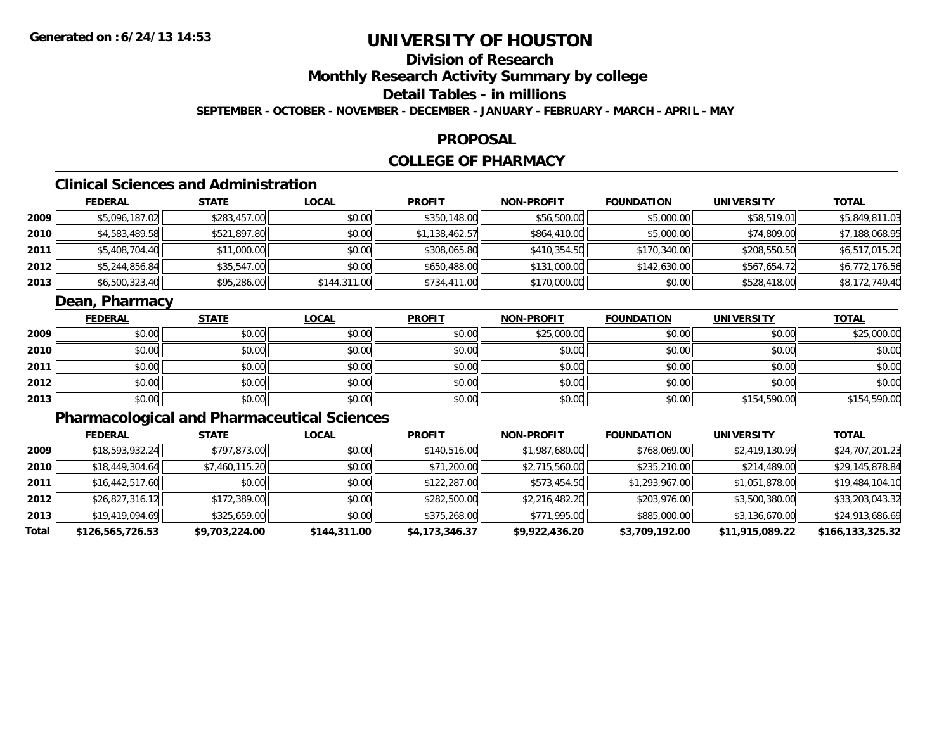## **Division of Research**

**Monthly Research Activity Summary by college**

**Detail Tables - in millions**

**SEPTEMBER - OCTOBER - NOVEMBER - DECEMBER - JANUARY - FEBRUARY - MARCH - APRIL - MAY**

#### **PROPOSAL**

### **COLLEGE OF PHARMACY**

## **Clinical Sciences and Administration**

|      | <b>FEDERAL</b> | <u>STATE</u> | <u>LOCAL</u> | <b>PROFIT</b>  | <b>NON-PROFIT</b> | <b>FOUNDATION</b> | <b>UNIVERSITY</b> | <u>TOTAL</u>   |
|------|----------------|--------------|--------------|----------------|-------------------|-------------------|-------------------|----------------|
| 2009 | \$5,096,187.02 | \$283,457.00 | \$0.00       | \$350,148.00   | \$56,500.00       | \$5,000.00        | \$58,519.01       | \$5,849,811.03 |
| 2010 | \$4,583,489.58 | \$521,897.80 | \$0.00       | \$1,138,462.57 | \$864,410.00      | \$5,000.00        | \$74,809.00       | \$7,188,068.95 |
| 2011 | \$5,408,704.40 | \$11,000.00  | \$0.00       | \$308,065.80   | \$410,354.50      | \$170,340.00      | \$208,550.50      | \$6,517,015.20 |
| 2012 | \$5,244,856.84 | \$35,547.00  | \$0.00       | \$650,488.00   | \$131,000.00      | \$142,630.00      | \$567,654.72      | \$6,772,176.56 |
| 2013 | \$6,500,323.40 | \$95,286.00  | \$144,311.00 | \$734,411.00   | \$170,000.00      | \$0.00            | \$528,418.00      | \$8,172,749.40 |

#### **Dean, Pharmacy**

|      | <u>FEDERAL</u> | <b>STATE</b> | <b>LOCAL</b> | <b>PROFIT</b> | <b>NON-PROFIT</b> | <b>FOUNDATION</b> | <b>UNIVERSITY</b> | <b>TOTAL</b> |
|------|----------------|--------------|--------------|---------------|-------------------|-------------------|-------------------|--------------|
| 2009 | \$0.00         | \$0.00       | \$0.00       | \$0.00        | \$25,000.00       | \$0.00            | \$0.00            | \$25,000.00  |
| 2010 | \$0.00         | \$0.00       | \$0.00       | \$0.00        | \$0.00            | \$0.00            | \$0.00            | \$0.00       |
| 2011 | \$0.00         | \$0.00       | \$0.00       | \$0.00        | \$0.00            | \$0.00            | \$0.00            | \$0.00       |
| 2012 | \$0.00         | \$0.00       | \$0.00       | \$0.00        | \$0.00            | \$0.00            | \$0.00            | \$0.00       |
| 2013 | \$0.00         | \$0.00       | \$0.00       | \$0.00        | \$0.00            | \$0.00            | \$154,590.00      | \$154,590.00 |

## **Pharmacological and Pharmaceutical Sciences**

|       | <b>FEDERAL</b>   | <b>STATE</b>   | <u>LOCAL</u> | <b>PROFIT</b>  | <b>NON-PROFIT</b> | <b>FOUNDATION</b> | <b>UNIVERSITY</b> | <b>TOTAL</b>     |
|-------|------------------|----------------|--------------|----------------|-------------------|-------------------|-------------------|------------------|
| 2009  | \$18,593,932.24  | \$797,873.00   | \$0.00       | \$140,516.00   | \$1,987,680.00    | \$768,069.00      | \$2,419,130.99    | \$24,707,201.23  |
| 2010  | \$18,449,304.64  | \$7,460,115.20 | \$0.00       | \$71,200.00    | \$2,715,560.00    | \$235,210.00      | \$214,489.00      | \$29,145,878.84  |
| 2011  | \$16,442,517.60  | \$0.00         | \$0.00       | \$122,287.00   | \$573,454.50      | \$1,293,967.00    | \$1,051,878.00    | \$19,484,104.10  |
| 2012  | \$26,827,316.12  | \$172,389.00   | \$0.00       | \$282,500.00   | \$2,216,482.20    | \$203,976.00      | \$3,500,380.00    | \$33,203,043.32  |
| 2013  | \$19,419,094.69  | \$325,659.00   | \$0.00       | \$375,268.00   | \$771,995.00      | \$885,000.00      | \$3,136,670.00    | \$24,913,686.69  |
| Total | \$126,565,726.53 | \$9,703,224.00 | \$144,311.00 | \$4,173,346.37 | \$9,922,436.20    | \$3,709,192.00    | \$11,915,089.22   | \$166,133,325.32 |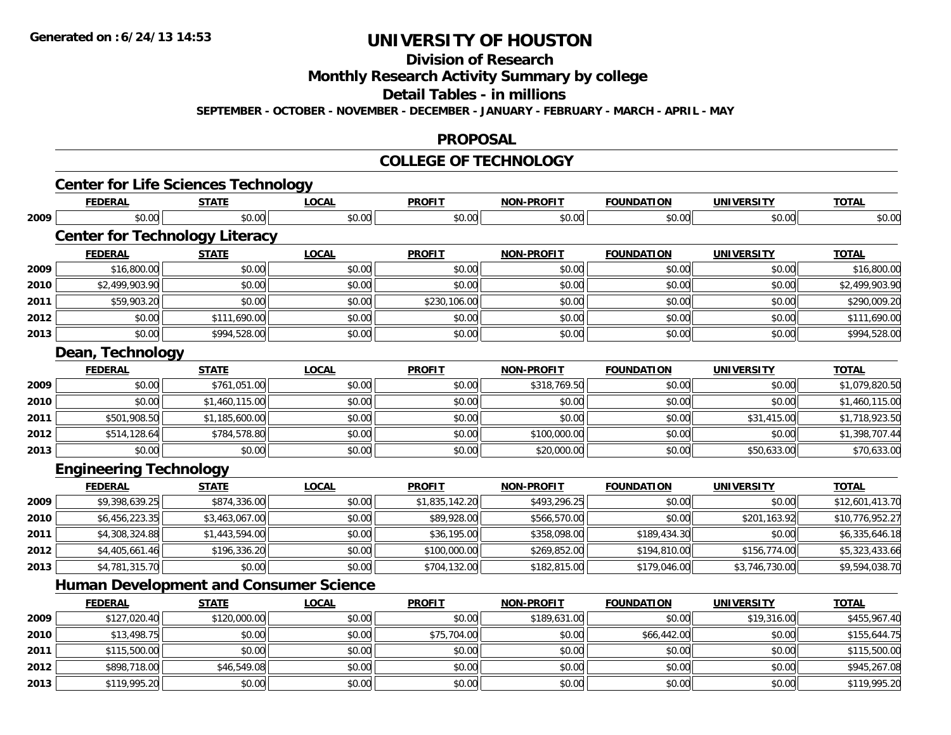**Division of Research**

**Monthly Research Activity Summary by college**

**Detail Tables - in millions**

**SEPTEMBER - OCTOBER - NOVEMBER - DECEMBER - JANUARY - FEBRUARY - MARCH - APRIL - MAY**

#### **PROPOSAL**

#### **COLLEGE OF TECHNOLOGY**

|      | <b>Center for Life Sciences Technology</b>    |                |              |                |                   |                   |                   |                 |
|------|-----------------------------------------------|----------------|--------------|----------------|-------------------|-------------------|-------------------|-----------------|
|      | <b>FEDERAL</b>                                | <b>STATE</b>   | <b>LOCAL</b> | <b>PROFIT</b>  | NON-PROFIT        | <b>FOUNDATION</b> | <b>UNIVERSITY</b> | <b>TOTAL</b>    |
| 2009 | \$0.00                                        | \$0.00         | \$0.00       | \$0.00         | \$0.00            | \$0.00            | \$0.00            | \$0.00          |
|      | <b>Center for Technology Literacy</b>         |                |              |                |                   |                   |                   |                 |
|      | <b>FEDERAL</b>                                | <b>STATE</b>   | <b>LOCAL</b> | <b>PROFIT</b>  | <b>NON-PROFIT</b> | <b>FOUNDATION</b> | <b>UNIVERSITY</b> | <b>TOTAL</b>    |
| 2009 | \$16,800.00                                   | \$0.00         | \$0.00       | \$0.00         | \$0.00            | \$0.00            | \$0.00            | \$16,800.00     |
| 2010 | \$2,499,903.90                                | \$0.00         | \$0.00       | \$0.00         | \$0.00            | \$0.00            | \$0.00            | \$2,499,903.90  |
| 2011 | \$59,903.20                                   | \$0.00         | \$0.00       | \$230,106.00   | \$0.00            | \$0.00            | \$0.00            | \$290,009.20    |
| 2012 | \$0.00                                        | \$111,690.00   | \$0.00       | \$0.00         | \$0.00            | \$0.00            | \$0.00            | \$111,690.00    |
| 2013 | \$0.00                                        | \$994,528.00   | \$0.00       | \$0.00         | \$0.00            | \$0.00            | \$0.00            | \$994,528.00    |
|      | Dean, Technology                              |                |              |                |                   |                   |                   |                 |
|      | <b>FEDERAL</b>                                | <b>STATE</b>   | <b>LOCAL</b> | <b>PROFIT</b>  | <b>NON-PROFIT</b> | <b>FOUNDATION</b> | <b>UNIVERSITY</b> | <b>TOTAL</b>    |
| 2009 | \$0.00                                        | \$761,051.00   | \$0.00       | \$0.00         | \$318,769.50      | \$0.00            | \$0.00            | \$1,079,820.50  |
| 2010 | \$0.00                                        | \$1,460,115.00 | \$0.00       | \$0.00         | \$0.00            | \$0.00            | \$0.00            | \$1,460,115.00  |
| 2011 | \$501,908.50                                  | \$1,185,600.00 | \$0.00       | \$0.00         | \$0.00            | \$0.00            | \$31,415.00       | \$1,718,923.50  |
| 2012 | \$514,128.64                                  | \$784,578.80   | \$0.00       | \$0.00         | \$100,000.00      | \$0.00            | \$0.00            | \$1,398,707.44  |
| 2013 | \$0.00                                        | \$0.00         | \$0.00       | \$0.00         | \$20,000.00       | \$0.00            | \$50,633.00       | \$70,633.00     |
|      | <b>Engineering Technology</b>                 |                |              |                |                   |                   |                   |                 |
|      | <b>FEDERAL</b>                                | <b>STATE</b>   | <b>LOCAL</b> | <b>PROFIT</b>  | <b>NON-PROFIT</b> | <b>FOUNDATION</b> | <b>UNIVERSITY</b> | <b>TOTAL</b>    |
| 2009 | \$9,398,639.25                                | \$874,336.00   | \$0.00       | \$1,835,142.20 | \$493,296.25      | \$0.00            | \$0.00            | \$12,601,413.70 |
| 2010 | \$6,456,223.35                                | \$3,463,067.00 | \$0.00       | \$89,928.00    | \$566,570.00      | \$0.00            | \$201,163.92      | \$10,776,952.27 |
| 2011 | \$4,308,324.88                                | \$1,443,594.00 | \$0.00       | \$36,195.00    | \$358,098.00      | \$189,434.30      | \$0.00            | \$6,335,646.18  |
| 2012 | \$4,405,661.46                                | \$196,336.20   | \$0.00       | \$100,000.00   | \$269,852.00      | \$194,810.00      | \$156,774.00      | \$5,323,433.66  |
| 2013 | \$4,781,315.70                                | \$0.00         | \$0.00       | \$704,132.00   | \$182,815.00      | \$179,046.00      | \$3,746,730.00    | \$9,594,038.70  |
|      | <b>Human Development and Consumer Science</b> |                |              |                |                   |                   |                   |                 |
|      | <b>FEDERAL</b>                                | <b>STATE</b>   | <b>LOCAL</b> | <b>PROFIT</b>  | <b>NON-PROFIT</b> | <b>FOUNDATION</b> | <b>UNIVERSITY</b> | <b>TOTAL</b>    |
| 2009 | \$127,020.40                                  | \$120,000.00   | \$0.00       | \$0.00         | \$189,631.00      | \$0.00            | \$19,316.00       | \$455,967.40    |
| 2010 | \$13,498.75                                   | \$0.00         | \$0.00       | \$75,704.00    | \$0.00            | \$66,442.00       | \$0.00            | \$155,644.75    |
| 2011 | \$115,500.00                                  | \$0.00         | \$0.00       | \$0.00         | \$0.00            | \$0.00            | \$0.00            | \$115,500.00    |
| 2012 | \$898,718.00                                  | \$46,549.08    | \$0.00       | \$0.00         | \$0.00            | \$0.00            | \$0.00            | \$945,267.08    |
| 2013 | \$119,995.20                                  | \$0.00         | \$0.00       | \$0.00         | \$0.00            | \$0.00            | \$0.00            | \$119,995.20    |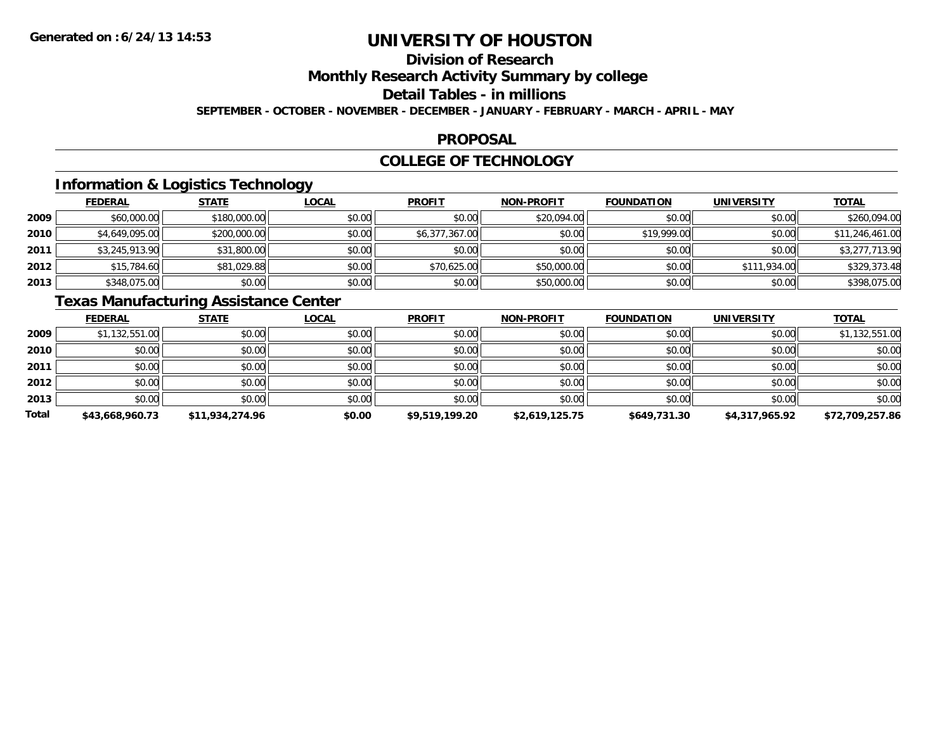## **Division of Research**

**Monthly Research Activity Summary by college**

**Detail Tables - in millions**

**SEPTEMBER - OCTOBER - NOVEMBER - DECEMBER - JANUARY - FEBRUARY - MARCH - APRIL - MAY**

#### **PROPOSAL**

#### **COLLEGE OF TECHNOLOGY**

### **Information & Logistics Technology**

|      | <b>FEDERAL</b> | <b>STATE</b> | <u>LOCAL</u> | <b>PROFIT</b>  | <b>NON-PROFIT</b> | <b>FOUNDATION</b> | <b>UNIVERSITY</b> | <b>TOTAL</b>    |
|------|----------------|--------------|--------------|----------------|-------------------|-------------------|-------------------|-----------------|
| 2009 | \$60,000.00    | \$180,000.00 | \$0.00       | \$0.00         | \$20,094.00       | \$0.00            | \$0.00            | \$260,094.00    |
| 2010 | \$4,649,095.00 | \$200,000.00 | \$0.00       | \$6,377,367.00 | \$0.00            | \$19,999.00       | \$0.00            | \$11,246,461.00 |
| 2011 | \$3,245,913.90 | \$31,800.00  | \$0.00       | \$0.00         | \$0.00            | \$0.00            | \$0.00            | \$3,277,713.90  |
| 2012 | \$15,784.60    | \$81,029.88  | \$0.00       | \$70,625.00    | \$50,000.00       | \$0.00            | \$111,934.00      | \$329,373.48    |
| 2013 | \$348,075.00   | \$0.00       | \$0.00       | \$0.00         | \$50,000.00       | \$0.00            | \$0.00            | \$398,075.00    |

### **Texas Manufacturing Assistance Center**

|              | <b>FEDERAL</b>  | <b>STATE</b>    | <u>LOCAL</u> | <b>PROFIT</b>  | <b>NON-PROFIT</b> | <b>FOUNDATION</b> | <b>UNIVERSITY</b> | <b>TOTAL</b>    |
|--------------|-----------------|-----------------|--------------|----------------|-------------------|-------------------|-------------------|-----------------|
| 2009         | \$1,132,551.00  | \$0.00          | \$0.00       | \$0.00         | \$0.00            | \$0.00            | \$0.00            | \$1,132,551.00  |
| 2010         | \$0.00          | \$0.00          | \$0.00       | \$0.00         | \$0.00            | \$0.00            | \$0.00            | \$0.00          |
| 2011         | \$0.00          | \$0.00          | \$0.00       | \$0.00         | \$0.00            | \$0.00            | \$0.00            | \$0.00          |
| 2012         | \$0.00          | \$0.00          | \$0.00       | \$0.00         | \$0.00            | \$0.00            | \$0.00            | \$0.00          |
| 2013         | \$0.00          | \$0.00          | \$0.00       | \$0.00         | \$0.00            | \$0.00            | \$0.00            | \$0.00          |
| <b>Total</b> | \$43,668,960.73 | \$11,934,274.96 | \$0.00       | \$9,519,199.20 | \$2,619,125.75    | \$649,731.30      | \$4,317,965.92    | \$72,709,257.86 |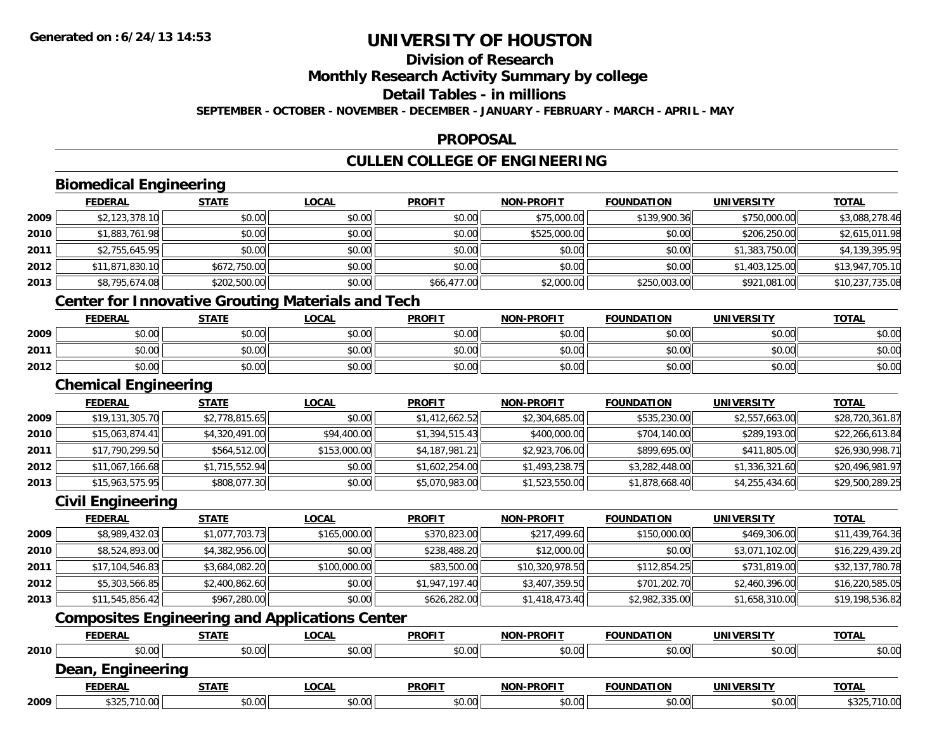## **Division of Research**

**Monthly Research Activity Summary by college**

**Detail Tables - in millions**

**SEPTEMBER - OCTOBER - NOVEMBER - DECEMBER - JANUARY - FEBRUARY - MARCH - APRIL - MAY**

### **PROPOSAL**

### **CULLEN COLLEGE OF ENGINEERING**

|      | <b>FEDERAL</b>                                           | <b>STATE</b>   | <b>LOCAL</b> | <b>PROFIT</b>  | <b>NON-PROFIT</b> | <b>FOUNDATION</b> | <b>UNIVERSITY</b> | <b>TOTAL</b>    |
|------|----------------------------------------------------------|----------------|--------------|----------------|-------------------|-------------------|-------------------|-----------------|
| 2009 | \$2,123,378.10                                           | \$0.00         | \$0.00       | \$0.00         | \$75,000.00       | \$139,900.36      | \$750,000.00      | \$3,088,278.46  |
| 2010 | \$1,883,761.98                                           | \$0.00         | \$0.00       | \$0.00         | \$525,000.00      | \$0.00            | \$206,250.00      | \$2,615,011.98  |
| 2011 | \$2,755,645.95                                           | \$0.00         | \$0.00       | \$0.00         | \$0.00            | \$0.00            | \$1,383,750.00    | \$4,139,395.95  |
| 2012 | \$11,871,830.10                                          | \$672,750.00   | \$0.00       | \$0.00         | \$0.00            | \$0.00            | \$1,403,125.00    | \$13,947,705.10 |
| 2013 | \$8,795,674.08                                           | \$202,500.00   | \$0.00       | \$66,477.00    | \$2,000.00        | \$250,003.00      | \$921,081.00      | \$10,237,735.08 |
|      | <b>Center for Innovative Grouting Materials and Tech</b> |                |              |                |                   |                   |                   |                 |
|      | <b>FEDERAL</b>                                           | <b>STATE</b>   | <b>LOCAL</b> | <b>PROFIT</b>  | <b>NON-PROFIT</b> | <b>FOUNDATION</b> | <b>UNIVERSITY</b> | <b>TOTAL</b>    |
| 2009 | \$0.00                                                   | \$0.00         | \$0.00       | \$0.00         | \$0.00            | \$0.00            | \$0.00            | \$0.00          |
| 2011 | \$0.00                                                   | \$0.00         | \$0.00       | \$0.00         | \$0.00            | \$0.00            | \$0.00            | \$0.00          |
| 2012 | \$0.00                                                   | \$0.00         | \$0.00       | \$0.00         | \$0.00            | \$0.00            | \$0.00            | \$0.00          |
|      | <b>Chemical Engineering</b>                              |                |              |                |                   |                   |                   |                 |
|      | <b>FEDERAL</b>                                           | <b>STATE</b>   | <b>LOCAL</b> | <b>PROFIT</b>  | <b>NON-PROFIT</b> | <b>FOUNDATION</b> | <b>UNIVERSITY</b> | <b>TOTAL</b>    |
| 2009 | \$19,131,305.70                                          | \$2,778,815.65 | \$0.00       | \$1,412,662.52 | \$2,304,685.00    | \$535,230.00      | \$2,557,663.00    | \$28,720,361.87 |
| 2010 | \$15,063,874.41                                          | \$4,320,491.00 | \$94,400.00  | \$1,394,515.43 | \$400,000.00      | \$704,140.00      | \$289,193.00      | \$22,266,613.84 |
| 2011 | \$17,790,299.50                                          | \$564,512.00   | \$153,000.00 | \$4,187,981.21 | \$2,923,706.00    | \$899,695.00      | \$411,805.00      | \$26,930,998.71 |
| 2012 | \$11,067,166.68                                          | \$1,715,552.94 | \$0.00       | \$1,602,254.00 | \$1,493,238.75    | \$3,282,448.00    | \$1,336,321.60    | \$20,496,981.97 |
| 2013 | \$15,963,575.95                                          | \$808,077.30   | \$0.00       | \$5,070,983.00 | \$1,523,550.00    | \$1,878,668.40    | \$4,255,434.60    | \$29,500,289.25 |
|      | <b>Civil Engineering</b>                                 |                |              |                |                   |                   |                   |                 |
|      | <b>FEDERAL</b>                                           | <b>STATE</b>   | <b>LOCAL</b> | <b>PROFIT</b>  | <b>NON-PROFIT</b> | <b>FOUNDATION</b> | <b>UNIVERSITY</b> | <b>TOTAL</b>    |
| 2009 | \$8,989,432.03                                           | \$1,077,703.73 | \$165,000.00 | \$370,823.00   | \$217,499.60      | \$150,000.00      | \$469,306.00      | \$11,439,764.36 |
| 2010 | \$8,524,893.00                                           | \$4,382,956.00 | \$0.00       | \$238,488.20   | \$12,000.00       | \$0.00            | \$3,071,102.00    | \$16,229,439.20 |
| 2011 | \$17,104,546.83                                          | \$3,684,082.20 | \$100,000.00 | \$83,500.00    | \$10,320,978.50   | \$112,854.25      | \$731,819.00      | \$32,137,780.78 |
| 2012 | \$5,303,566.85                                           | \$2,400,862.60 | \$0.00       | \$1,947,197.40 | \$3,407,359.50    | \$701,202.70      | \$2,460,396.00    | \$16,220,585.05 |
| 2013 | \$11,545,856.42                                          | \$967,280.00   | \$0.00       | \$626,282.00   | \$1,418,473.40    | \$2,982,335.00    | \$1,658,310.00    | \$19,198,536.82 |
|      | <b>Composites Engineering and Applications Center</b>    |                |              |                |                   |                   |                   |                 |
|      | <b>FEDERAL</b>                                           | <b>STATE</b>   | <b>LOCAL</b> | <b>PROFIT</b>  | <b>NON-PROFIT</b> | <b>FOUNDATION</b> | <b>UNIVERSITY</b> | <b>TOTAL</b>    |
| 2010 | \$0.00                                                   | \$0.00         | \$0.00       | \$0.00         | \$0.00            | \$0.00            | \$0.00            | \$0.00          |
|      | Dean, Engineering                                        |                |              |                |                   |                   |                   |                 |
|      | <b>FEDERAL</b>                                           | <b>STATE</b>   | <b>LOCAL</b> | <b>PROFIT</b>  | <b>NON-PROFIT</b> | <b>FOUNDATION</b> | <b>UNIVERSITY</b> | <b>TOTAL</b>    |
| 2009 | \$325,710.00                                             | \$0.00         | \$0.00       | \$0.00         | \$0.00            | \$0.00            | \$0.00            | \$325,710.00    |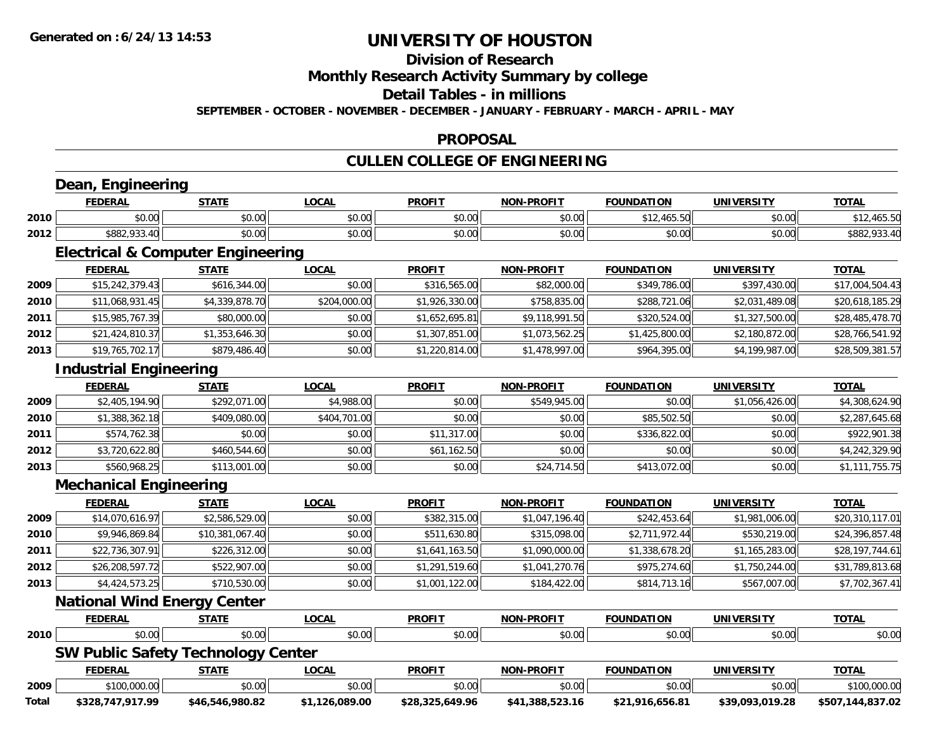### **Division of Research**

**Monthly Research Activity Summary by college**

**Detail Tables - in millions**

**SEPTEMBER - OCTOBER - NOVEMBER - DECEMBER - JANUARY - FEBRUARY - MARCH - APRIL - MAY**

### **PROPOSAL**

### **CULLEN COLLEGE OF ENGINEERING**

|       | <b>FEDERAL</b>                               | <b>STATE</b>    | <b>LOCAL</b>   | <b>PROFIT</b>   | <b>NON-PROFIT</b> | <b>FOUNDATION</b> | <b>UNIVERSITY</b> | <b>TOTAL</b>     |
|-------|----------------------------------------------|-----------------|----------------|-----------------|-------------------|-------------------|-------------------|------------------|
| 2010  | \$0.00                                       | \$0.00          | \$0.00         | \$0.00          | \$0.00            | \$12,465.50       | \$0.00            | \$12,465.50      |
| 2012  | \$882,933.40                                 | \$0.00          | \$0.00         | \$0.00          | \$0.00            | \$0.00            | \$0.00            | \$882,933.40     |
|       | <b>Electrical &amp; Computer Engineering</b> |                 |                |                 |                   |                   |                   |                  |
|       | <b>FEDERAL</b>                               | <b>STATE</b>    | <b>LOCAL</b>   | <b>PROFIT</b>   | <b>NON-PROFIT</b> | <b>FOUNDATION</b> | <b>UNIVERSITY</b> | <b>TOTAL</b>     |
| 2009  | \$15,242,379.43                              | \$616,344.00    | \$0.00         | \$316,565.00    | \$82,000.00       | \$349,786.00      | \$397,430.00      | \$17,004,504.43  |
| 2010  | \$11,068,931.45                              | \$4,339,878.70  | \$204,000.00   | \$1,926,330.00  | \$758,835.00      | \$288,721.06      | \$2,031,489.08    | \$20,618,185.29  |
| 2011  | \$15,985,767.39                              | \$80,000.00     | \$0.00         | \$1,652,695.81  | \$9,118,991.50    | \$320,524.00      | \$1,327,500.00    | \$28,485,478.70  |
| 2012  | \$21,424,810.37                              | \$1,353,646.30  | \$0.00         | \$1,307,851.00  | \$1,073,562.25    | \$1,425,800.00    | \$2,180,872.00    | \$28,766,541.92  |
| 2013  | \$19,765,702.17                              | \$879,486.40    | \$0.00         | \$1,220,814.00  | \$1,478,997.00    | \$964,395.00      | \$4,199,987.00    | \$28,509,381.57  |
|       | <b>Industrial Engineering</b>                |                 |                |                 |                   |                   |                   |                  |
|       | <b>FEDERAL</b>                               | <b>STATE</b>    | <b>LOCAL</b>   | <b>PROFIT</b>   | <b>NON-PROFIT</b> | <b>FOUNDATION</b> | <b>UNIVERSITY</b> | <b>TOTAL</b>     |
| 2009  | \$2,405,194.90                               | \$292,071.00    | \$4,988.00     | \$0.00          | \$549,945.00      | \$0.00            | \$1,056,426.00    | \$4,308,624.90   |
| 2010  | \$1,388,362.18                               | \$409,080.00    | \$404,701.00   | \$0.00          | \$0.00            | \$85,502.50       | \$0.00            | \$2,287,645.68   |
| 2011  | \$574,762.38                                 | \$0.00          | \$0.00         | \$11,317.00     | \$0.00            | \$336,822.00      | \$0.00            | \$922,901.38     |
| 2012  | \$3,720,622.80                               | \$460,544.60    | \$0.00         | \$61,162.50     | \$0.00            | \$0.00            | \$0.00            | \$4,242,329.90   |
| 2013  | \$560,968.25                                 | \$113,001.00    | \$0.00         | \$0.00          | \$24,714.50       | \$413,072.00      | \$0.00            | \$1,111,755.75   |
|       | <b>Mechanical Engineering</b>                |                 |                |                 |                   |                   |                   |                  |
|       | <b>FEDERAL</b>                               | <b>STATE</b>    | <b>LOCAL</b>   | <b>PROFIT</b>   | <b>NON-PROFIT</b> | <b>FOUNDATION</b> | <b>UNIVERSITY</b> | <b>TOTAL</b>     |
| 2009  | \$14,070,616.97                              | \$2,586,529.00  | \$0.00         | \$382,315.00    | \$1,047,196.40    | \$242,453.64      | \$1,981,006.00    | \$20,310,117.01  |
| 2010  | \$9,946,869.84                               | \$10,381,067.40 | \$0.00         | \$511,630.80    | \$315,098.00      | \$2,711,972.44    | \$530,219.00      | \$24,396,857.48  |
| 2011  | \$22,736,307.91                              | \$226,312.00    | \$0.00         | \$1,641,163.50  | \$1,090,000.00    | \$1,338,678.20    | \$1,165,283.00    | \$28,197,744.61  |
| 2012  | \$26,208,597.72                              | \$522,907.00    | \$0.00         | \$1,291,519.60  | \$1,041,270.76    | \$975,274.60      | \$1,750,244.00    | \$31,789,813.68  |
| 2013  | \$4,424,573.25                               | \$710,530.00    | \$0.00         | \$1,001,122.00  | \$184,422.00      | \$814,713.16      | \$567,007.00      | \$7,702,367.41   |
|       | <b>National Wind Energy Center</b>           |                 |                |                 |                   |                   |                   |                  |
|       | <b>FEDERAL</b>                               | <b>STATE</b>    | <b>LOCAL</b>   | <b>PROFIT</b>   | <b>NON-PROFIT</b> | <b>FOUNDATION</b> | <b>UNIVERSITY</b> | <b>TOTAL</b>     |
| 2010  | \$0.00                                       | \$0.00          | \$0.00         | \$0.00          | \$0.00            | \$0.00            | \$0.00            | \$0.00           |
|       | <b>SW Public Safety Technology Center</b>    |                 |                |                 |                   |                   |                   |                  |
|       | <b>FEDERAL</b>                               | <b>STATE</b>    | <b>LOCAL</b>   | <b>PROFIT</b>   | <b>NON-PROFIT</b> | <b>FOUNDATION</b> | <b>UNIVERSITY</b> | <b>TOTAL</b>     |
| 2009  | \$100,000.00                                 | \$0.00          | \$0.00         | \$0.00          | \$0.00            | \$0.00            | \$0.00            | \$100,000.00     |
| Total | \$328,747,917.99                             | \$46,546,980.82 | \$1,126,089.00 | \$28,325,649.96 | \$41,388,523.16   | \$21,916,656.81   | \$39,093,019.28   | \$507,144,837.02 |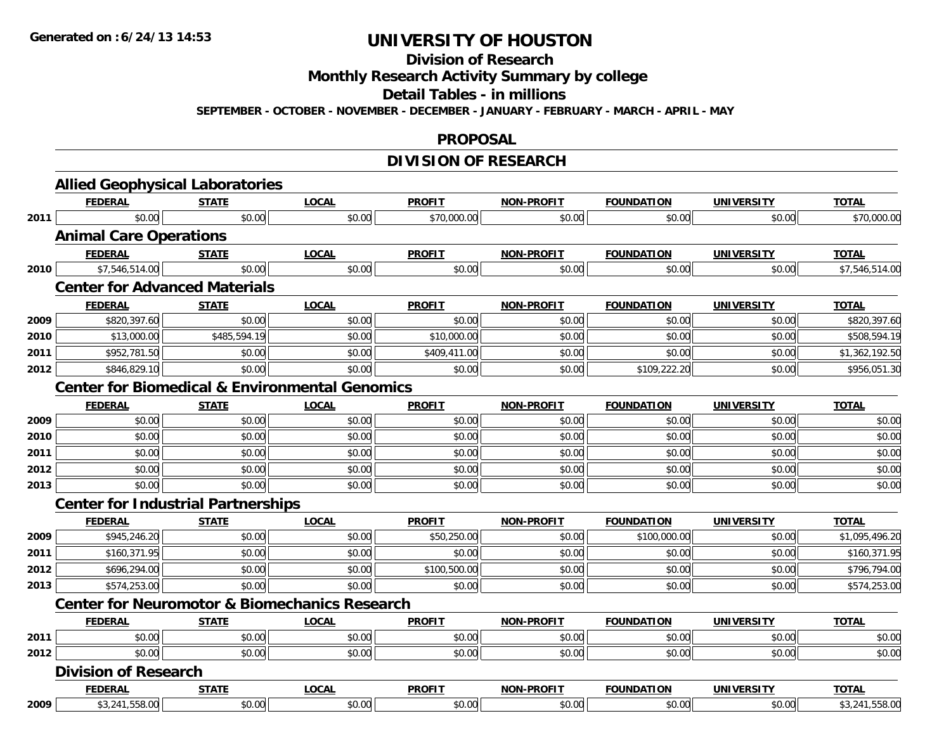**Division of Research**

**Monthly Research Activity Summary by college**

**Detail Tables - in millions**

**SEPTEMBER - OCTOBER - NOVEMBER - DECEMBER - JANUARY - FEBRUARY - MARCH - APRIL - MAY**

#### **PROPOSAL**

### **DIVISION OF RESEARCH**

|      | <b>Allied Geophysical Laboratories</b>    |              |                                                           |               |                   |                   |                   |                |
|------|-------------------------------------------|--------------|-----------------------------------------------------------|---------------|-------------------|-------------------|-------------------|----------------|
|      | <b>FEDERAL</b>                            | <b>STATE</b> | <b>LOCAL</b>                                              | <b>PROFIT</b> | <b>NON-PROFIT</b> | <b>FOUNDATION</b> | <b>UNIVERSITY</b> | <b>TOTAL</b>   |
| 2011 | \$0.00                                    | \$0.00       | \$0.00                                                    | \$70,000.00   | \$0.00            | \$0.00            | \$0.00            | \$70,000.00    |
|      | <b>Animal Care Operations</b>             |              |                                                           |               |                   |                   |                   |                |
|      | <b>FEDERAL</b>                            | <b>STATE</b> | <b>LOCAL</b>                                              | <b>PROFIT</b> | NON-PROFIT        | <b>FOUNDATION</b> | <b>UNIVERSITY</b> | <b>TOTAL</b>   |
| 2010 | \$7,546,514.00                            | \$0.00       | \$0.00                                                    | \$0.00        | \$0.00            | \$0.00            | \$0.00            | \$7,546,514.00 |
|      | <b>Center for Advanced Materials</b>      |              |                                                           |               |                   |                   |                   |                |
|      | <b>FEDERAL</b>                            | <u>STATE</u> | <b>LOCAL</b>                                              | <b>PROFIT</b> | <b>NON-PROFIT</b> | <b>FOUNDATION</b> | <b>UNIVERSITY</b> | <b>TOTAL</b>   |
| 2009 | \$820,397.60                              | \$0.00       | \$0.00                                                    | \$0.00        | \$0.00            | \$0.00            | \$0.00            | \$820,397.60   |
| 2010 | \$13,000.00                               | \$485,594.19 | \$0.00                                                    | \$10,000.00   | \$0.00            | \$0.00            | \$0.00            | \$508,594.19   |
| 2011 | \$952,781.50                              | \$0.00       | \$0.00                                                    | \$409,411.00  | \$0.00            | \$0.00            | \$0.00            | \$1,362,192.50 |
| 2012 | \$846,829.10                              | \$0.00       | \$0.00                                                    | \$0.00        | \$0.00            | \$109,222.20      | \$0.00            | \$956,051.30   |
|      |                                           |              | <b>Center for Biomedical &amp; Environmental Genomics</b> |               |                   |                   |                   |                |
|      | <b>FEDERAL</b>                            | <b>STATE</b> | <b>LOCAL</b>                                              | <b>PROFIT</b> | <b>NON-PROFIT</b> | <b>FOUNDATION</b> | <b>UNIVERSITY</b> | <b>TOTAL</b>   |
| 2009 | \$0.00                                    | \$0.00       | \$0.00                                                    | \$0.00        | \$0.00            | \$0.00            | \$0.00            | \$0.00         |
| 2010 | \$0.00                                    | \$0.00       | \$0.00                                                    | \$0.00        | \$0.00            | \$0.00            | \$0.00            | \$0.00         |
| 2011 | \$0.00                                    | \$0.00       | \$0.00                                                    | \$0.00        | \$0.00            | \$0.00            | \$0.00            | \$0.00         |
| 2012 | \$0.00                                    | \$0.00       | \$0.00                                                    | \$0.00        | \$0.00            | \$0.00            | \$0.00            | \$0.00         |
| 2013 | \$0.00                                    | \$0.00       | \$0.00                                                    | \$0.00        | \$0.00            | \$0.00            | \$0.00            | \$0.00         |
|      | <b>Center for Industrial Partnerships</b> |              |                                                           |               |                   |                   |                   |                |
|      | <b>FEDERAL</b>                            | <b>STATE</b> | <b>LOCAL</b>                                              | <b>PROFIT</b> | <b>NON-PROFIT</b> | <b>FOUNDATION</b> | <b>UNIVERSITY</b> | <b>TOTAL</b>   |
| 2009 | \$945,246.20                              | \$0.00       | \$0.00                                                    | \$50,250.00   | \$0.00            | \$100,000.00      | \$0.00            | \$1,095,496.20 |
| 2011 | \$160,371.95                              | \$0.00       | \$0.00                                                    | \$0.00        | \$0.00            | \$0.00            | \$0.00            | \$160,371.95   |
| 2012 | \$696,294.00                              | \$0.00       | \$0.00                                                    | \$100,500.00  | \$0.00            | \$0.00            | \$0.00            | \$796,794.00   |
| 2013 | \$574,253.00                              | \$0.00       | \$0.00                                                    | \$0.00        | \$0.00            | \$0.00            | \$0.00            | \$574,253.00   |
|      |                                           |              | <b>Center for Neuromotor &amp; Biomechanics Research</b>  |               |                   |                   |                   |                |
|      | <b>FEDERAL</b>                            | <b>STATE</b> | <b>LOCAL</b>                                              | <b>PROFIT</b> | <b>NON-PROFIT</b> | <b>FOUNDATION</b> | <b>UNIVERSITY</b> | <b>TOTAL</b>   |
| 2011 | \$0.00                                    | \$0.00       | \$0.00                                                    | \$0.00        | \$0.00            | \$0.00            | \$0.00            | \$0.00         |
| 2012 | \$0.00                                    | \$0.00       | \$0.00                                                    | \$0.00        | \$0.00            | \$0.00            | \$0.00            | \$0.00         |
|      | <b>Division of Research</b>               |              |                                                           |               |                   |                   |                   |                |
|      | <b>FEDERAL</b>                            | <b>STATE</b> | <b>LOCAL</b>                                              | <b>PROFIT</b> | <b>NON-PROFIT</b> | <b>FOUNDATION</b> | <b>UNIVERSITY</b> | <b>TOTAL</b>   |
| 2009 | \$3,241,558.00                            | \$0.00       | \$0.00                                                    | \$0.00        | \$0.00            | \$0.00            | \$0.00            | \$3,241,558.00 |
|      |                                           |              |                                                           |               |                   |                   |                   |                |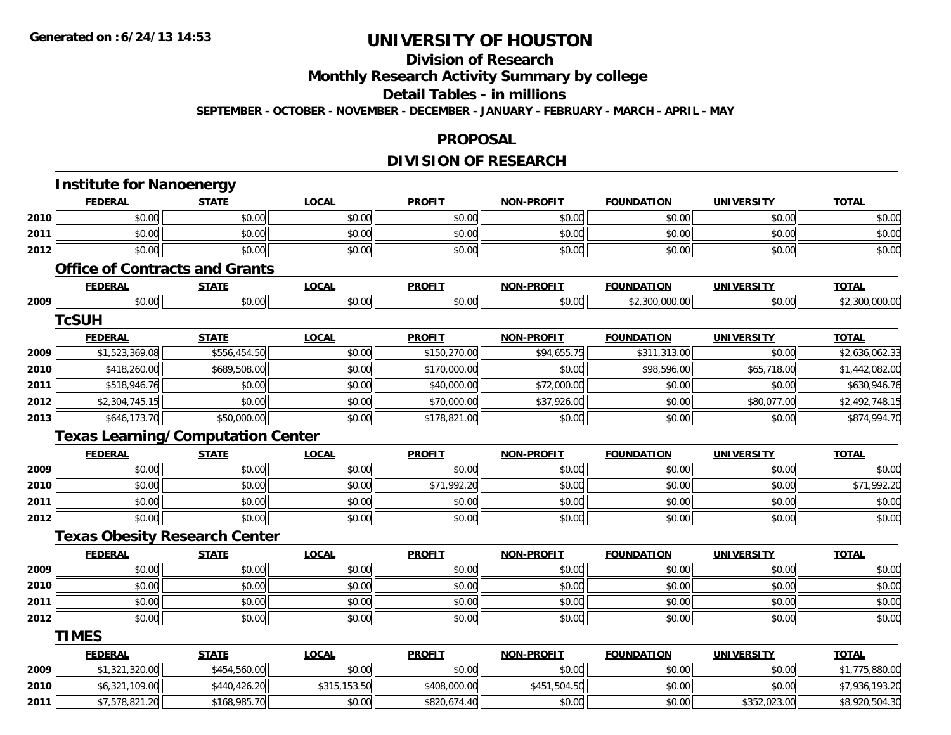#### **Division of Research**

**Monthly Research Activity Summary by college**

**Detail Tables - in millions**

**SEPTEMBER - OCTOBER - NOVEMBER - DECEMBER - JANUARY - FEBRUARY - MARCH - APRIL - MAY**

#### **PROPOSAL**

### **DIVISION OF RESEARCH**

|      | <b>FEDERAL</b>                           | <b>STATE</b> | <b>LOCAL</b> | <b>PROFIT</b> | <b>NON-PROFIT</b> | <b>FOUNDATION</b> | <b>UNIVERSITY</b> | <b>TOTAL</b>                     |
|------|------------------------------------------|--------------|--------------|---------------|-------------------|-------------------|-------------------|----------------------------------|
| 2010 | \$0.00                                   | \$0.00       | \$0.00       | \$0.00        | \$0.00            | \$0.00            | \$0.00            | \$0.00                           |
| 2011 | \$0.00                                   | \$0.00       | \$0.00       | \$0.00        | \$0.00            | \$0.00            | \$0.00            | \$0.00                           |
| 2012 | \$0.00                                   | \$0.00       | \$0.00       | \$0.00        | \$0.00            | \$0.00            | \$0.00            | \$0.00                           |
|      | <b>Office of Contracts and Grants</b>    |              |              |               |                   |                   |                   |                                  |
|      | <b>FEDERAL</b>                           | <b>STATE</b> | <b>LOCAL</b> | <b>PROFIT</b> | <b>NON-PROFIT</b> | <b>FOUNDATION</b> | <b>UNIVERSITY</b> | <b>TOTAL</b>                     |
| 2009 | \$0.00                                   | \$0.00       | \$0.00       | \$0.00        | \$0.00            | \$2,300,000.00    | \$0.00            | \$2,300,000.00                   |
|      | <b>TcSUH</b>                             |              |              |               |                   |                   |                   |                                  |
|      | <b>FEDERAL</b>                           | <b>STATE</b> | <b>LOCAL</b> | <b>PROFIT</b> | <b>NON-PROFIT</b> | <b>FOUNDATION</b> | <b>UNIVERSITY</b> | <b>TOTAL</b>                     |
| 2009 | \$1,523,369.08                           | \$556,454.50 | \$0.00       | \$150,270.00  | \$94,655.75       | \$311,313.00      | \$0.00            | \$2,636,062.33                   |
| 2010 | \$418,260.00                             | \$689,508.00 | \$0.00       | \$170,000.00  | \$0.00            | \$98,596.00       | \$65,718.00       | \$1,442,082.00                   |
| 2011 | \$518,946.76                             | \$0.00       | \$0.00       | \$40,000.00   | \$72,000.00       | \$0.00            | \$0.00            | \$630,946.76                     |
| 2012 | \$2,304,745.15                           | \$0.00       | \$0.00       | \$70,000.00   | \$37,926.00       | \$0.00            | \$80,077.00       | \$2,492,748.15                   |
| 2013 | \$646,173.70                             | \$50,000.00  | \$0.00       | \$178,821.00  | \$0.00            | \$0.00            | \$0.00            | \$874,994.70                     |
|      | <b>Texas Learning/Computation Center</b> |              |              |               |                   |                   |                   |                                  |
|      | <b>FEDERAL</b>                           | <b>STATE</b> | <b>LOCAL</b> | <b>PROFIT</b> | <b>NON-PROFIT</b> | <b>FOUNDATION</b> | <b>UNIVERSITY</b> | <b>TOTAL</b>                     |
| 2009 | \$0.00                                   | \$0.00       | \$0.00       | \$0.00        | \$0.00            | \$0.00            | \$0.00            | \$0.00                           |
| 2010 | \$0.00                                   | \$0.00       | \$0.00       | \$71,992.20   | \$0.00            | \$0.00            | \$0.00            | \$71,992.20                      |
| 2011 | \$0.00                                   | \$0.00       | \$0.00       | \$0.00        | \$0.00            | \$0.00            | \$0.00            | \$0.00                           |
| 2012 | \$0.00                                   | \$0.00       | \$0.00       | \$0.00        | \$0.00            | \$0.00            | \$0.00            | \$0.00                           |
|      | <b>Texas Obesity Research Center</b>     |              |              |               |                   |                   |                   |                                  |
|      | <b>FEDERAL</b>                           | <b>STATE</b> | <b>LOCAL</b> | <b>PROFIT</b> | <b>NON-PROFIT</b> | <b>FOUNDATION</b> | <b>UNIVERSITY</b> | <b>TOTAL</b>                     |
| 2009 | \$0.00                                   | \$0.00       | \$0.00       | \$0.00        | \$0.00            | \$0.00            | \$0.00            | \$0.00                           |
|      |                                          |              |              |               |                   |                   |                   | \$0.00                           |
| 2010 | \$0.00                                   | \$0.00       | \$0.00       | \$0.00        | \$0.00            | \$0.00            | \$0.00            |                                  |
| 2011 | \$0.00                                   | \$0.00       | \$0.00       | \$0.00        | \$0.00            | \$0.00            | \$0.00            |                                  |
| 2012 | \$0.00                                   | \$0.00       | \$0.00       | \$0.00        | \$0.00            | \$0.00            | \$0.00            |                                  |
|      | <b>TIMES</b>                             |              |              |               |                   |                   |                   |                                  |
|      | <b>FEDERAL</b>                           | <b>STATE</b> | <b>LOCAL</b> | <b>PROFIT</b> | <b>NON-PROFIT</b> | <b>FOUNDATION</b> | <b>UNIVERSITY</b> | \$0.00<br>\$0.00<br><b>TOTAL</b> |
| 2009 | \$1,321,320.00                           | \$454,560.00 | \$0.00       | \$0.00        | \$0.00            | \$0.00            | \$0.00            |                                  |
| 2010 | \$6,321,109.00                           | \$440,426.20 | \$315,153.50 | \$408,000.00  | \$451,504.50      | \$0.00            | \$0.00            | \$1,775,880.00<br>\$7,936,193.20 |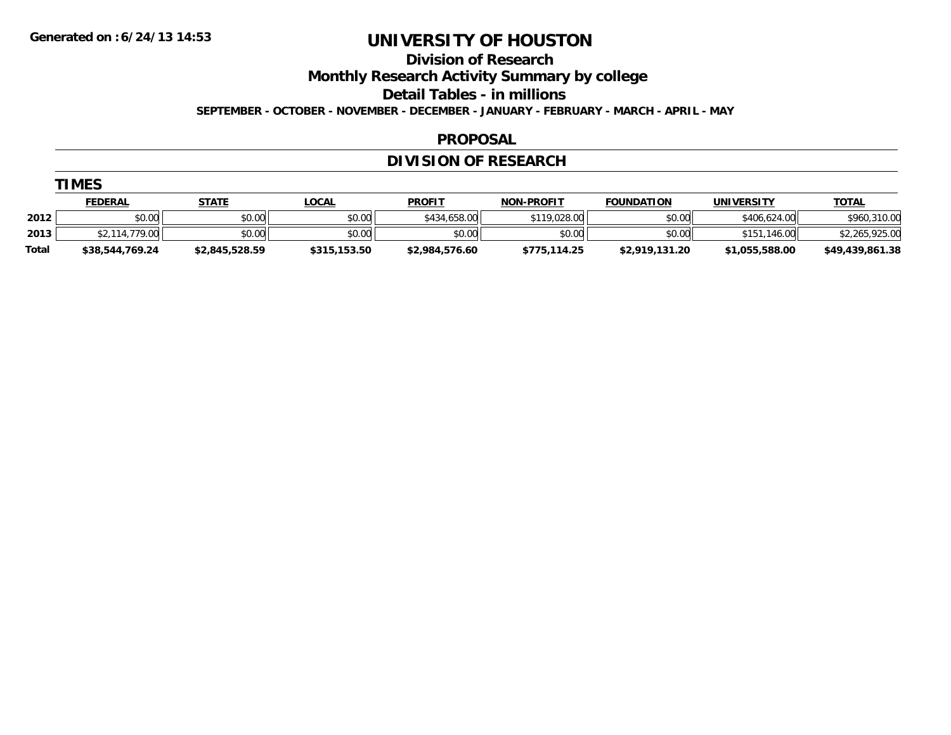**Division of Research**

**Monthly Research Activity Summary by college**

**Detail Tables - in millions**

**SEPTEMBER - OCTOBER - NOVEMBER - DECEMBER - JANUARY - FEBRUARY - MARCH - APRIL - MAY**

#### **PROPOSAL**

### **DIVISION OF RESEARCH**

|              | <u>FEDERAL</u>  | <b>STATE</b>   | <u>LOCAL</u> | <u>PROFIT</u>  | <b>NON-PROFIT</b> | <b>FOUNDATION</b> | <b>UNIVERSITY</b> | <b>TOTAL</b>    |
|--------------|-----------------|----------------|--------------|----------------|-------------------|-------------------|-------------------|-----------------|
| 2012         | \$0.00          | \$0.00         | \$0.00       | \$434,658,00   | \$119,028.00      | \$0.00            | \$406,624,00      | \$960,310.00    |
| 2013         | 114.779.00      | \$0.00         | \$0.00       | \$0.00         | \$0.00            | \$0.00            | \$151<br>.146.00  | \$2,265,925.00  |
| <b>Total</b> | \$38,544,769.24 | \$2,845,528.59 | \$315,153.50 | \$2,984,576.60 | \$775,114.25      | \$2,919,131.20    | \$1,055,588.00    | \$49,439,861.38 |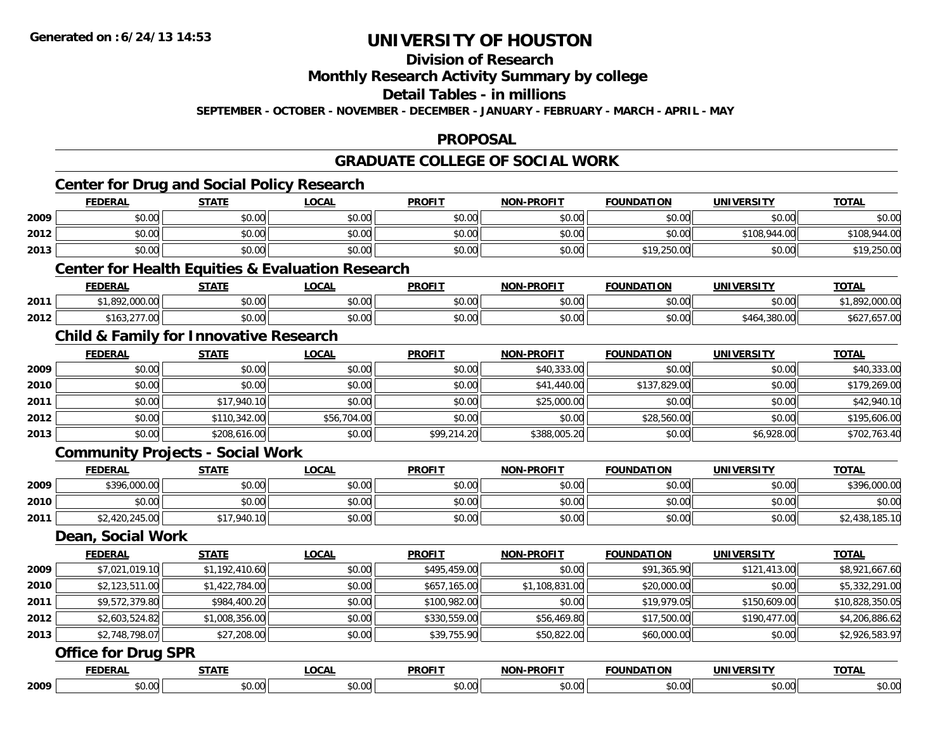## **Division of Research**

**Monthly Research Activity Summary by college**

**Detail Tables - in millions**

**SEPTEMBER - OCTOBER - NOVEMBER - DECEMBER - JANUARY - FEBRUARY - MARCH - APRIL - MAY**

#### **PROPOSAL**

#### **GRADUATE COLLEGE OF SOCIAL WORK**

|      | <b>FEDERAL</b>                                              | <b>STATE</b>   | <b>LOCAL</b> | <b>PROFIT</b> | <b>NON-PROFIT</b> | <b>FOUNDATION</b> | <b>UNIVERSITY</b> | <b>TOTAL</b>    |
|------|-------------------------------------------------------------|----------------|--------------|---------------|-------------------|-------------------|-------------------|-----------------|
| 2009 | \$0.00                                                      | \$0.00         | \$0.00       | \$0.00        | \$0.00            | \$0.00            | \$0.00            | \$0.00          |
| 2012 | \$0.00                                                      | \$0.00         | \$0.00       | \$0.00        | \$0.00            | \$0.00            | \$108,944.00      | \$108,944.00    |
| 2013 | \$0.00                                                      | \$0.00         | \$0.00       | \$0.00        | \$0.00            | \$19,250.00       | \$0.00            | \$19,250.00     |
|      | <b>Center for Health Equities &amp; Evaluation Research</b> |                |              |               |                   |                   |                   |                 |
|      | <b>FEDERAL</b>                                              | <b>STATE</b>   | <b>LOCAL</b> | <b>PROFIT</b> | <b>NON-PROFIT</b> | <b>FOUNDATION</b> | <b>UNIVERSITY</b> | <b>TOTAL</b>    |
| 2011 | \$1,892,000.00                                              | \$0.00         | \$0.00       | \$0.00        | \$0.00            | \$0.00            | \$0.00            | \$1,892,000.00  |
| 2012 | \$163,277.00                                                | \$0.00         | \$0.00       | \$0.00        | \$0.00            | \$0.00            | \$464,380.00      | \$627,657.00    |
|      | <b>Child &amp; Family for Innovative Research</b>           |                |              |               |                   |                   |                   |                 |
|      | <b>FEDERAL</b>                                              | <b>STATE</b>   | <b>LOCAL</b> | <b>PROFIT</b> | <b>NON-PROFIT</b> | <b>FOUNDATION</b> | <b>UNIVERSITY</b> | <b>TOTAL</b>    |
| 2009 | \$0.00                                                      | \$0.00         | \$0.00       | \$0.00        | \$40,333.00       | \$0.00            | \$0.00            | \$40,333.00     |
| 2010 | \$0.00                                                      | \$0.00         | \$0.00       | \$0.00        | \$41,440.00       | \$137,829.00      | \$0.00            | \$179,269.00    |
| 2011 | \$0.00                                                      | \$17,940.10    | \$0.00       | \$0.00        | \$25,000.00       | \$0.00            | \$0.00            | \$42,940.10     |
| 2012 | \$0.00                                                      | \$110,342.00   | \$56,704.00  | \$0.00        | \$0.00            | \$28,560.00       | \$0.00            | \$195,606.00    |
| 2013 | \$0.00                                                      | \$208,616.00   | \$0.00       | \$99,214.20   | \$388,005.20      | \$0.00            | \$6,928.00        | \$702,763.40    |
|      | <b>Community Projects - Social Work</b>                     |                |              |               |                   |                   |                   |                 |
|      | <b>FEDERAL</b>                                              | <b>STATE</b>   | <b>LOCAL</b> | <b>PROFIT</b> | NON-PROFIT        | <b>FOUNDATION</b> | <b>UNIVERSITY</b> | <b>TOTAL</b>    |
| 2009 | \$396,000.00                                                | \$0.00         | \$0.00       | \$0.00        | \$0.00            | \$0.00            | \$0.00            | \$396,000.00    |
| 2010 | \$0.00                                                      | \$0.00         | \$0.00       | \$0.00        | \$0.00            | \$0.00            | \$0.00            | \$0.00          |
| 2011 | \$2,420,245.00                                              | \$17,940.10    | \$0.00       | \$0.00        | \$0.00            | \$0.00            | \$0.00            | \$2,438,185.10  |
|      | <b>Dean, Social Work</b>                                    |                |              |               |                   |                   |                   |                 |
|      | <b>FEDERAL</b>                                              | <b>STATE</b>   | <b>LOCAL</b> | <b>PROFIT</b> | <b>NON-PROFIT</b> | <b>FOUNDATION</b> | <b>UNIVERSITY</b> | <b>TOTAL</b>    |
| 2009 | \$7,021,019.10                                              | \$1,192,410.60 | \$0.00       | \$495,459.00  | \$0.00            | \$91,365.90       | \$121,413.00      | \$8,921,667.60  |
| 2010 | \$2,123,511.00                                              | \$1,422,784.00 | \$0.00       | \$657,165.00  | \$1,108,831.00    | \$20,000.00       | \$0.00            | \$5,332,291.00  |
| 2011 | \$9,572,379.80                                              | \$984,400.20   | \$0.00       | \$100,982.00  | \$0.00            | \$19,979.05       | \$150,609.00      | \$10,828,350.05 |
| 2012 | \$2,603,524.82                                              | \$1,008,356.00 | \$0.00       | \$330,559.00  | \$56,469.80       | \$17,500.00       | \$190,477.00      | \$4,206,886.62  |
| 2013 | \$2,748,798.07                                              | \$27,208.00    | \$0.00       | \$39,755.90   | \$50,822.00       | \$60,000.00       | \$0.00            | \$2,926,583.97  |
|      | <b>Office for Drug SPR</b>                                  |                |              |               |                   |                   |                   |                 |
|      | <b>FEDERAL</b>                                              | <b>STATE</b>   | <b>LOCAL</b> | <b>PROFIT</b> | <b>NON-PROFIT</b> | <b>FOUNDATION</b> | <b>UNIVERSITY</b> | <b>TOTAL</b>    |
| 2009 | \$0.00                                                      | \$0.00         | \$0.00       | \$0.00        | \$0.00            | \$0.00            | \$0.00            | \$0.00          |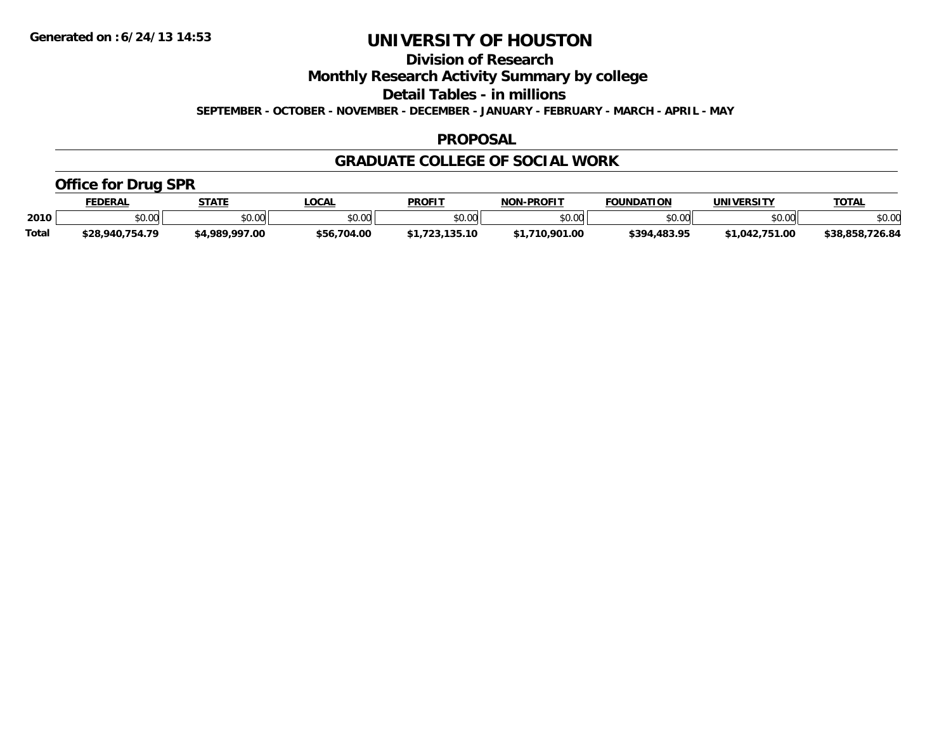**Division of Research**

**Monthly Research Activity Summary by college**

**Detail Tables - in millions**

**SEPTEMBER - OCTOBER - NOVEMBER - DECEMBER - JANUARY - FEBRUARY - MARCH - APRIL - MAY**

#### **PROPOSAL**

#### **GRADUATE COLLEGE OF SOCIAL WORK**

### **Office for Drug SPR**

|              | <b>EDERAL</b>                       | STATE          | .OCAI       | <b>PROFIT</b> | <b>NON-PROFIT</b> | <b>FOUNDATION</b> | <b>UNIVERSITY</b>                 | <b>TOTAL</b>    |
|--------------|-------------------------------------|----------------|-------------|---------------|-------------------|-------------------|-----------------------------------|-----------------|
| 2010         | $\theta$ $\theta$ $\theta$<br>DU.UU | \$0.00         | vv.vv       | \$0.00        | 0000<br>PU.UU     | \$0.00            | 40.00<br>JU.UU                    | \$0.00          |
| <b>Total</b> | \$28,940,754.79                     | \$4,989,997.00 | \$56,704.00 |               | .710.901.00       | \$394.483.95      | 751.0۲ـ<br>$^{\backprime}$ 1.042. | \$38,858,726.84 |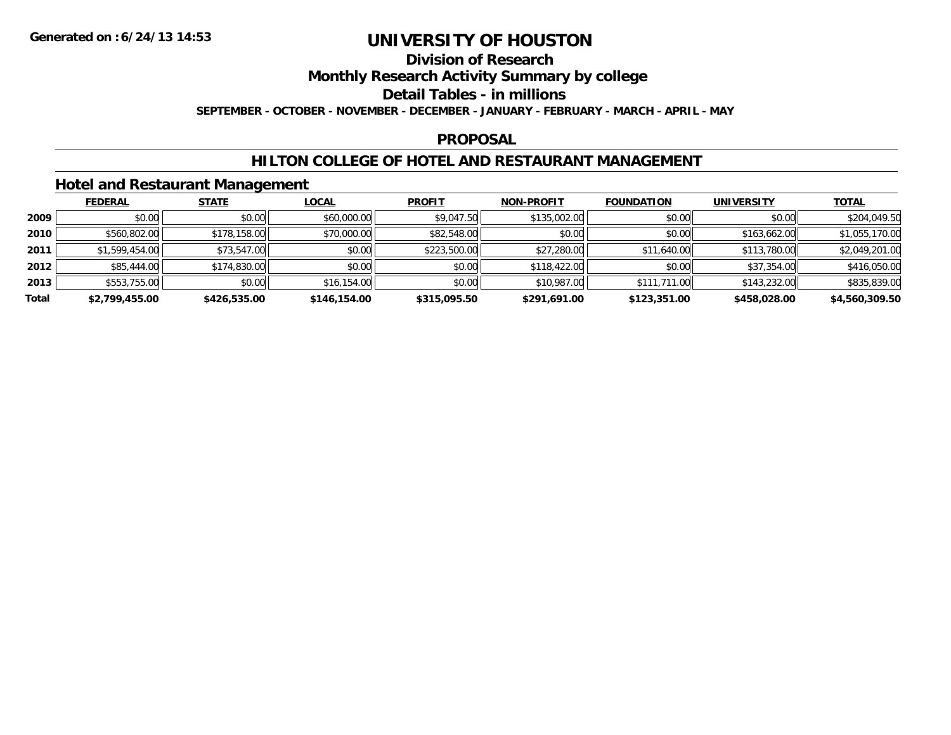## **Division of Research**

**Monthly Research Activity Summary by college**

**Detail Tables - in millions**

**SEPTEMBER - OCTOBER - NOVEMBER - DECEMBER - JANUARY - FEBRUARY - MARCH - APRIL - MAY**

#### **PROPOSAL**

### **HILTON COLLEGE OF HOTEL AND RESTAURANT MANAGEMENT**

### **Hotel and Restaurant Management**

|       | <b>FEDERAL</b> | <b>STATE</b> | <u>LOCAL</u> | <b>PROFIT</b> | <b>NON-PROFIT</b> | <b>FOUNDATION</b> | <b>UNIVERSITY</b> | <b>TOTAL</b>   |
|-------|----------------|--------------|--------------|---------------|-------------------|-------------------|-------------------|----------------|
| 2009  | \$0.00         | \$0.00       | \$60,000.00  | \$9,047.50    | \$135,002.00      | \$0.00            | \$0.00            | \$204,049.50   |
| 2010  | \$560,802.00   | \$178,158.00 | \$70,000.00  | \$82,548.00   | \$0.00            | \$0.00            | \$163,662.00      | \$1,055,170.00 |
| 2011  | \$1,599,454.00 | \$73,547.00  | \$0.00       | \$223,500.00  | \$27,280.00       | \$11,640.00       | \$113,780.00      | \$2,049,201.00 |
| 2012  | \$85,444.00    | \$174,830.00 | \$0.00       | \$0.00        | \$118,422.00      | \$0.00            | \$37,354.00       | \$416,050.00   |
| 2013  | \$553,755.00   | \$0.00       | \$16,154.00  | \$0.00        | \$10,987.00       | \$111,711.00      | \$143,232.00      | \$835,839.00   |
| Total | \$2,799,455.00 | \$426,535.00 | \$146,154.00 | \$315,095.50  | \$291,691.00      | \$123,351.00      | \$458,028.00      | \$4,560,309.50 |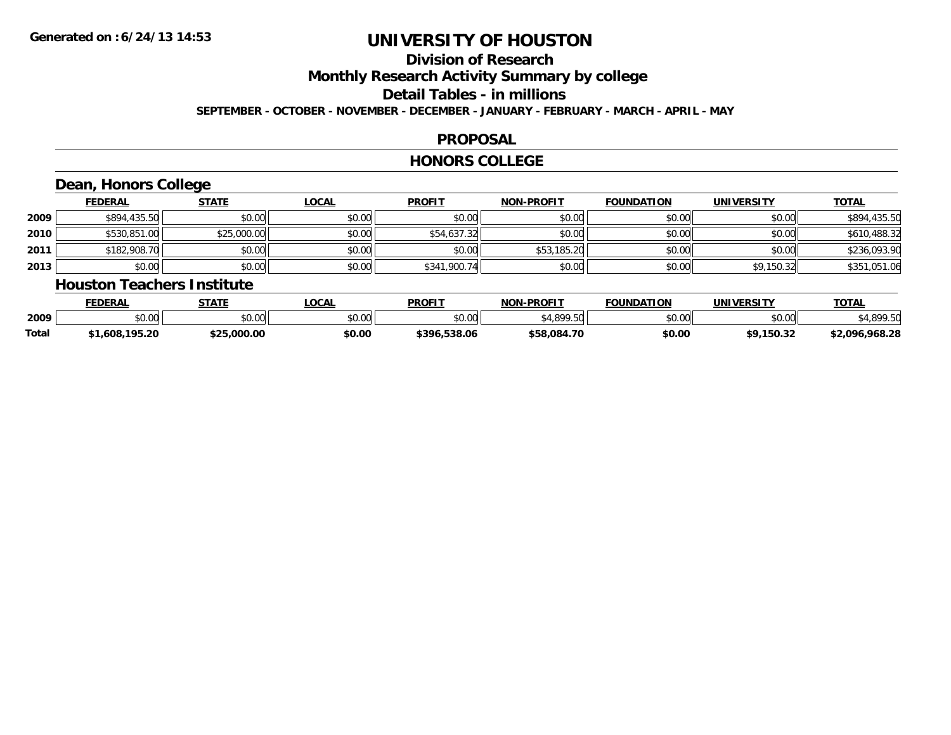# **Division of ResearchMonthly Research Activity Summary by college Detail Tables - in millions**

**SEPTEMBER - OCTOBER - NOVEMBER - DECEMBER - JANUARY - FEBRUARY - MARCH - APRIL - MAY**

#### **PROPOSAL**

#### **HONORS COLLEGE**

## **Dean, Honors College**

|      | <b>FEDERAL</b> | <b>STATE</b> | <u>LOCAL</u> | <b>PROFIT</b> | <b>NON-PROFIT</b> | <b>FOUNDATION</b> | <b>UNIVERSITY</b> | <b>TOTAL</b> |
|------|----------------|--------------|--------------|---------------|-------------------|-------------------|-------------------|--------------|
| 2009 | \$894,435.50   | \$0.00       | \$0.00       | \$0.00        | \$0.00            | \$0.00            | \$0.00            | \$894,435.50 |
| 2010 | \$530,851.00   | \$25,000.00  | \$0.00       | \$54,637.32   | \$0.00            | \$0.00            | \$0.00            | \$610,488.32 |
| 2011 | \$182,908.70   | \$0.00       | \$0.00       | \$0.00        | \$53,185.20       | \$0.00            | \$0.00            | \$236,093.90 |
| 2013 | \$0.00         | \$0.00       | \$0.00       | \$341,900.74  | \$0.00            | \$0.00            | \$9,150.32        | \$351,051.06 |

#### **Houston Teachers Institute**

|       | <b>FEDERAL</b>     | <b>СТАТЕ</b> | LOCAL         | <b>PROFIT</b>   | <b>L-PROFIT</b><br><b>NON</b> | <b>FOUNDATION</b>  | <b>UNIVERSITY</b>                   | <b>TOTAL</b>       |
|-------|--------------------|--------------|---------------|-----------------|-------------------------------|--------------------|-------------------------------------|--------------------|
| 2009  | $\sim$ 00<br>pu.uu | \$0.00       | 0.00<br>JU.UU | \$0.00          | 0.10000                       | $\sim$ 00<br>PU.UU | $\uparrow$ $\land$ $\land$<br>DU.U¢ | 000E               |
| Total | .,608,195.20       | \$25.000.00  | \$0.00        | 538.06<br>\$396 | \$58.084.70                   | \$0.00             | . I 50.32                           | ,968.28<br>\$2,096 |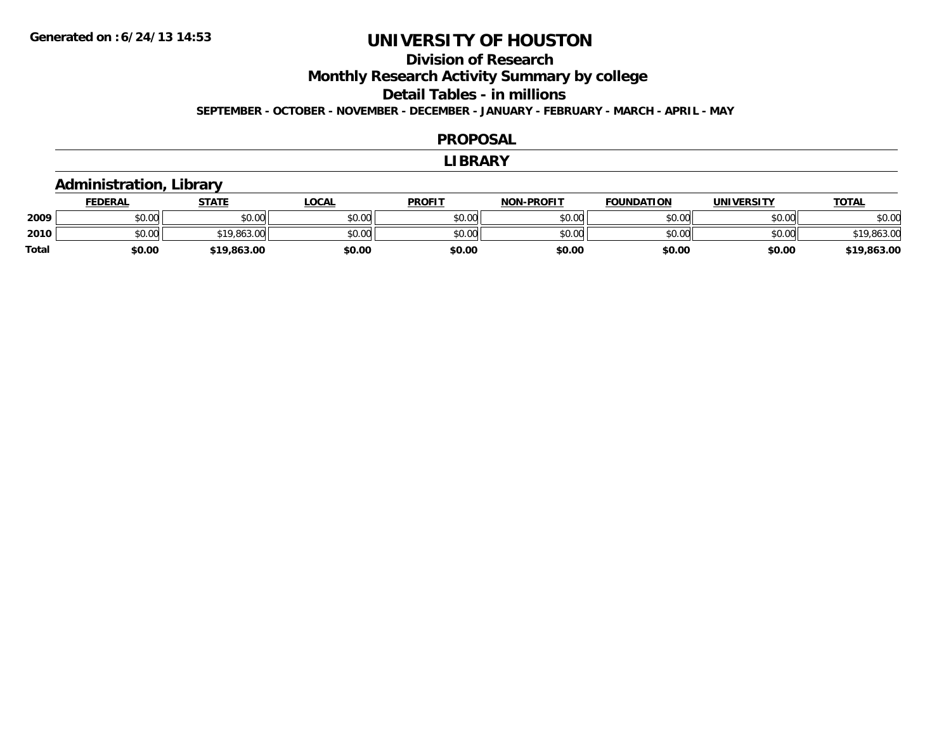### **Division of ResearchMonthly Research Activity Summary by college Detail Tables - in millions SEPTEMBER - OCTOBER - NOVEMBER - DECEMBER - JANUARY - FEBRUARY - MARCH - APRIL - MAY**

#### **PROPOSAL**

#### **LIBRARY**

### **Administration, Library**

|              | <b>FEDERAL</b> | STATE                     | LOCAL  | <b>PROFIT</b> | <b>NON-PROFIT</b> | <b>FOUNDATION</b> | <b>UNIVERSITY</b> | <u>TOTAL</u> |
|--------------|----------------|---------------------------|--------|---------------|-------------------|-------------------|-------------------|--------------|
| 2009         | 0.00<br>\$U.UU | \$0.00                    | \$0.00 | \$0.00        | \$0.00            | \$0.00            | \$0.00            | \$0.00       |
| 2010         | \$0.00         | <b>¢10 042</b><br>,863.00 | \$0.00 | \$0.00        | \$0.00            | \$0.00            | \$0.00            | \$19,863.00  |
| <b>Total</b> | \$0.00         | \$19,863.00               | \$0.00 | \$0.00        | \$0.00            | \$0.00            | \$0.00            | \$19,863.00  |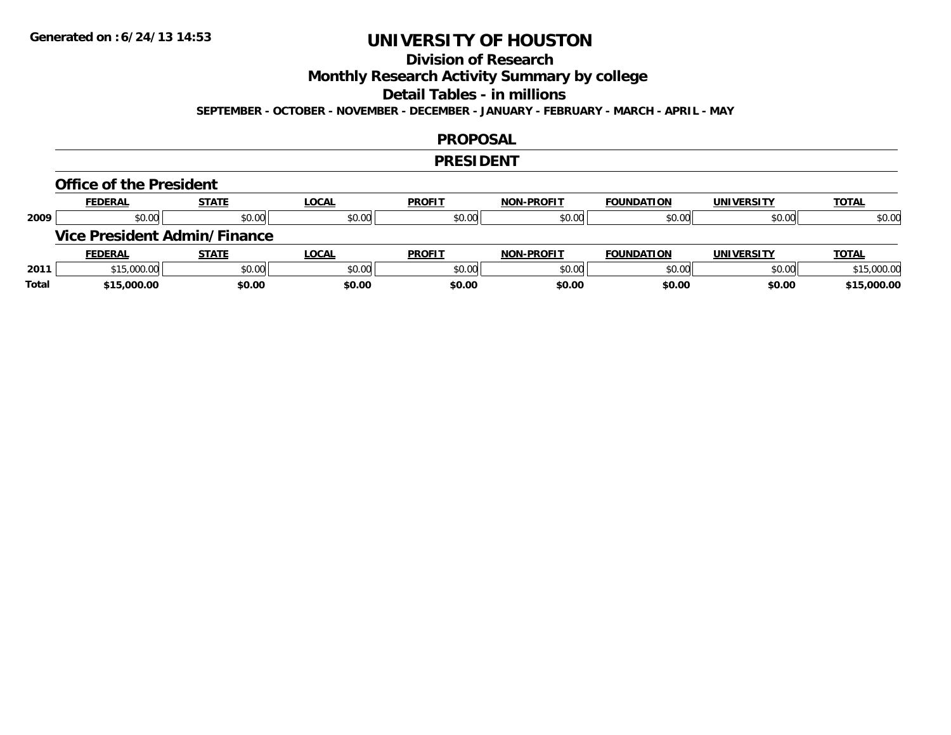### **Division of Research**

**Monthly Research Activity Summary by college**

**Detail Tables - in millions**

**SEPTEMBER - OCTOBER - NOVEMBER - DECEMBER - JANUARY - FEBRUARY - MARCH - APRIL - MAY**

#### **PROPOSAL**

#### **PRESIDENT**

#### **Office of the President**

|      | <b>FEDERAL</b> | <b>STATE</b>                        | <u>LOCAL</u> | <b>PROFIT</b> | <b>NON-PROFIT</b> | <b>FOUNDATION</b> | <b>UNIVERSITY</b> | <b>TOTAL</b> |
|------|----------------|-------------------------------------|--------------|---------------|-------------------|-------------------|-------------------|--------------|
| 2009 | \$0.00         | \$0.00                              | \$0.00       | \$0.00        | \$0.00            | \$0.00            | \$0.00            | \$0.00       |
|      |                | <b>Vice President Admin/Finance</b> |              |               |                   |                   |                   |              |
|      |                |                                     |              |               |                   |                   |                   |              |
|      | <b>FEDERAL</b> | <b>STATE</b>                        | <u>LOCAL</u> | <b>PROFIT</b> | <b>NON-PROFIT</b> | <b>FOUNDATION</b> | <b>UNIVERSITY</b> | <b>TOTAL</b> |
| 2011 | \$15,000.00    | \$0.00                              | \$0.00       | \$0.00        | \$0.00            | \$0.00            | \$0.00            | \$15,000.00  |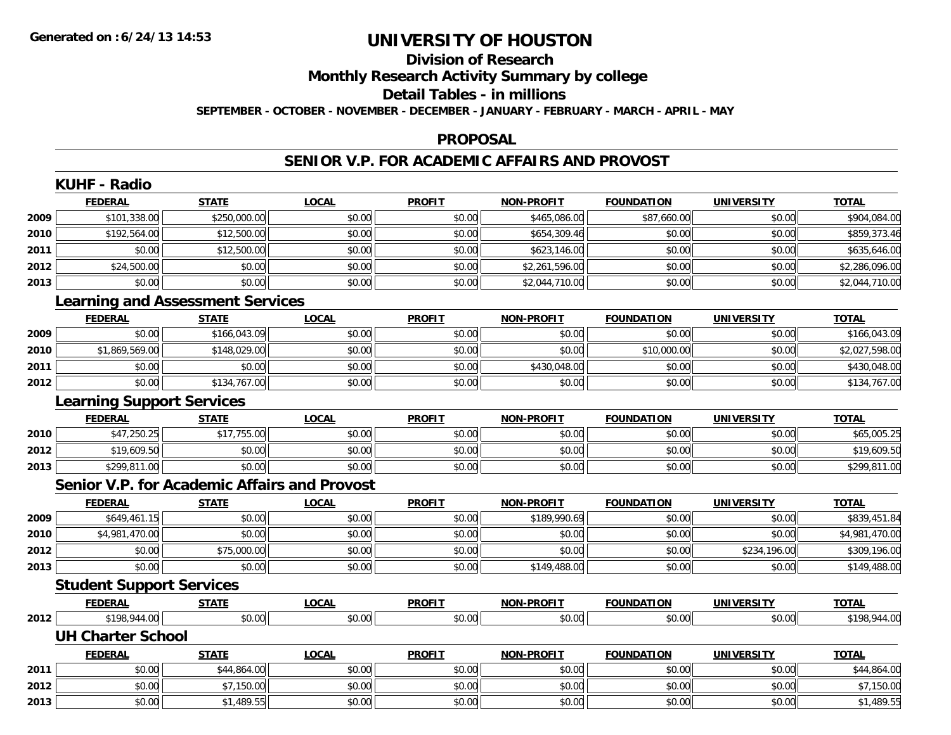# **Division of ResearchMonthly Research Activity Summary by college Detail Tables - in millions**

**SEPTEMBER - OCTOBER - NOVEMBER - DECEMBER - JANUARY - FEBRUARY - MARCH - APRIL - MAY**

#### **PROPOSAL**

#### **SENIOR V.P. FOR ACADEMIC AFFAIRS AND PROVOST**

|      | <b>FEDERAL</b>                   | <b>STATE</b>                                 | <b>LOCAL</b> | <b>PROFIT</b> | <b>NON-PROFIT</b> | <b>FOUNDATION</b> | <b>UNIVERSITY</b> | <b>TOTAL</b>   |
|------|----------------------------------|----------------------------------------------|--------------|---------------|-------------------|-------------------|-------------------|----------------|
| 2009 | \$101,338.00                     | \$250,000.00                                 | \$0.00       | \$0.00        | \$465,086.00      | \$87,660.00       | \$0.00            | \$904,084.00   |
| 2010 | \$192,564.00                     | \$12,500.00                                  | \$0.00       | \$0.00        | \$654,309.46      | \$0.00            | \$0.00            | \$859,373.46   |
| 2011 | \$0.00                           | \$12,500.00                                  | \$0.00       | \$0.00        | \$623,146.00      | \$0.00            | \$0.00            | \$635,646.00   |
| 2012 | \$24,500.00                      | \$0.00                                       | \$0.00       | \$0.00        | \$2,261,596.00    | \$0.00            | \$0.00            | \$2,286,096.00 |
| 2013 | \$0.00                           | \$0.00                                       | \$0.00       | \$0.00        | \$2,044,710.00    | \$0.00            | \$0.00            | \$2,044,710.00 |
|      |                                  | <b>Learning and Assessment Services</b>      |              |               |                   |                   |                   |                |
|      | <b>FEDERAL</b>                   | <b>STATE</b>                                 | <b>LOCAL</b> | <b>PROFIT</b> | <b>NON-PROFIT</b> | <b>FOUNDATION</b> | <b>UNIVERSITY</b> | <b>TOTAL</b>   |
| 2009 | \$0.00                           | \$166,043.09                                 | \$0.00       | \$0.00        | \$0.00            | \$0.00            | \$0.00            | \$166,043.09   |
| 2010 | \$1,869,569.00                   | \$148,029.00                                 | \$0.00       | \$0.00        | \$0.00            | \$10,000.00       | \$0.00            | \$2,027,598.00 |
| 2011 | \$0.00                           | \$0.00                                       | \$0.00       | \$0.00        | \$430,048.00      | \$0.00            | \$0.00            | \$430,048.00   |
| 2012 | \$0.00                           | \$134,767.00                                 | \$0.00       | \$0.00        | \$0.00            | \$0.00            | \$0.00            | \$134,767.00   |
|      | <b>Learning Support Services</b> |                                              |              |               |                   |                   |                   |                |
|      | <b>FEDERAL</b>                   | <b>STATE</b>                                 | <b>LOCAL</b> | <b>PROFIT</b> | <b>NON-PROFIT</b> | <b>FOUNDATION</b> | <b>UNIVERSITY</b> | <b>TOTAL</b>   |
| 2010 | \$47,250.25                      | \$17,755.00                                  | \$0.00       | \$0.00        | \$0.00            | \$0.00            | \$0.00            | \$65,005.25    |
| 2012 | \$19,609.50                      | \$0.00                                       | \$0.00       | \$0.00        | \$0.00            | \$0.00            | \$0.00            | \$19,609.50    |
| 2013 | \$299,811.00                     | \$0.00                                       | \$0.00       | \$0.00        | \$0.00            | \$0.00            | \$0.00            | \$299,811.00   |
|      |                                  | Senior V.P. for Academic Affairs and Provost |              |               |                   |                   |                   |                |
|      | <b>FEDERAL</b>                   | <b>STATE</b>                                 | <b>LOCAL</b> | <b>PROFIT</b> | <b>NON-PROFIT</b> | <b>FOUNDATION</b> | <b>UNIVERSITY</b> | <b>TOTAL</b>   |
| 2009 | \$649,461.15                     | \$0.00                                       | \$0.00       | \$0.00        | \$189,990.69      | \$0.00            | \$0.00            | \$839,451.84   |
| 2010 | \$4,981,470.00                   | \$0.00                                       | \$0.00       | \$0.00        | \$0.00            | \$0.00            | \$0.00            | \$4,981,470.00 |
| 2012 | \$0.00                           | \$75,000.00                                  | \$0.00       | \$0.00        | \$0.00            | \$0.00            | \$234,196.00      | \$309,196.00   |
| 2013 | \$0.00                           | \$0.00                                       | \$0.00       | \$0.00        | \$149,488.00      | \$0.00            | \$0.00            | \$149,488.00   |
|      | <b>Student Support Services</b>  |                                              |              |               |                   |                   |                   |                |
|      | <b>FEDERAL</b>                   | <b>STATE</b>                                 | <b>LOCAL</b> | <b>PROFIT</b> | <b>NON-PROFIT</b> | <b>FOUNDATION</b> | <b>UNIVERSITY</b> | <b>TOTAL</b>   |
|      | \$198,944.00<br>2012 2013        | \$0.00                                       | \$0.00       | \$0.00        | \$0.00            | \$0.00            | \$0.00            | \$198,944.00   |
|      | <b>UH Charter School</b>         |                                              |              |               |                   |                   |                   |                |
|      | <b>FEDERAL</b>                   | <b>STATE</b>                                 | <b>LOCAL</b> | <b>PROFIT</b> | <b>NON-PROFIT</b> | <b>FOUNDATION</b> | <b>UNIVERSITY</b> | <b>TOTAL</b>   |
| 2011 | \$0.00                           | \$44,864.00                                  | \$0.00       | \$0.00        | \$0.00            | \$0.00            | \$0.00            | \$44,864.00    |
| 2012 | \$0.00                           | \$7,150.00                                   | \$0.00       | \$0.00        | \$0.00            | \$0.00            | \$0.00            | \$7,150.00     |
| 2013 | \$0.00                           | \$1,489.55                                   | \$0.00       | \$0.00        | \$0.00            | \$0.00            | \$0.00            | \$1,489.55     |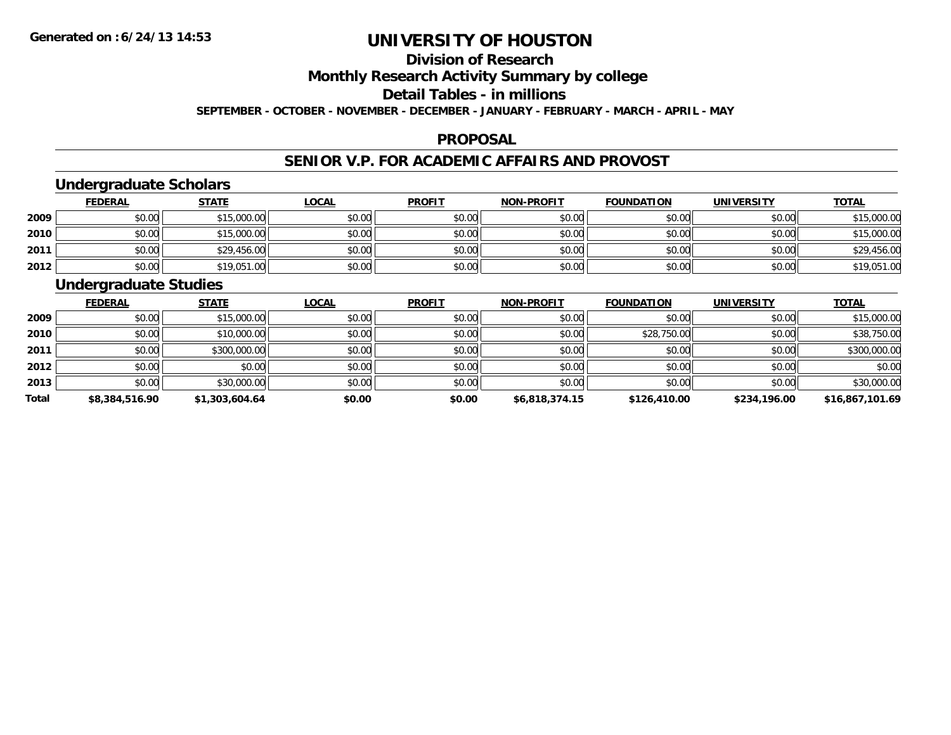# **Division of ResearchMonthly Research Activity Summary by college**

#### **Detail Tables - in millions**

**SEPTEMBER - OCTOBER - NOVEMBER - DECEMBER - JANUARY - FEBRUARY - MARCH - APRIL - MAY**

#### **PROPOSAL**

### **SENIOR V.P. FOR ACADEMIC AFFAIRS AND PROVOST**

### **Undergraduate Scholars**

|      | <b>FEDERAL</b> | <b>STATE</b> | <u>LOCAL</u> | <b>PROFIT</b> | <b>NON-PROFIT</b> | <b>FOUNDATION</b> | <b>UNIVERSITY</b> | <b>TOTAL</b> |
|------|----------------|--------------|--------------|---------------|-------------------|-------------------|-------------------|--------------|
| 2009 | \$0.00         | \$15,000.00  | \$0.00       | \$0.00        | \$0.00            | \$0.00            | \$0.00            | \$15,000.00  |
| 2010 | \$0.00         | \$15,000.00  | \$0.00       | \$0.00        | \$0.00            | \$0.00            | \$0.00            | \$15,000.00  |
| 2011 | \$0.00         | \$29,456.00  | \$0.00       | \$0.00        | \$0.00            | \$0.00            | \$0.00            | \$29,456.00  |
| 2012 | \$0.00         | \$19,051.00  | \$0.00       | \$0.00        | \$0.00            | \$0.00            | \$0.00            | \$19,051.00  |

### **Undergraduate Studies**

|              | <b>FEDERAL</b> | <b>STATE</b>   | <b>LOCAL</b> | <b>PROFIT</b> | <b>NON-PROFIT</b> | <b>FOUNDATION</b> | <b>UNIVERSITY</b> | <b>TOTAL</b>    |
|--------------|----------------|----------------|--------------|---------------|-------------------|-------------------|-------------------|-----------------|
| 2009         | \$0.00         | \$15,000.00    | \$0.00       | \$0.00        | \$0.00            | \$0.00            | \$0.00            | \$15,000.00     |
| 2010         | \$0.00         | \$10,000.00    | \$0.00       | \$0.00        | \$0.00            | \$28,750.00       | \$0.00            | \$38,750.00     |
| 2011         | \$0.00         | \$300,000.00   | \$0.00       | \$0.00        | \$0.00            | \$0.00            | \$0.00            | \$300,000.00    |
| 2012         | \$0.00         | \$0.00         | \$0.00       | \$0.00        | \$0.00            | \$0.00            | \$0.00            | \$0.00          |
| 2013         | \$0.00         | \$30,000.00    | \$0.00       | \$0.00        | \$0.00            | \$0.00            | \$0.00            | \$30,000.00     |
| <b>Total</b> | \$8,384,516.90 | \$1,303,604.64 | \$0.00       | \$0.00        | \$6,818,374.15    | \$126,410.00      | \$234,196.00      | \$16,867,101.69 |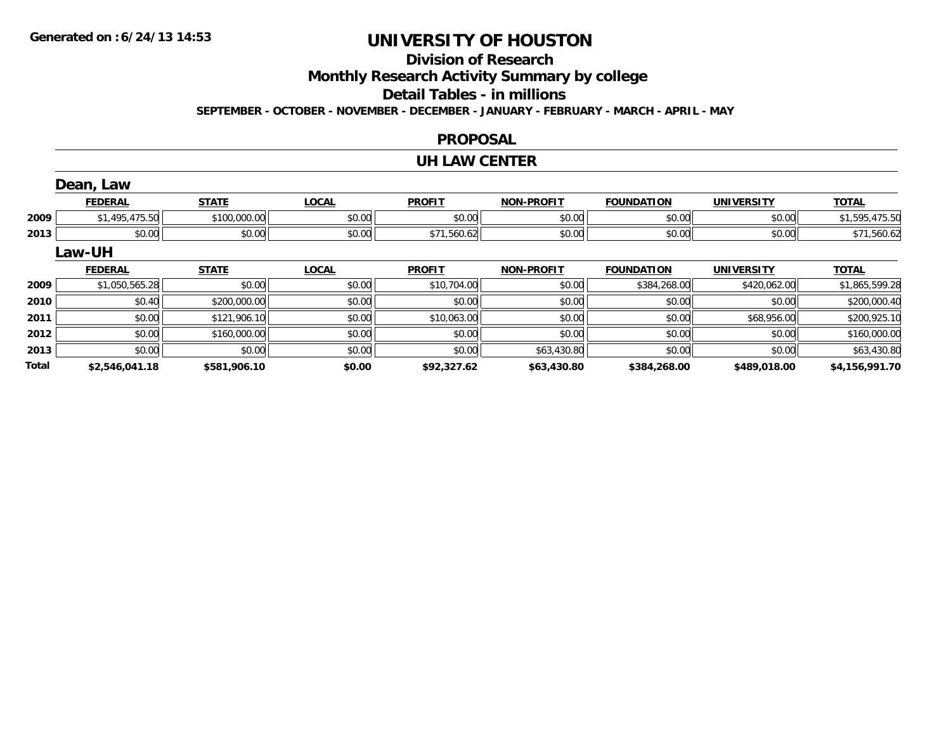### **Division of Research**

**Monthly Research Activity Summary by college**

**Detail Tables - in millions**

**SEPTEMBER - OCTOBER - NOVEMBER - DECEMBER - JANUARY - FEBRUARY - MARCH - APRIL - MAY**

#### **PROPOSAL**

#### **UH LAW CENTER**

|              | Dean, Law      |              |              |               |                   |                   |                   |                |
|--------------|----------------|--------------|--------------|---------------|-------------------|-------------------|-------------------|----------------|
|              | <b>FEDERAL</b> | <b>STATE</b> | <b>LOCAL</b> | <b>PROFIT</b> | <b>NON-PROFIT</b> | <b>FOUNDATION</b> | <b>UNIVERSITY</b> | <b>TOTAL</b>   |
| 2009         | \$1,495,475.50 | \$100,000.00 | \$0.00       | \$0.00        | \$0.00            | \$0.00            | \$0.00            | \$1,595,475.50 |
| 2013         | \$0.00         | \$0.00       | \$0.00       | \$71,560.62   | \$0.00            | \$0.00            | \$0.00            | \$71,560.62    |
|              | Law-UH         |              |              |               |                   |                   |                   |                |
|              | <b>FEDERAL</b> | <b>STATE</b> | <b>LOCAL</b> | <b>PROFIT</b> | <b>NON-PROFIT</b> | <b>FOUNDATION</b> | <b>UNIVERSITY</b> | <b>TOTAL</b>   |
| 2009         | \$1,050,565.28 | \$0.00       | \$0.00       | \$10,704.00   | \$0.00            | \$384,268.00      | \$420,062.00      | \$1,865,599.28 |
| 2010         | \$0.40         | \$200,000.00 | \$0.00       | \$0.00        | \$0.00            | \$0.00            | \$0.00            | \$200,000.40   |
| 2011         | \$0.00         | \$121,906.10 | \$0.00       | \$10,063.00   | \$0.00            | \$0.00            | \$68,956.00       | \$200,925.10   |
| 2012         | \$0.00         | \$160,000.00 | \$0.00       | \$0.00        | \$0.00            | \$0.00            | \$0.00            | \$160,000.00   |
| 2013         | \$0.00         | \$0.00       | \$0.00       | \$0.00        | \$63,430.80       | \$0.00            | \$0.00            | \$63,430.80    |
| <b>Total</b> | \$2,546,041.18 | \$581,906.10 | \$0.00       | \$92,327.62   | \$63,430.80       | \$384,268.00      | \$489,018.00      | \$4,156,991.70 |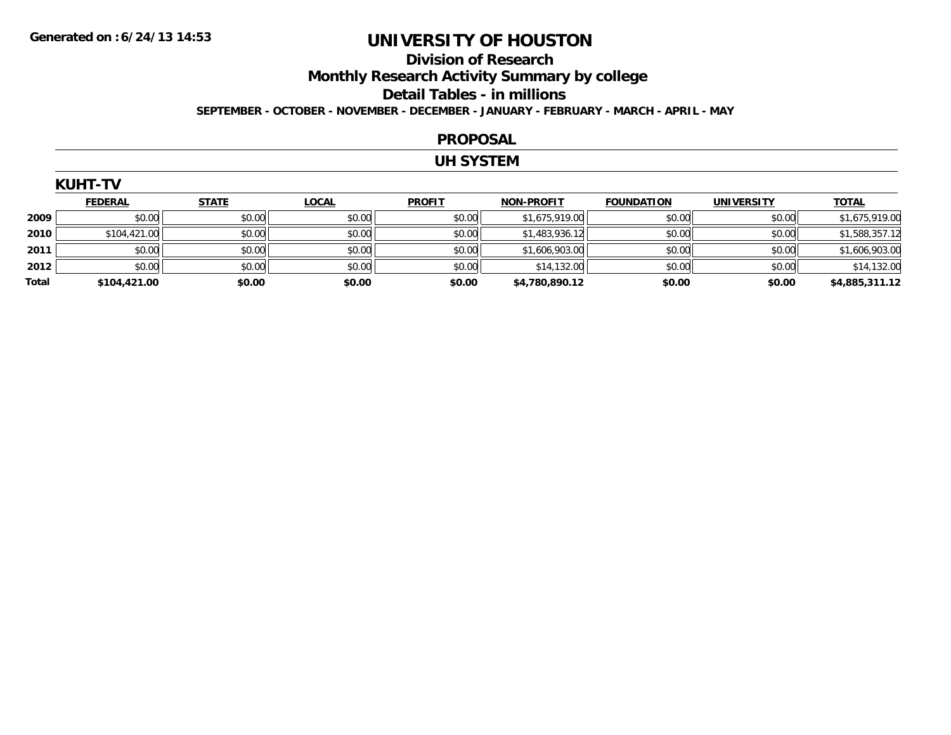#### **Division of Research Monthly Research Activity Summary by college Detail Tables - in millions SEPTEMBER - OCTOBER - NOVEMBER - DECEMBER - JANUARY - FEBRUARY - MARCH - APRIL - MAY**

#### **PROPOSAL**

### **UH SYSTEM**

|  |  | KUHT-TV |  |  |
|--|--|---------|--|--|
|  |  |         |  |  |

|              | <b>FEDERAL</b> | <b>STATE</b> | <b>LOCAL</b> | <b>PROFIT</b> | <b>NON-PROFIT</b> | <b>FOUNDATION</b> | UNIVERSITY | <b>TOTAL</b>   |
|--------------|----------------|--------------|--------------|---------------|-------------------|-------------------|------------|----------------|
| 2009         | \$0.00         | \$0.00       | \$0.00       | \$0.00        | \$1,675,919.00    | \$0.00            | \$0.00     | \$1,675,919.00 |
| 2010         | \$104,421.00   | \$0.00       | \$0.00       | \$0.00        | \$1,483,936.12    | \$0.00            | \$0.00     | \$1,588,357.12 |
| 2011         | \$0.00         | \$0.00       | \$0.00       | \$0.00        | \$1,606,903.00    | \$0.00            | \$0.00     | \$1,606,903.00 |
| 2012         | \$0.00         | \$0.00       | \$0.00       | \$0.00        | \$14,132.00       | \$0.00            | \$0.00     | \$14,132.00    |
| <b>Total</b> | \$104,421.00   | \$0.00       | \$0.00       | \$0.00        | \$4,780,890.12    | \$0.00            | \$0.00     | \$4,885,311.12 |

| <b>IHT-TV</b> |  |
|---------------|--|
|               |  |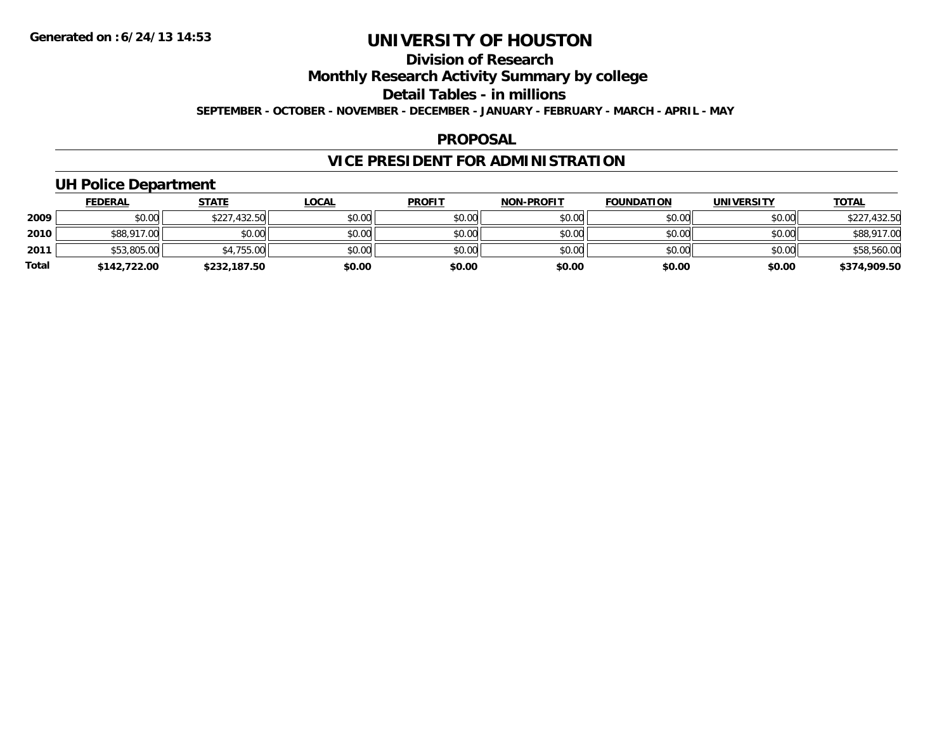### **Division of ResearchMonthly Research Activity Summary by college Detail Tables - in millions SEPTEMBER - OCTOBER - NOVEMBER - DECEMBER - JANUARY - FEBRUARY - MARCH - APRIL - MAY**

#### **PROPOSAL**

## **VICE PRESIDENT FOR ADMINISTRATION**

### **UH Police Department**

|              | <b>FEDERAL</b> | <b>STATE</b> | <u>LOCAL</u> | <b>PROFIT</b> | <b>NON-PROFIT</b> | <b>FOUNDATION</b> | <b>UNIVERSITY</b> | <b>TOTAL</b> |
|--------------|----------------|--------------|--------------|---------------|-------------------|-------------------|-------------------|--------------|
| 2009         | \$0.00         | \$227,432.50 | \$0.00       | \$0.00        | \$0.00            | \$0.00            | \$0.00            | \$227,432.50 |
| 2010         | \$88,917.00    | \$0.00       | \$0.00       | \$0.00        | \$0.00            | \$0.00            | \$0.00            | \$88,917.00  |
| 2011         | \$53,805.00    | \$4,755.00   | \$0.00       | \$0.00        | \$0.00            | \$0.00            | \$0.00            | \$58,560.00  |
| <b>Total</b> | \$142,722.00   | \$232,187.50 | \$0.00       | \$0.00        | \$0.00            | \$0.00            | \$0.00            | \$374,909.50 |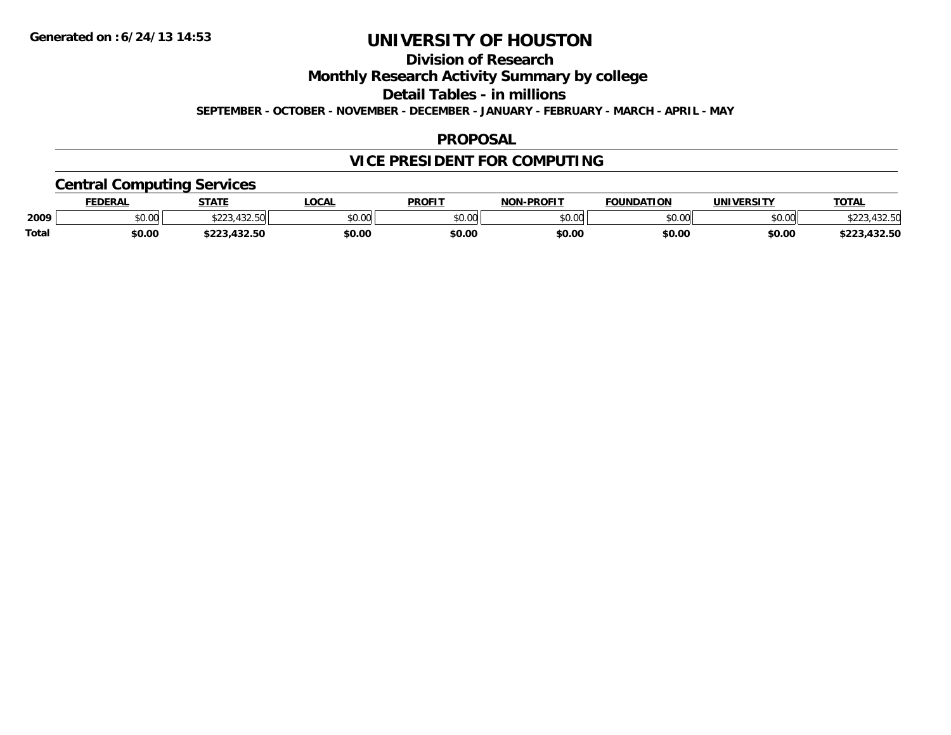**Division of Research**

**Monthly Research Activity Summary by college**

**Detail Tables - in millions**

**SEPTEMBER - OCTOBER - NOVEMBER - DECEMBER - JANUARY - FEBRUARY - MARCH - APRIL - MAY**

#### **PROPOSAL**

## **VICE PRESIDENT FOR COMPUTING**

### **Central Computing Services**

|              | DERAI  | <b>STATE</b>                       | <b>OCAL</b>    | <b>PROFIT</b>           | -PROFIT<br>NON | ΓΙΩΝ<br><b>EQUINDAT</b> | <b><i>INIVERSITY</i></b> | <b>TOTAL</b>             |
|--------------|--------|------------------------------------|----------------|-------------------------|----------------|-------------------------|--------------------------|--------------------------|
| 2009         | \$0.00 | $-100-1$<br>ሐ ጣጣ<br>. . <i>. .</i> | ልስ ስሰ<br>JU.UL | 0 <sup>n</sup><br>JU.UU | ልስ ስስ<br>vu.uu | nn on<br>וט.טי          | \$0.00                   | +3∠.3U                   |
| <b>Total</b> | \$0.00 |                                    | \$0.00         | \$0.00                  | \$0.00         | \$0.00                  | \$0.0C                   | パクワ にへ<br>$-22$<br>32.OU |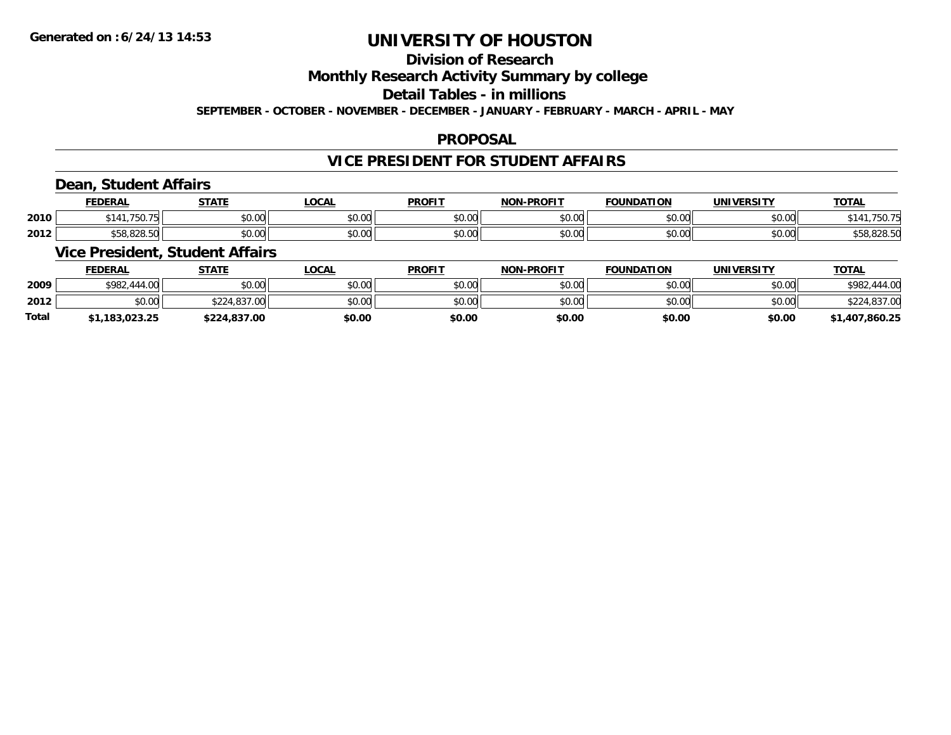## **Division of Research**

**Monthly Research Activity Summary by college**

**Detail Tables - in millions**

**SEPTEMBER - OCTOBER - NOVEMBER - DECEMBER - JANUARY - FEBRUARY - MARCH - APRIL - MAY**

#### **PROPOSAL**

### **VICE PRESIDENT FOR STUDENT AFFAIRS**

### **Dean, Student Affairs**

|      | <b>FEDERAL</b> | <b>CTATE</b><br>' ' ' ' ' ' | _OCAL  | <b>PROFIT</b> | -PROFIT<br>NON     | <b>FOUNDATION</b>  | <b><i>INIVERSITY</i></b> | $T$ $T$ $T$ $F$<br>101 <sub>h</sub> |
|------|----------------|-----------------------------|--------|---------------|--------------------|--------------------|--------------------------|-------------------------------------|
| 2010 | 750<br>UC I    | 0.00<br>JU.UU               | \$0.00 | \$0.00        | $\sim$ 00<br>pu.uu | $\sim$ 00<br>JU.UU | $\sim$ 00<br>JU.UU       | 75U.                                |
| 2012 | \$58.828.50    | $\sim$ 00<br>JU.UU          | \$0.00 | \$0.00        | $\sim$ 00<br>pu.uu | $\sim$ 00<br>JU.UU | $\sim$ 00<br>DU.UG       | 558.828.50                          |

### **Vice President, Student Affairs**

|              | <b>FEDERAL</b> | <u>STATE</u> | <u>LOCAL</u> | <b>PROFIT</b> | <b>NON-PROFIT</b> | <b>FOUNDATION</b> | <b>UNIVERSITY</b> | <b>TOTAL</b>   |
|--------------|----------------|--------------|--------------|---------------|-------------------|-------------------|-------------------|----------------|
| 2009         | \$982,444.00   | \$0.00       | \$0.00       | \$0.00        | \$0.00            | \$0.00            | \$0.00            | \$982,444.00   |
| 2012         | \$0.00         | \$224,837.00 | \$0.00       | \$0.00        | \$0.00            | \$0.00            | \$0.00            | \$224,837.00   |
| <b>Total</b> | 1,183,023.25   | \$224,837.00 | \$0.00       | \$0.00        | \$0.00            | \$0.00            | \$0.00            | \$1,407,860.25 |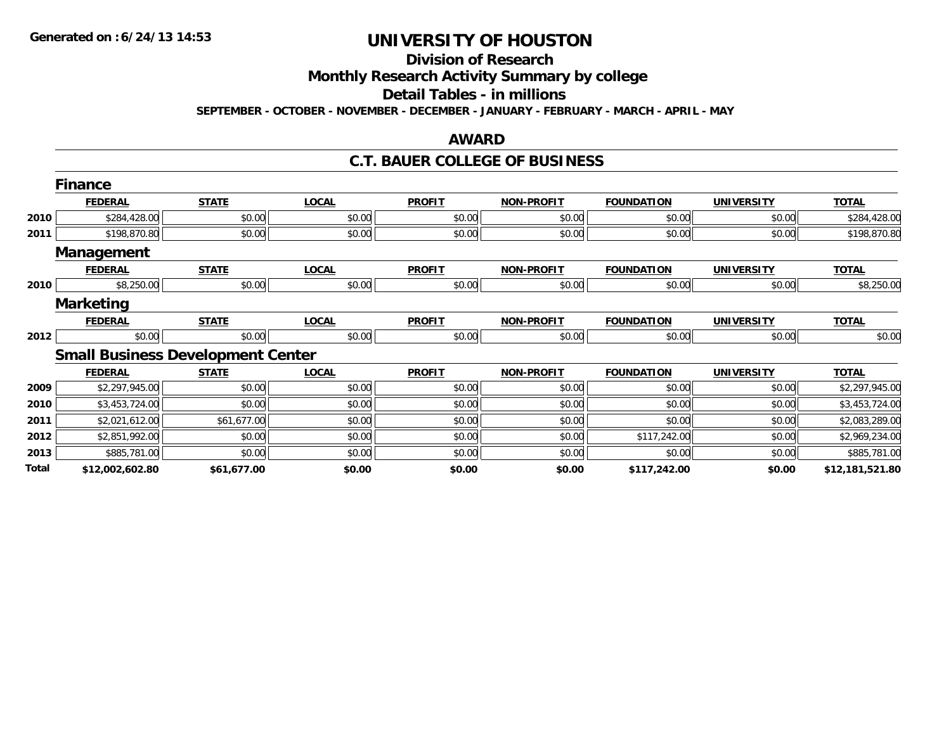## **Division of Research**

**Monthly Research Activity Summary by college**

**Detail Tables - in millions**

**SEPTEMBER - OCTOBER - NOVEMBER - DECEMBER - JANUARY - FEBRUARY - MARCH - APRIL - MAY**

### **AWARD**

#### **C.T. BAUER COLLEGE OF BUSINESS**

|       | <b>Finance</b>    |                                          |              |               |                   |                   |                   |                 |
|-------|-------------------|------------------------------------------|--------------|---------------|-------------------|-------------------|-------------------|-----------------|
|       | <b>FEDERAL</b>    | <b>STATE</b>                             | <b>LOCAL</b> | <b>PROFIT</b> | <b>NON-PROFIT</b> | <b>FOUNDATION</b> | <b>UNIVERSITY</b> | <b>TOTAL</b>    |
| 2010  | \$284,428.00      | \$0.00                                   | \$0.00       | \$0.00        | \$0.00            | \$0.00            | \$0.00            | \$284,428.00    |
| 2011  | \$198,870.80      | \$0.00                                   | \$0.00       | \$0.00        | \$0.00            | \$0.00            | \$0.00            | \$198,870.80    |
|       | <b>Management</b> |                                          |              |               |                   |                   |                   |                 |
|       | <b>FEDERAL</b>    | <b>STATE</b>                             | <b>LOCAL</b> | <b>PROFIT</b> | <b>NON-PROFIT</b> | <b>FOUNDATION</b> | <b>UNIVERSITY</b> | <b>TOTAL</b>    |
| 2010  | \$8,250.00        | \$0.00                                   | \$0.00       | \$0.00        | \$0.00            | \$0.00            | \$0.00            | \$8,250.00      |
|       | <b>Marketing</b>  |                                          |              |               |                   |                   |                   |                 |
|       | <b>FEDERAL</b>    | <b>STATE</b>                             | <b>LOCAL</b> | <b>PROFIT</b> | <b>NON-PROFIT</b> | <b>FOUNDATION</b> | <b>UNIVERSITY</b> | <b>TOTAL</b>    |
| 2012  | \$0.00            | \$0.00                                   | \$0.00       | \$0.00        | \$0.00            | \$0.00            | \$0.00            | \$0.00          |
|       |                   | <b>Small Business Development Center</b> |              |               |                   |                   |                   |                 |
|       | <b>FEDERAL</b>    | <b>STATE</b>                             | <b>LOCAL</b> | <b>PROFIT</b> | <b>NON-PROFIT</b> | <b>FOUNDATION</b> | <b>UNIVERSITY</b> | <b>TOTAL</b>    |
| 2009  | \$2,297,945.00    | \$0.00                                   | \$0.00       | \$0.00        | \$0.00            | \$0.00            | \$0.00            | \$2,297,945.00  |
| 2010  | \$3,453,724.00    | \$0.00                                   | \$0.00       | \$0.00        | \$0.00            | \$0.00            | \$0.00            | \$3,453,724.00  |
| 2011  | \$2,021,612.00    | \$61,677.00                              | \$0.00       | \$0.00        | \$0.00            | \$0.00            | \$0.00            | \$2,083,289.00  |
| 2012  | \$2,851,992.00    | \$0.00                                   | \$0.00       | \$0.00        | \$0.00            | \$117,242.00      | \$0.00            | \$2,969,234.00  |
| 2013  | \$885,781.00      | \$0.00                                   | \$0.00       | \$0.00        | \$0.00            | \$0.00            | \$0.00            | \$885,781.00    |
| Total | \$12,002,602.80   | \$61,677.00                              | \$0.00       | \$0.00        | \$0.00            | \$117,242.00      | \$0.00            | \$12,181,521.80 |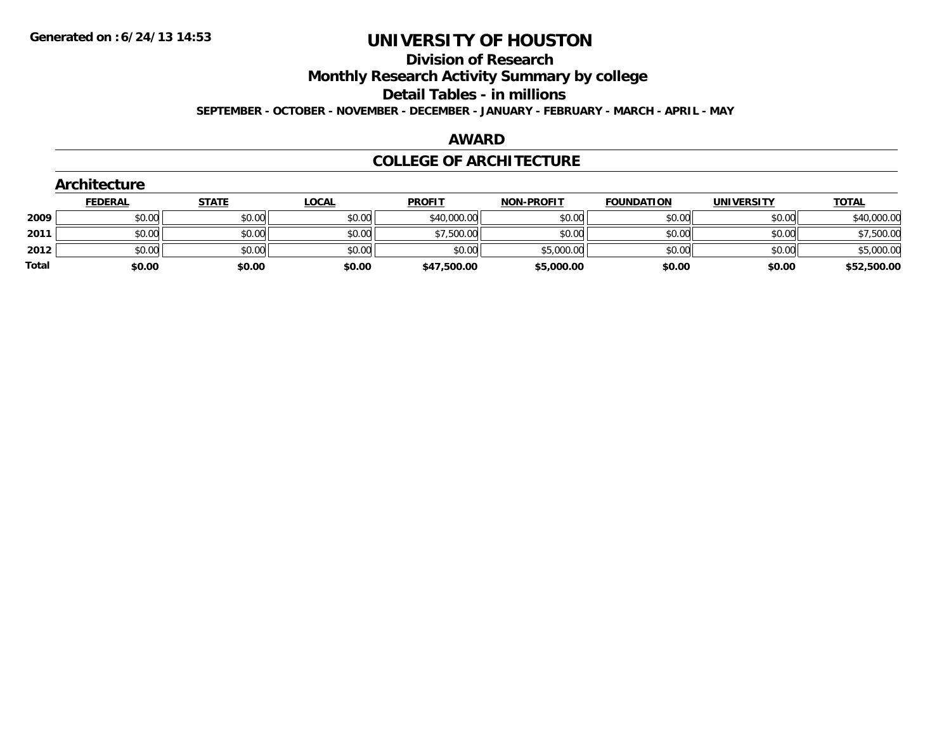#### **Division of Research**

**Monthly Research Activity Summary by college**

**Detail Tables - in millions**

**SEPTEMBER - OCTOBER - NOVEMBER - DECEMBER - JANUARY - FEBRUARY - MARCH - APRIL - MAY**

#### **AWARD**

#### **COLLEGE OF ARCHITECTURE**

|       | Architecture   |              |              |               |                   |                   |                   |              |
|-------|----------------|--------------|--------------|---------------|-------------------|-------------------|-------------------|--------------|
|       | <b>FEDERAL</b> | <b>STATE</b> | <b>LOCAL</b> | <b>PROFIT</b> | <b>NON-PROFIT</b> | <b>FOUNDATION</b> | <b>UNIVERSITY</b> | <b>TOTAL</b> |
| 2009  | \$0.00         | \$0.00       | \$0.00       | \$40,000.00   | \$0.00            | \$0.00            | \$0.00            | \$40,000.00  |
| 2011  | \$0.00         | \$0.00       | \$0.00       | \$7,500.00    | \$0.00            | \$0.00            | \$0.00            | \$7,500.00   |
| 2012  | \$0.00         | \$0.00       | \$0.00       | \$0.00        | \$5,000.00        | \$0.00            | \$0.00            | \$5,000.00   |
| Total | \$0.00         | \$0.00       | \$0.00       | \$47,500.00   | \$5,000.00        | \$0.00            | \$0.00            | \$52,500.00  |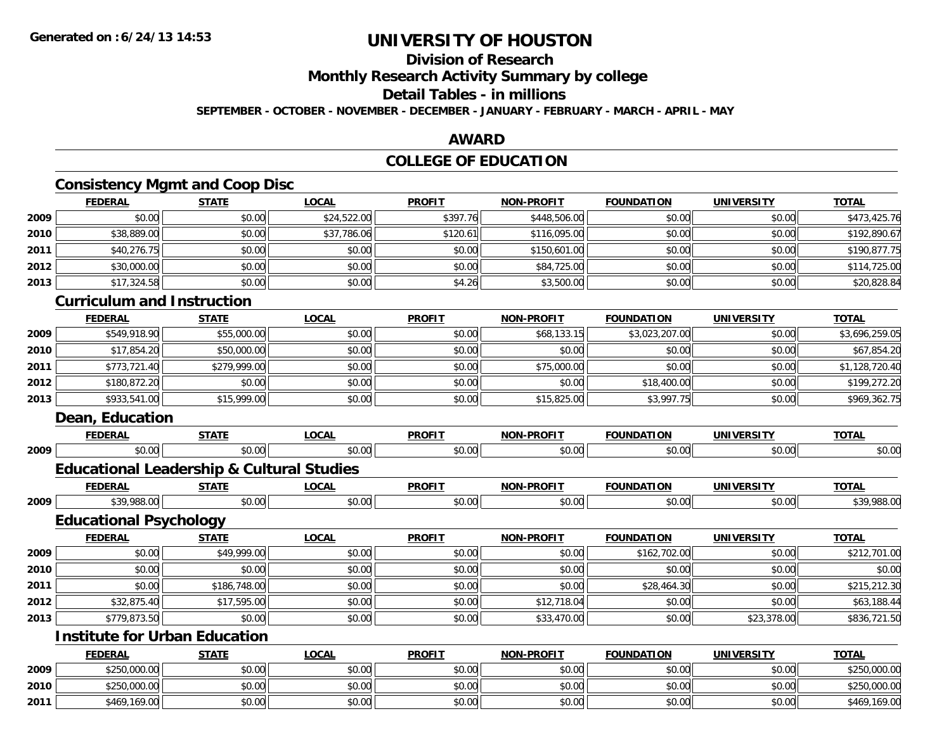## **Division of Research**

**Monthly Research Activity Summary by college**

**Detail Tables - in millions**

**SEPTEMBER - OCTOBER - NOVEMBER - DECEMBER - JANUARY - FEBRUARY - MARCH - APRIL - MAY**

### **AWARD**

### **COLLEGE OF EDUCATION**

### **Consistency Mgmt and Coop Disc**

|      | <b>FEDERAL</b> | <b>STATE</b> | <b>LOCAL</b> | <b>PROFIT</b> | <b>NON-PROFIT</b> | <b>FOUNDATION</b> | <b>UNIVERSITY</b> | <b>TOTAL</b> |
|------|----------------|--------------|--------------|---------------|-------------------|-------------------|-------------------|--------------|
| 2009 | \$0.00         | \$0.00       | \$24,522.00  | \$397.76      | \$448,506.00      | \$0.00            | \$0.00            | \$473,425.76 |
| 2010 | \$38,889.00    | \$0.00       | \$37,786.06  | \$120.61      | \$116,095.00      | \$0.00            | \$0.00            | \$192,890.67 |
| 2011 | \$40,276.75    | \$0.00       | \$0.00       | \$0.00        | \$150,601.00      | \$0.00            | \$0.00            | \$190,877.75 |
| 2012 | \$30,000.00    | \$0.00       | \$0.00       | \$0.00        | \$84,725.00       | \$0.00            | \$0.00            | \$114,725.00 |
| 2013 | \$17,324.58    | \$0.00       | \$0.00       | \$4.26        | \$3,500.00        | \$0.00            | \$0.00            | \$20,828.84  |
|      |                |              |              |               |                   |                   |                   |              |

#### **Curriculum and Instruction**

|      | <b>FEDERAL</b> | <u>STATE</u> | <u>LOCAL</u> | <b>PROFIT</b> | <b>NON-PROFIT</b> | <b>FOUNDATION</b> | <b>UNIVERSITY</b> | <b>TOTAL</b>   |
|------|----------------|--------------|--------------|---------------|-------------------|-------------------|-------------------|----------------|
| 2009 | \$549,918.90   | \$55,000.00  | \$0.00       | \$0.00        | \$68,133.15       | \$3,023,207.00    | \$0.00            | \$3,696,259.05 |
| 2010 | \$17,854.20    | \$50,000.00  | \$0.00       | \$0.00        | \$0.00            | \$0.00            | \$0.00            | \$67,854.20    |
| 2011 | \$773,721.40   | \$279,999.00 | \$0.00       | \$0.00        | \$75,000.00       | \$0.00            | \$0.00            | \$1,128,720.40 |
| 2012 | \$180,872.20   | \$0.00       | \$0.00       | \$0.00        | \$0.00            | \$18,400.00       | \$0.00            | \$199,272.20   |
| 2013 | \$933,541.00   | \$15,999.00  | \$0.00       | \$0.00        | \$15,825.00       | \$3,997.75        | \$0.00            | \$969,362.75   |

### **Dean, Education**

|      | <b>FEDERAL</b>                | <b>STATE</b>                                         | <b>LOCAL</b> | <b>PROFIT</b> | <b>NON-PROFIT</b> | <b>FOUNDATION</b> | <b>UNIVERSITY</b> | <b>TOTAL</b> |
|------|-------------------------------|------------------------------------------------------|--------------|---------------|-------------------|-------------------|-------------------|--------------|
| 2009 | \$0.00                        | \$0.00                                               | \$0.00       | \$0.00        | \$0.00            | \$0.00            | \$0.00            | \$0.00       |
|      |                               | <b>Educational Leadership &amp; Cultural Studies</b> |              |               |                   |                   |                   |              |
|      | <b>FEDERAL</b>                | <b>STATE</b>                                         | <b>LOCAL</b> | <b>PROFIT</b> | <b>NON-PROFIT</b> | FOUNDATION        | <b>UNIVERSITY</b> | <b>TOTAL</b> |
| 2009 | \$39,988.00                   | \$0.00                                               | \$0.00       | \$0.00        | \$0.00            | \$0.00            | \$0.00            | \$39,988.00  |
|      | <b>Educational Psychology</b> |                                                      |              |               |                   |                   |                   |              |
|      | <b>FEDERAL</b>                | <b>STATE</b>                                         | <b>LOCAL</b> | <b>PROFIT</b> | <b>NON-PROFIT</b> | <b>FOUNDATION</b> | <b>UNIVERSITY</b> | <b>TOTAL</b> |
| 2009 | \$0.00                        | \$49,999.00                                          | \$0.00       | \$0.00        | \$0.00            | \$162,702.00      | \$0.00            | \$212,701.00 |
| 2010 | \$0.00                        | \$0.00                                               | \$0.00       | \$0.00        | \$0.00            | \$0.00            | \$0.00            | \$0.00       |
| 2011 | \$0.00                        | \$186,748.00                                         | \$0.00       | \$0.00        | \$0.00            | \$28,464.30       | \$0.00            | \$215,212.30 |
| 2012 | \$32,875.40                   | \$17,595.00                                          | \$0.00       | \$0.00        | \$12,718.04       | \$0.00            | \$0.00            | \$63,188.44  |
| 2013 | \$779,873.50                  | \$0.00                                               | \$0.00       | \$0.00        | \$33,470.00       | \$0.00            | \$23,378.00       | \$836,721.50 |
|      |                               | <b>Institute for Urban Education</b>                 |              |               |                   |                   |                   |              |
|      | <b>FEDERAL</b>                | <b>STATE</b>                                         | <b>LOCAL</b> | <b>PROFIT</b> | <b>NON-PROFIT</b> | <b>FOUNDATION</b> | <b>UNIVERSITY</b> | <b>TOTAL</b> |

|      | .            | ------ | $- - - - -$ | .      |                      | ------------- | __________ | _____                            |
|------|--------------|--------|-------------|--------|----------------------|---------------|------------|----------------------------------|
| 2009 | \$250,000.00 | \$0.00 | \$0.00      | \$0.00 | ሶስ ሰሰ<br>JU.UU       | \$0.00        | \$0.00     | \$250,000.00                     |
| 2010 | \$250,000.00 | \$0.00 | \$0.00      | \$0.00 | 0000<br><b>JU.UU</b> | \$0.00        | \$0.00     | $AD -$<br>0.0000<br>\$250,000.00 |
| 2011 | \$469,169.00 | \$0.00 | \$0.00      | \$0.00 | 0000<br>\$U.UU       | \$0.00        | \$0.00     | $\sim$ 00<br>6465<br>109.UU      |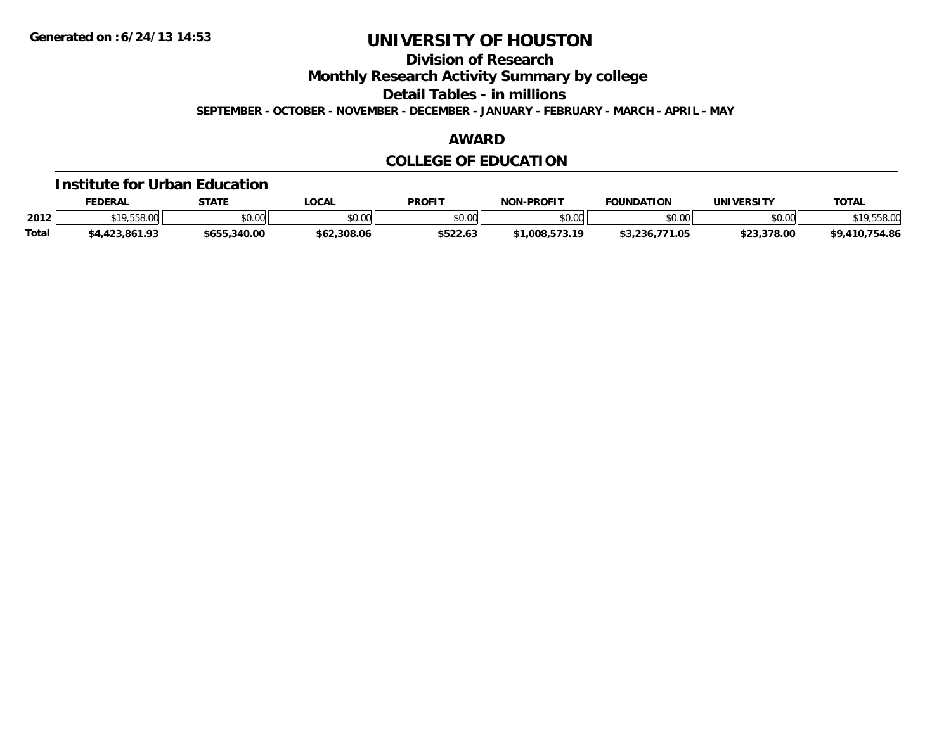**Division of Research**

**Monthly Research Activity Summary by college**

**Detail Tables - in millions**

**SEPTEMBER - OCTOBER - NOVEMBER - DECEMBER - JANUARY - FEBRUARY - MARCH - APRIL - MAY**

#### **AWARD**

### **COLLEGE OF EDUCATION**

#### **Institute for Urban Education**

|              | <b>FEDERAL</b>                        | <b>STATE</b> | <b>_OCAL</b>  | <b>PROFIT</b> | <b>NON-PROFIT</b> | <b>FOUNDATION</b>   | UNIVERSITY  | <b>TOTAL</b>    |
|--------------|---------------------------------------|--------------|---------------|---------------|-------------------|---------------------|-------------|-----------------|
| 2012         | <b>C<sub>10</sub></b> EEO OO<br>10.UU | \$0.00       | 0000<br>JU.UU | \$0.00        | eu uu<br>DU.UU    | \$0.00              | \$0.00      | ¢10.<br>.558.00 |
| <b>Total</b> | \$4,423,861.93                        | \$655,340.00 | \$62,308.06   | \$522.63      | $*1.008.573.19$   | 771.05<br>\$3,236,7 | \$23,378.00 | \$9,410,754.86  |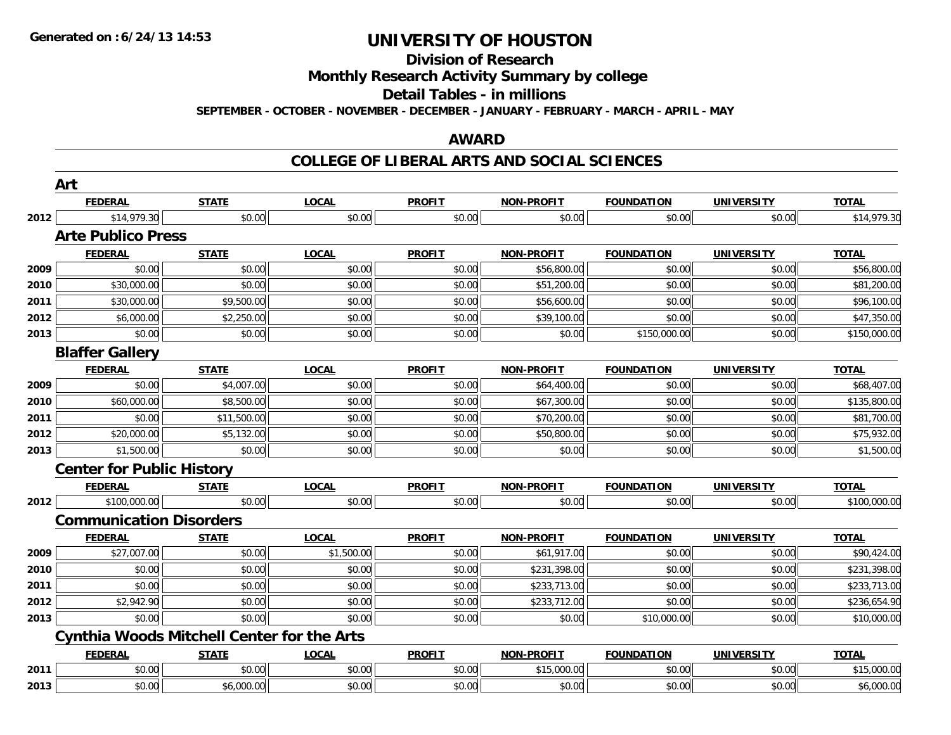### **Division of Research**

**Monthly Research Activity Summary by college**

**Detail Tables - in millions**

**SEPTEMBER - OCTOBER - NOVEMBER - DECEMBER - JANUARY - FEBRUARY - MARCH - APRIL - MAY**

#### **AWARD**

#### **COLLEGE OF LIBERAL ARTS AND SOCIAL SCIENCES**

|      | Art                              |                                                   |              |               |                   |                   |                   |              |
|------|----------------------------------|---------------------------------------------------|--------------|---------------|-------------------|-------------------|-------------------|--------------|
|      | <b>FEDERAL</b>                   | <b>STATE</b>                                      | <b>LOCAL</b> | <b>PROFIT</b> | NON-PROFIT        | <b>FOUNDATION</b> | <b>UNIVERSITY</b> | <b>TOTAL</b> |
| 2012 | \$14,979.30                      | \$0.00                                            | \$0.00       | \$0.00        | \$0.00            | \$0.00            | \$0.00            | \$14,979.30  |
|      | <b>Arte Publico Press</b>        |                                                   |              |               |                   |                   |                   |              |
|      | <b>FEDERAL</b>                   | <b>STATE</b>                                      | <b>LOCAL</b> | <b>PROFIT</b> | NON-PROFIT        | <b>FOUNDATION</b> | <b>UNIVERSITY</b> | <b>TOTAL</b> |
| 2009 | \$0.00                           | \$0.00                                            | \$0.00       | \$0.00        | \$56,800.00       | \$0.00            | \$0.00            | \$56,800.00  |
| 2010 | \$30,000.00                      | \$0.00                                            | \$0.00       | \$0.00        | \$51,200.00       | \$0.00            | \$0.00            | \$81,200.00  |
| 2011 | \$30,000.00                      | \$9,500.00                                        | \$0.00       | \$0.00        | \$56,600.00       | \$0.00            | \$0.00            | \$96,100.00  |
| 2012 | \$6,000.00                       | \$2,250.00                                        | \$0.00       | \$0.00        | \$39,100.00       | \$0.00            | \$0.00            | \$47,350.00  |
| 2013 | \$0.00                           | \$0.00                                            | \$0.00       | \$0.00        | \$0.00            | \$150,000.00      | \$0.00            | \$150,000.00 |
|      | <b>Blaffer Gallery</b>           |                                                   |              |               |                   |                   |                   |              |
|      | <b>FEDERAL</b>                   | <b>STATE</b>                                      | <b>LOCAL</b> | <b>PROFIT</b> | <b>NON-PROFIT</b> | <b>FOUNDATION</b> | <b>UNIVERSITY</b> | <b>TOTAL</b> |
| 2009 | \$0.00                           | \$4,007.00                                        | \$0.00       | \$0.00        | \$64,400.00       | \$0.00            | \$0.00            | \$68,407.00  |
| 2010 | \$60,000.00                      | \$8,500.00                                        | \$0.00       | \$0.00        | \$67,300.00       | \$0.00            | \$0.00            | \$135,800.00 |
| 2011 | \$0.00                           | \$11,500.00                                       | \$0.00       | \$0.00        | \$70,200.00       | \$0.00            | \$0.00            | \$81,700.00  |
| 2012 | \$20,000.00                      | \$5,132.00                                        | \$0.00       | \$0.00        | \$50,800.00       | \$0.00            | \$0.00            | \$75,932.00  |
| 2013 | \$1,500.00                       | \$0.00                                            | \$0.00       | \$0.00        | \$0.00            | \$0.00            | \$0.00            | \$1,500.00   |
|      | <b>Center for Public History</b> |                                                   |              |               |                   |                   |                   |              |
|      | <b>FEDERAL</b>                   | <b>STATE</b>                                      | <b>LOCAL</b> | <b>PROFIT</b> | <b>NON-PROFIT</b> | <b>FOUNDATION</b> | <b>UNIVERSITY</b> | <b>TOTAL</b> |
| 2012 | \$100,000.00                     | \$0.00                                            | \$0.00       | \$0.00        | \$0.00            | \$0.00            | \$0.00            | \$100,000.00 |
|      | <b>Communication Disorders</b>   |                                                   |              |               |                   |                   |                   |              |
|      | <b>FEDERAL</b>                   | <b>STATE</b>                                      | <b>LOCAL</b> | <b>PROFIT</b> | <b>NON-PROFIT</b> | <b>FOUNDATION</b> | <b>UNIVERSITY</b> | <b>TOTAL</b> |
| 2009 | \$27,007.00                      | \$0.00                                            | \$1,500.00   | \$0.00        | \$61,917.00       | \$0.00            | \$0.00            | \$90,424.00  |
| 2010 | \$0.00                           | \$0.00                                            | \$0.00       | \$0.00        | \$231,398.00      | \$0.00            | \$0.00            | \$231,398.00 |
| 2011 | \$0.00                           | \$0.00                                            | \$0.00       | \$0.00        | \$233,713.00      | \$0.00            | \$0.00            | \$233,713.00 |
| 2012 | \$2,942.90                       | \$0.00                                            | \$0.00       | \$0.00        | \$233,712.00      | \$0.00            | \$0.00            | \$236,654.90 |
| 2013 | \$0.00                           | \$0.00                                            | \$0.00       | \$0.00        | \$0.00            | \$10,000.00       | \$0.00            | \$10,000.00  |
|      |                                  | <b>Cynthia Woods Mitchell Center for the Arts</b> |              |               |                   |                   |                   |              |
|      | <b>FEDERAL</b>                   | <b>STATE</b>                                      | <b>LOCAL</b> | <b>PROFIT</b> | <b>NON-PROFIT</b> | <b>FOUNDATION</b> | <b>UNIVERSITY</b> | <b>TOTAL</b> |
| 2011 | \$0.00                           | \$0.00                                            | \$0.00       | \$0.00        | \$15,000.00       | \$0.00            | \$0.00            | \$15,000.00  |
| 2013 | \$0.00                           | \$6,000.00                                        | \$0.00       | \$0.00        | \$0.00            | \$0.00            | \$0.00            | \$6,000.00   |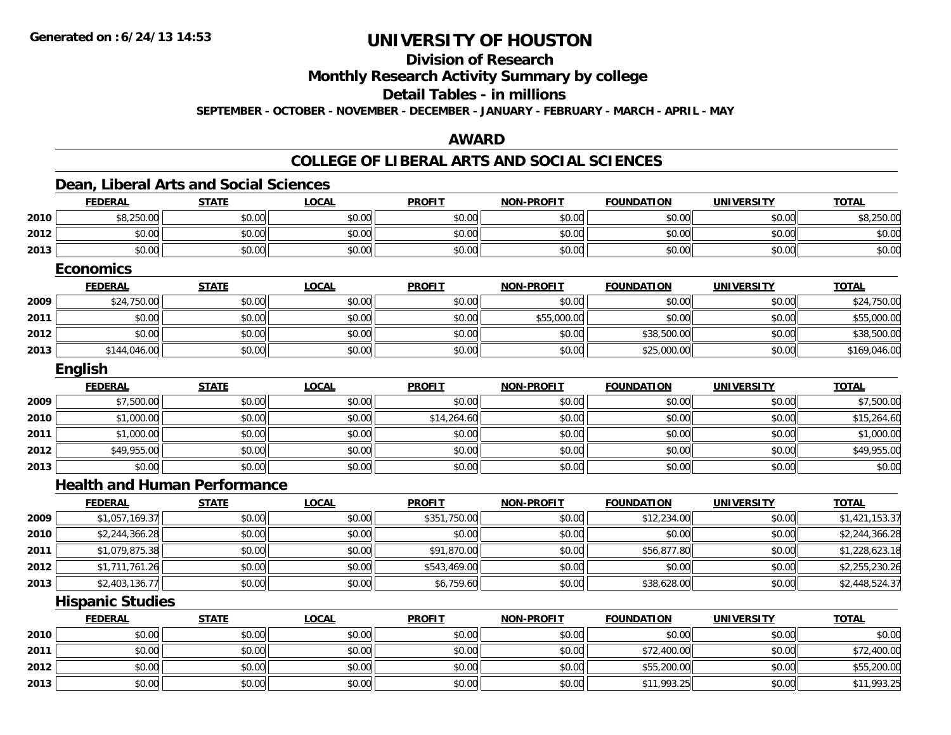**2013**

## **UNIVERSITY OF HOUSTON**

## **Division of Research**

**Monthly Research Activity Summary by college**

#### **Detail Tables - in millions**

**SEPTEMBER - OCTOBER - NOVEMBER - DECEMBER - JANUARY - FEBRUARY - MARCH - APRIL - MAY**

#### **AWARD**

#### **COLLEGE OF LIBERAL ARTS AND SOCIAL SCIENCES**

|      | <b>FEDERAL</b>                      | <b>STATE</b> | <b>LOCAL</b> | <b>PROFIT</b> | <b>NON-PROFIT</b> | <b>FOUNDATION</b> | <b>UNIVERSITY</b> | <b>TOTAL</b>   |
|------|-------------------------------------|--------------|--------------|---------------|-------------------|-------------------|-------------------|----------------|
| 2010 | \$8,250.00                          | \$0.00       | \$0.00       | \$0.00        | \$0.00            | \$0.00            | \$0.00            | \$8,250.00     |
| 2012 | \$0.00                              | \$0.00       | \$0.00       | \$0.00        | \$0.00            | \$0.00            | \$0.00            | \$0.00         |
| 2013 | \$0.00                              | \$0.00       | \$0.00       | \$0.00        | \$0.00            | \$0.00            | \$0.00            | \$0.00         |
|      | <b>Economics</b>                    |              |              |               |                   |                   |                   |                |
|      | <b>FEDERAL</b>                      | <b>STATE</b> | <b>LOCAL</b> | <b>PROFIT</b> | <b>NON-PROFIT</b> | <b>FOUNDATION</b> | <b>UNIVERSITY</b> | <b>TOTAL</b>   |
| 2009 | \$24,750.00                         | \$0.00       | \$0.00       | \$0.00        | \$0.00            | \$0.00            | \$0.00            | \$24,750.00    |
| 2011 | \$0.00                              | \$0.00       | \$0.00       | \$0.00        | \$55,000.00       | \$0.00            | \$0.00            | \$55,000.00    |
| 2012 | \$0.00                              | \$0.00       | \$0.00       | \$0.00        | \$0.00            | \$38,500.00       | \$0.00            | \$38,500.00    |
| 2013 | \$144,046.00                        | \$0.00       | \$0.00       | \$0.00        | \$0.00            | \$25,000.00       | \$0.00            | \$169,046.00   |
|      | English                             |              |              |               |                   |                   |                   |                |
|      | <b>FEDERAL</b>                      | <b>STATE</b> | <b>LOCAL</b> | <b>PROFIT</b> | <b>NON-PROFIT</b> | <b>FOUNDATION</b> | <b>UNIVERSITY</b> | <b>TOTAL</b>   |
| 2009 | \$7,500.00                          | \$0.00       | \$0.00       | \$0.00        | \$0.00            | \$0.00            | \$0.00            | \$7,500.00     |
| 2010 | \$1,000.00                          | \$0.00       | \$0.00       | \$14,264.60   | \$0.00            | \$0.00            | \$0.00            | \$15,264.60    |
| 2011 | \$1,000.00                          | \$0.00       | \$0.00       | \$0.00        | \$0.00            | \$0.00            | \$0.00            | \$1,000.00     |
| 2012 | \$49,955.00                         | \$0.00       | \$0.00       | \$0.00        | \$0.00            | \$0.00            | \$0.00            | \$49,955.00    |
| 2013 | \$0.00                              | \$0.00       | \$0.00       | \$0.00        | \$0.00            | \$0.00            | \$0.00            | \$0.00         |
|      | <b>Health and Human Performance</b> |              |              |               |                   |                   |                   |                |
|      | <b>FEDERAL</b>                      | <b>STATE</b> | <b>LOCAL</b> | <b>PROFIT</b> | <b>NON-PROFIT</b> | <b>FOUNDATION</b> | <b>UNIVERSITY</b> | <b>TOTAL</b>   |
| 2009 | \$1,057,169.37                      | \$0.00       | \$0.00       | \$351,750.00  | \$0.00            | \$12,234.00       | \$0.00            | \$1,421,153.37 |
| 2010 | \$2,244,366.28                      | \$0.00       | \$0.00       | \$0.00        | \$0.00            | \$0.00            | \$0.00            | \$2,244,366.28 |
| 2011 | \$1,079,875.38                      | \$0.00       | \$0.00       | \$91,870.00   | \$0.00            | \$56,877.80       | \$0.00            | \$1,228,623.18 |
| 2012 | \$1,711,761.26                      | \$0.00       | \$0.00       | \$543,469.00  | \$0.00            | \$0.00            | \$0.00            | \$2,255,230.26 |
| 2013 | \$2,403,136.77                      | \$0.00       | \$0.00       | \$6,759.60    | \$0.00            | \$38,628.00       | \$0.00            | \$2,448,524.37 |
|      | <b>Hispanic Studies</b>             |              |              |               |                   |                   |                   |                |
|      | <b>FEDERAL</b>                      | <b>STATE</b> | <b>LOCAL</b> | <b>PROFIT</b> | <b>NON-PROFIT</b> | <b>FOUNDATION</b> | <b>UNIVERSITY</b> | <b>TOTAL</b>   |
| 2010 | \$0.00                              | \$0.00       | \$0.00       | \$0.00        | \$0.00            | \$0.00            | \$0.00            | \$0.00         |
| 2011 | \$0.00                              | \$0.00       | \$0.00       | \$0.00        | \$0.00            | \$72,400.00       | \$0.00            | \$72,400.00    |
| 2012 | \$0.00                              | \$0.00       | \$0.00       | \$0.00        | \$0.00            | \$55,200.00       | \$0.00            | \$55,200.00    |

3 | \$0.00| \$0.00| \$0.00| \$0.00| \$0.00| \$0.00| \$0.00| \$0.00| \$0.00| \$11,993.25| \$0.00| \$11,993.25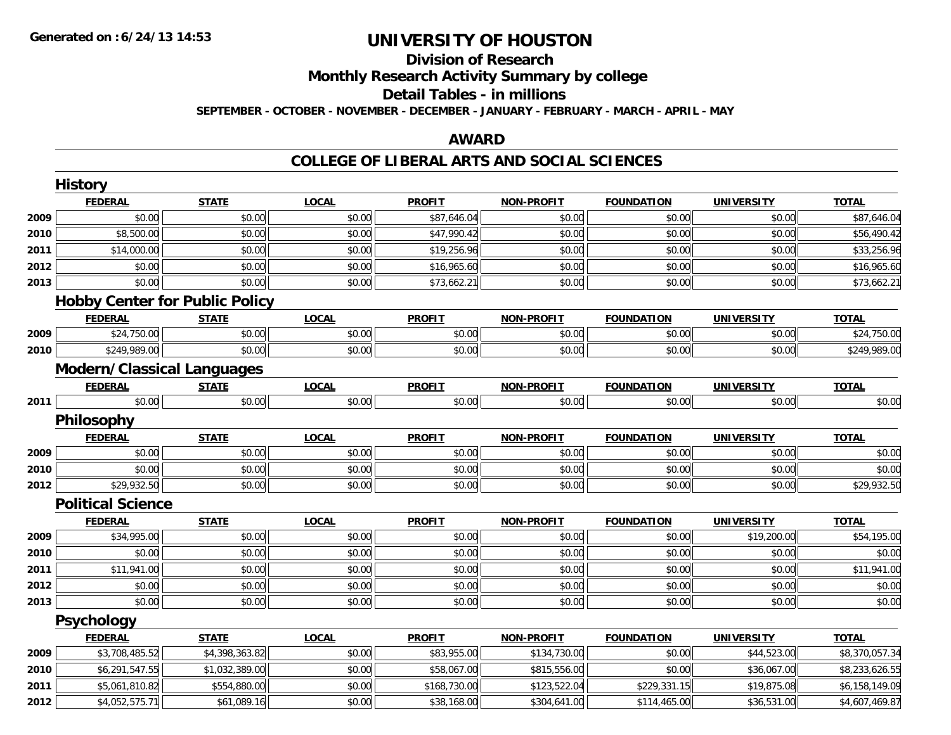## **Division of ResearchMonthly Research Activity Summary by college Detail Tables - in millions**

**SEPTEMBER - OCTOBER - NOVEMBER - DECEMBER - JANUARY - FEBRUARY - MARCH - APRIL - MAY**

#### **AWARD**

### **COLLEGE OF LIBERAL ARTS AND SOCIAL SCIENCES**

|      | <b>History</b>                        |                |              |               |                   |                   |                   |                |
|------|---------------------------------------|----------------|--------------|---------------|-------------------|-------------------|-------------------|----------------|
|      | <b>FEDERAL</b>                        | <b>STATE</b>   | <b>LOCAL</b> | <b>PROFIT</b> | <b>NON-PROFIT</b> | <b>FOUNDATION</b> | <b>UNIVERSITY</b> | <b>TOTAL</b>   |
| 2009 | \$0.00                                | \$0.00         | \$0.00       | \$87,646.04   | \$0.00            | \$0.00            | \$0.00            | \$87,646.04    |
| 2010 | \$8,500.00                            | \$0.00         | \$0.00       | \$47,990.42   | \$0.00            | \$0.00            | \$0.00            | \$56,490.42    |
| 2011 | \$14,000.00                           | \$0.00         | \$0.00       | \$19,256.96   | \$0.00            | \$0.00            | \$0.00            | \$33,256.96    |
| 2012 | \$0.00                                | \$0.00         | \$0.00       | \$16,965.60   | \$0.00            | \$0.00            | \$0.00            | \$16,965.60    |
| 2013 | \$0.00                                | \$0.00         | \$0.00       | \$73,662.21   | \$0.00            | \$0.00            | \$0.00            | \$73,662.21    |
|      | <b>Hobby Center for Public Policy</b> |                |              |               |                   |                   |                   |                |
|      | <b>FEDERAL</b>                        | <b>STATE</b>   | <b>LOCAL</b> | <b>PROFIT</b> | <b>NON-PROFIT</b> | <b>FOUNDATION</b> | <b>UNIVERSITY</b> | <b>TOTAL</b>   |
| 2009 | \$24,750.00                           | \$0.00         | \$0.00       | \$0.00        | \$0.00            | \$0.00            | \$0.00            | \$24,750.00    |
| 2010 | \$249,989.00                          | \$0.00         | \$0.00       | \$0.00        | \$0.00            | \$0.00            | \$0.00            | \$249,989.00   |
|      | <b>Modern/Classical Languages</b>     |                |              |               |                   |                   |                   |                |
|      | <b>FEDERAL</b>                        | <b>STATE</b>   | <b>LOCAL</b> | <b>PROFIT</b> | <b>NON-PROFIT</b> | <b>FOUNDATION</b> | <b>UNIVERSITY</b> | <b>TOTAL</b>   |
| 2011 | \$0.00                                | \$0.00         | \$0.00       | \$0.00        | \$0.00            | \$0.00            | \$0.00            | \$0.00         |
|      | Philosophy                            |                |              |               |                   |                   |                   |                |
|      | <b>FEDERAL</b>                        | <b>STATE</b>   | <b>LOCAL</b> | <b>PROFIT</b> | <b>NON-PROFIT</b> | <b>FOUNDATION</b> | <b>UNIVERSITY</b> | <b>TOTAL</b>   |
| 2009 | \$0.00                                | \$0.00         | \$0.00       | \$0.00        | \$0.00            | \$0.00            | \$0.00            | \$0.00         |
| 2010 | \$0.00                                | \$0.00         | \$0.00       | \$0.00        | \$0.00            | \$0.00            | \$0.00            | \$0.00         |
| 2012 | \$29,932.50                           | \$0.00         | \$0.00       | \$0.00        | \$0.00            | \$0.00            | \$0.00            | \$29,932.50    |
|      | <b>Political Science</b>              |                |              |               |                   |                   |                   |                |
|      | <b>FEDERAL</b>                        | <b>STATE</b>   | <b>LOCAL</b> | <b>PROFIT</b> | <b>NON-PROFIT</b> | <b>FOUNDATION</b> | <b>UNIVERSITY</b> | <b>TOTAL</b>   |
| 2009 | \$34,995.00                           | \$0.00         | \$0.00       | \$0.00        | \$0.00            | \$0.00            | \$19,200.00       | \$54,195.00    |
| 2010 | \$0.00                                | \$0.00         | \$0.00       | \$0.00        | \$0.00            | \$0.00            | \$0.00            | \$0.00         |
| 2011 | \$11,941.00                           | \$0.00         | \$0.00       | \$0.00        | \$0.00            | \$0.00            | \$0.00            | \$11,941.00    |
| 2012 | \$0.00                                | \$0.00         | \$0.00       | \$0.00        | \$0.00            | \$0.00            | \$0.00            | \$0.00         |
| 2013 | \$0.00                                | \$0.00         | \$0.00       | \$0.00        | \$0.00            | \$0.00            | \$0.00            | \$0.00         |
|      | <b>Psychology</b>                     |                |              |               |                   |                   |                   |                |
|      | <b>FEDERAL</b>                        | <b>STATE</b>   | <b>LOCAL</b> | <b>PROFIT</b> | <b>NON-PROFIT</b> | <b>FOUNDATION</b> | <b>UNIVERSITY</b> | <b>TOTAL</b>   |
| 2009 | \$3,708,485.52                        | \$4,398,363.82 | \$0.00       | \$83,955.00   | \$134,730.00      | \$0.00            | \$44,523.00       | \$8,370,057.34 |
| 2010 | \$6,291,547.55                        | \$1,032,389.00 | \$0.00       | \$58,067.00   | \$815,556.00      | \$0.00            | \$36,067.00       | \$8,233,626.55 |
| 2011 | \$5,061,810.82                        | \$554,880.00   | \$0.00       | \$168,730.00  | \$123,522.04      | \$229,331.15      | \$19,875.08       | \$6,158,149.09 |
| 2012 | \$4,052,575.71                        | \$61,089.16    | \$0.00       | \$38,168.00   | \$304,641.00      | \$114,465.00      | \$36,531.00       | \$4,607,469.87 |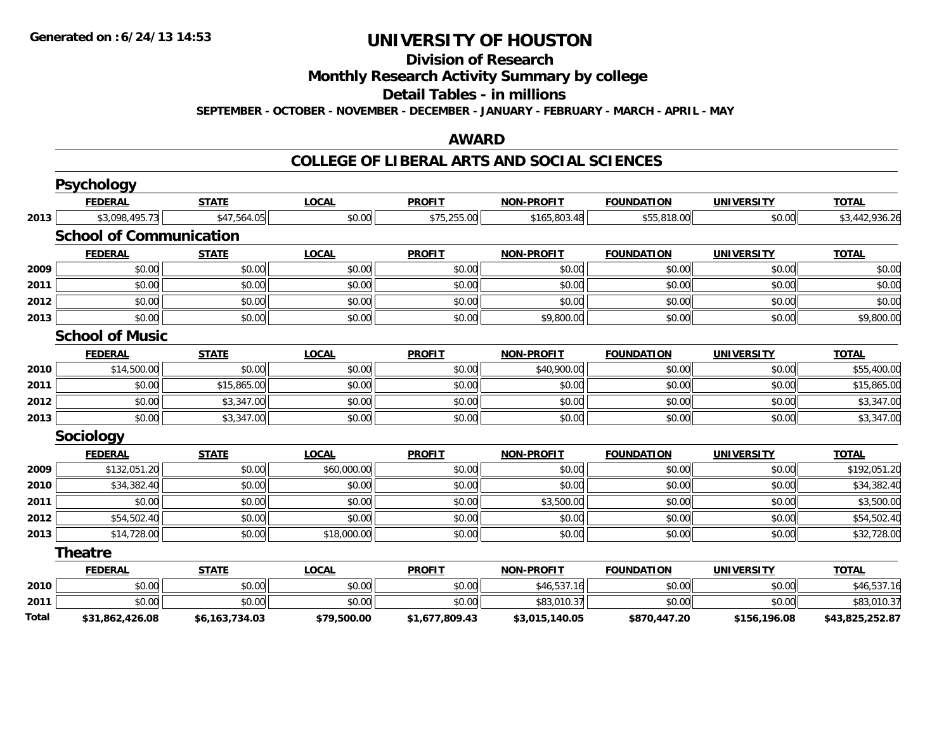**Division of Research**

**Monthly Research Activity Summary by college**

**Detail Tables - in millions**

**SEPTEMBER - OCTOBER - NOVEMBER - DECEMBER - JANUARY - FEBRUARY - MARCH - APRIL - MAY**

#### **AWARD**

#### **COLLEGE OF LIBERAL ARTS AND SOCIAL SCIENCES**

|              | Psychology                     |                |              |                |                   |                   |                   |                 |
|--------------|--------------------------------|----------------|--------------|----------------|-------------------|-------------------|-------------------|-----------------|
|              | <b>FEDERAL</b>                 | <b>STATE</b>   | <b>LOCAL</b> | <b>PROFIT</b>  | <b>NON-PROFIT</b> | <b>FOUNDATION</b> | <b>UNIVERSITY</b> | <b>TOTAL</b>    |
| 2013         | \$3,098,495.73                 | \$47,564.05    | \$0.00       | \$75,255.00    | \$165,803.48      | \$55,818.00       | \$0.00            | \$3,442,936.26  |
|              | <b>School of Communication</b> |                |              |                |                   |                   |                   |                 |
|              | <b>FEDERAL</b>                 | <b>STATE</b>   | <b>LOCAL</b> | <b>PROFIT</b>  | <b>NON-PROFIT</b> | <b>FOUNDATION</b> | <b>UNIVERSITY</b> | <b>TOTAL</b>    |
| 2009         | \$0.00                         | \$0.00         | \$0.00       | \$0.00         | \$0.00            | \$0.00            | \$0.00            | \$0.00          |
| 2011         | \$0.00                         | \$0.00         | \$0.00       | \$0.00         | \$0.00            | \$0.00            | \$0.00            | \$0.00          |
| 2012         | \$0.00                         | \$0.00         | \$0.00       | \$0.00         | \$0.00            | \$0.00            | \$0.00            | \$0.00          |
| 2013         | \$0.00                         | \$0.00         | \$0.00       | \$0.00         | \$9,800.00        | \$0.00            | \$0.00            | \$9,800.00      |
|              | <b>School of Music</b>         |                |              |                |                   |                   |                   |                 |
|              | <b>FEDERAL</b>                 | <b>STATE</b>   | <b>LOCAL</b> | <b>PROFIT</b>  | <b>NON-PROFIT</b> | <b>FOUNDATION</b> | <b>UNIVERSITY</b> | <b>TOTAL</b>    |
| 2010         | \$14,500.00                    | \$0.00         | \$0.00       | \$0.00         | \$40,900.00       | \$0.00            | \$0.00            | \$55,400.00     |
| 2011         | \$0.00                         | \$15,865.00    | \$0.00       | \$0.00         | \$0.00            | \$0.00            | \$0.00            | \$15,865.00     |
| 2012         | \$0.00                         | \$3,347.00     | \$0.00       | \$0.00         | \$0.00            | \$0.00            | \$0.00            | \$3,347.00      |
| 2013         | \$0.00                         | \$3,347.00     | \$0.00       | \$0.00         | \$0.00            | \$0.00            | \$0.00            | \$3,347.00      |
|              | <b>Sociology</b>               |                |              |                |                   |                   |                   |                 |
|              | <b>FEDERAL</b>                 | <b>STATE</b>   | <b>LOCAL</b> | <b>PROFIT</b>  | <b>NON-PROFIT</b> | <b>FOUNDATION</b> | <b>UNIVERSITY</b> | <b>TOTAL</b>    |
| 2009         | \$132,051.20                   | \$0.00         | \$60,000.00  | \$0.00         | \$0.00            | \$0.00            | \$0.00            | \$192,051.20    |
| 2010         | \$34,382.40                    | \$0.00         | \$0.00       | \$0.00         | \$0.00            | \$0.00            | \$0.00            | \$34,382.40     |
| 2011         | \$0.00                         | \$0.00         | \$0.00       | \$0.00         | \$3,500.00        | \$0.00            | \$0.00            | \$3,500.00      |
| 2012         | \$54,502.40                    | \$0.00         | \$0.00       | \$0.00         | \$0.00            | \$0.00            | \$0.00            | \$54,502.40     |
| 2013         | \$14,728.00                    | \$0.00         | \$18,000.00  | \$0.00         | \$0.00            | \$0.00            | \$0.00            | \$32,728.00     |
|              | <b>Theatre</b>                 |                |              |                |                   |                   |                   |                 |
|              | <b>FEDERAL</b>                 | <b>STATE</b>   | <b>LOCAL</b> | <b>PROFIT</b>  | <b>NON-PROFIT</b> | <b>FOUNDATION</b> | <b>UNIVERSITY</b> | <b>TOTAL</b>    |
| 2010         | \$0.00                         | \$0.00         | \$0.00       | \$0.00         | \$46,537.16       | \$0.00            | \$0.00            | \$46,537.16     |
| 2011         | \$0.00                         | \$0.00         | \$0.00       | \$0.00         | \$83,010.37       | \$0.00            | \$0.00            | \$83,010.37     |
| <b>Total</b> | \$31,862,426.08                | \$6,163,734.03 | \$79,500.00  | \$1,677,809.43 | \$3,015,140.05    | \$870,447.20      | \$156,196.08      | \$43,825,252.87 |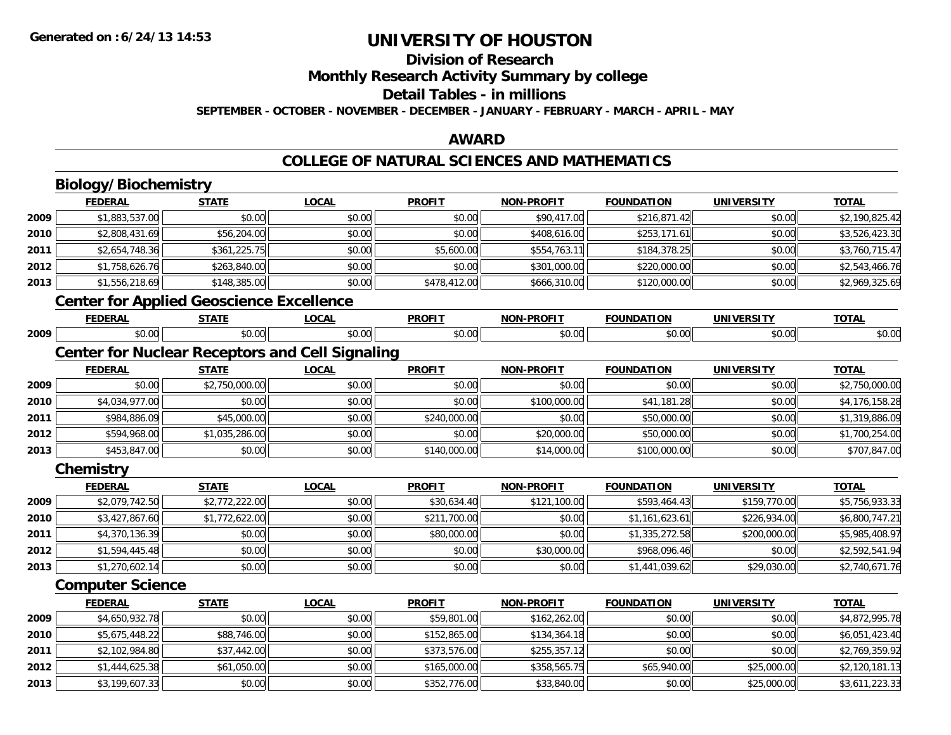# **Division of Research**

**Monthly Research Activity Summary by college**

#### **Detail Tables - in millions**

**SEPTEMBER - OCTOBER - NOVEMBER - DECEMBER - JANUARY - FEBRUARY - MARCH - APRIL - MAY**

### **AWARD**

### **COLLEGE OF NATURAL SCIENCES AND MATHEMATICS**

|      | Biology/Biochemistry                                   |                |              |               |                   |                   |                   |                |
|------|--------------------------------------------------------|----------------|--------------|---------------|-------------------|-------------------|-------------------|----------------|
|      | <b>FEDERAL</b>                                         | <b>STATE</b>   | <b>LOCAL</b> | <b>PROFIT</b> | <b>NON-PROFIT</b> | <b>FOUNDATION</b> | <b>UNIVERSITY</b> | <b>TOTAL</b>   |
| 2009 | \$1,883,537.00                                         | \$0.00         | \$0.00       | \$0.00        | \$90,417.00       | \$216,871.42      | \$0.00            | \$2,190,825.42 |
| 2010 | \$2,808,431.69                                         | \$56,204.00    | \$0.00       | \$0.00        | \$408,616.00      | \$253,171.61      | \$0.00            | \$3,526,423.30 |
| 2011 | \$2,654,748.36                                         | \$361,225.75   | \$0.00       | \$5,600.00    | \$554,763.11      | \$184,378.25      | \$0.00            | \$3,760,715.47 |
| 2012 | \$1,758,626.76                                         | \$263,840.00   | \$0.00       | \$0.00        | \$301,000.00      | \$220,000.00      | \$0.00            | \$2,543,466.76 |
| 2013 | \$1,556,218.69                                         | \$148,385.00   | \$0.00       | \$478,412.00  | \$666,310.00      | \$120,000.00      | \$0.00            | \$2,969,325.69 |
|      | <b>Center for Applied Geoscience Excellence</b>        |                |              |               |                   |                   |                   |                |
|      | <b>FEDERAL</b>                                         | <b>STATE</b>   | <b>LOCAL</b> | <b>PROFIT</b> | <b>NON-PROFIT</b> | <b>FOUNDATION</b> | <b>UNIVERSITY</b> | <b>TOTAL</b>   |
| 2009 | \$0.00                                                 | \$0.00         | \$0.00       | \$0.00        | \$0.00            | \$0.00            | \$0.00            | \$0.00         |
|      | <b>Center for Nuclear Receptors and Cell Signaling</b> |                |              |               |                   |                   |                   |                |
|      | <b>FEDERAL</b>                                         | <b>STATE</b>   | <b>LOCAL</b> | <b>PROFIT</b> | <b>NON-PROFIT</b> | <b>FOUNDATION</b> | <b>UNIVERSITY</b> | <b>TOTAL</b>   |
| 2009 | \$0.00                                                 | \$2,750,000.00 | \$0.00       | \$0.00        | \$0.00            | \$0.00            | \$0.00            | \$2,750,000.00 |
| 2010 | \$4,034,977.00                                         | \$0.00         | \$0.00       | \$0.00        | \$100,000.00      | \$41,181.28       | \$0.00            | \$4,176,158.28 |
| 2011 | \$984,886.09                                           | \$45,000.00    | \$0.00       | \$240,000.00  | \$0.00            | \$50,000.00       | \$0.00            | \$1,319,886.09 |
| 2012 | \$594,968.00                                           | \$1,035,286.00 | \$0.00       | \$0.00        | \$20,000.00       | \$50,000.00       | \$0.00            | \$1,700,254.00 |
| 2013 | \$453,847.00                                           | \$0.00         | \$0.00       | \$140,000.00  | \$14,000.00       | \$100,000.00      | \$0.00            | \$707,847.00   |
|      | Chemistry                                              |                |              |               |                   |                   |                   |                |
|      | <b>FEDERAL</b>                                         | <b>STATE</b>   | <b>LOCAL</b> | <b>PROFIT</b> | <b>NON-PROFIT</b> | <b>FOUNDATION</b> | <b>UNIVERSITY</b> | <b>TOTAL</b>   |
| 2009 | \$2,079,742.50                                         | \$2,772,222.00 | \$0.00       | \$30,634.40   | \$121,100.00      | \$593,464.43      | \$159,770.00      | \$5,756,933.33 |
| 2010 | \$3,427,867.60                                         | \$1,772,622.00 | \$0.00       | \$211,700.00  | \$0.00            | \$1,161,623.61    | \$226,934.00      | \$6,800,747.21 |
| 2011 | \$4,370,136.39                                         | \$0.00         | \$0.00       | \$80,000.00   | \$0.00            | \$1,335,272.58    | \$200,000.00      | \$5,985,408.97 |
| 2012 | \$1,594,445.48                                         | \$0.00         | \$0.00       | \$0.00        | \$30,000.00       | \$968,096.46      | \$0.00            | \$2,592,541.94 |
| 2013 | \$1,270,602.14                                         | \$0.00         | \$0.00       | \$0.00        | \$0.00            | \$1,441,039.62    | \$29,030.00       | \$2,740,671.76 |
|      | <b>Computer Science</b>                                |                |              |               |                   |                   |                   |                |
|      | <b>FEDERAL</b>                                         | <b>STATE</b>   | <b>LOCAL</b> | <b>PROFIT</b> | <b>NON-PROFIT</b> | <b>FOUNDATION</b> | <b>UNIVERSITY</b> | <b>TOTAL</b>   |
| 2009 | \$4,650,932.78                                         | \$0.00         | \$0.00       | \$59,801.00   | \$162,262.00      | \$0.00            | \$0.00            | \$4,872,995.78 |
| 2010 | \$5,675,448.22                                         | \$88,746.00    | \$0.00       | \$152,865.00  | \$134,364.18      | \$0.00            | \$0.00            | \$6,051,423.40 |
| 2011 | \$2,102,984.80                                         | \$37,442.00    | \$0.00       | \$373,576.00  | \$255,357.12      | \$0.00            | \$0.00            | \$2,769,359.92 |
| 2012 | \$1,444,625.38                                         | \$61,050.00    | \$0.00       | \$165,000.00  | \$358,565.75      | \$65,940.00       | \$25,000.00       | \$2,120,181.13 |
| 2013 | \$3,199,607.33                                         | \$0.00         | \$0.00       | \$352,776.00  | \$33,840.00       | \$0.00            | \$25,000.00       | \$3,611,223.33 |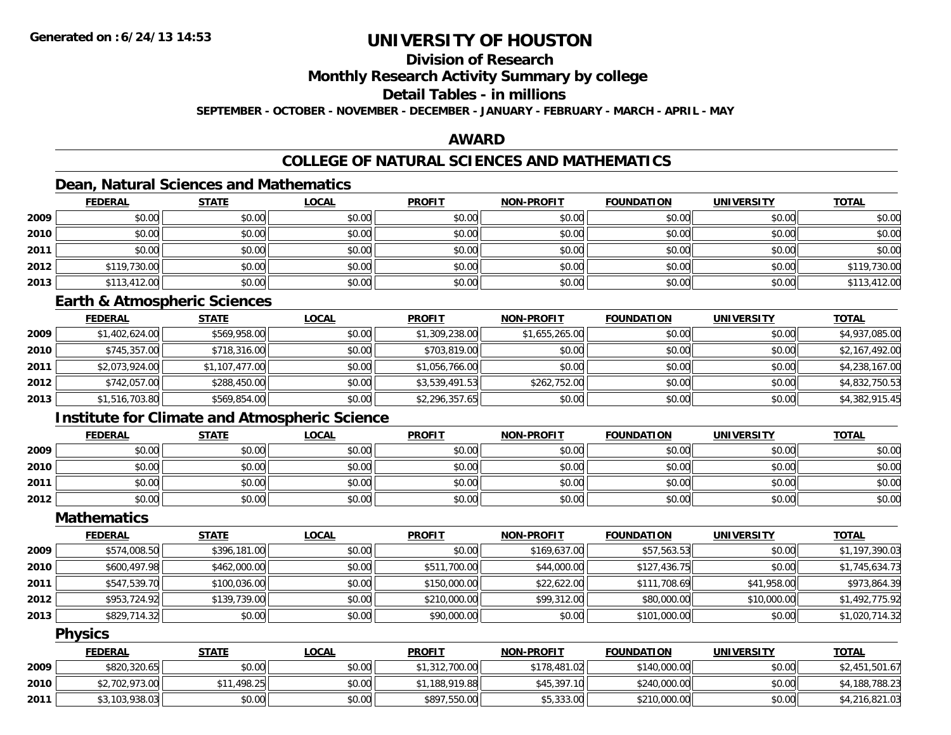### **Division of Research**

**Monthly Research Activity Summary by college**

### **Detail Tables - in millions**

**SEPTEMBER - OCTOBER - NOVEMBER - DECEMBER - JANUARY - FEBRUARY - MARCH - APRIL - MAY**

### **AWARD**

### **COLLEGE OF NATURAL SCIENCES AND MATHEMATICS**

### **Dean, Natural Sciences and Mathematics**

|      | <b>FEDERAL</b> | <b>STATE</b> | <u>LOCAL</u> | <b>PROFIT</b> | <b>NON-PROFIT</b> | <b>FOUNDATION</b> | <b>UNIVERSITY</b> | <b>TOTAL</b> |
|------|----------------|--------------|--------------|---------------|-------------------|-------------------|-------------------|--------------|
| 2009 | \$0.00         | \$0.00       | \$0.00       | \$0.00        | \$0.00            | \$0.00            | \$0.00            | \$0.00       |
| 2010 | \$0.00         | \$0.00       | \$0.00       | \$0.00        | \$0.00            | \$0.00            | \$0.00            | \$0.00       |
| 2011 | \$0.00         | \$0.00       | \$0.00       | \$0.00        | \$0.00            | \$0.00            | \$0.00            | \$0.00       |
| 2012 | \$119,730.00   | \$0.00       | \$0.00       | \$0.00        | \$0.00            | \$0.00            | \$0.00            | \$119,730.00 |
| 2013 | \$113,412.00   | \$0.00       | \$0.00       | \$0.00        | \$0.00            | \$0.00            | \$0.00            | \$113,412.00 |

#### **Earth & Atmospheric Sciences**

|      | <b>FEDERAL</b> | <b>STATE</b>   | <b>LOCAL</b> | <b>PROFIT</b>  | <b>NON-PROFIT</b> | <b>FOUNDATION</b> | <b>UNIVERSITY</b> | <u>TOTAL</u>   |
|------|----------------|----------------|--------------|----------------|-------------------|-------------------|-------------------|----------------|
| 2009 | \$1,402,624.00 | \$569,958.00   | \$0.00       | \$1,309,238.00 | \$1,655,265.00    | \$0.00            | \$0.00            | \$4,937,085.00 |
| 2010 | \$745,357.00   | \$718,316.00   | \$0.00       | \$703,819.00   | \$0.00            | \$0.00            | \$0.00            | \$2,167,492.00 |
| 2011 | \$2,073,924.00 | \$1,107,477.00 | \$0.00       | \$1,056,766.00 | \$0.00            | \$0.00            | \$0.00            | \$4,238,167.00 |
| 2012 | \$742,057.00   | \$288,450.00   | \$0.00       | \$3,539,491.53 | \$262,752.00      | \$0.00            | \$0.00            | \$4,832,750.53 |
| 2013 | \$1,516,703.80 | \$569,854.00   | \$0.00       | \$2,296,357.65 | \$0.00            | \$0.00            | \$0.00            | \$4,382,915.45 |

### **Institute for Climate and Atmospheric Science**

|      | <b>FEDERAL</b> | <b>STATE</b> | <u>LOCAL</u> | <b>PROFIT</b> | <b>NON-PROFIT</b> | <b>FOUNDATION</b> | <b>UNIVERSITY</b> | <b>TOTAL</b> |
|------|----------------|--------------|--------------|---------------|-------------------|-------------------|-------------------|--------------|
| 2009 | \$0.00         | \$0.00       | \$0.00       | \$0.00        | \$0.00            | \$0.00            | \$0.00            | \$0.00       |
| 2010 | \$0.00         | \$0.00       | \$0.00       | \$0.00        | \$0.00            | \$0.00            | \$0.00            | \$0.00       |
| 2011 | \$0.00         | \$0.00       | \$0.00       | \$0.00        | \$0.00            | \$0.00            | \$0.00            | \$0.00       |
| 2012 | \$0.00         | \$0.00       | \$0.00       | \$0.00        | \$0.00            | \$0.00            | \$0.00            | \$0.00       |

#### **Mathematics**

|      | <b>FEDERAL</b> | <b>STATE</b> | <b>LOCAL</b> | <b>PROFIT</b> | <b>NON-PROFIT</b> | <b>FOUNDATION</b> | <b>UNIVERSITY</b> | <b>TOTAL</b>   |
|------|----------------|--------------|--------------|---------------|-------------------|-------------------|-------------------|----------------|
| 2009 | \$574,008.50   | \$396,181.00 | \$0.00       | \$0.00        | \$169,637.00      | \$57,563.53       | \$0.00            | \$1,197,390.03 |
| 2010 | \$600.497.98   | \$462,000.00 | \$0.00       | \$511,700.00  | \$44,000.00       | \$127,436.75      | \$0.00            | \$1,745,634.73 |
| 2011 | \$547,539.70   | \$100,036.00 | \$0.00       | \$150,000.00  | \$22,622.00       | \$111,708.69      | \$41,958.00       | \$973,864.39   |
| 2012 | \$953,724.92   | \$139,739.00 | \$0.00       | \$210,000.00  | \$99,312.00       | \$80,000.00       | \$10,000.00       | \$1,492,775.92 |
| 2013 | \$829,714.32   | \$0.00       | \$0.00       | \$90,000.00   | \$0.00            | \$101,000.00      | \$0.00            | \$1,020,714.32 |

#### **Physics**

|      | <b>FEDERAL</b> | <b>STATE</b> | <u>LOCAL</u> | <b>PROFIT</b>  | <b>NON-PROFIT</b> | <b>FOUNDATION</b> | <b>UNIVERSITY</b> | <b>TOTAL</b>   |
|------|----------------|--------------|--------------|----------------|-------------------|-------------------|-------------------|----------------|
| 2009 | \$820,320.65   | \$0.00       | \$0.00       | \$1,312,700.00 | \$178,481.02      | \$140,000,00      | \$0.00            | \$2,451,501.67 |
| 2010 | \$2,702,973.00 | \$11,498.25  | \$0.00       | \$1,188,919.88 | \$45,397.10       | \$240,000,00      | \$0.00            | \$4,188,788.23 |
| 2011 | \$3,103,938.03 | \$0.00       | \$0.00       | \$897,550.00   | \$5,333.00        | \$210,000.00      | \$0.00            | \$4,216,821.03 |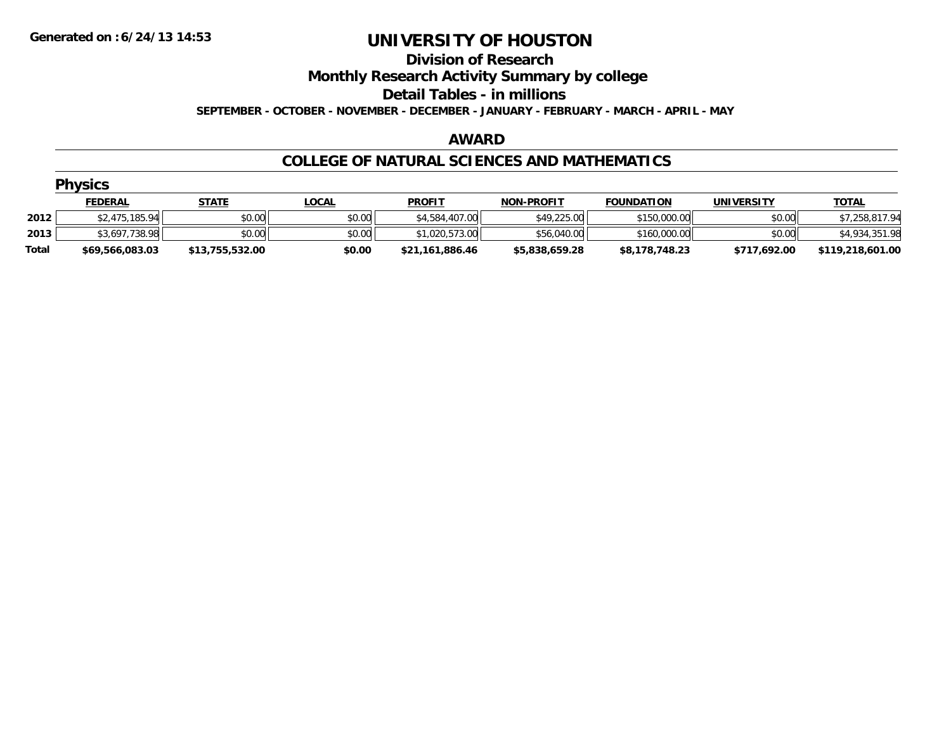#### **Division of Research Monthly Research Activity Summary by college Detail Tables - in millions SEPTEMBER - OCTOBER - NOVEMBER - DECEMBER - JANUARY - FEBRUARY - MARCH - APRIL - MAY**

#### **AWARD**

#### **COLLEGE OF NATURAL SCIENCES AND MATHEMATICS**

|       | <b>Physics</b>  |                 |              |                 |                   |                   |                   |                  |  |  |  |
|-------|-----------------|-----------------|--------------|-----------------|-------------------|-------------------|-------------------|------------------|--|--|--|
|       | <b>FEDERAL</b>  | <b>STATE</b>    | <u>LOCAL</u> | <b>PROFIT</b>   | <b>NON-PROFIT</b> | <b>FOUNDATION</b> | <b>UNIVERSITY</b> | <b>TOTAL</b>     |  |  |  |
| 2012  | \$2,475,185.94  | \$0.00          | \$0.00       | \$4,584,407.00  | \$49,225.00       | \$150,000.00      | \$0.00            | \$7,258,817.94   |  |  |  |
| 2013  | \$3,697,738.98  | \$0.00          | \$0.00       | \$1,020,573.00  | \$56,040.00       | \$160,000.00      | \$0.00            | \$4,934,351.98   |  |  |  |
| Total | \$69,566,083.03 | \$13,755,532.00 | \$0.00       | \$21,161,886.46 | \$5,838,659.28    | \$8,178,748.23    | \$717,692.00      | \$119,218,601.00 |  |  |  |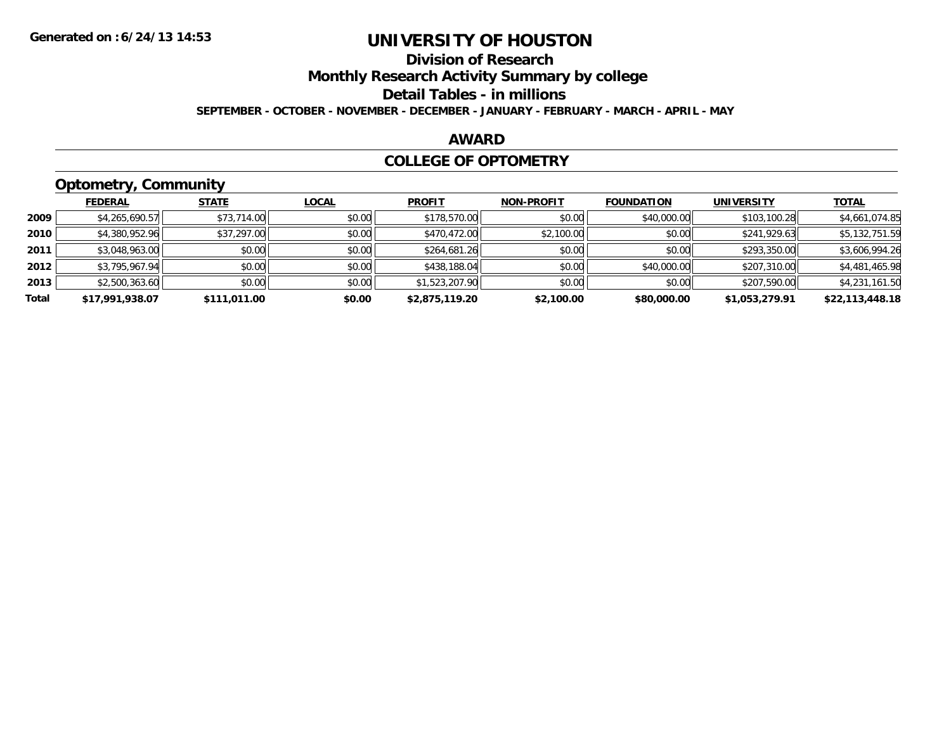### **Division of Research**

**Monthly Research Activity Summary by college**

**Detail Tables - in millions**

**SEPTEMBER - OCTOBER - NOVEMBER - DECEMBER - JANUARY - FEBRUARY - MARCH - APRIL - MAY**

#### **AWARD**

#### **COLLEGE OF OPTOMETRY**

### **Optometry, Community**

|       | ___             |              |              |                |                   |                   |                   |                 |
|-------|-----------------|--------------|--------------|----------------|-------------------|-------------------|-------------------|-----------------|
|       | <b>FEDERAL</b>  | <b>STATE</b> | <u>LOCAL</u> | <b>PROFIT</b>  | <b>NON-PROFIT</b> | <b>FOUNDATION</b> | <b>UNIVERSITY</b> | <b>TOTAL</b>    |
| 2009  | \$4,265,690.57  | \$73,714.00  | \$0.00       | \$178,570.00   | \$0.00            | \$40,000.00       | \$103,100.28      | \$4,661,074.85  |
| 2010  | \$4,380,952.96  | \$37,297.00  | \$0.00       | \$470,472.00   | \$2,100.00        | \$0.00            | \$241,929.63      | \$5,132,751.59  |
| 2011  | \$3,048,963.00  | \$0.00       | \$0.00       | \$264,681.26   | \$0.00            | \$0.00            | \$293,350.00      | \$3,606,994.26  |
| 2012  | \$3,795,967.94  | \$0.00       | \$0.00       | \$438,188.04   | \$0.00            | \$40,000.00       | \$207,310.00      | \$4,481,465.98  |
| 2013  | \$2,500,363.60  | \$0.00       | \$0.00       | \$1,523,207.90 | \$0.00            | \$0.00            | \$207,590.00      | \$4,231,161.50  |
| Total | \$17,991,938.07 | \$111.011.00 | \$0.00       | \$2,875,119.20 | \$2,100.00        | \$80,000.00       | \$1,053,279.91    | \$22,113,448.18 |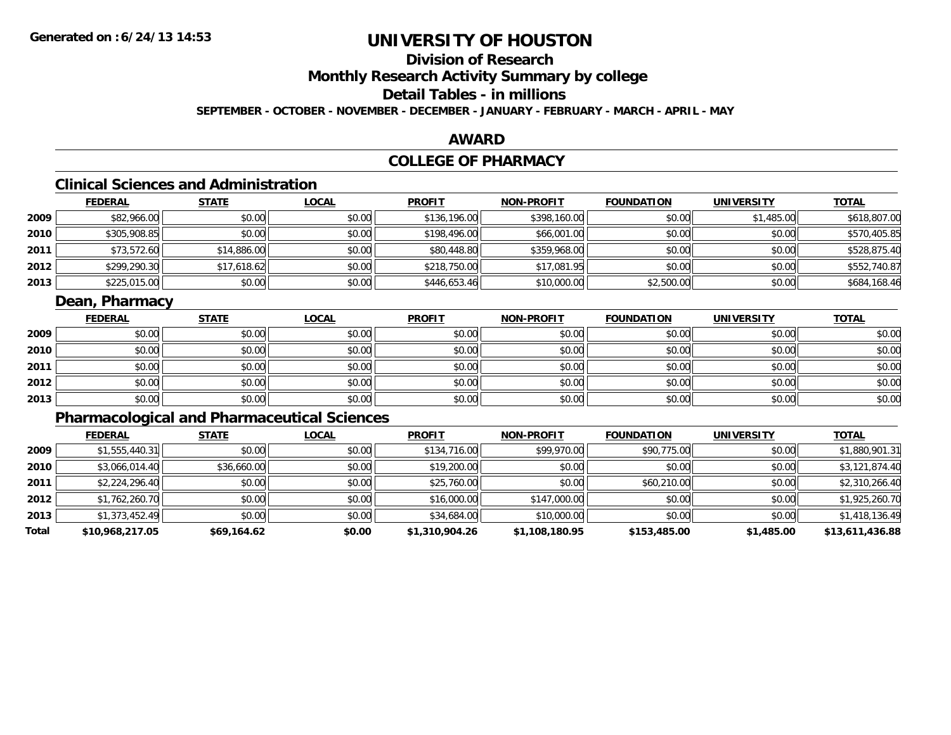### **Division of Research**

**Monthly Research Activity Summary by college**

### **Detail Tables - in millions**

**SEPTEMBER - OCTOBER - NOVEMBER - DECEMBER - JANUARY - FEBRUARY - MARCH - APRIL - MAY**

#### **AWARD**

### **COLLEGE OF PHARMACY**

### **Clinical Sciences and Administration**

|      | <b>FEDERAL</b> | <u>STATE</u> | <b>LOCAL</b> | <b>PROFIT</b> | <b>NON-PROFIT</b> | <b>FOUNDATION</b> | <b>UNIVERSITY</b> | <b>TOTAL</b> |
|------|----------------|--------------|--------------|---------------|-------------------|-------------------|-------------------|--------------|
| 2009 | \$82,966.00    | \$0.00       | \$0.00       | \$136,196.00  | \$398,160.00      | \$0.00            | \$1,485.00        | \$618,807.00 |
| 2010 | \$305,908.85   | \$0.00       | \$0.00       | \$198,496.00  | \$66,001.00       | \$0.00            | \$0.00            | \$570,405.85 |
| 2011 | \$73,572.60    | \$14,886.00  | \$0.00       | \$80,448.80   | \$359,968.00      | \$0.00            | \$0.00            | \$528,875.40 |
| 2012 | \$299,290.30   | \$17,618.62  | \$0.00       | \$218,750.00  | \$17,081.95       | \$0.00            | \$0.00            | \$552,740.87 |
| 2013 | \$225,015.00   | \$0.00       | \$0.00       | \$446,653.46  | \$10,000.00       | \$2,500.00        | \$0.00            | \$684,168.46 |

#### **Dean, Pharmacy**

|      | <b>FEDERAL</b> | <b>STATE</b> | <u>LOCAL</u> | <b>PROFIT</b> | <b>NON-PROFIT</b> | <b>FOUNDATION</b> | <b>UNIVERSITY</b> | <b>TOTAL</b> |
|------|----------------|--------------|--------------|---------------|-------------------|-------------------|-------------------|--------------|
| 2009 | \$0.00         | \$0.00       | \$0.00       | \$0.00        | \$0.00            | \$0.00            | \$0.00            | \$0.00       |
| 2010 | \$0.00         | \$0.00       | \$0.00       | \$0.00        | \$0.00            | \$0.00            | \$0.00            | \$0.00       |
| 2011 | \$0.00         | \$0.00       | \$0.00       | \$0.00        | \$0.00            | \$0.00            | \$0.00            | \$0.00       |
| 2012 | \$0.00         | \$0.00       | \$0.00       | \$0.00        | \$0.00            | \$0.00            | \$0.00            | \$0.00       |
| 2013 | \$0.00         | \$0.00       | \$0.00       | \$0.00        | \$0.00            | \$0.00            | \$0.00            | \$0.00       |

### **Pharmacological and Pharmaceutical Sciences**

|       | <b>FEDERAL</b>  | <b>STATE</b> | <b>LOCAL</b> | <b>PROFIT</b>  | <b>NON-PROFIT</b> | <b>FOUNDATION</b> | <b>UNIVERSITY</b> | <b>TOTAL</b>    |
|-------|-----------------|--------------|--------------|----------------|-------------------|-------------------|-------------------|-----------------|
| 2009  | \$1,555,440.31  | \$0.00       | \$0.00       | \$134,716.00   | \$99,970.00       | \$90,775.00       | \$0.00            | \$1,880,901.31  |
| 2010  | \$3,066,014.40  | \$36,660.00  | \$0.00       | \$19,200.00    | \$0.00            | \$0.00            | \$0.00            | \$3,121,874.40  |
| 2011  | \$2,224,296.40  | \$0.00       | \$0.00       | \$25,760.00    | \$0.00            | \$60,210.00       | \$0.00            | \$2,310,266.40  |
| 2012  | \$1,762,260.70  | \$0.00       | \$0.00       | \$16,000.00    | \$147,000.00      | \$0.00            | \$0.00            | \$1,925,260.70  |
| 2013  | \$1,373,452.49  | \$0.00       | \$0.00       | \$34,684.00    | \$10,000.00       | \$0.00            | \$0.00            | \$1,418,136.49  |
| Total | \$10,968,217.05 | \$69,164.62  | \$0.00       | \$1,310,904.26 | \$1,108,180.95    | \$153,485.00      | \$1,485.00        | \$13,611,436.88 |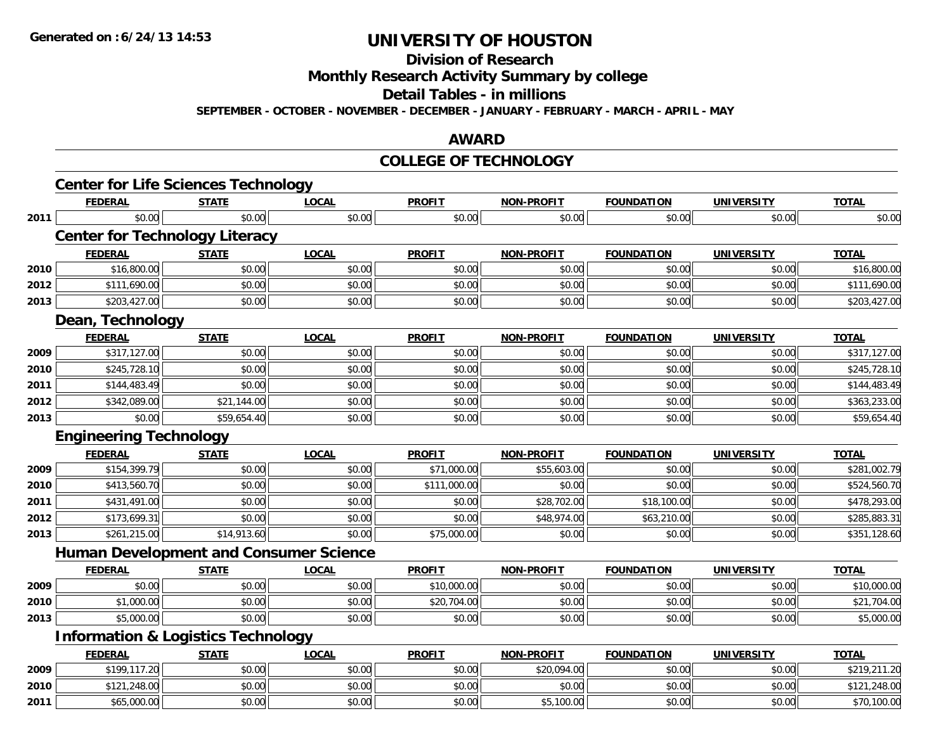**Division of Research**

**Monthly Research Activity Summary by college**

**Detail Tables - in millions**

**SEPTEMBER - OCTOBER - NOVEMBER - DECEMBER - JANUARY - FEBRUARY - MARCH - APRIL - MAY**

#### **AWARD**

#### **COLLEGE OF TECHNOLOGY**

|                      | <b>Center for Life Sciences Technology</b><br><b>FEDERAL</b> | <b>STATE</b> | <b>LOCAL</b> | <b>PROFIT</b> | <b>NON-PROFIT</b> | <b>FOUNDATION</b> | <b>UNIVERSITY</b> | <b>TOTAL</b> |
|----------------------|--------------------------------------------------------------|--------------|--------------|---------------|-------------------|-------------------|-------------------|--------------|
| 2011                 | \$0.00                                                       | \$0.00       | \$0.00       | \$0.00        | \$0.00            | \$0.00            | \$0.00            | \$0.00       |
|                      | <b>Center for Technology Literacy</b>                        |              |              |               |                   |                   |                   |              |
|                      | <b>FEDERAL</b>                                               | <b>STATE</b> | <b>LOCAL</b> | <b>PROFIT</b> | <b>NON-PROFIT</b> | <b>FOUNDATION</b> | <b>UNIVERSITY</b> | <b>TOTAL</b> |
| 2010                 | \$16,800.00                                                  | \$0.00       | \$0.00       | \$0.00        | \$0.00            | \$0.00            | \$0.00            | \$16,800.00  |
| 2012                 | \$111,690.00                                                 | \$0.00       | \$0.00       | \$0.00        | \$0.00            | \$0.00            | \$0.00            | \$111,690.00 |
| 2013                 | \$203,427.00                                                 | \$0.00       | \$0.00       | \$0.00        | \$0.00            | \$0.00            | \$0.00            | \$203,427.00 |
|                      | Dean, Technology                                             |              |              |               |                   |                   |                   |              |
|                      | <b>FEDERAL</b>                                               | <b>STATE</b> | <b>LOCAL</b> | <b>PROFIT</b> | <b>NON-PROFIT</b> | <b>FOUNDATION</b> | <b>UNIVERSITY</b> | <b>TOTAL</b> |
| 2009                 | \$317,127.00                                                 | \$0.00       | \$0.00       | \$0.00        | \$0.00            | \$0.00            | \$0.00            | \$317,127.00 |
| 2010                 | \$245,728.10                                                 | \$0.00       | \$0.00       | \$0.00        | \$0.00            | \$0.00            | \$0.00            | \$245,728.10 |
| 2011                 | \$144,483.49                                                 | \$0.00       | \$0.00       | \$0.00        | \$0.00            | \$0.00            | \$0.00            | \$144,483.49 |
| 2012                 | \$342,089.00                                                 | \$21,144.00  | \$0.00       | \$0.00        | \$0.00            | \$0.00            | \$0.00            | \$363,233.00 |
| 2013                 | \$0.00                                                       | \$59,654.40  | \$0.00       | \$0.00        | \$0.00            | \$0.00            | \$0.00            | \$59,654.40  |
|                      | <b>Engineering Technology</b>                                |              |              |               |                   |                   |                   |              |
|                      | <b>FEDERAL</b>                                               | <b>STATE</b> | <b>LOCAL</b> | <b>PROFIT</b> | <b>NON-PROFIT</b> | <b>FOUNDATION</b> | <b>UNIVERSITY</b> | <b>TOTAL</b> |
| 2009                 | \$154,399.79                                                 | \$0.00       | \$0.00       | \$71,000.00   | \$55,603.00       | \$0.00            | \$0.00            | \$281,002.79 |
| 2010                 | \$413,560.70                                                 | \$0.00       | \$0.00       | \$111,000.00  | \$0.00            | \$0.00            | \$0.00            | \$524,560.70 |
| 2011                 | \$431,491.00                                                 | \$0.00       | \$0.00       | \$0.00        | \$28,702.00       | \$18,100.00       | \$0.00            | \$478,293.00 |
| 2012                 | \$173,699.31                                                 | \$0.00       | \$0.00       | \$0.00        | \$48,974.00       | \$63,210.00       | \$0.00            | \$285,883.31 |
| 2013                 | \$261,215.00                                                 | \$14,913.60  | \$0.00       | \$75,000.00   | \$0.00            | \$0.00            | \$0.00            | \$351,128.60 |
|                      | <b>Human Development and Consumer Science</b>                |              |              |               |                   |                   |                   |              |
|                      | <b>FEDERAL</b>                                               | <b>STATE</b> | <b>LOCAL</b> | <b>PROFIT</b> | <b>NON-PROFIT</b> | <b>FOUNDATION</b> | <b>UNIVERSITY</b> | <b>TOTAL</b> |
| 2009                 | \$0.00                                                       | \$0.00       | \$0.00       | \$10,000.00   | \$0.00            | \$0.00            | \$0.00            | \$10,000.00  |
| 2010                 | \$1,000.00                                                   | \$0.00       | \$0.00       | \$20,704.00   | \$0.00            | \$0.00            | \$0.00            | \$21,704.00  |
|                      | \$5,000.00                                                   | \$0.00       | \$0.00       | \$0.00        | \$0.00            | \$0.00            | \$0.00            | \$5,000.00   |
|                      |                                                              |              |              |               |                   |                   |                   |              |
|                      | <b>Information &amp; Logistics Technology</b>                |              |              |               |                   |                   |                   |              |
|                      | <b>FEDERAL</b>                                               | <b>STATE</b> | <b>LOCAL</b> | <b>PROFIT</b> | <b>NON-PROFIT</b> | <b>FOUNDATION</b> | <b>UNIVERSITY</b> | <b>TOTAL</b> |
|                      | \$199,117.20                                                 | \$0.00       | \$0.00       | \$0.00        | \$20,094.00       | \$0.00            | \$0.00            | \$219,211.20 |
| 2013<br>2009<br>2010 | \$121,248.00                                                 | \$0.00       | \$0.00       | \$0.00        | \$0.00            | \$0.00            | \$0.00            | \$121,248.00 |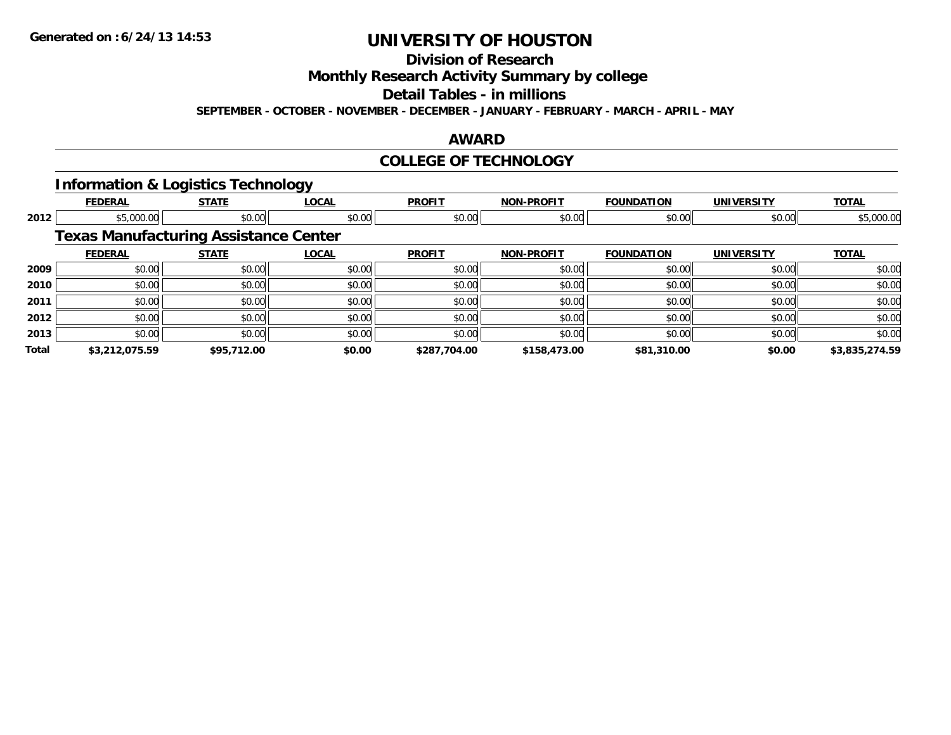**Division of Research**

**Monthly Research Activity Summary by college**

**Detail Tables - in millions**

**SEPTEMBER - OCTOBER - NOVEMBER - DECEMBER - JANUARY - FEBRUARY - MARCH - APRIL - MAY**

#### **AWARD**

#### **COLLEGE OF TECHNOLOGY**

#### **Information & Logistics Technology**

|       | <b>FEDERAL</b>                               | <b>STATE</b> | <b>LOCAL</b> | <b>PROFIT</b> | <b>NON-PROFIT</b> | <b>FOUNDATION</b> | <b>UNIVERSITY</b> | <b>TOTAL</b>   |
|-------|----------------------------------------------|--------------|--------------|---------------|-------------------|-------------------|-------------------|----------------|
| 2012  | \$5,000.00                                   | \$0.00       | \$0.00       | \$0.00        | \$0.00            | \$0.00            | \$0.00            | \$5,000.00     |
|       | <b>Texas Manufacturing Assistance Center</b> |              |              |               |                   |                   |                   |                |
|       | <b>FEDERAL</b>                               | <b>STATE</b> | <b>LOCAL</b> | <b>PROFIT</b> | <b>NON-PROFIT</b> | <b>FOUNDATION</b> | <b>UNIVERSITY</b> | <b>TOTAL</b>   |
| 2009  | \$0.00                                       | \$0.00       | \$0.00       | \$0.00        | \$0.00            | \$0.00            | \$0.00            | \$0.00         |
| 2010  | \$0.00                                       | \$0.00       | \$0.00       | \$0.00        | \$0.00            | \$0.00            | \$0.00            | \$0.00         |
| 2011  | \$0.00                                       | \$0.00       | \$0.00       | \$0.00        | \$0.00            | \$0.00            | \$0.00            | \$0.00         |
| 2012  | \$0.00                                       | \$0.00       | \$0.00       | \$0.00        | \$0.00            | \$0.00            | \$0.00            | \$0.00         |
| 2013  | \$0.00                                       | \$0.00       | \$0.00       | \$0.00        | \$0.00            | \$0.00            | \$0.00            | \$0.00         |
| Total | \$3,212,075.59                               | \$95,712.00  | \$0.00       | \$287,704.00  | \$158,473.00      | \$81,310.00       | \$0.00            | \$3,835,274.59 |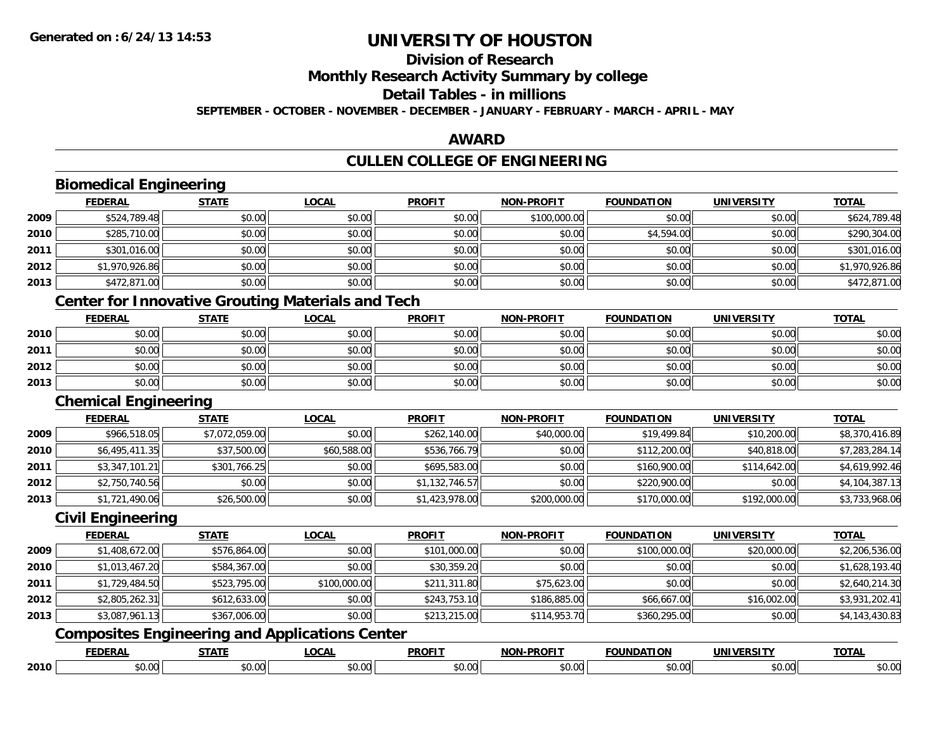### **Division of Research**

**Monthly Research Activity Summary by college**

**Detail Tables - in millions**

**SEPTEMBER - OCTOBER - NOVEMBER - DECEMBER - JANUARY - FEBRUARY - MARCH - APRIL - MAY**

#### **AWARD**

### **CULLEN COLLEGE OF ENGINEERING**

|      | <b>Biomedical Engineering</b> |                |                                                          |                |                   |                   |                   |                |
|------|-------------------------------|----------------|----------------------------------------------------------|----------------|-------------------|-------------------|-------------------|----------------|
|      | <b>FEDERAL</b>                | <b>STATE</b>   | <b>LOCAL</b>                                             | <b>PROFIT</b>  | <b>NON-PROFIT</b> | <b>FOUNDATION</b> | <b>UNIVERSITY</b> | <b>TOTAL</b>   |
| 2009 | \$524,789.48                  | \$0.00         | \$0.00                                                   | \$0.00         | \$100,000.00      | \$0.00            | \$0.00            | \$624,789.48   |
| 2010 | \$285,710.00                  | \$0.00         | \$0.00                                                   | \$0.00         | \$0.00            | \$4,594.00        | \$0.00            | \$290,304.00   |
| 2011 | \$301,016.00                  | \$0.00         | \$0.00                                                   | \$0.00         | \$0.00            | \$0.00            | \$0.00            | \$301,016.00   |
| 2012 | \$1,970,926.86                | \$0.00         | \$0.00                                                   | \$0.00         | \$0.00            | \$0.00            | \$0.00            | \$1,970,926.86 |
| 2013 | \$472,871.00                  | \$0.00         | \$0.00                                                   | \$0.00         | \$0.00            | \$0.00            | \$0.00            | \$472,871.00   |
|      |                               |                | <b>Center for Innovative Grouting Materials and Tech</b> |                |                   |                   |                   |                |
|      | <b>FEDERAL</b>                | <b>STATE</b>   | <b>LOCAL</b>                                             | <b>PROFIT</b>  | <b>NON-PROFIT</b> | <b>FOUNDATION</b> | <b>UNIVERSITY</b> | <b>TOTAL</b>   |
| 2010 | \$0.00                        | \$0.00         | \$0.00                                                   | \$0.00         | \$0.00            | \$0.00            | \$0.00            | \$0.00         |
| 2011 | \$0.00                        | \$0.00         | \$0.00                                                   | \$0.00         | \$0.00            | \$0.00            | \$0.00            | \$0.00         |
| 2012 | \$0.00                        | \$0.00         | \$0.00                                                   | \$0.00         | \$0.00            | \$0.00            | \$0.00            | \$0.00         |
| 2013 | \$0.00                        | \$0.00         | \$0.00                                                   | \$0.00         | \$0.00            | \$0.00            | \$0.00            | \$0.00         |
|      | <b>Chemical Engineering</b>   |                |                                                          |                |                   |                   |                   |                |
|      | <b>FEDERAL</b>                | <b>STATE</b>   | <b>LOCAL</b>                                             | <b>PROFIT</b>  | <b>NON-PROFIT</b> | <b>FOUNDATION</b> | <b>UNIVERSITY</b> | <b>TOTAL</b>   |
| 2009 | \$966,518.05                  | \$7,072,059.00 | \$0.00                                                   | \$262,140.00   | \$40,000.00       | \$19,499.84       | \$10,200.00       | \$8,370,416.89 |
| 2010 | \$6,495,411.35                | \$37,500.00    | \$60,588.00                                              | \$536,766.79   | \$0.00            | \$112,200.00      | \$40,818.00       | \$7,283,284.14 |
| 2011 | \$3,347,101.21                | \$301,766.25   | \$0.00                                                   | \$695,583.00   | \$0.00            | \$160,900.00      | \$114,642.00      | \$4,619,992.46 |
| 2012 | \$2,750,740.56                | \$0.00         | \$0.00                                                   | \$1,132,746.57 | \$0.00            | \$220,900.00      | \$0.00            | \$4,104,387.13 |
| 2013 | \$1,721,490.06                | \$26,500.00    | \$0.00                                                   | \$1,423,978.00 | \$200,000.00      | \$170,000.00      | \$192,000.00      | \$3,733,968.06 |
|      | <b>Civil Engineering</b>      |                |                                                          |                |                   |                   |                   |                |
|      | <b>FEDERAL</b>                | <b>STATE</b>   | <b>LOCAL</b>                                             | <b>PROFIT</b>  | <b>NON-PROFIT</b> | <b>FOUNDATION</b> | <b>UNIVERSITY</b> | <b>TOTAL</b>   |
| 2009 | \$1,408,672.00                | \$576,864.00   | \$0.00                                                   | \$101,000.00   | \$0.00            | \$100,000.00      | \$20,000.00       | \$2,206,536.00 |
| 2010 | \$1,013,467.20                | \$584,367.00   | \$0.00                                                   | \$30,359.20    | \$0.00            | \$0.00            | \$0.00            | \$1,628,193.40 |
| 2011 | \$1,729,484.50                | \$523,795.00   | \$100,000.00                                             | \$211,311.80   | \$75,623.00       | \$0.00            | \$0.00            | \$2,640,214.30 |
| 2012 | \$2,805,262.31                | \$612,633.00   | \$0.00                                                   | \$243,753.10   | \$186,885.00      | \$66,667.00       | \$16,002.00       | \$3,931,202.41 |
| 2013 | \$3,087,961.13                | \$367,006.00   | \$0.00                                                   | \$213,215.00   | \$114,953.70      | \$360,295.00      | \$0.00            | \$4,143,430.83 |
|      |                               |                | <b>Composites Engineering and Applications Center</b>    |                |                   |                   |                   |                |
|      | <b>FEDERAL</b>                | <b>STATE</b>   | <b>LOCAL</b>                                             | <b>PROFIT</b>  | <b>NON-PROFIT</b> | <b>FOUNDATION</b> | <b>UNIVERSITY</b> | <b>TOTAL</b>   |
| 2010 | \$0.00                        | \$0.00         | \$0.00                                                   | \$0.00         | \$0.00            | \$0.00            | \$0.00            | \$0.00         |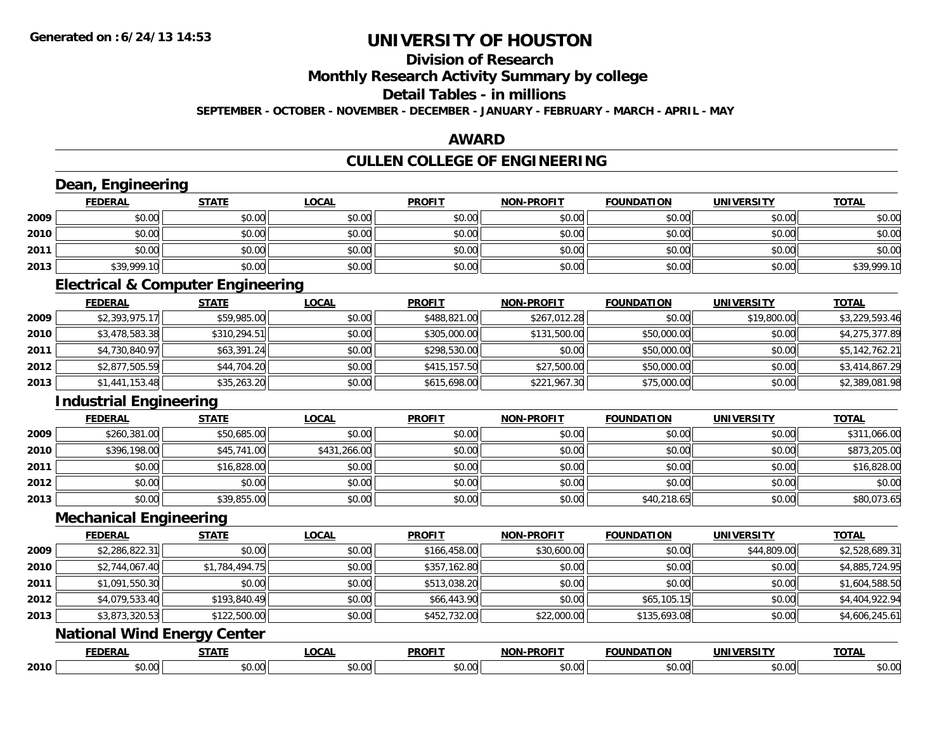#### **Division of Research**

**Monthly Research Activity Summary by college**

**Detail Tables - in millions**

**SEPTEMBER - OCTOBER - NOVEMBER - DECEMBER - JANUARY - FEBRUARY - MARCH - APRIL - MAY**

#### **AWARD**

### **CULLEN COLLEGE OF ENGINEERING**

|      | Dean, Engineering                  |                                              |              |               |                   |                   |                   |                |
|------|------------------------------------|----------------------------------------------|--------------|---------------|-------------------|-------------------|-------------------|----------------|
|      | <b>FEDERAL</b>                     | <b>STATE</b>                                 | <b>LOCAL</b> | <b>PROFIT</b> | <b>NON-PROFIT</b> | <b>FOUNDATION</b> | <b>UNIVERSITY</b> | <b>TOTAL</b>   |
| 2009 | \$0.00                             | \$0.00                                       | \$0.00       | \$0.00        | \$0.00            | \$0.00            | \$0.00            | \$0.00         |
| 2010 | \$0.00                             | \$0.00                                       | \$0.00       | \$0.00        | \$0.00            | \$0.00            | \$0.00            | \$0.00         |
| 2011 | \$0.00                             | \$0.00                                       | \$0.00       | \$0.00        | \$0.00            | \$0.00            | \$0.00            | \$0.00         |
| 2013 | \$39,999.10                        | \$0.00                                       | \$0.00       | \$0.00        | \$0.00            | \$0.00            | \$0.00            | \$39,999.10    |
|      |                                    | <b>Electrical &amp; Computer Engineering</b> |              |               |                   |                   |                   |                |
|      | <b>FEDERAL</b>                     | <b>STATE</b>                                 | <b>LOCAL</b> | <b>PROFIT</b> | NON-PROFIT        | <b>FOUNDATION</b> | <b>UNIVERSITY</b> | <b>TOTAL</b>   |
| 2009 | \$2,393,975.17                     | \$59,985.00                                  | \$0.00       | \$488,821.00  | \$267,012.28      | \$0.00            | \$19,800.00       | \$3,229,593.46 |
| 2010 | \$3,478,583.38                     | \$310,294.51                                 | \$0.00       | \$305,000.00  | \$131,500.00      | \$50,000.00       | \$0.00            | \$4,275,377.89 |
| 2011 | \$4,730,840.97                     | \$63,391.24                                  | \$0.00       | \$298,530.00  | \$0.00            | \$50,000.00       | \$0.00            | \$5,142,762.21 |
| 2012 | \$2,877,505.59                     | \$44,704.20                                  | \$0.00       | \$415,157.50  | \$27,500.00       | \$50,000.00       | \$0.00            | \$3,414,867.29 |
| 2013 | \$1,441,153.48                     | \$35,263.20                                  | \$0.00       | \$615,698.00  | \$221,967.30      | \$75,000.00       | \$0.00            | \$2,389,081.98 |
|      | <b>Industrial Engineering</b>      |                                              |              |               |                   |                   |                   |                |
|      | <b>FEDERAL</b>                     | <b>STATE</b>                                 | <b>LOCAL</b> | <b>PROFIT</b> | <b>NON-PROFIT</b> | <b>FOUNDATION</b> | <b>UNIVERSITY</b> | <b>TOTAL</b>   |
| 2009 | \$260,381.00                       | \$50,685.00                                  | \$0.00       | \$0.00        | \$0.00            | \$0.00            | \$0.00            | \$311,066.00   |
| 2010 | \$396,198.00                       | \$45,741.00                                  | \$431,266.00 | \$0.00        | \$0.00            | \$0.00            | \$0.00            | \$873,205.00   |
| 2011 | \$0.00                             | \$16,828.00                                  | \$0.00       | \$0.00        | \$0.00            | \$0.00            | \$0.00            | \$16,828.00    |
| 2012 | \$0.00                             | \$0.00                                       | \$0.00       | \$0.00        | \$0.00            | \$0.00            | \$0.00            | \$0.00         |
| 2013 | \$0.00                             | \$39,855.00                                  | \$0.00       | \$0.00        | \$0.00            | \$40,218.65       | \$0.00            | \$80,073.65    |
|      | <b>Mechanical Engineering</b>      |                                              |              |               |                   |                   |                   |                |
|      | <b>FEDERAL</b>                     | <b>STATE</b>                                 | <b>LOCAL</b> | <b>PROFIT</b> | <b>NON-PROFIT</b> | <b>FOUNDATION</b> | <b>UNIVERSITY</b> | <b>TOTAL</b>   |
| 2009 | \$2,286,822.31                     | \$0.00                                       | \$0.00       | \$166,458.00  | \$30,600.00       | \$0.00            | \$44,809.00       | \$2,528,689.31 |
| 2010 | \$2,744,067.40                     | \$1,784,494.75                               | \$0.00       | \$357,162.80  | \$0.00            | \$0.00            | \$0.00            | \$4,885,724.95 |
| 2011 | \$1,091,550.30                     | \$0.00                                       | \$0.00       | \$513,038.20  | \$0.00            | \$0.00            | \$0.00            | \$1,604,588.50 |
| 2012 | \$4,079,533.40                     | \$193,840.49                                 | \$0.00       | \$66,443.90   | \$0.00            | \$65,105.15       | \$0.00            | \$4,404,922.94 |
| 2013 | \$3,873,320.53                     | \$122,500.00                                 | \$0.00       | \$452,732.00  | \$22,000.00       | \$135,693.08      | \$0.00            | \$4,606,245.61 |
|      | <b>National Wind Energy Center</b> |                                              |              |               |                   |                   |                   |                |
|      | <b>FEDERAL</b>                     | <b>STATE</b>                                 | <b>LOCAL</b> | <b>PROFIT</b> | <b>NON-PROFIT</b> | <b>FOUNDATION</b> | <b>UNIVERSITY</b> | <b>TOTAL</b>   |
| 2010 | \$0.00                             | \$0.00                                       | \$0.00       | \$0.00        | \$0.00            | \$0.00            | \$0.00            | \$0.00         |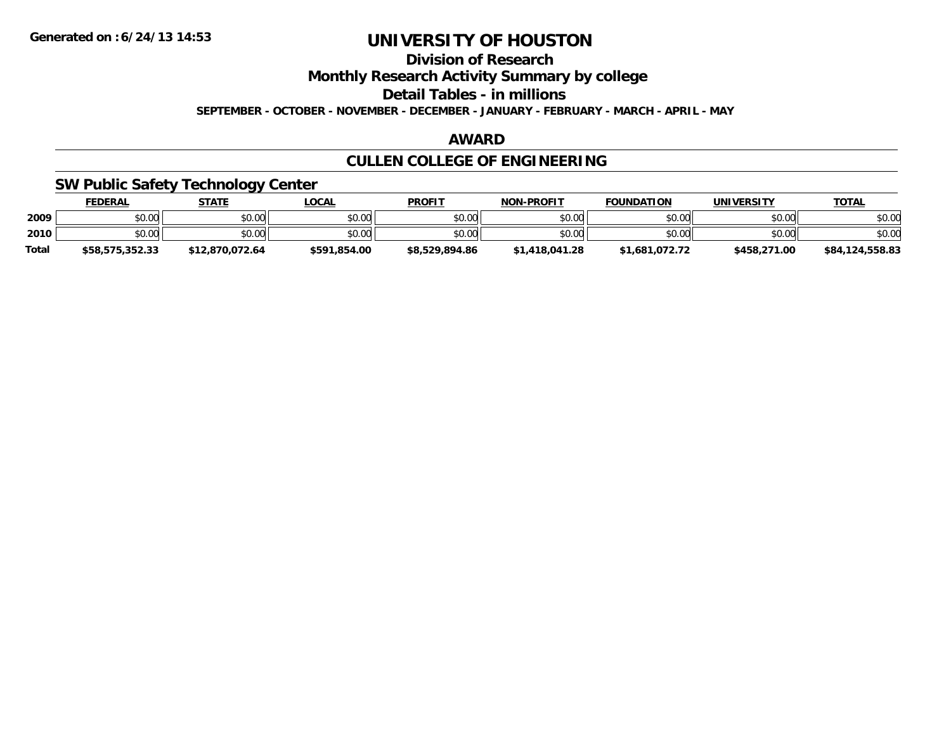### **Division of Research**

**Monthly Research Activity Summary by college**

**Detail Tables - in millions**

**SEPTEMBER - OCTOBER - NOVEMBER - DECEMBER - JANUARY - FEBRUARY - MARCH - APRIL - MAY**

#### **AWARD**

### **CULLEN COLLEGE OF ENGINEERING**

#### **SW Public Safety Technology Center**

|              | <b>FEDERAL</b>  | <b>STATE</b>    | LOCAL        | <b>PROFIT</b>  | <b>NON-PROFIT</b> | <b>FOUNDATION</b> | UNIVERSITY   | <b>TOTAL</b>    |
|--------------|-----------------|-----------------|--------------|----------------|-------------------|-------------------|--------------|-----------------|
| 2009         | \$0.00          | \$0.00          | \$0.00       | \$0.00         | \$0.00            | \$0.00            | \$0.00       | \$0.00          |
| 2010         | \$0.00          | \$0.00          | \$0.00       | \$0.00         | \$0.00            | \$0.00            | \$0.00       | \$0.00          |
| <b>Total</b> | \$58,575,352.33 | \$12.870.072.64 | \$591.854.00 | \$8,529,894.86 | \$1,418,041.28    | \$1,681,072.72    | \$458,271.00 | \$84,124,558.83 |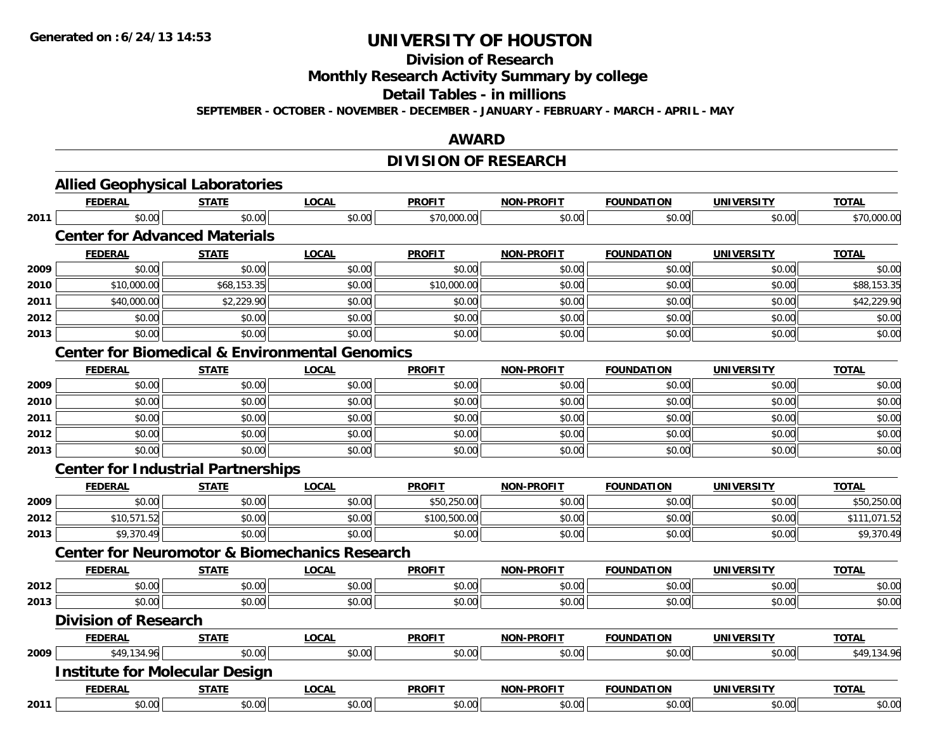**Division of Research**

**Monthly Research Activity Summary by college**

**Detail Tables - in millions**

**SEPTEMBER - OCTOBER - NOVEMBER - DECEMBER - JANUARY - FEBRUARY - MARCH - APRIL - MAY**

#### **AWARD**

### **DIVISION OF RESEARCH**

|      | <b>Allied Geophysical Laboratories</b>                    |              |              |               |                   |                   |                   |              |
|------|-----------------------------------------------------------|--------------|--------------|---------------|-------------------|-------------------|-------------------|--------------|
|      | <b>FEDERAL</b>                                            | <b>STATE</b> | <b>LOCAL</b> | <b>PROFIT</b> | <b>NON-PROFIT</b> | <b>FOUNDATION</b> | <b>UNIVERSITY</b> | <b>TOTAL</b> |
| 2011 | \$0.00                                                    | \$0.00       | \$0.00       | \$70,000.00   | \$0.00            | \$0.00            | \$0.00            | \$70,000.00  |
|      | <b>Center for Advanced Materials</b>                      |              |              |               |                   |                   |                   |              |
|      | <b>FEDERAL</b>                                            | <b>STATE</b> | <b>LOCAL</b> | <b>PROFIT</b> | <b>NON-PROFIT</b> | <b>FOUNDATION</b> | <b>UNIVERSITY</b> | <b>TOTAL</b> |
| 2009 | \$0.00                                                    | \$0.00       | \$0.00       | \$0.00        | \$0.00            | \$0.00            | \$0.00            | \$0.00       |
| 2010 | \$10,000.00                                               | \$68,153.35  | \$0.00       | \$10,000.00   | \$0.00            | \$0.00            | \$0.00            | \$88,153.35  |
| 2011 | \$40,000.00                                               | \$2,229.90   | \$0.00       | \$0.00        | \$0.00            | \$0.00            | \$0.00            | \$42,229.90  |
| 2012 | \$0.00                                                    | \$0.00       | \$0.00       | \$0.00        | \$0.00            | \$0.00            | \$0.00            | \$0.00       |
| 2013 | \$0.00                                                    | \$0.00       | \$0.00       | \$0.00        | \$0.00            | \$0.00            | \$0.00            | \$0.00       |
|      | <b>Center for Biomedical &amp; Environmental Genomics</b> |              |              |               |                   |                   |                   |              |
|      | <b>FEDERAL</b>                                            | <b>STATE</b> | <b>LOCAL</b> | <b>PROFIT</b> | <b>NON-PROFIT</b> | <b>FOUNDATION</b> | <b>UNIVERSITY</b> | <b>TOTAL</b> |
| 2009 | \$0.00                                                    | \$0.00       | \$0.00       | \$0.00        | \$0.00            | \$0.00            | \$0.00            | \$0.00       |
| 2010 | \$0.00                                                    | \$0.00       | \$0.00       | \$0.00        | \$0.00            | \$0.00            | \$0.00            | \$0.00       |
| 2011 | \$0.00                                                    | \$0.00       | \$0.00       | \$0.00        | \$0.00            | \$0.00            | \$0.00            | \$0.00       |
| 2012 | \$0.00                                                    | \$0.00       | \$0.00       | \$0.00        | \$0.00            | \$0.00            | \$0.00            | \$0.00       |
| 2013 | \$0.00                                                    | \$0.00       | \$0.00       | \$0.00        | \$0.00            | \$0.00            | \$0.00            | \$0.00       |
|      | <b>Center for Industrial Partnerships</b>                 |              |              |               |                   |                   |                   |              |
|      | <b>FEDERAL</b>                                            | <b>STATE</b> | <b>LOCAL</b> | <b>PROFIT</b> | <b>NON-PROFIT</b> | <b>FOUNDATION</b> | <b>UNIVERSITY</b> | <b>TOTAL</b> |
| 2009 | \$0.00                                                    | \$0.00       | \$0.00       | \$50,250.00   | \$0.00            | \$0.00            | \$0.00            | \$50,250.00  |
| 2012 | \$10,571.52                                               | \$0.00       | \$0.00       | \$100,500.00  | \$0.00            | \$0.00            | \$0.00            | \$111,071.52 |
| 2013 | \$9,370.49                                                | \$0.00       | \$0.00       | \$0.00        | \$0.00            | \$0.00            | \$0.00            | \$9,370.49   |
|      | <b>Center for Neuromotor &amp; Biomechanics Research</b>  |              |              |               |                   |                   |                   |              |
|      | <b>FEDERAL</b>                                            | <b>STATE</b> | <b>LOCAL</b> | <b>PROFIT</b> | <b>NON-PROFIT</b> | <b>FOUNDATION</b> | <b>UNIVERSITY</b> | <b>TOTAL</b> |
| 2012 | \$0.00                                                    | \$0.00       | \$0.00       | \$0.00        | \$0.00            | \$0.00            | \$0.00            | \$0.00       |
| 2013 | \$0.00                                                    | \$0.00       | \$0.00       | \$0.00        | \$0.00            | \$0.00            | \$0.00            | \$0.00       |
|      | <b>Division of Research</b>                               |              |              |               |                   |                   |                   |              |
|      | <b>FEDERAL</b>                                            | <b>STATE</b> | <b>LOCAL</b> | <b>PROFIT</b> | NON-PROFIT        | <b>FOUNDATION</b> | <b>UNIVERSITY</b> | <b>TOTAL</b> |
| 2009 | \$49,134.96                                               | \$0.00       | \$0.00       | \$0.00        | \$0.00            | \$0.00            | \$0.00            | \$49,134.96  |
|      | <b>Institute for Molecular Design</b>                     |              |              |               |                   |                   |                   |              |
|      | <b>FEDERAL</b>                                            | <b>STATE</b> | <b>LOCAL</b> | <b>PROFIT</b> | NON-PROFIT        | <b>FOUNDATION</b> | <b>UNIVERSITY</b> | <b>TOTAL</b> |
| 2011 | \$0.00                                                    | \$0.00       | \$0.00       | \$0.00        | \$0.00            | \$0.00            | \$0.00            | \$0.00       |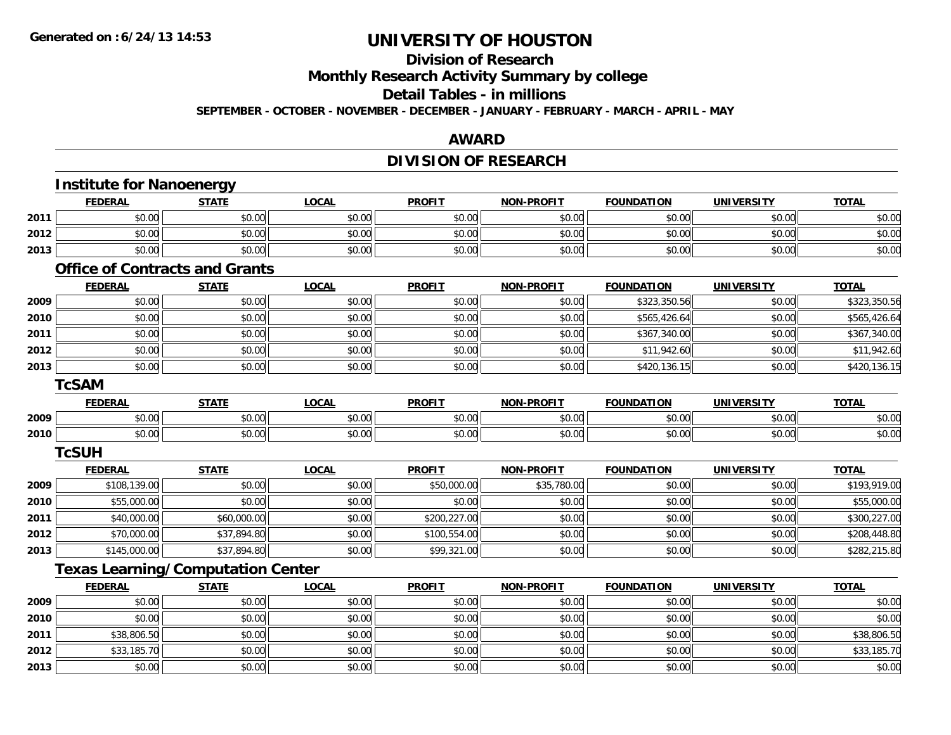### **Division of Research**

**Monthly Research Activity Summary by college**

#### **Detail Tables - in millions**

**SEPTEMBER - OCTOBER - NOVEMBER - DECEMBER - JANUARY - FEBRUARY - MARCH - APRIL - MAY**

#### **AWARD**

### **DIVISION OF RESEARCH**

|      | <b>Institute for Nanoenergy</b>          |              |              |               |                   |                   |                   |              |
|------|------------------------------------------|--------------|--------------|---------------|-------------------|-------------------|-------------------|--------------|
|      | <b>FEDERAL</b>                           | <b>STATE</b> | <b>LOCAL</b> | <b>PROFIT</b> | <b>NON-PROFIT</b> | <b>FOUNDATION</b> | <b>UNIVERSITY</b> | <b>TOTAL</b> |
| 2011 | \$0.00                                   | \$0.00       | \$0.00       | \$0.00        | \$0.00            | \$0.00            | \$0.00            | \$0.00       |
| 2012 | \$0.00                                   | \$0.00       | \$0.00       | \$0.00        | \$0.00            | \$0.00            | \$0.00            | \$0.00       |
| 2013 | \$0.00                                   | \$0.00       | \$0.00       | \$0.00        | \$0.00            | \$0.00            | \$0.00            | \$0.00       |
|      | <b>Office of Contracts and Grants</b>    |              |              |               |                   |                   |                   |              |
|      | <b>FEDERAL</b>                           | <b>STATE</b> | <b>LOCAL</b> | <b>PROFIT</b> | <b>NON-PROFIT</b> | <b>FOUNDATION</b> | <b>UNIVERSITY</b> | <b>TOTAL</b> |
| 2009 | \$0.00                                   | \$0.00       | \$0.00       | \$0.00        | \$0.00            | \$323,350.56      | \$0.00            | \$323,350.56 |
| 2010 | \$0.00                                   | \$0.00       | \$0.00       | \$0.00        | \$0.00            | \$565,426.64      | \$0.00            | \$565,426.64 |
| 2011 | \$0.00                                   | \$0.00       | \$0.00       | \$0.00        | \$0.00            | \$367,340.00      | \$0.00            | \$367,340.00 |
| 2012 | \$0.00                                   | \$0.00       | \$0.00       | \$0.00        | \$0.00            | \$11,942.60       | \$0.00            | \$11,942.60  |
| 2013 | \$0.00                                   | \$0.00       | \$0.00       | \$0.00        | \$0.00            | \$420,136.15      | \$0.00            | \$420,136.15 |
|      | <b>TcSAM</b>                             |              |              |               |                   |                   |                   |              |
|      | <b>FEDERAL</b>                           | <b>STATE</b> | <b>LOCAL</b> | <b>PROFIT</b> | <b>NON-PROFIT</b> | <b>FOUNDATION</b> | <b>UNIVERSITY</b> | <b>TOTAL</b> |
| 2009 | \$0.00                                   | \$0.00       | \$0.00       | \$0.00        | \$0.00            | \$0.00            | \$0.00            | \$0.00       |
| 2010 | \$0.00                                   | \$0.00       | \$0.00       | \$0.00        | \$0.00            | \$0.00            | \$0.00            | \$0.00       |
|      | <b>TcSUH</b>                             |              |              |               |                   |                   |                   |              |
|      | <b>FEDERAL</b>                           | <b>STATE</b> | <b>LOCAL</b> | <b>PROFIT</b> | <b>NON-PROFIT</b> | <b>FOUNDATION</b> | <b>UNIVERSITY</b> | <b>TOTAL</b> |
| 2009 | \$108,139.00                             | \$0.00       | \$0.00       | \$50,000.00   | \$35,780.00       | \$0.00            | \$0.00            | \$193,919.00 |
| 2010 | \$55,000.00                              | \$0.00       | \$0.00       | \$0.00        | \$0.00            | \$0.00            | \$0.00            | \$55,000.00  |
| 2011 | \$40,000.00                              | \$60,000.00  | \$0.00       | \$200,227.00  | \$0.00            | \$0.00            | \$0.00            | \$300,227.00 |
| 2012 | \$70,000.00                              | \$37,894.80  | \$0.00       | \$100,554.00  | \$0.00            | \$0.00            | \$0.00            | \$208,448.80 |
| 2013 | \$145,000.00                             | \$37,894.80  | \$0.00       | \$99,321.00   | \$0.00            | \$0.00            | \$0.00            | \$282,215.80 |
|      | <b>Texas Learning/Computation Center</b> |              |              |               |                   |                   |                   |              |
|      | <b>FEDERAL</b>                           | <b>STATE</b> | <b>LOCAL</b> | <b>PROFIT</b> | <b>NON-PROFIT</b> | <b>FOUNDATION</b> | <b>UNIVERSITY</b> | <b>TOTAL</b> |
| 2009 | \$0.00                                   | \$0.00       | \$0.00       | \$0.00        | \$0.00            | \$0.00            | \$0.00            | \$0.00       |
| 2010 | \$0.00                                   | \$0.00       | \$0.00       | \$0.00        | \$0.00            | \$0.00            | \$0.00            | \$0.00       |
| 2011 | \$38,806.50                              | \$0.00       | \$0.00       | \$0.00        | \$0.00            | \$0.00            | \$0.00            | \$38,806.50  |
| 2012 | \$33,185.70                              | \$0.00       | \$0.00       | \$0.00        | \$0.00            | \$0.00            | \$0.00            | \$33,185.70  |
| 2013 | \$0.00                                   | \$0.00       | \$0.00       | \$0.00        | \$0.00            | \$0.00            | \$0.00            | \$0.00       |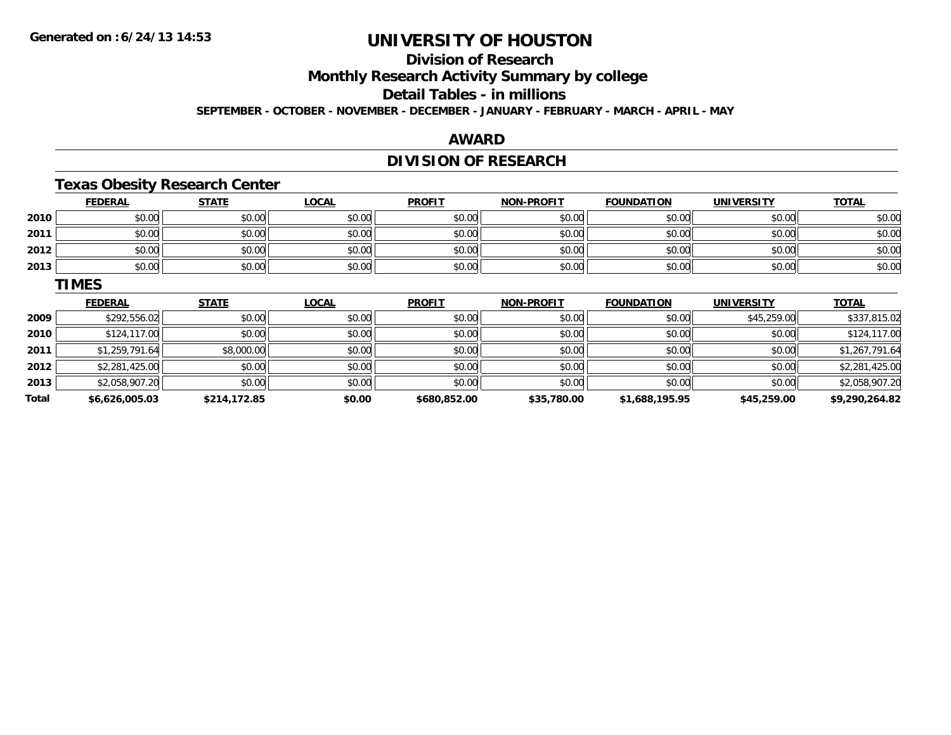### **Division of Research**

**Monthly Research Activity Summary by college**

**Detail Tables - in millions**

**SEPTEMBER - OCTOBER - NOVEMBER - DECEMBER - JANUARY - FEBRUARY - MARCH - APRIL - MAY**

#### **AWARD**

### **DIVISION OF RESEARCH**

### **Texas Obesity Research Center**

|      | <b>FEDERAL</b> | <b>STATE</b> | <b>LOCAL</b> | <b>PROFIT</b> | <b>NON-PROFIT</b> | <b>FOUNDATION</b> | <b>UNIVERSITY</b> | <b>TOTAL</b> |
|------|----------------|--------------|--------------|---------------|-------------------|-------------------|-------------------|--------------|
| 2010 | \$0.00         | \$0.00       | \$0.00       | \$0.00        | \$0.00            | \$0.00            | \$0.00            | \$0.00       |
| 2011 | \$0.00         | \$0.00       | \$0.00       | \$0.00        | \$0.00            | \$0.00            | \$0.00            | \$0.00       |
| 2012 | \$0.00         | \$0.00       | \$0.00       | \$0.00        | \$0.00            | \$0.00            | \$0.00            | \$0.00       |
| 2013 | \$0.00         | \$0.00       | \$0.00       | \$0.00        | \$0.00            | \$0.00            | \$0.00            | \$0.00       |

#### **TIMES**

|       | <b>FEDERAL</b> | <b>STATE</b> | <b>LOCAL</b> | <b>PROFIT</b> | <b>NON-PROFIT</b> | <b>FOUNDATION</b> | <b>UNIVERSITY</b> | <b>TOTAL</b>   |
|-------|----------------|--------------|--------------|---------------|-------------------|-------------------|-------------------|----------------|
| 2009  | \$292,556.02   | \$0.00       | \$0.00       | \$0.00        | \$0.00            | \$0.00            | \$45,259.00       | \$337,815.02   |
| 2010  | \$124,117.00   | \$0.00       | \$0.00       | \$0.00        | \$0.00            | \$0.00            | \$0.00            | \$124,117.00   |
| 2011  | \$1,259,791.64 | \$8,000.00   | \$0.00       | \$0.00        | \$0.00            | \$0.00            | \$0.00            | \$1,267,791.64 |
| 2012  | \$2,281,425.00 | \$0.00       | \$0.00       | \$0.00        | \$0.00            | \$0.00            | \$0.00            | \$2,281,425.00 |
| 2013  | \$2,058,907.20 | \$0.00       | \$0.00       | \$0.00        | \$0.00            | \$0.00            | \$0.00            | \$2,058,907.20 |
| Total | \$6,626,005.03 | \$214,172.85 | \$0.00       | \$680,852.00  | \$35,780.00       | \$1,688,195.95    | \$45,259.00       | \$9,290,264.82 |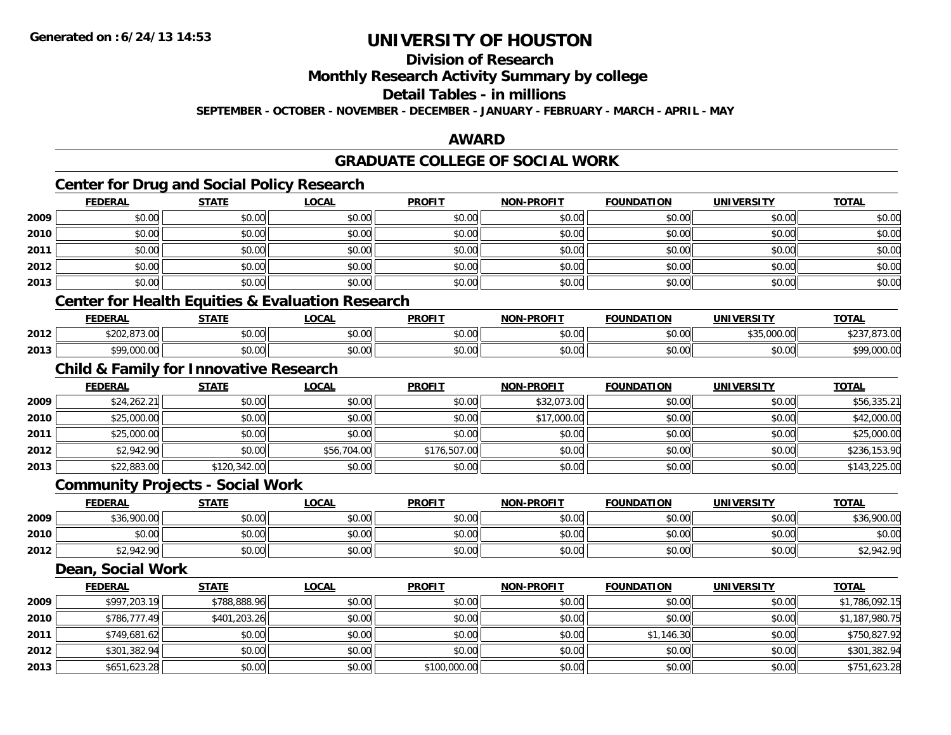### **Division of Research**

**Monthly Research Activity Summary by college**

**Detail Tables - in millions**

**SEPTEMBER - OCTOBER - NOVEMBER - DECEMBER - JANUARY - FEBRUARY - MARCH - APRIL - MAY**

#### **AWARD**

### **GRADUATE COLLEGE OF SOCIAL WORK**

### **Center for Drug and Social Policy Research**

|      | <b>FEDERAL</b> | <b>STATE</b> | <b>LOCAL</b>                                                                                                                                     | <b>PROFIT</b> | <b>NON-PROFIT</b> | <b>FOUNDATION</b> | <b>UNIVERSITY</b> | <b>TOTAL</b> |
|------|----------------|--------------|--------------------------------------------------------------------------------------------------------------------------------------------------|---------------|-------------------|-------------------|-------------------|--------------|
| 2009 | \$0.00         | \$0.00       | \$0.00                                                                                                                                           | \$0.00        | \$0.00            | \$0.00            | \$0.00            | \$0.00       |
| 2010 | \$0.00         | \$0.00       | \$0.00                                                                                                                                           | \$0.00        | \$0.00            | \$0.00            | \$0.00            | \$0.00       |
| 2011 | \$0.00         | \$0.00       | \$0.00                                                                                                                                           | \$0.00        | \$0.00            | \$0.00            | \$0.00            | \$0.00       |
| 2012 | \$0.00         | \$0.00       | \$0.00                                                                                                                                           | \$0.00        | \$0.00            | \$0.00            | \$0.00            | \$0.00       |
| 2013 | \$0.00         | \$0.00       | \$0.00                                                                                                                                           | \$0.00        | \$0.00            | \$0.00            | \$0.00            | \$0.00       |
|      |                |              | $\bigcap_{i=1}^n$ is a contract of the state $\bigcap_{i=1}^n$ in the state of $\bigcap_{i=1}^n$ is a contract of the state of $\bigcap_{i=1}^n$ |               |                   |                   |                   |              |

#### **Center for Health Equities & Evaluation Research**

|      | EENEDA<br>:DERAL                            | <b>CTATE</b><br>.171. | <b>OCAL</b> | <b>PROFIT</b> | <b>-PROFIT</b><br>NON                        | <b>FOUNDATION</b>      | IINIVEDSIT            | <b>TOTA</b>              |
|------|---------------------------------------------|-----------------------|-------------|---------------|----------------------------------------------|------------------------|-----------------------|--------------------------|
| 2012 | 0.72.22<br>$\cdots$                         | 0000<br>JU.UU         | \$0.00      | \$0.00        | $\triangle$ $\triangle$ $\triangle$<br>pu.uu | $\sim$ 00<br>JU.UU     | $+ - -$<br>00000<br>. | .                        |
| 2013 | 0.0000<br>$\cdot$ . $\cup$ $\cup$ . $\cdot$ | 0000<br>pu.uu         | \$0.00      | \$0.00        | ልስ ስስ<br>pu.uu                               | $\sim$ $\sim$<br>JU.UU | $\sim$ 00<br>JU.UU    | t O.O<br>$\sim$<br>uuu.u |

### **Child & Family for Innovative Research**

|      | <b>FEDERAL</b> | <b>STATE</b> | <u>LOCAL</u> | <b>PROFIT</b> | <b>NON-PROFIT</b> | <b>FOUNDATION</b> | <b>UNIVERSITY</b> | <b>TOTAL</b> |
|------|----------------|--------------|--------------|---------------|-------------------|-------------------|-------------------|--------------|
| 2009 | \$24,262.21    | \$0.00       | \$0.00       | \$0.00        | \$32,073.00       | \$0.00            | \$0.00            | \$56,335.21  |
| 2010 | \$25,000.00    | \$0.00       | \$0.00       | \$0.00        | \$17,000.00       | \$0.00            | \$0.00            | \$42,000.00  |
| 2011 | \$25,000.00    | \$0.00       | \$0.00       | \$0.00        | \$0.00            | \$0.00            | \$0.00            | \$25,000.00  |
| 2012 | \$2,942.90     | \$0.00       | \$56,704.00  | \$176,507.00  | \$0.00            | \$0.00            | \$0.00            | \$236,153.90 |
| 2013 | \$22,883.00    | \$120,342.00 | \$0.00       | \$0.00        | \$0.00            | \$0.00            | \$0.00            | \$143,225.00 |

#### **Community Projects - Social Work**

|      | <b>FEDERAL</b>         | <b>STATE</b> | <b>LOCAL</b>                                       | <b>PROFIT</b> | <b>NON-PROFIT</b> | <b>FOUNDATION</b> | <b>UNIVERSITY</b> | <u>TOTAL</u>        |
|------|------------------------|--------------|----------------------------------------------------|---------------|-------------------|-------------------|-------------------|---------------------|
| 2009 | \$36,900.00            | \$0.00       | $\mathfrak{c}\cap\mathfrak{a}\cap$<br><b>DU.UG</b> | \$0.00        | \$0.00            | \$0.00            | \$0.00            | \$36,900.00         |
| 2010 | $\sim$ $\sim$<br>vu.uu | \$0.00       | \$0.00                                             | \$0.00        | \$0.00            | \$0.00            | \$0.00            | \$0.00              |
| 2012 | 0.0100<br>\$2,942.90   | \$0.00       | \$0.00                                             | \$0.00        | \$0.00            | \$0.00            | \$0.00            | OAD ON<br>\$2,942.S |

### **Dean, Social Work**

|      | <b>FEDERAL</b> | <b>STATE</b> | <b>LOCAL</b> | <b>PROFIT</b> | <b>NON-PROFIT</b> | <b>FOUNDATION</b> | <b>UNIVERSITY</b> | <b>TOTAL</b>   |
|------|----------------|--------------|--------------|---------------|-------------------|-------------------|-------------------|----------------|
| 2009 | \$997,203.19   | \$788,888.96 | \$0.00       | \$0.00        | \$0.00            | \$0.00            | \$0.00            | \$1,786,092.15 |
| 2010 | \$786,777.49   | \$401,203.26 | \$0.00       | \$0.00        | \$0.00            | \$0.00            | \$0.00            | \$1,187,980.75 |
| 2011 | \$749,681.62   | \$0.00       | \$0.00       | \$0.00        | \$0.00            | \$1,146.30        | \$0.00            | \$750,827.92   |
| 2012 | \$301,382.94   | \$0.00       | \$0.00       | \$0.00        | \$0.00            | \$0.00            | \$0.00            | \$301,382.94   |
| 2013 | \$651,623.28   | \$0.00       | \$0.00       | \$100,000.00  | \$0.00            | \$0.00            | \$0.00            | \$751,623.28   |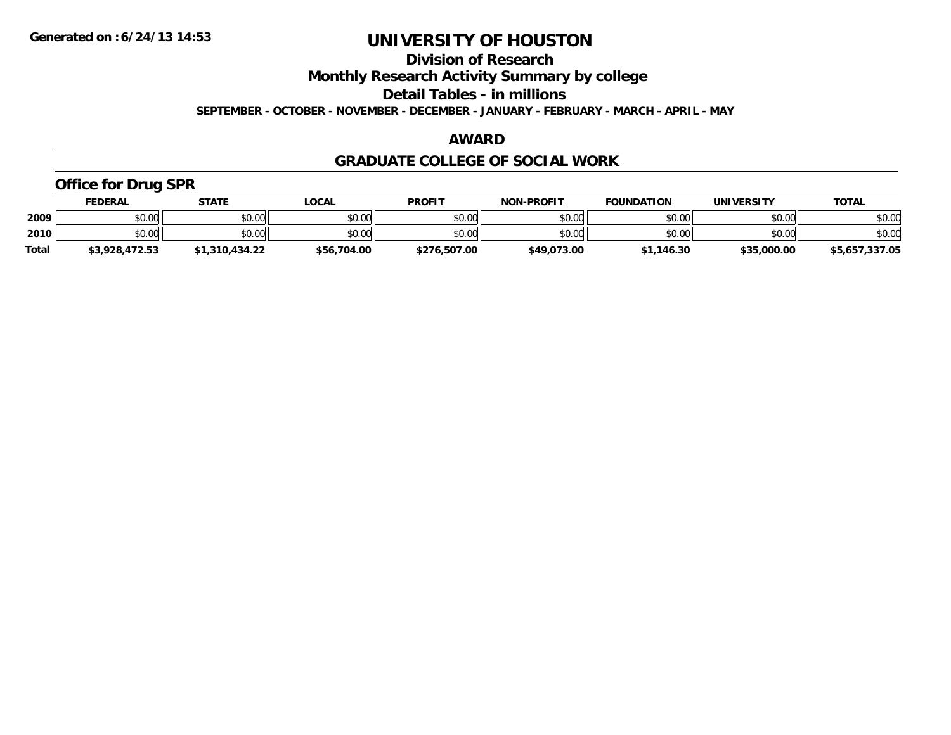**Division of Research**

**Monthly Research Activity Summary by college**

**Detail Tables - in millions**

**SEPTEMBER - OCTOBER - NOVEMBER - DECEMBER - JANUARY - FEBRUARY - MARCH - APRIL - MAY**

#### **AWARD**

#### **GRADUATE COLLEGE OF SOCIAL WORK**

### **Office for Drug SPR**

|              | <u>FEDERAL</u> | <b>STATE</b>   | _OCAL       | <b>PROFIT</b> | <b>NON-PROFIT</b> | <b>FOUNDATION</b> | UNIVERSITY  | <u>TOTAL</u>   |
|--------------|----------------|----------------|-------------|---------------|-------------------|-------------------|-------------|----------------|
| 2009         | \$0.00         | \$0.00         | \$0.00      | \$0.00        | \$0.00            | \$0.00            | \$0.00      | \$0.00         |
| 2010         | \$0.00         | \$0.00         | \$0.00      | \$0.00        | \$0.00            | \$0.00            | \$0.00      | \$0.00         |
| <b>Total</b> | \$3,928,472.53 | \$1,310,434.22 | \$56,704.00 | \$276,507.00  | \$49,073.00       | \$1,146.30        | \$35,000.00 | \$5,657,337.05 |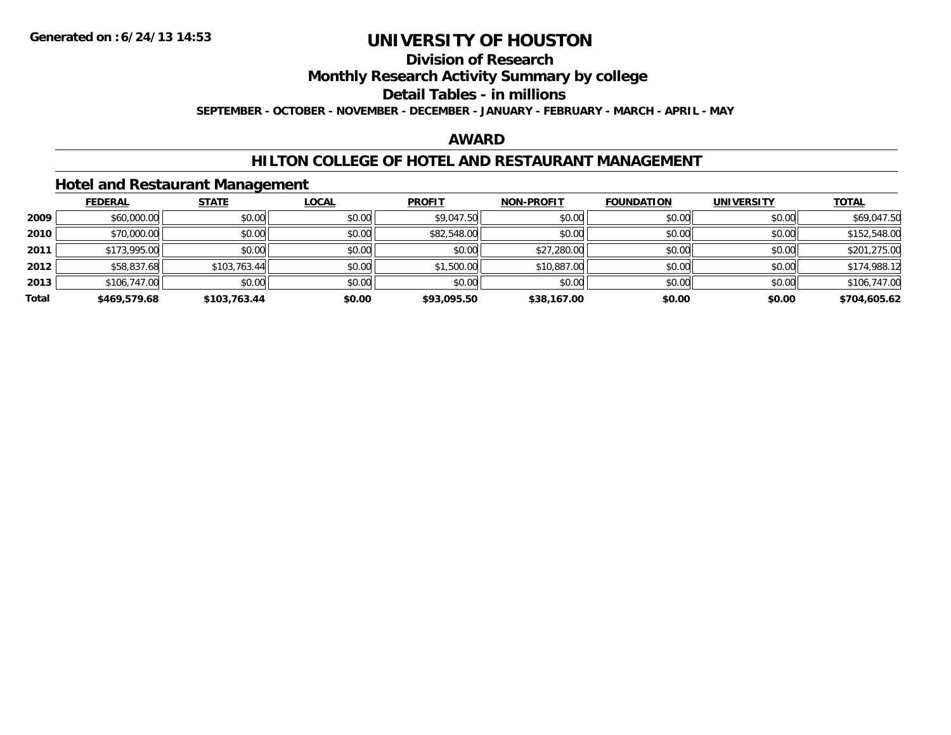## **Division of Research**

**Monthly Research Activity Summary by college**

#### **Detail Tables - in millions**

**SEPTEMBER - OCTOBER - NOVEMBER - DECEMBER - JANUARY - FEBRUARY - MARCH - APRIL - MAY**

#### **AWARD**

#### **HILTON COLLEGE OF HOTEL AND RESTAURANT MANAGEMENT**

#### **Hotel and Restaurant Management**

|       | <b>FEDERAL</b> | <b>STATE</b> | <u>LOCAL</u> | <b>PROFIT</b> | <b>NON-PROFIT</b> | <b>FOUNDATION</b> | <b>UNIVERSITY</b> | <b>TOTAL</b> |
|-------|----------------|--------------|--------------|---------------|-------------------|-------------------|-------------------|--------------|
| 2009  | \$60,000.00    | \$0.00       | \$0.00       | \$9,047.50    | \$0.00            | \$0.00            | \$0.00            | \$69,047.50  |
| 2010  | \$70,000.00    | \$0.00       | \$0.00       | \$82,548.00   | \$0.00            | \$0.00            | \$0.00            | \$152,548.00 |
| 2011  | \$173,995.00   | \$0.00       | \$0.00       | \$0.00        | \$27,280.00       | \$0.00            | \$0.00            | \$201,275.00 |
| 2012  | \$58,837.68    | \$103,763.44 | \$0.00       | \$1,500.00    | \$10,887.00       | \$0.00            | \$0.00            | \$174,988.12 |
| 2013  | \$106,747.00   | \$0.00       | \$0.00       | \$0.00        | \$0.00            | \$0.00            | \$0.00            | \$106,747.00 |
| Total | \$469,579.68   | \$103,763.44 | \$0.00       | \$93,095.50   | \$38,167.00       | \$0.00            | \$0.00            | \$704,605.62 |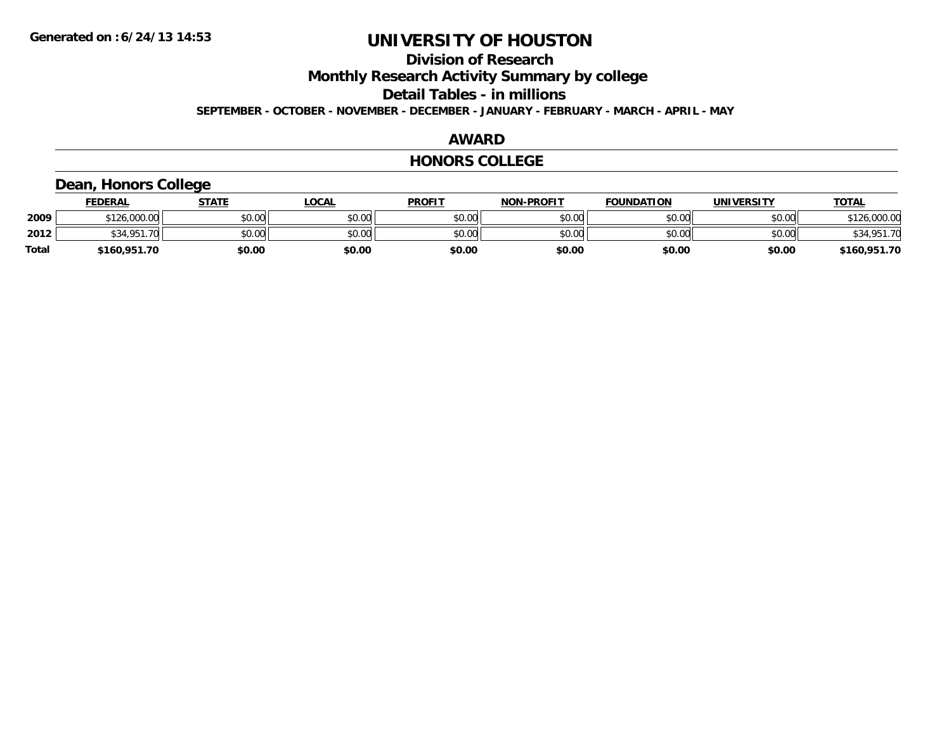### **Division of Research**

**Monthly Research Activity Summary by college**

**Detail Tables - in millions**

**SEPTEMBER - OCTOBER - NOVEMBER - DECEMBER - JANUARY - FEBRUARY - MARCH - APRIL - MAY**

#### **AWARD**

#### **HONORS COLLEGE**

#### **Dean, Honors College**

|       | <b>FEDERAL</b>   | STATE  | <b>LOCAL</b> | <b>PROFIT</b> | <b>NON-PROFIT</b> | <b>FOUNDATION</b> | <b>UNIVERSITY</b> | <b>TOTAL</b>        |
|-------|------------------|--------|--------------|---------------|-------------------|-------------------|-------------------|---------------------|
| 2009  | \$126,000.00     | \$0.00 | \$0.00       | \$0.00        | \$0.00            | \$0.00            | \$0.00            | 126,000.00<br>0.101 |
| 2012  | \$34.951.<br>.70 | \$0.00 | \$0.00       | \$0.00        | \$0.00            | \$0.00            | \$0.00            | \$34,951.70         |
| Total | \$160,951.70     | \$0.00 | \$0.00       | \$0.00        | \$0.00            | \$0.00            | \$0.00            | \$160,951.70        |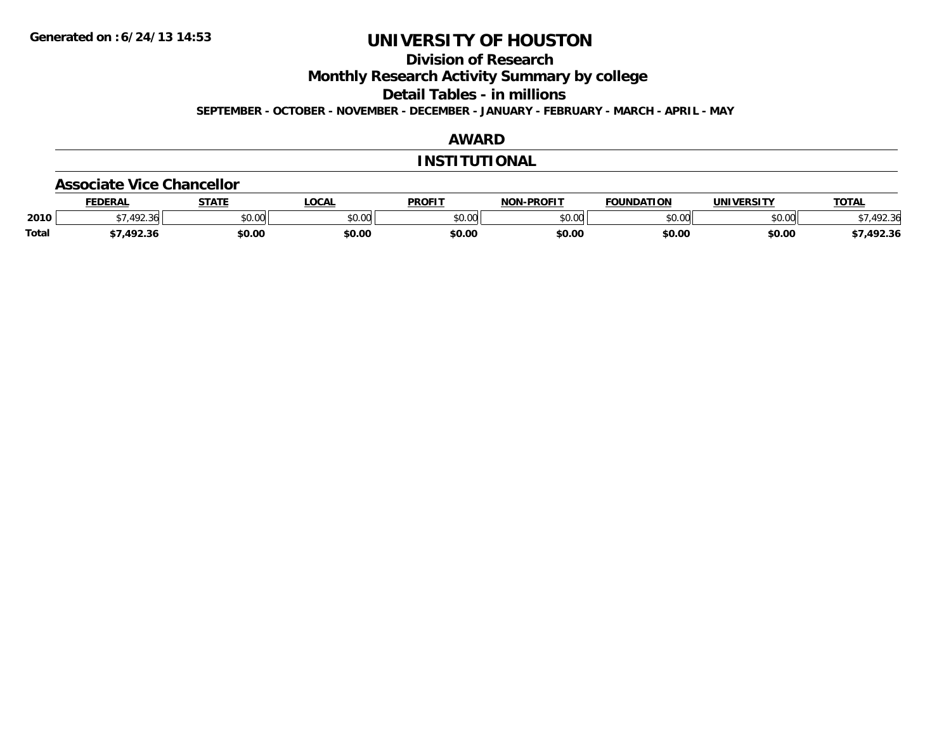**Division of Research**

**Monthly Research Activity Summary by college**

**Detail Tables - in millions**

**SEPTEMBER - OCTOBER - NOVEMBER - DECEMBER - JANUARY - FEBRUARY - MARCH - APRIL - MAY**

### **AWARD**

#### **INSTITUTIONAL**

#### **Associate Vice Chancellor**

|              | <b>FEDERA</b>       | -----                | <b>OCAL</b>   | <b>PROFIT</b> | -PROFIT<br>NON. | 71 A N<br><b>OLINIDA</b> | <b>INIVE</b>  | <b>TOTAL</b>    |
|--------------|---------------------|----------------------|---------------|---------------|-----------------|--------------------------|---------------|-----------------|
| 2010         | $\sqrt{2}$<br>72.30 | 0000<br><b>JU.UU</b> | 0.00<br>JU.UU | 40M<br>JU.U   | 0000<br>งบ.บบ   | ልስ ሰሰ<br>טע.טע           | 0000<br>PU.UU | $\sim$<br>92.3t |
| <b>Total</b> | ר רם א              | \$0.00               | \$0.00        | \$0.00        | \$0.00          | \$0.00                   | \$0.00        | 492.36          |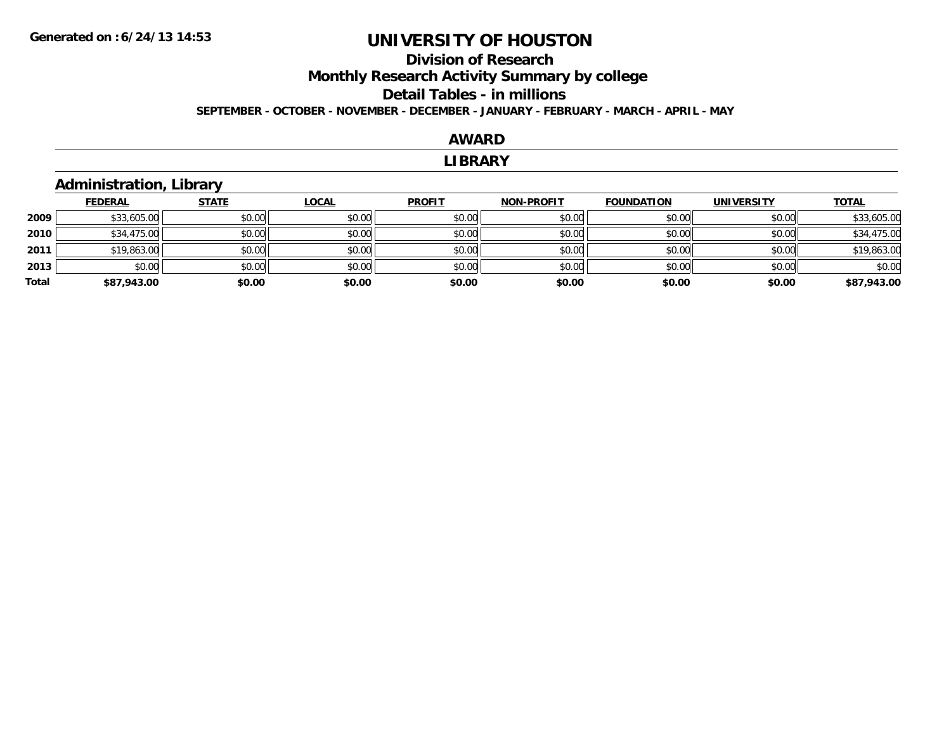### **Division of ResearchMonthly Research Activity Summary by college Detail Tables - in millions SEPTEMBER - OCTOBER - NOVEMBER - DECEMBER - JANUARY - FEBRUARY - MARCH - APRIL - MAY**

#### **AWARD**

#### **LIBRARY**

#### **Administration, Library**

|       | <b>FEDERAL</b> | <b>STATE</b> | <b>LOCAL</b> | <b>PROFIT</b> | <b>NON-PROFIT</b> | <b>FOUNDATION</b> | <b>UNIVERSITY</b> | <b>TOTAL</b> |
|-------|----------------|--------------|--------------|---------------|-------------------|-------------------|-------------------|--------------|
| 2009  | \$33,605.00    | \$0.00       | \$0.00       | \$0.00        | \$0.00            | \$0.00            | \$0.00            | \$33,605.00  |
| 2010  | \$34,475.00    | \$0.00       | \$0.00       | \$0.00        | \$0.00            | \$0.00            | \$0.00            | \$34,475.00  |
| 2011  | \$19,863.00    | \$0.00       | \$0.00       | \$0.00        | \$0.00            | \$0.00            | \$0.00            | \$19,863.00  |
| 2013  | \$0.00         | \$0.00       | \$0.00       | \$0.00        | \$0.00            | \$0.00            | \$0.00            | \$0.00       |
| Total | \$87,943.00    | \$0.00       | \$0.00       | \$0.00        | \$0.00            | \$0.00            | \$0.00            | \$87,943.00  |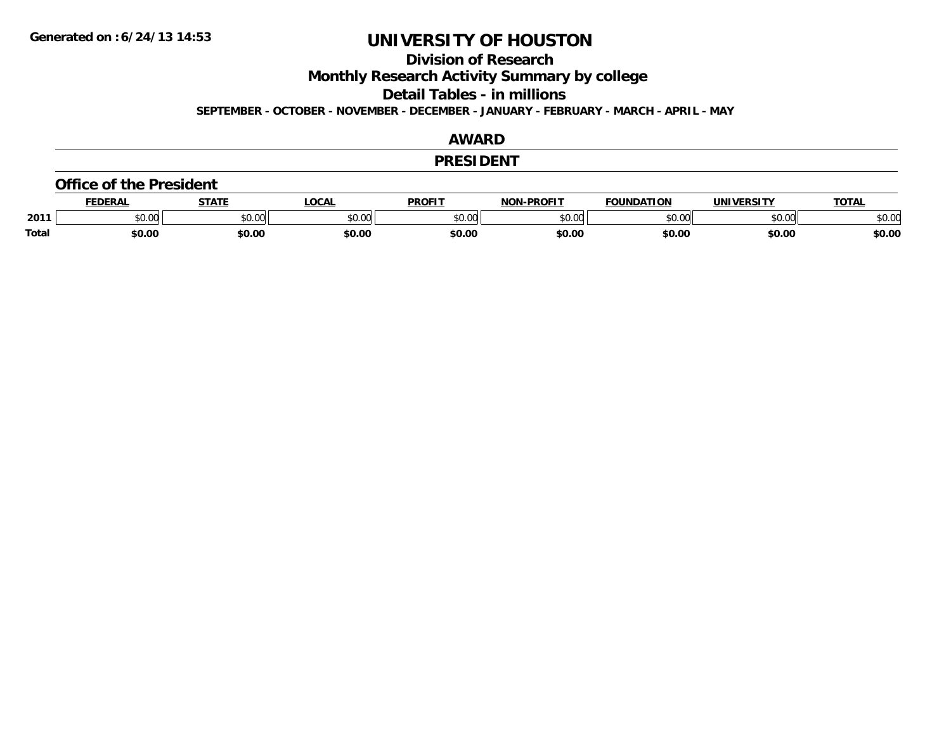**Division of Research**

**Monthly Research Activity Summary by college**

**Detail Tables - in millions**

**SEPTEMBER - OCTOBER - NOVEMBER - DECEMBER - JANUARY - FEBRUARY - MARCH - APRIL - MAY**

#### **AWARD**

#### **PRESIDENT**

#### **Office of the President**

|              | <b>DERAI</b>  | <b>STATE</b> | LOCAI              | PROFIT          | <b>DDOEIT</b><br>NAN | <b>FOUNDATION</b> | UNIVERSITY | <b>TOTAL</b>   |
|--------------|---------------|--------------|--------------------|-----------------|----------------------|-------------------|------------|----------------|
| 2011         | n vu<br>,u.uu | JU.UU        | $\sim$ 00<br>DU.UL | $\sim$<br>JU.UU | 20M<br>,u.uu         |                   | \$0.00     | ቀስ ስር<br>⊋∪.∪⊌ |
| <b>Total</b> | \$0.00        | \$0.00       | \$0.00             | en nr<br>JU.UL  | \$0.00               | \$0.00            | \$0.00     | \$0.00         |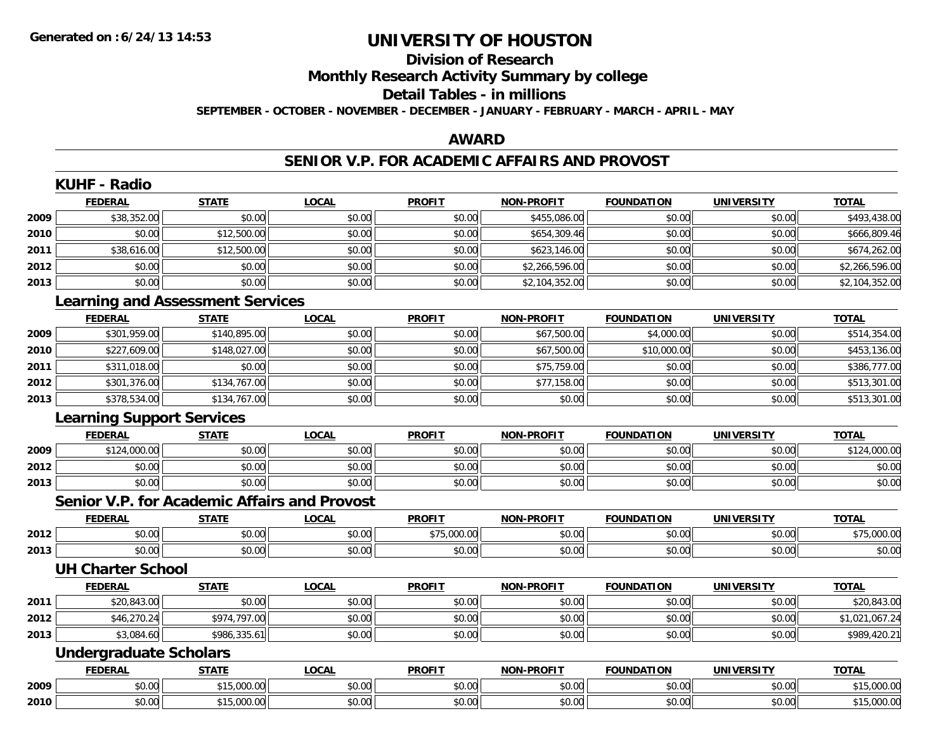### **Division of ResearchMonthly Research Activity Summary by college Detail Tables - in millions SEPTEMBER - OCTOBER - NOVEMBER - DECEMBER - JANUARY - FEBRUARY - MARCH - APRIL - MAY**

#### **AWARD**

#### **SENIOR V.P. FOR ACADEMIC AFFAIRS AND PROVOST**

|      | <b>KUHF - Radio</b>                                 |              |              |               |                   |                   |                   |                |
|------|-----------------------------------------------------|--------------|--------------|---------------|-------------------|-------------------|-------------------|----------------|
|      | <b>FEDERAL</b>                                      | <b>STATE</b> | <b>LOCAL</b> | <b>PROFIT</b> | <b>NON-PROFIT</b> | <b>FOUNDATION</b> | <b>UNIVERSITY</b> | <b>TOTAL</b>   |
| 2009 | \$38,352.00                                         | \$0.00       | \$0.00       | \$0.00        | \$455,086.00      | \$0.00            | \$0.00            | \$493,438.00   |
| 2010 | \$0.00                                              | \$12,500.00  | \$0.00       | \$0.00        | \$654,309.46      | \$0.00            | \$0.00            | \$666,809.46   |
| 2011 | \$38,616.00                                         | \$12,500.00  | \$0.00       | \$0.00        | \$623,146.00      | \$0.00            | \$0.00            | \$674,262.00   |
| 2012 | \$0.00                                              | \$0.00       | \$0.00       | \$0.00        | \$2,266,596.00    | \$0.00            | \$0.00            | \$2,266,596.00 |
| 2013 | \$0.00                                              | \$0.00       | \$0.00       | \$0.00        | \$2,104,352.00    | \$0.00            | \$0.00            | \$2,104,352.00 |
|      | <b>Learning and Assessment Services</b>             |              |              |               |                   |                   |                   |                |
|      | <b>FEDERAL</b>                                      | <b>STATE</b> | <b>LOCAL</b> | <b>PROFIT</b> | <b>NON-PROFIT</b> | <b>FOUNDATION</b> | <b>UNIVERSITY</b> | <b>TOTAL</b>   |
| 2009 | \$301,959.00                                        | \$140,895.00 | \$0.00       | \$0.00        | \$67,500.00       | \$4,000.00        | \$0.00            | \$514,354.00   |
| 2010 | \$227,609.00                                        | \$148,027.00 | \$0.00       | \$0.00        | \$67,500.00       | \$10,000.00       | \$0.00            | \$453,136.00   |
| 2011 | \$311,018.00                                        | \$0.00       | \$0.00       | \$0.00        | \$75,759.00       | \$0.00            | \$0.00            | \$386,777.00   |
| 2012 | \$301,376.00                                        | \$134,767.00 | \$0.00       | \$0.00        | \$77,158.00       | \$0.00            | \$0.00            | \$513,301.00   |
| 2013 | \$378,534.00                                        | \$134,767.00 | \$0.00       | \$0.00        | \$0.00            | \$0.00            | \$0.00            | \$513,301.00   |
|      | <b>Learning Support Services</b>                    |              |              |               |                   |                   |                   |                |
|      | <b>FEDERAL</b>                                      | <b>STATE</b> | <b>LOCAL</b> | <b>PROFIT</b> | <b>NON-PROFIT</b> | <b>FOUNDATION</b> | <b>UNIVERSITY</b> | <b>TOTAL</b>   |
| 2009 | \$124,000.00                                        | \$0.00       | \$0.00       | \$0.00        | \$0.00            | \$0.00            | \$0.00            | \$124,000.00   |
| 2012 | \$0.00                                              | \$0.00       | \$0.00       | \$0.00        | \$0.00            | \$0.00            | \$0.00            | \$0.00         |
| 2013 | \$0.00                                              | \$0.00       | \$0.00       | \$0.00        | \$0.00            | \$0.00            | \$0.00            | \$0.00         |
|      | <b>Senior V.P. for Academic Affairs and Provost</b> |              |              |               |                   |                   |                   |                |
|      | <b>FEDERAL</b>                                      | <b>STATE</b> | <b>LOCAL</b> | <b>PROFIT</b> | <b>NON-PROFIT</b> | <b>FOUNDATION</b> | <b>UNIVERSITY</b> | <b>TOTAL</b>   |
| 2012 | \$0.00                                              | \$0.00       | \$0.00       | \$75,000.00   | \$0.00            | \$0.00            | \$0.00            | \$75,000.00    |
| 2013 | \$0.00                                              | \$0.00       | \$0.00       | \$0.00        | \$0.00            | \$0.00            | \$0.00            | \$0.00         |
|      | <b>UH Charter School</b>                            |              |              |               |                   |                   |                   |                |
|      | <b>FEDERAL</b>                                      | <b>STATE</b> | <b>LOCAL</b> | <b>PROFIT</b> | <b>NON-PROFIT</b> | <b>FOUNDATION</b> | <b>UNIVERSITY</b> | <b>TOTAL</b>   |
| 2011 | \$20,843.00                                         | \$0.00       | \$0.00       | \$0.00        | \$0.00            | \$0.00            | \$0.00            | \$20,843.00    |
| 2012 | \$46,270.24                                         | \$974,797.00 | \$0.00       | \$0.00        | \$0.00            | \$0.00            | \$0.00            | \$1,021,067.24 |
| 2013 | \$3,084.60                                          | \$986,335.61 | \$0.00       | \$0.00        | \$0.00            | \$0.00            | \$0.00            | \$989,420.21   |
|      | <b>Undergraduate Scholars</b>                       |              |              |               |                   |                   |                   |                |
|      | <b>FEDERAL</b>                                      | <b>STATE</b> | <b>LOCAL</b> | <b>PROFIT</b> | <b>NON-PROFIT</b> | <b>FOUNDATION</b> | <b>UNIVERSITY</b> | <b>TOTAL</b>   |
| 2009 | \$0.00                                              | \$15,000.00  | \$0.00       | \$0.00        | \$0.00            | \$0.00            | \$0.00            | \$15,000.00    |
| 2010 | \$0.00                                              | \$15,000.00  | \$0.00       | \$0.00        | \$0.00            | \$0.00            | \$0.00            | \$15,000.00    |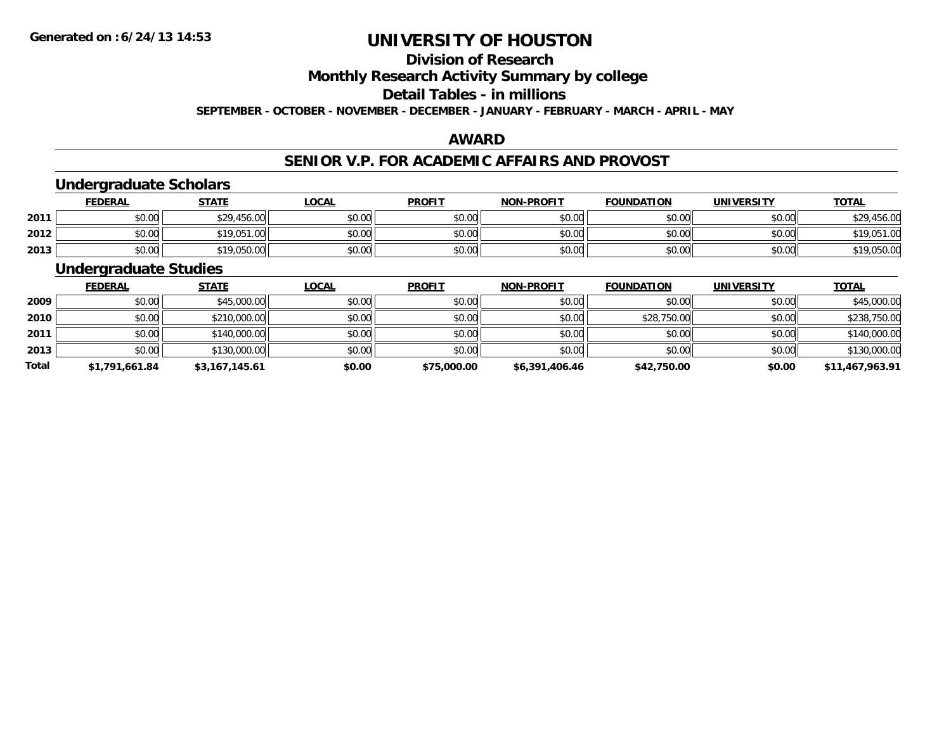## **Division of Research**

**Monthly Research Activity Summary by college**

#### **Detail Tables - in millions**

**SEPTEMBER - OCTOBER - NOVEMBER - DECEMBER - JANUARY - FEBRUARY - MARCH - APRIL - MAY**

#### **AWARD**

#### **SENIOR V.P. FOR ACADEMIC AFFAIRS AND PROVOST**

### **Undergraduate Scholars**

|      | <u>FEDERAL</u> | <b>STATE</b> | <u>LOCAL</u> | <b>PROFIT</b> | <b>NON-PROFIT</b> | <b>FOUNDATION</b> | <b>UNIVERSITY</b> | <b>TOTAL</b> |
|------|----------------|--------------|--------------|---------------|-------------------|-------------------|-------------------|--------------|
| 2011 | \$0.00         | \$29,456.00  | \$0.00       | \$0.00        | \$0.00            | \$0.00            | \$0.00            | \$29,456.00  |
| 2012 | \$0.00         | \$19,051.00  | \$0.00       | \$0.00        | \$0.00            | \$0.00            | \$0.00            | \$19,051.00  |
| 2013 | \$0.00         | \$19,050.00  | \$0.00       | \$0.00        | \$0.00            | \$0.00            | \$0.00            | \$19,050.00  |

#### **Undergraduate Studies**

|              | <b>FEDERAL</b> | <b>STATE</b>   | <u>LOCAL</u> | <b>PROFIT</b> | <b>NON-PROFIT</b> | <b>FOUNDATION</b> | <b>UNIVERSITY</b> | <b>TOTAL</b>    |
|--------------|----------------|----------------|--------------|---------------|-------------------|-------------------|-------------------|-----------------|
| 2009         | \$0.00         | \$45,000.00    | \$0.00       | \$0.00        | \$0.00            | \$0.00            | \$0.00            | \$45,000.00     |
| 2010         | \$0.00         | \$210,000.00   | \$0.00       | \$0.00        | \$0.00            | \$28,750.00       | \$0.00            | \$238,750.00    |
| 2011         | \$0.00         | \$140,000.00   | \$0.00       | \$0.00        | \$0.00            | \$0.00            | \$0.00            | \$140,000.00    |
| 2013         | \$0.00         | \$130,000.00   | \$0.00       | \$0.00        | \$0.00            | \$0.00            | \$0.00            | \$130,000.00    |
| <b>Total</b> | \$1,791,661.84 | \$3,167,145.61 | \$0.00       | \$75,000.00   | \$6,391,406.46    | \$42,750.00       | \$0.00            | \$11,467,963.91 |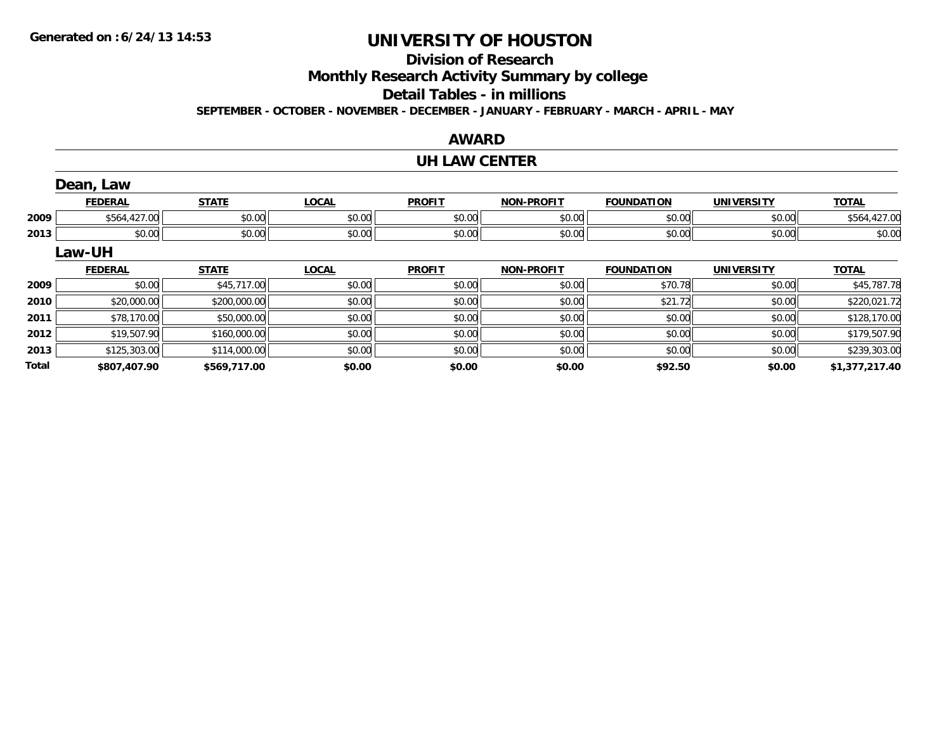**Total**

## **UNIVERSITY OF HOUSTON**

### **Division of Research**

**Monthly Research Activity Summary by college**

**Detail Tables - in millions**

**SEPTEMBER - OCTOBER - NOVEMBER - DECEMBER - JANUARY - FEBRUARY - MARCH - APRIL - MAY**

#### **AWARD**

#### **UH LAW CENTER**

|      | Dean, Law      |              |              |               |                   |                   |                   |              |
|------|----------------|--------------|--------------|---------------|-------------------|-------------------|-------------------|--------------|
|      | <b>FEDERAL</b> | <b>STATE</b> | <b>LOCAL</b> | <b>PROFIT</b> | <b>NON-PROFIT</b> | <b>FOUNDATION</b> | <b>UNIVERSITY</b> | <b>TOTAL</b> |
| 2009 | \$564,427.00   | \$0.00       | \$0.00       | \$0.00        | \$0.00            | \$0.00            | \$0.00            | \$564,427.00 |
| 2013 | \$0.00         | \$0.00       | \$0.00       | \$0.00        | \$0.00            | \$0.00            | \$0.00            | \$0.00       |
|      | Law-UH         |              |              |               |                   |                   |                   |              |
|      | <b>FEDERAL</b> | <b>STATE</b> | <b>LOCAL</b> | <b>PROFIT</b> | <b>NON-PROFIT</b> | <b>FOUNDATION</b> | <b>UNIVERSITY</b> | <b>TOTAL</b> |
| 2009 | \$0.00         | \$45,717.00  | \$0.00       | \$0.00        | \$0.00            | \$70.78           | \$0.00            | \$45,787.78  |
| 2010 | \$20,000.00    | \$200,000.00 | \$0.00       | \$0.00        | \$0.00            | \$21.72           | \$0.00            | \$220,021.72 |
| 2011 | \$78,170.00    | \$50,000.00  | \$0.00       | \$0.00        | \$0.00            | \$0.00            | \$0.00            | \$128,170.00 |
| 2012 | \$19,507.90    | \$160,000.00 | \$0.00       | \$0.00        | \$0.00            | \$0.00            | \$0.00            | \$179,507.90 |
| 2013 | \$125,303.00   | \$114,000.00 | \$0.00       | \$0.00        | \$0.00            | \$0.00            | \$0.00            | \$239,303.00 |

 $\textbf{3} \mid \textbf{3} \mid \textbf{4} \mid \textbf{5} \mid \textbf{5} \mid \textbf{6} \mid \textbf{7} \mid \textbf{8} \mid \textbf{1} \mid \textbf{6} \mid \textbf{0} \mid \textbf{1} \mid \textbf{1} \mid \textbf{1} \mid \textbf{1} \mid \textbf{0} \mid \textbf{1} \mid \textbf{1} \mid \textbf{1} \mid \textbf{1} \mid \textbf{1} \mid \textbf{1} \mid \textbf{1} \mid \textbf{1} \mid \textbf{1} \mid \textbf{1} \mid \textbf{1} \mid \textbf{1$ 

**\$807,407.90 \$569,717.00 \$0.00 \$0.00 \$0.00 \$92.50 \$0.00 \$1,377,217.40**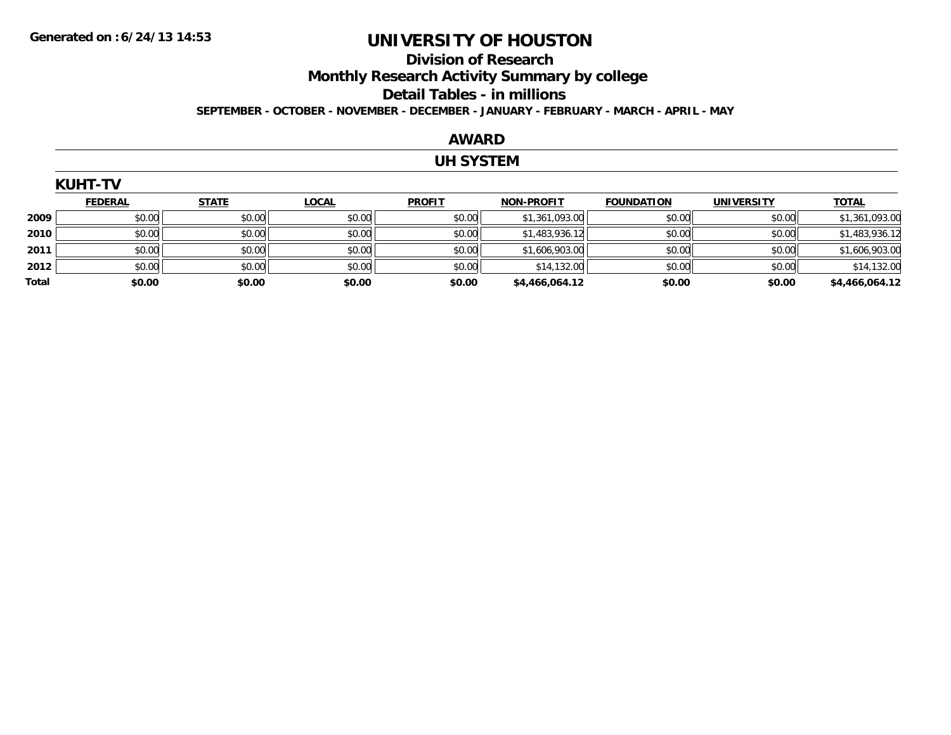#### **Division of Research Monthly Research Activity Summary by college Detail Tables - in millions SEPTEMBER - OCTOBER - NOVEMBER - DECEMBER - JANUARY - FEBRUARY - MARCH - APRIL - MAY**

#### **AWARD**

#### **UH SYSTEM**

|       | <b>KUHT-TV</b> |              |              |               |                   |                   |                   |                |  |  |  |  |
|-------|----------------|--------------|--------------|---------------|-------------------|-------------------|-------------------|----------------|--|--|--|--|
|       | <b>FEDERAL</b> | <b>STATE</b> | <b>LOCAL</b> | <b>PROFIT</b> | <b>NON-PROFIT</b> | <b>FOUNDATION</b> | <b>UNIVERSITY</b> | <b>TOTAL</b>   |  |  |  |  |
| 2009  | \$0.00         | \$0.00       | \$0.00       | \$0.00        | \$1,361,093.00    | \$0.00            | \$0.00            | \$1,361,093.00 |  |  |  |  |
| 2010  | \$0.00         | \$0.00       | \$0.00       | \$0.00        | \$1,483,936.12    | \$0.00            | \$0.00            | \$1,483,936.12 |  |  |  |  |
| 2011  | \$0.00         | \$0.00       | \$0.00       | \$0.00        | \$1,606,903.00    | \$0.00            | \$0.00            | \$1,606,903.00 |  |  |  |  |
| 2012  | \$0.00         | \$0.00       | \$0.00       | \$0.00        | \$14,132.00       | \$0.00            | \$0.00            | \$14,132.00    |  |  |  |  |
| Total | \$0.00         | \$0.00       | \$0.00       | \$0.00        | \$4,466,064.12    | \$0.00            | \$0.00            | \$4,466,064.12 |  |  |  |  |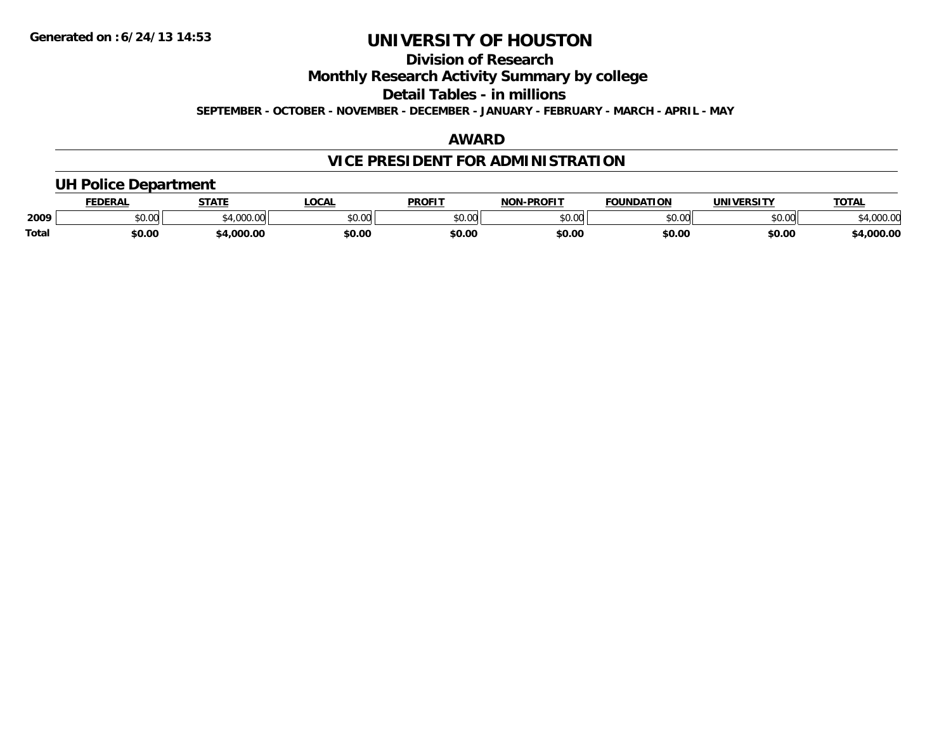### **Division of Research**

**Monthly Research Activity Summary by college**

**Detail Tables - in millions**

**SEPTEMBER - OCTOBER - NOVEMBER - DECEMBER - JANUARY - FEBRUARY - MARCH - APRIL - MAY**

#### **AWARD**

### **VICE PRESIDENT FOR ADMINISTRATION**

#### **UH Police Department**

|       | <b>FEDERAL</b>     | <b>STATE</b>      | <b>LOCAL</b>  | <b>PROFIT</b> | -PROFIT<br>וחרות | <b>FOUNDATION</b> | UNIVERSITY | <b>TOTAL</b>    |
|-------|--------------------|-------------------|---------------|---------------|------------------|-------------------|------------|-----------------|
| 2009  | $\sim$ 00<br>vv.vv | 0.10000<br>JUU.UI | 0000<br>PU.UU | 0000<br>PO.OO | 0000<br>pu.uu    | \$0.00            | \$0.00     | 0000<br>,uuu.uu |
| Total | \$0.00             | .000.00           | \$0.00        | \$0.00        | \$0.00           | \$0.00            | \$0.00     | ,000.00         |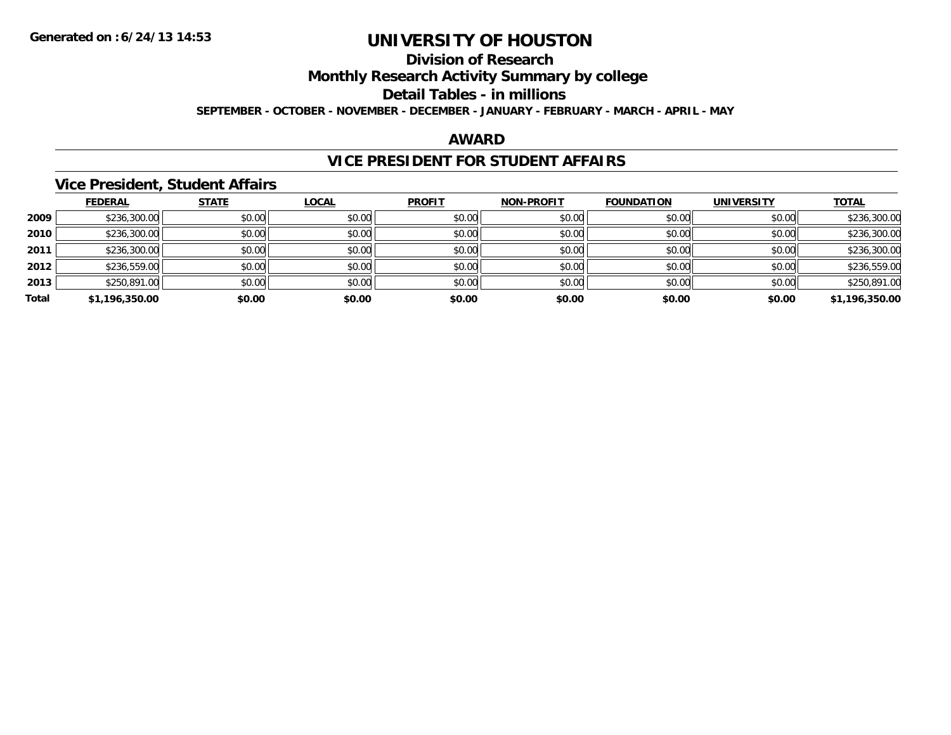## **Division of Research**

**Monthly Research Activity Summary by college**

**Detail Tables - in millions**

**SEPTEMBER - OCTOBER - NOVEMBER - DECEMBER - JANUARY - FEBRUARY - MARCH - APRIL - MAY**

#### **AWARD**

### **VICE PRESIDENT FOR STUDENT AFFAIRS**

#### **Vice President, Student Affairs**

|       | <b>FEDERAL</b> | <b>STATE</b> | <b>LOCAL</b> | <b>PROFIT</b> | <b>NON-PROFIT</b> | <b>FOUNDATION</b> | <b>UNIVERSITY</b> | <b>TOTAL</b>   |
|-------|----------------|--------------|--------------|---------------|-------------------|-------------------|-------------------|----------------|
| 2009  | \$236,300.00   | \$0.00       | \$0.00       | \$0.00        | \$0.00            | \$0.00            | \$0.00            | \$236,300.00   |
| 2010  | \$236,300.00   | \$0.00       | \$0.00       | \$0.00        | \$0.00            | \$0.00            | \$0.00            | \$236,300.00   |
| 2011  | \$236,300.00   | \$0.00       | \$0.00       | \$0.00        | \$0.00            | \$0.00            | \$0.00            | \$236,300.00   |
| 2012  | \$236,559.00   | \$0.00       | \$0.00       | \$0.00        | \$0.00            | \$0.00            | \$0.00            | \$236,559.00   |
| 2013  | \$250,891.00   | \$0.00       | \$0.00       | \$0.00        | \$0.00            | \$0.00            | \$0.00            | \$250,891.00   |
| Total | \$1,196,350.00 | \$0.00       | \$0.00       | \$0.00        | \$0.00            | \$0.00            | \$0.00            | \$1,196,350.00 |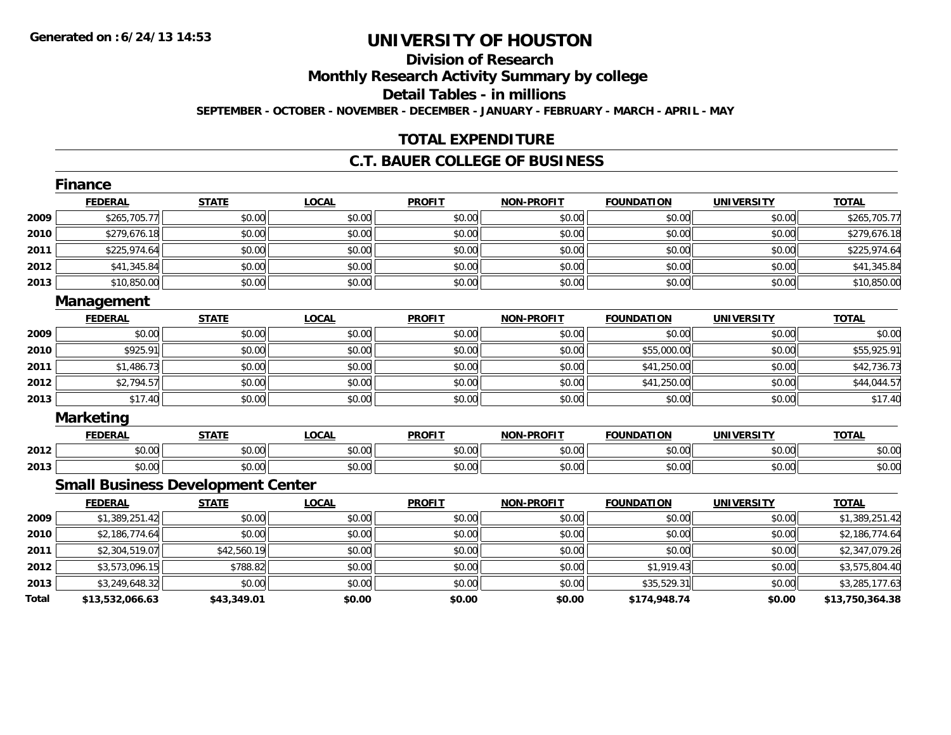### **Division of ResearchMonthly Research Activity Summary by college Detail Tables - in millions**

**SEPTEMBER - OCTOBER - NOVEMBER - DECEMBER - JANUARY - FEBRUARY - MARCH - APRIL - MAY**

### **TOTAL EXPENDITURE**

#### **C.T. BAUER COLLEGE OF BUSINESS**

|       | Finance                                  |              |              |               |                   |                   |                   |                 |
|-------|------------------------------------------|--------------|--------------|---------------|-------------------|-------------------|-------------------|-----------------|
|       | <b>FEDERAL</b>                           | <b>STATE</b> | <b>LOCAL</b> | <b>PROFIT</b> | <b>NON-PROFIT</b> | <b>FOUNDATION</b> | <b>UNIVERSITY</b> | <b>TOTAL</b>    |
| 2009  | \$265,705.77                             | \$0.00       | \$0.00       | \$0.00        | \$0.00            | \$0.00            | \$0.00            | \$265,705.77    |
| 2010  | \$279,676.18                             | \$0.00       | \$0.00       | \$0.00        | \$0.00            | \$0.00            | \$0.00            | \$279,676.18    |
| 2011  | \$225,974.64                             | \$0.00       | \$0.00       | \$0.00        | \$0.00            | \$0.00            | \$0.00            | \$225,974.64    |
| 2012  | \$41,345.84                              | \$0.00       | \$0.00       | \$0.00        | \$0.00            | \$0.00            | \$0.00            | \$41,345.84     |
| 2013  | \$10,850.00                              | \$0.00       | \$0.00       | \$0.00        | \$0.00            | \$0.00            | \$0.00            | \$10,850.00     |
|       | <b>Management</b>                        |              |              |               |                   |                   |                   |                 |
|       | <b>FEDERAL</b>                           | <b>STATE</b> | <b>LOCAL</b> | <b>PROFIT</b> | <b>NON-PROFIT</b> | <b>FOUNDATION</b> | <b>UNIVERSITY</b> | <b>TOTAL</b>    |
| 2009  | \$0.00                                   | \$0.00       | \$0.00       | \$0.00        | \$0.00            | \$0.00            | \$0.00            | \$0.00          |
| 2010  | \$925.91                                 | \$0.00       | \$0.00       | \$0.00        | \$0.00            | \$55,000.00       | \$0.00            | \$55,925.91     |
| 2011  | \$1,486.73                               | \$0.00       | \$0.00       | \$0.00        | \$0.00            | \$41,250.00       | \$0.00            | \$42,736.73     |
| 2012  | \$2,794.57                               | \$0.00       | \$0.00       | \$0.00        | \$0.00            | \$41,250.00       | \$0.00            | \$44,044.57     |
| 2013  | \$17.40                                  | \$0.00       | \$0.00       | \$0.00        | \$0.00            | \$0.00            | \$0.00            | \$17.40         |
|       | <b>Marketing</b>                         |              |              |               |                   |                   |                   |                 |
|       | <b>FEDERAL</b>                           | <b>STATE</b> | <b>LOCAL</b> | <b>PROFIT</b> | <b>NON-PROFIT</b> | <b>FOUNDATION</b> | <b>UNIVERSITY</b> | <b>TOTAL</b>    |
| 2012  | \$0.00                                   | \$0.00       | \$0.00       | \$0.00        | \$0.00            | \$0.00            | \$0.00            | \$0.00          |
| 2013  | \$0.00                                   | \$0.00       | \$0.00       | \$0.00        | \$0.00            | \$0.00            | \$0.00            | \$0.00          |
|       | <b>Small Business Development Center</b> |              |              |               |                   |                   |                   |                 |
|       | <b>FEDERAL</b>                           | <b>STATE</b> | <b>LOCAL</b> | <b>PROFIT</b> | <b>NON-PROFIT</b> | <b>FOUNDATION</b> | <b>UNIVERSITY</b> | <b>TOTAL</b>    |
| 2009  | \$1,389,251.42                           | \$0.00       | \$0.00       | \$0.00        | \$0.00            | \$0.00            | \$0.00            | \$1,389,251.42  |
| 2010  | \$2,186,774.64                           | \$0.00       | \$0.00       | \$0.00        | \$0.00            | \$0.00            | \$0.00            | \$2,186,774.64  |
| 2011  | \$2,304,519.07                           | \$42,560.19  | \$0.00       | \$0.00        | \$0.00            | \$0.00            | \$0.00            | \$2,347,079.26  |
| 2012  | \$3,573,096.15                           | \$788.82     | \$0.00       | \$0.00        | \$0.00            | \$1,919.43        | \$0.00            | \$3,575,804.40  |
| 2013  | \$3,249,648.32                           | \$0.00       | \$0.00       | \$0.00        | \$0.00            | \$35,529.31       | \$0.00            | \$3,285,177.63  |
| Total | \$13,532,066.63                          | \$43,349.01  | \$0.00       | \$0.00        | \$0.00            | \$174,948.74      | \$0.00            | \$13,750,364.38 |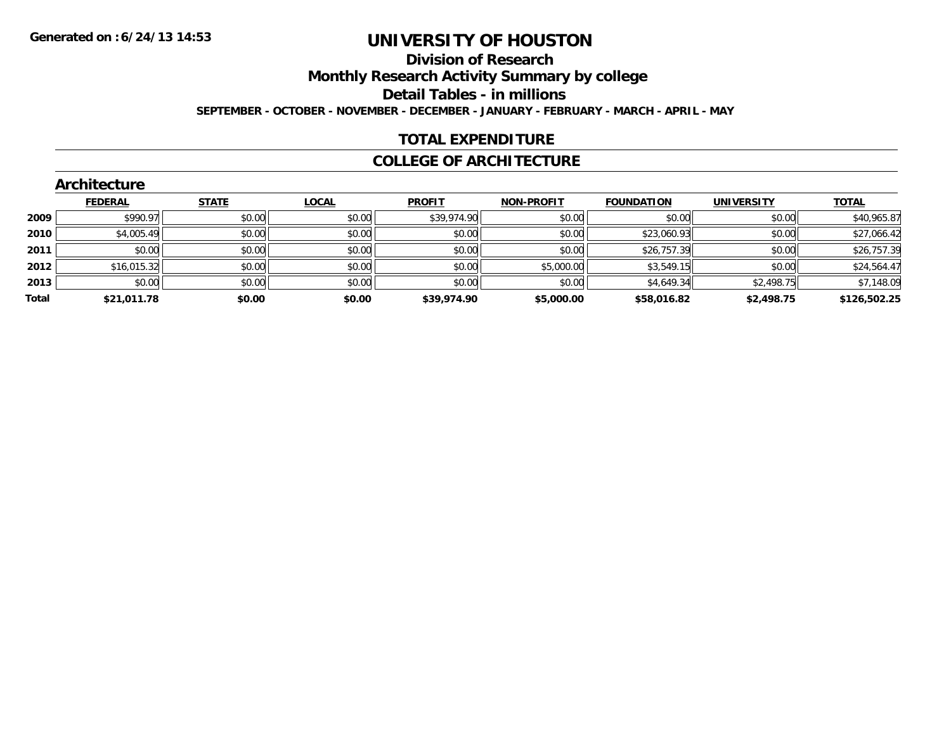## **Division of Research**

**Monthly Research Activity Summary by college**

**Detail Tables - in millions**

**SEPTEMBER - OCTOBER - NOVEMBER - DECEMBER - JANUARY - FEBRUARY - MARCH - APRIL - MAY**

### **TOTAL EXPENDITURE**

#### **COLLEGE OF ARCHITECTURE**

|       | Architecture   |              |              |               |                   |                   |                   |              |
|-------|----------------|--------------|--------------|---------------|-------------------|-------------------|-------------------|--------------|
|       | <b>FEDERAL</b> | <b>STATE</b> | <b>LOCAL</b> | <b>PROFIT</b> | <b>NON-PROFIT</b> | <b>FOUNDATION</b> | <b>UNIVERSITY</b> | <b>TOTAL</b> |
| 2009  | \$990.97       | \$0.00       | \$0.00       | \$39,974.90   | \$0.00            | \$0.00            | \$0.00            | \$40,965.87  |
| 2010  | \$4,005.49     | \$0.00       | \$0.00       | \$0.00        | \$0.00            | \$23,060.93       | \$0.00            | \$27,066.42  |
| 2011  | \$0.00         | \$0.00       | \$0.00       | \$0.00        | \$0.00            | \$26,757.39       | \$0.00            | \$26,757.39  |
| 2012  | \$16,015.32    | \$0.00       | \$0.00       | \$0.00        | \$5,000.00        | \$3,549.15        | \$0.00            | \$24,564.47  |
| 2013  | \$0.00         | \$0.00       | \$0.00       | \$0.00        | \$0.00            | \$4,649.34        | \$2,498.75        | \$7,148.09   |
| Total | \$21,011.78    | \$0.00       | \$0.00       | \$39,974.90   | \$5,000.00        | \$58,016.82       | \$2,498.75        | \$126,502.25 |
|       |                |              |              |               |                   |                   |                   |              |

#### **Architecture**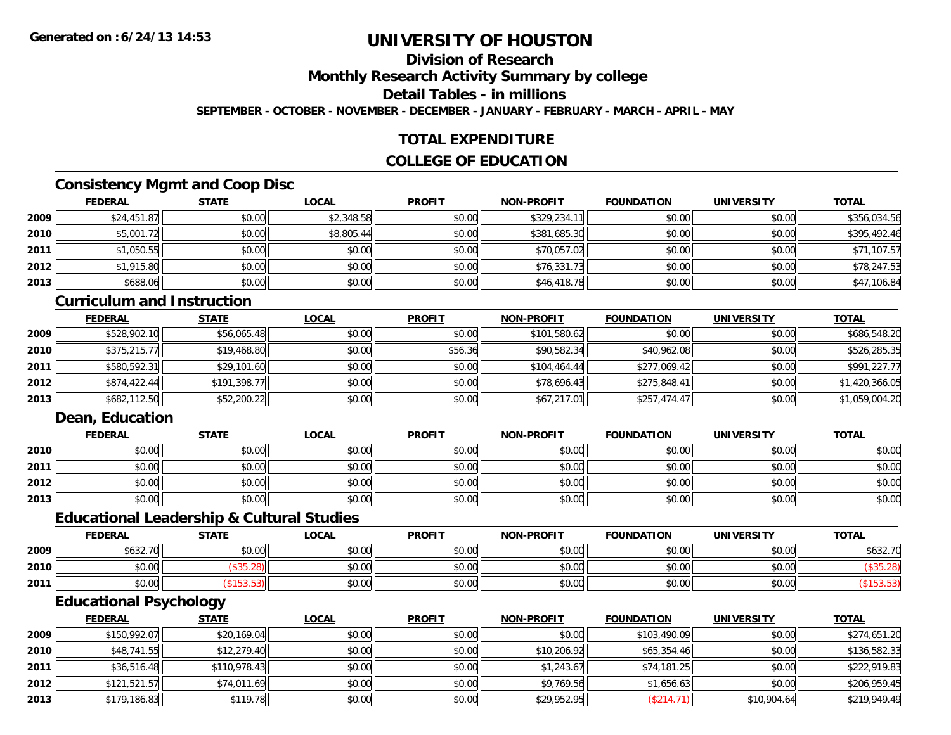### **Division of Research**

**Monthly Research Activity Summary by college**

**Detail Tables - in millions**

**SEPTEMBER - OCTOBER - NOVEMBER - DECEMBER - JANUARY - FEBRUARY - MARCH - APRIL - MAY**

### **TOTAL EXPENDITURE**

#### **COLLEGE OF EDUCATION**

### **Consistency Mgmt and Coop Disc**

|      | <b>FEDERAL</b> | <b>STATE</b> | <u>LOCAL</u> | <b>PROFIT</b> | <b>NON-PROFIT</b> | <b>FOUNDATION</b> | <b>UNIVERSITY</b> | <b>TOTAL</b> |
|------|----------------|--------------|--------------|---------------|-------------------|-------------------|-------------------|--------------|
| 2009 | \$24,451.87    | \$0.00       | \$2,348.58   | \$0.00        | \$329,234.11      | \$0.00            | \$0.00            | \$356,034.56 |
| 2010 | \$5,001.72     | \$0.00       | \$8,805.44   | \$0.00        | \$381,685.30      | \$0.00            | \$0.00            | \$395,492.46 |
| 2011 | \$1,050.55     | \$0.00       | \$0.00       | \$0.00        | \$70,057.02       | \$0.00            | \$0.00            | \$71,107.57  |
| 2012 | \$1,915.80     | \$0.00       | \$0.00       | \$0.00        | \$76,331.73       | \$0.00            | \$0.00            | \$78,247.53  |
| 2013 | \$688.06       | \$0.00       | \$0.00       | \$0.00        | \$46,418.78       | \$0.00            | \$0.00            | \$47,106.84  |

#### **Curriculum and Instruction**

|      | <b>FEDERAL</b> | <u>STATE</u> | <u>LOCAL</u> | <b>PROFIT</b> | <b>NON-PROFIT</b> | <b>FOUNDATION</b> | <b>UNIVERSITY</b> | <b>TOTAL</b>   |
|------|----------------|--------------|--------------|---------------|-------------------|-------------------|-------------------|----------------|
| 2009 | \$528,902.10   | \$56,065.48  | \$0.00       | \$0.00        | \$101,580.62      | \$0.00            | \$0.00            | \$686,548.20   |
| 2010 | \$375,215.77   | \$19,468.80  | \$0.00       | \$56.36       | \$90,582.34       | \$40,962.08       | \$0.00            | \$526,285.35   |
| 2011 | \$580,592.31   | \$29,101.60  | \$0.00       | \$0.00        | \$104,464.44      | \$277.069.42      | \$0.00            | \$991,227.77   |
| 2012 | \$874,422.44   | \$191,398.77 | \$0.00       | \$0.00        | \$78,696.43       | \$275,848.41      | \$0.00            | \$1,420,366.05 |
| 2013 | \$682,112.50   | \$52,200.22  | \$0.00       | \$0.00        | \$67,217.01       | \$257,474.47      | \$0.00            | \$1,059,004.20 |

### **Dean, Education**

|      | <b>FEDERAL</b> | <b>STATE</b> | <u>LOCAL</u> | <b>PROFIT</b> | <b>NON-PROFIT</b> | <b>FOUNDATION</b> | <b>UNIVERSITY</b> | <b>TOTAL</b> |
|------|----------------|--------------|--------------|---------------|-------------------|-------------------|-------------------|--------------|
| 2010 | \$0.00         | \$0.00       | \$0.00       | \$0.00        | \$0.00            | \$0.00            | \$0.00            | \$0.00       |
| 2011 | \$0.00         | \$0.00       | \$0.00       | \$0.00        | \$0.00            | \$0.00            | \$0.00            | \$0.00       |
| 2012 | \$0.00         | \$0.00       | \$0.00       | \$0.00        | \$0.00            | \$0.00            | \$0.00            | \$0.00       |
| 2013 | \$0.00         | \$0.00       | \$0.00       | \$0.00        | \$0.00            | \$0.00            | \$0.00            | \$0.00       |

#### **Educational Leadership & Cultural Studies**

|      | <b>FEDERAL</b>                                         | <b>STATE</b> | <u>LOCAL</u> | <b>PROFIT</b> | <b>NON-PROFIT</b> | <b>FOUNDATION</b> | UNIVERSITY | <b>TOTAL</b> |
|------|--------------------------------------------------------|--------------|--------------|---------------|-------------------|-------------------|------------|--------------|
| 2009 | $\uparrow$ $\uparrow$ $\uparrow$ $\uparrow$<br>303Z. I | \$0.00       | \$0.00       | \$0.00        | \$0.00            | \$0.00            | \$0.00     | \$632.70     |
| 2010 | 0 t<br>DU.UU                                           |              | \$0.00       | \$0.00        | \$0.00            | ልስ ሰሰ             | \$0.00     |              |
| 2011 | <b>00</b><br>$\sim$<br>JU.UU                           | JJ.JJ        | \$0.00       | \$0.00        | \$0.00            | \$0.00            | \$0.00     |              |

<u> 1989 - Johann Stoff, deutscher Stoffen und der Stoffen und der Stoffen und der Stoffen und der Stoffen und de</u>

### **Educational Psychology**

|      | <b>FEDERAL</b> | <b>STATE</b> | <b>LOCAL</b> | <b>PROFIT</b> | <b>NON-PROFIT</b> | <b>FOUNDATION</b> | <b>UNIVERSITY</b> | <b>TOTAL</b> |
|------|----------------|--------------|--------------|---------------|-------------------|-------------------|-------------------|--------------|
| 2009 | \$150,992.07   | \$20,169.04  | \$0.00       | \$0.00        | \$0.00            | \$103,490.09      | \$0.00            | \$274,651.20 |
| 2010 | \$48,741.55    | \$12,279.40  | \$0.00       | \$0.00        | \$10,206.92       | \$65,354.46       | \$0.00            | \$136,582.33 |
| 2011 | \$36,516.48    | \$110,978.43 | \$0.00       | \$0.00        | \$1,243.67        | \$74,181.25       | \$0.00            | \$222,919.83 |
| 2012 | \$121,521.57   | \$74,011.69  | \$0.00       | \$0.00        | \$9,769.56        | \$1,656.63        | \$0.00            | \$206,959.45 |
| 2013 | \$179,186.83   | \$119.78     | \$0.00       | \$0.00        | \$29,952.95       | (\$214.71)        | \$10,904.64       | \$219,949.49 |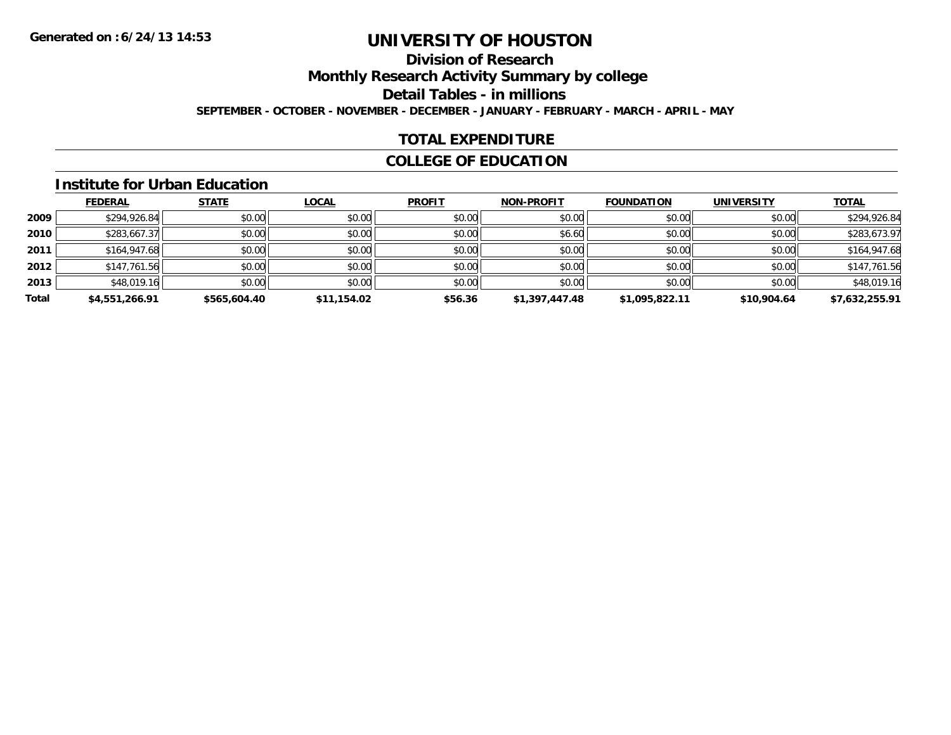### **Division of Research**

**Monthly Research Activity Summary by college**

**Detail Tables - in millions**

**SEPTEMBER - OCTOBER - NOVEMBER - DECEMBER - JANUARY - FEBRUARY - MARCH - APRIL - MAY**

### **TOTAL EXPENDITURE**

### **COLLEGE OF EDUCATION**

#### **Institute for Urban Education**

|       | <b>FEDERAL</b> | <b>STATE</b> | <b>LOCAL</b> | <b>PROFIT</b> | <b>NON-PROFIT</b> | <b>FOUNDATION</b> | <b>UNIVERSITY</b> | <b>TOTAL</b>   |
|-------|----------------|--------------|--------------|---------------|-------------------|-------------------|-------------------|----------------|
| 2009  | \$294,926.84   | \$0.00       | \$0.00       | \$0.00        | \$0.00            | \$0.00            | \$0.00            | \$294,926.84   |
| 2010  | \$283,667.37   | \$0.00       | \$0.00       | \$0.00        | \$6.60            | \$0.00            | \$0.00            | \$283,673.97   |
| 2011  | \$164,947.68   | \$0.00       | \$0.00       | \$0.00        | \$0.00            | \$0.00            | \$0.00            | \$164,947.68   |
| 2012  | \$147,761.56   | \$0.00       | \$0.00       | \$0.00        | \$0.00            | \$0.00            | \$0.00            | \$147,761.56   |
| 2013  | \$48,019.16    | \$0.00       | \$0.00       | \$0.00        | \$0.00            | \$0.00            | \$0.00            | \$48,019.16    |
| Total | \$4,551,266.91 | \$565,604.40 | \$11,154.02  | \$56.36       | \$1,397,447.48    | \$1,095,822.11    | \$10,904.64       | \$7,632,255.91 |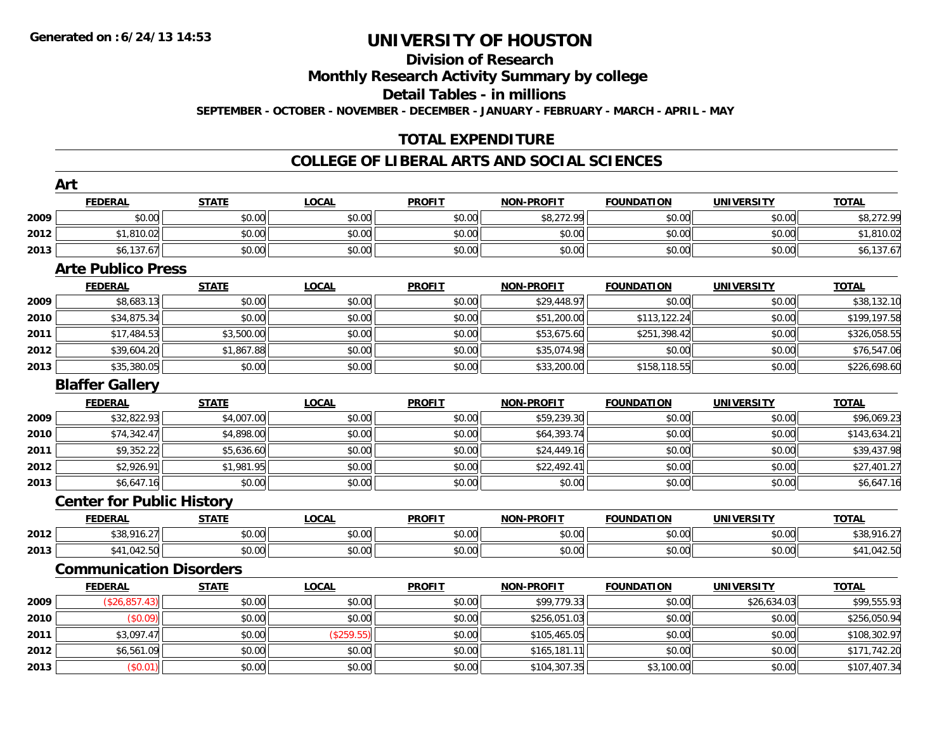### **Division of Research**

**Monthly Research Activity Summary by college**

**Detail Tables - in millions**

**SEPTEMBER - OCTOBER - NOVEMBER - DECEMBER - JANUARY - FEBRUARY - MARCH - APRIL - MAY**

### **TOTAL EXPENDITURE**

#### **COLLEGE OF LIBERAL ARTS AND SOCIAL SCIENCES**

|      | Art                              |              |              |               |                   |                   |                   |              |
|------|----------------------------------|--------------|--------------|---------------|-------------------|-------------------|-------------------|--------------|
|      | <b>FEDERAL</b>                   | <b>STATE</b> | <b>LOCAL</b> | <b>PROFIT</b> | <b>NON-PROFIT</b> | <b>FOUNDATION</b> | <b>UNIVERSITY</b> | <b>TOTAL</b> |
| 2009 | \$0.00                           | \$0.00       | \$0.00       | \$0.00        | \$8,272.99        | \$0.00            | \$0.00            | \$8,272.99   |
| 2012 | \$1,810.02                       | \$0.00       | \$0.00       | \$0.00        | \$0.00            | \$0.00            | \$0.00            | \$1,810.02   |
| 2013 | \$6,137.67                       | \$0.00       | \$0.00       | \$0.00        | \$0.00            | \$0.00            | \$0.00            | \$6,137.67   |
|      | <b>Arte Publico Press</b>        |              |              |               |                   |                   |                   |              |
|      | <b>FEDERAL</b>                   | <b>STATE</b> | <b>LOCAL</b> | <b>PROFIT</b> | <b>NON-PROFIT</b> | <b>FOUNDATION</b> | <b>UNIVERSITY</b> | <b>TOTAL</b> |
| 2009 | \$8,683.13                       | \$0.00       | \$0.00       | \$0.00        | \$29,448.97       | \$0.00            | \$0.00            | \$38,132.10  |
| 2010 | \$34,875.34                      | \$0.00       | \$0.00       | \$0.00        | \$51,200.00       | \$113,122.24      | \$0.00            | \$199,197.58 |
| 2011 | \$17,484.53                      | \$3,500.00   | \$0.00       | \$0.00        | \$53,675.60       | \$251,398.42      | \$0.00            | \$326,058.55 |
| 2012 | \$39,604.20                      | \$1,867.88   | \$0.00       | \$0.00        | \$35,074.98       | \$0.00            | \$0.00            | \$76,547.06  |
| 2013 | \$35,380.05                      | \$0.00       | \$0.00       | \$0.00        | \$33,200.00       | \$158,118.55      | \$0.00            | \$226,698.60 |
|      | <b>Blaffer Gallery</b>           |              |              |               |                   |                   |                   |              |
|      | <b>FEDERAL</b>                   | <b>STATE</b> | <b>LOCAL</b> | <b>PROFIT</b> | <b>NON-PROFIT</b> | <b>FOUNDATION</b> | <b>UNIVERSITY</b> | <b>TOTAL</b> |
| 2009 | \$32,822.93                      | \$4,007.00   | \$0.00       | \$0.00        | \$59,239.30       | \$0.00            | \$0.00            | \$96,069.23  |
| 2010 | \$74,342.47                      | \$4,898.00   | \$0.00       | \$0.00        | \$64,393.74       | \$0.00            | \$0.00            | \$143,634.21 |
| 2011 | \$9,352.22                       | \$5,636.60   | \$0.00       | \$0.00        | \$24,449.16       | \$0.00            | \$0.00            | \$39,437.98  |
| 2012 | \$2,926.91                       | \$1,981.95   | \$0.00       | \$0.00        | \$22,492.41       | \$0.00            | \$0.00            | \$27,401.27  |
| 2013 | \$6,647.16                       | \$0.00       | \$0.00       | \$0.00        | \$0.00            | \$0.00            | \$0.00            | \$6,647.16   |
|      | <b>Center for Public History</b> |              |              |               |                   |                   |                   |              |
|      | <b>FEDERAL</b>                   | <b>STATE</b> | <b>LOCAL</b> | <b>PROFIT</b> | <b>NON-PROFIT</b> | <b>FOUNDATION</b> | <b>UNIVERSITY</b> | <b>TOTAL</b> |
| 2012 | \$38,916.27                      | \$0.00       | \$0.00       | \$0.00        | \$0.00            | \$0.00            | \$0.00            | \$38,916.27  |
| 2013 | \$41,042.50                      | \$0.00       | \$0.00       | \$0.00        | \$0.00            | \$0.00            | \$0.00            | \$41,042.50  |
|      | <b>Communication Disorders</b>   |              |              |               |                   |                   |                   |              |
|      | <b>FEDERAL</b>                   | <b>STATE</b> | <b>LOCAL</b> | <b>PROFIT</b> | <b>NON-PROFIT</b> | <b>FOUNDATION</b> | <b>UNIVERSITY</b> | <b>TOTAL</b> |
| 2009 | (\$26,857.43)                    | \$0.00       | \$0.00       | \$0.00        | \$99,779.33       | \$0.00            | \$26,634.03       | \$99,555.93  |
| 2010 | (\$0.09)                         | \$0.00       | \$0.00       | \$0.00        | \$256,051.03      | \$0.00            | \$0.00            | \$256,050.94 |
| 2011 | \$3,097.47                       | \$0.00       | (\$259.55)   | \$0.00        | \$105,465.05      | \$0.00            | \$0.00            | \$108,302.97 |
| 2012 | \$6,561.09                       | \$0.00       | \$0.00       | \$0.00        | \$165,181.11      | \$0.00            | \$0.00            | \$171,742.20 |
| 2013 | (\$0.01)                         | \$0.00       | \$0.00       | \$0.00        | \$104,307.35      | \$3,100.00        | \$0.00            | \$107,407.34 |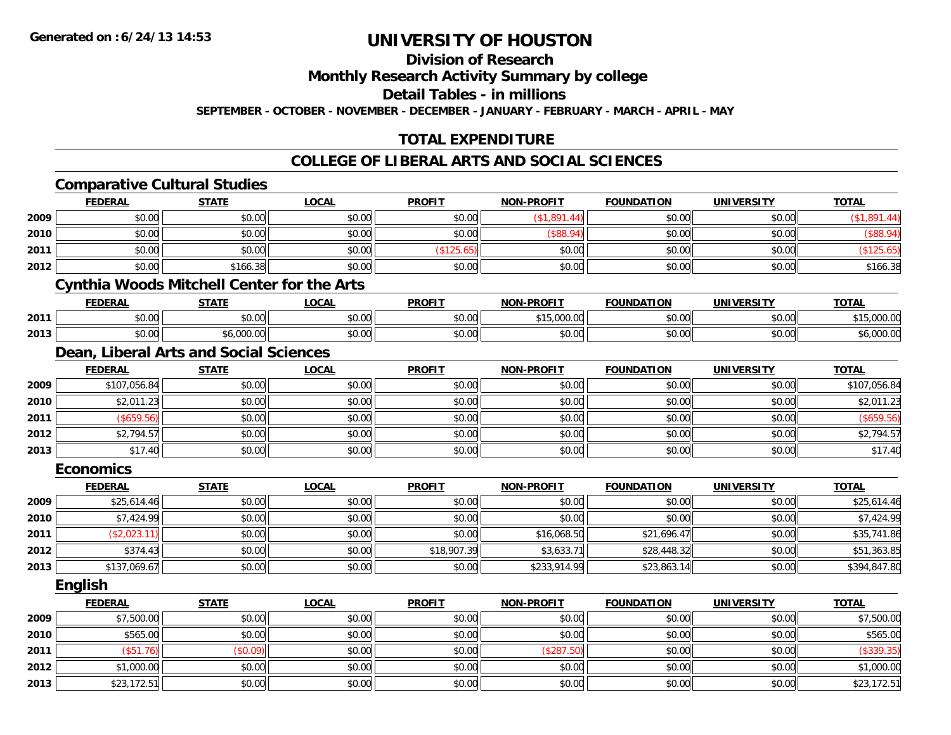**Division of Research**

**Monthly Research Activity Summary by college**

**Detail Tables - in millions**

**SEPTEMBER - OCTOBER - NOVEMBER - DECEMBER - JANUARY - FEBRUARY - MARCH - APRIL - MAY**

## **TOTAL EXPENDITURE**

## **COLLEGE OF LIBERAL ARTS AND SOCIAL SCIENCES**

|      | <b>Comparative Cultural Studies</b>               |              |              |               |                   |                   |                   |              |
|------|---------------------------------------------------|--------------|--------------|---------------|-------------------|-------------------|-------------------|--------------|
|      | <b>FEDERAL</b>                                    | <b>STATE</b> | <b>LOCAL</b> | <b>PROFIT</b> | <b>NON-PROFIT</b> | <b>FOUNDATION</b> | <b>UNIVERSITY</b> | <b>TOTAL</b> |
| 2009 | \$0.00                                            | \$0.00       | \$0.00       | \$0.00        | (\$1,891.44)      | \$0.00            | \$0.00            | (\$1,891.44) |
| 2010 | \$0.00                                            | \$0.00       | \$0.00       | \$0.00        | $($ \$88.94)      | \$0.00            | \$0.00            | (\$88.94)    |
| 2011 | \$0.00                                            | \$0.00       | \$0.00       | (\$125.65)    | \$0.00            | \$0.00            | \$0.00            | (\$125.65)   |
| 2012 | \$0.00                                            | \$166.38     | \$0.00       | \$0.00        | \$0.00            | \$0.00            | \$0.00            | \$166.38     |
|      | <b>Cynthia Woods Mitchell Center for the Arts</b> |              |              |               |                   |                   |                   |              |
|      | <b>FEDERAL</b>                                    | <b>STATE</b> | <b>LOCAL</b> | <b>PROFIT</b> | <b>NON-PROFIT</b> | <b>FOUNDATION</b> | <b>UNIVERSITY</b> | <b>TOTAL</b> |
| 2011 | \$0.00                                            | \$0.00       | \$0.00       | \$0.00        | \$15,000.00       | \$0.00            | \$0.00            | \$15,000.00  |
| 2013 | \$0.00                                            | \$6,000.00   | \$0.00       | \$0.00        | \$0.00            | \$0.00            | \$0.00            | \$6,000.00   |
|      | Dean, Liberal Arts and Social Sciences            |              |              |               |                   |                   |                   |              |
|      | <b>FEDERAL</b>                                    | <b>STATE</b> | <b>LOCAL</b> | <b>PROFIT</b> | <b>NON-PROFIT</b> | <b>FOUNDATION</b> | <b>UNIVERSITY</b> | <b>TOTAL</b> |
| 2009 | \$107,056.84                                      | \$0.00       | \$0.00       | \$0.00        | \$0.00            | \$0.00            | \$0.00            | \$107,056.84 |
| 2010 | \$2,011.23                                        | \$0.00       | \$0.00       | \$0.00        | \$0.00            | \$0.00            | \$0.00            | \$2,011.23   |
| 2011 | (\$659.56)                                        | \$0.00       | \$0.00       | \$0.00        | \$0.00            | \$0.00            | \$0.00            | (\$659.56)   |
| 2012 | \$2,794.57                                        | \$0.00       | \$0.00       | \$0.00        | \$0.00            | \$0.00            | \$0.00            | \$2,794.57   |
| 2013 | \$17.40                                           | \$0.00       | \$0.00       | \$0.00        | \$0.00            | \$0.00            | \$0.00            | \$17.40      |
|      | <b>Economics</b>                                  |              |              |               |                   |                   |                   |              |
|      | <b>FEDERAL</b>                                    | <b>STATE</b> | <b>LOCAL</b> | <b>PROFIT</b> | <b>NON-PROFIT</b> | <b>FOUNDATION</b> | <b>UNIVERSITY</b> | <b>TOTAL</b> |
| 2009 | \$25,614.46                                       | \$0.00       | \$0.00       | \$0.00        | \$0.00            | \$0.00            | \$0.00            | \$25,614.46  |
| 2010 | \$7,424.99                                        | \$0.00       | \$0.00       | \$0.00        | \$0.00            | \$0.00            | \$0.00            | \$7,424.99   |
| 2011 | (\$2,023.11)                                      | \$0.00       | \$0.00       | \$0.00        | \$16,068.50       | \$21,696.47       | \$0.00            | \$35,741.86  |
| 2012 | \$374.43                                          | \$0.00       | \$0.00       | \$18,907.39   | \$3,633.71        | \$28,448.32       | \$0.00            | \$51,363.85  |
| 2013 | \$137,069.67                                      | \$0.00       | \$0.00       | \$0.00        | \$233,914.99      | \$23,863.14       | \$0.00            | \$394,847.80 |
|      | <b>English</b>                                    |              |              |               |                   |                   |                   |              |
|      | <b>FEDERAL</b>                                    | <b>STATE</b> | <b>LOCAL</b> | <b>PROFIT</b> | <b>NON-PROFIT</b> | <b>FOUNDATION</b> | <b>UNIVERSITY</b> | <b>TOTAL</b> |
| 2009 | \$7,500.00                                        | \$0.00       | \$0.00       | \$0.00        | \$0.00            | \$0.00            | \$0.00            | \$7,500.00   |
| 2010 | \$565.00                                          | \$0.00       | \$0.00       | \$0.00        | \$0.00            | \$0.00            | \$0.00            | \$565.00     |
| 2011 | (\$51.76)                                         | (\$0.09)     | \$0.00       | \$0.00        | (\$287.50)        | \$0.00            | \$0.00            | (\$339.35)   |
| 2012 | \$1,000.00                                        | \$0.00       | \$0.00       | \$0.00        | \$0.00            | \$0.00            | \$0.00            | \$1,000.00   |
| 2013 | \$23,172.51                                       | \$0.00       | \$0.00       | \$0.00        | \$0.00            | \$0.00            | \$0.00            | \$23,172.51  |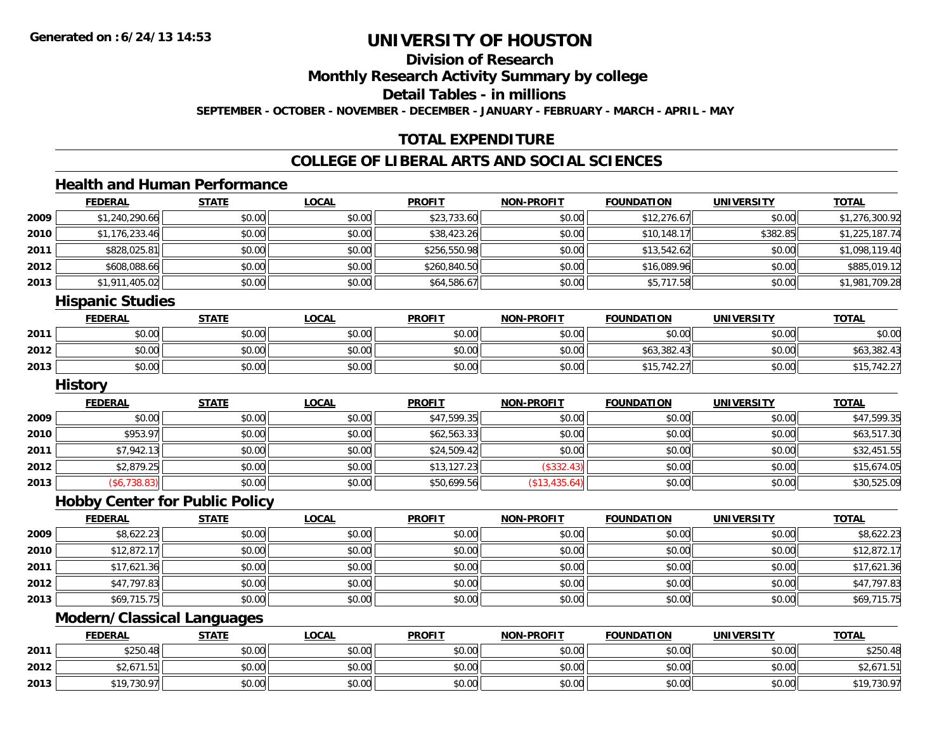**Division of Research**

**Monthly Research Activity Summary by college**

**Detail Tables - in millions**

**SEPTEMBER - OCTOBER - NOVEMBER - DECEMBER - JANUARY - FEBRUARY - MARCH - APRIL - MAY**

## **TOTAL EXPENDITURE**

## **COLLEGE OF LIBERAL ARTS AND SOCIAL SCIENCES**

## **Health and Human Performance**

|      | <b>FEDERAL</b>       | <b>STATE</b> | <b>LOCAL</b> | <b>PROFIT</b> | <b>NON-PROFIT</b> | <b>FOUNDATION</b> | <b>UNIVERSITY</b> | <b>TOTAL</b>   |
|------|----------------------|--------------|--------------|---------------|-------------------|-------------------|-------------------|----------------|
| 2009 | \$1,240,290.66       | \$0.00       | \$0.00       | \$23,733.60   | \$0.00            | \$12,276.67       | \$0.00            | \$1,276,300.92 |
| 2010 | \$1,176,233.46       | \$0.00       | \$0.00       | \$38,423.26   | \$0.00            | \$10,148.17       | \$382.85          | \$1,225,187.74 |
| 2011 | \$828,025.81         | \$0.00       | \$0.00       | \$256,550.98  | \$0.00            | \$13,542.62       | \$0.00            | \$1,098,119.40 |
| 2012 | \$608,088.66         | \$0.00       | \$0.00       | \$260,840.50  | \$0.00            | \$16,089.96       | \$0.00            | \$885,019.12   |
| 2013 | \$1,911,405.02       | \$0.00       | \$0.00       | \$64,586.67   | \$0.00            | \$5,717.58        | \$0.00            | \$1,981,709.28 |
|      | ممثلبتناه متعتممتا ا |              |              |               |                   |                   |                   |                |

#### **Hispanic Studies**

|      | <b>FEDERAL</b> | <b>STATE</b> | <u>LOCAL</u> | <b>PROFIT</b> | <b>NON-PROFIT</b> | <b>FOUNDATION</b> | UNIVERSITY | <b>TOTAL</b> |
|------|----------------|--------------|--------------|---------------|-------------------|-------------------|------------|--------------|
| 2011 | \$0.00         | \$0.00       | \$0.00       | \$0.00        | \$0.00            | \$0.00            | \$0.00     | \$0.00       |
| 2012 | \$0.00         | \$0.00       | \$0.00       | \$0.00        | \$0.00            | \$63,382.43       | \$0.00     | \$63,382.43  |
| 2013 | \$0.00         | \$0.00       | \$0.00       | \$0.00        | \$0.00            | \$15,742.27       | \$0.00     | 10.27        |

#### **History**

|      | <b>FEDERAL</b> | <u>STATE</u> | <u>LOCAL</u> | <b>PROFIT</b> | <b>NON-PROFIT</b> | <b>FOUNDATION</b> | <b>UNIVERSITY</b> | <b>TOTAL</b> |
|------|----------------|--------------|--------------|---------------|-------------------|-------------------|-------------------|--------------|
| 2009 | \$0.00         | \$0.00       | \$0.00       | \$47,599.35   | \$0.00            | \$0.00            | \$0.00            | \$47,599.35  |
| 2010 | \$953.97       | \$0.00       | \$0.00       | \$62,563.33   | \$0.00            | \$0.00            | \$0.00            | \$63,517.30  |
| 2011 | \$7,942.13     | \$0.00       | \$0.00       | \$24,509.42   | \$0.00            | \$0.00            | \$0.00            | \$32,451.55  |
| 2012 | \$2,879.25     | \$0.00       | \$0.00       | \$13,127.23   | (\$332.43)        | \$0.00            | \$0.00            | \$15,674.05  |
| 2013 | (\$6,738.83)   | \$0.00       | \$0.00       | \$50,699.56   | (\$13,435.64)     | \$0.00            | \$0.00            | \$30,525.09  |

### **Hobby Center for Public Policy**

|      | <b>FEDERAL</b> | <b>STATE</b> | <b>LOCAL</b> | <b>PROFIT</b> | <b>NON-PROFIT</b> | <b>FOUNDATION</b> | <b>UNIVERSITY</b> | <b>TOTAL</b> |
|------|----------------|--------------|--------------|---------------|-------------------|-------------------|-------------------|--------------|
| 2009 | \$8,622.23     | \$0.00       | \$0.00       | \$0.00        | \$0.00            | \$0.00            | \$0.00            | \$8,622.23   |
| 2010 | \$12,872.17    | \$0.00       | \$0.00       | \$0.00        | \$0.00            | \$0.00            | \$0.00            | \$12,872.17  |
| 2011 | \$17,621.36    | \$0.00       | \$0.00       | \$0.00        | \$0.00            | \$0.00            | \$0.00            | \$17,621.36  |
| 2012 | \$47,797.83    | \$0.00       | \$0.00       | \$0.00        | \$0.00            | \$0.00            | \$0.00            | \$47,797.83  |
| 2013 | \$69,715.75    | \$0.00       | \$0.00       | \$0.00        | \$0.00            | \$0.00            | \$0.00            | \$69,715.75  |

## **Modern/Classical Languages**

|      | <b>FEDERAL</b>                              | <b>STATE</b>   | <b>LOCAL</b>    | <b>PROFIT</b> | <b>N-PROFIT</b><br><b>NIONI</b> | <b>FOUNDATION</b> | <b>UNIVERSITY</b> | <b>TOTAL</b>                 |
|------|---------------------------------------------|----------------|-----------------|---------------|---------------------------------|-------------------|-------------------|------------------------------|
| 2011 | \$250.48                                    | ⊄∩ ∩∩<br>JU.UU | nn on<br>\$U.UU | \$0.00        | \$0.00                          | \$0.00            | \$0.00            | \$250.48                     |
| 2012 | $\wedge$ $\wedge$ $\wedge$<br>52,67<br>ن. ا | 40.00<br>DU.UU | \$0.00          | \$0.00        | \$0.00                          | \$0.00            | \$0.00            | $\cdots$<br>۱۰ تا ۱۰ تا ۲۰ پ |
| 2013 | .730.97<br>¢10                              | \$0.00         | \$0.00          | \$0.00        | \$0.00                          | \$0.00            | \$0.00            | \$19,730.97                  |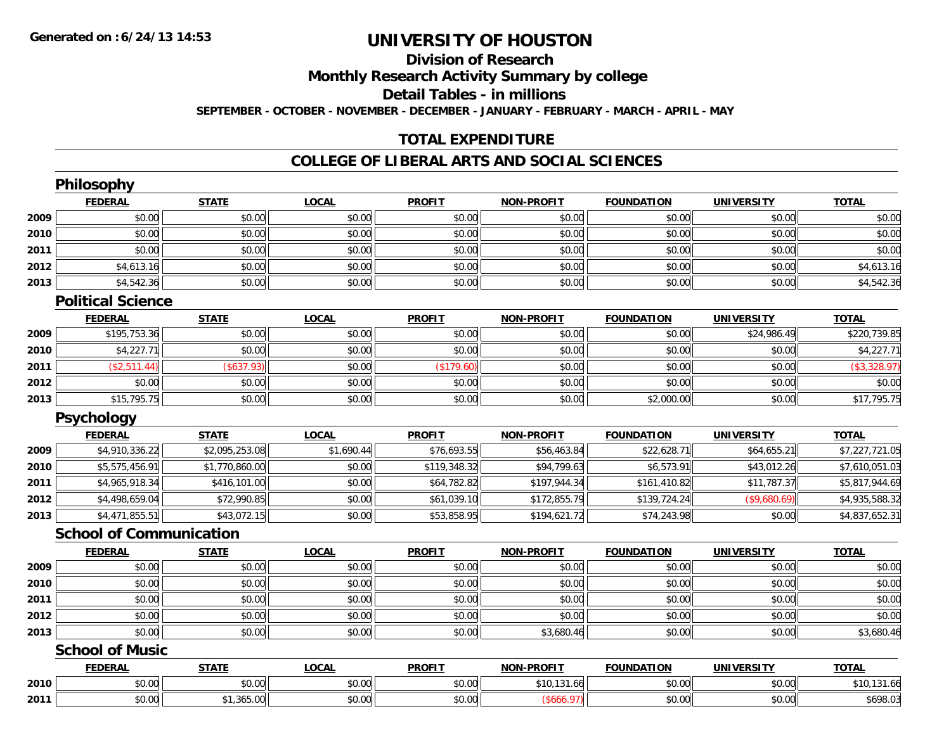## **Division of Research**

**Monthly Research Activity Summary by college**

**Detail Tables - in millions**

**SEPTEMBER - OCTOBER - NOVEMBER - DECEMBER - JANUARY - FEBRUARY - MARCH - APRIL - MAY**

## **TOTAL EXPENDITURE**

### **COLLEGE OF LIBERAL ARTS AND SOCIAL SCIENCES**

|      | Philosophy                     |                |              |               |                   |                   |                   |                |
|------|--------------------------------|----------------|--------------|---------------|-------------------|-------------------|-------------------|----------------|
|      | <b>FEDERAL</b>                 | <b>STATE</b>   | <b>LOCAL</b> | <b>PROFIT</b> | <b>NON-PROFIT</b> | <b>FOUNDATION</b> | <b>UNIVERSITY</b> | <b>TOTAL</b>   |
| 2009 | \$0.00                         | \$0.00         | \$0.00       | \$0.00        | \$0.00            | \$0.00            | \$0.00            | \$0.00         |
| 2010 | \$0.00                         | \$0.00         | \$0.00       | \$0.00        | \$0.00            | \$0.00            | \$0.00            | \$0.00         |
| 2011 | \$0.00                         | \$0.00         | \$0.00       | \$0.00        | \$0.00            | \$0.00            | \$0.00            | \$0.00         |
| 2012 | \$4,613.16                     | \$0.00         | \$0.00       | \$0.00        | \$0.00            | \$0.00            | \$0.00            | \$4,613.16     |
| 2013 | \$4,542.36                     | \$0.00         | \$0.00       | \$0.00        | \$0.00            | \$0.00            | \$0.00            | \$4,542.36     |
|      | <b>Political Science</b>       |                |              |               |                   |                   |                   |                |
|      | <b>FEDERAL</b>                 | <b>STATE</b>   | <b>LOCAL</b> | <b>PROFIT</b> | <b>NON-PROFIT</b> | <b>FOUNDATION</b> | <b>UNIVERSITY</b> | <b>TOTAL</b>   |
| 2009 | \$195,753.36                   | \$0.00         | \$0.00       | \$0.00        | \$0.00            | \$0.00            | \$24,986.49       | \$220,739.85   |
| 2010 | \$4,227.71                     | \$0.00         | \$0.00       | \$0.00        | \$0.00            | \$0.00            | \$0.00            | \$4,227.71     |
| 2011 | (\$2,511.44)                   | (\$637.93)     | \$0.00       | (\$179.60)    | \$0.00            | \$0.00            | \$0.00            | (\$3,328.97)   |
| 2012 | \$0.00                         | \$0.00         | \$0.00       | \$0.00        | \$0.00            | \$0.00            | \$0.00            | \$0.00         |
| 2013 | \$15,795.75                    | \$0.00         | \$0.00       | \$0.00        | \$0.00            | \$2,000.00        | \$0.00            | \$17,795.75    |
|      | Psychology                     |                |              |               |                   |                   |                   |                |
|      | <b>FEDERAL</b>                 | <b>STATE</b>   | <b>LOCAL</b> | <b>PROFIT</b> | <b>NON-PROFIT</b> | <b>FOUNDATION</b> | <b>UNIVERSITY</b> | <b>TOTAL</b>   |
| 2009 | \$4,910,336.22                 | \$2,095,253.08 | \$1,690.44   | \$76,693.55   | \$56,463.84       | \$22,628.71       | \$64,655.21       | \$7,227,721.05 |
| 2010 | \$5,575,456.91                 | \$1,770,860.00 | \$0.00       | \$119,348.32  | \$94,799.63       | \$6,573.91        | \$43,012.26       | \$7,610,051.03 |
| 2011 | \$4,965,918.34                 | \$416,101.00   | \$0.00       | \$64,782.82   | \$197,944.34      | \$161,410.82      | \$11,787.37       | \$5,817,944.69 |
| 2012 | \$4,498,659.04                 | \$72,990.85    | \$0.00       | \$61,039.10   | \$172,855.79      | \$139,724.24      | (\$9,680.69)      | \$4,935,588.32 |
| 2013 | \$4,471,855.51                 | \$43,072.15    | \$0.00       | \$53,858.95   | \$194,621.72      | \$74,243.98       | \$0.00            | \$4,837,652.31 |
|      | <b>School of Communication</b> |                |              |               |                   |                   |                   |                |
|      | <b>FEDERAL</b>                 | <b>STATE</b>   | <b>LOCAL</b> | <b>PROFIT</b> | <b>NON-PROFIT</b> | <b>FOUNDATION</b> | <b>UNIVERSITY</b> | <b>TOTAL</b>   |
| 2009 | \$0.00                         | \$0.00         | \$0.00       | \$0.00        | \$0.00            | \$0.00            | \$0.00            | \$0.00         |
| 2010 | \$0.00                         | \$0.00         | \$0.00       | \$0.00        | \$0.00            | \$0.00            | \$0.00            | \$0.00         |
| 2011 | \$0.00                         | \$0.00         | \$0.00       | \$0.00        | \$0.00            | \$0.00            | \$0.00            | \$0.00         |
| 2012 | \$0.00                         | \$0.00         | \$0.00       | \$0.00        | \$0.00            | \$0.00            | \$0.00            | \$0.00         |
| 2013 | \$0.00                         | \$0.00         | \$0.00       | \$0.00        | \$3,680.46        | \$0.00            | \$0.00            | \$3,680.46     |
|      | <b>School of Music</b>         |                |              |               |                   |                   |                   |                |
|      | <b>FEDERAL</b>                 | <b>STATE</b>   | <b>LOCAL</b> | <b>PROFIT</b> | <b>NON-PROFIT</b> | <b>FOUNDATION</b> | <b>UNIVERSITY</b> | <b>TOTAL</b>   |
| 2010 | \$0.00                         | \$0.00         | \$0.00       | \$0.00        | \$10,131.66       | \$0.00            | \$0.00            | \$10,131.66    |
| 2011 | \$0.00                         | \$1,365.00     | \$0.00       | \$0.00        | (\$666.97)        | \$0.00            | \$0.00            | \$698.03       |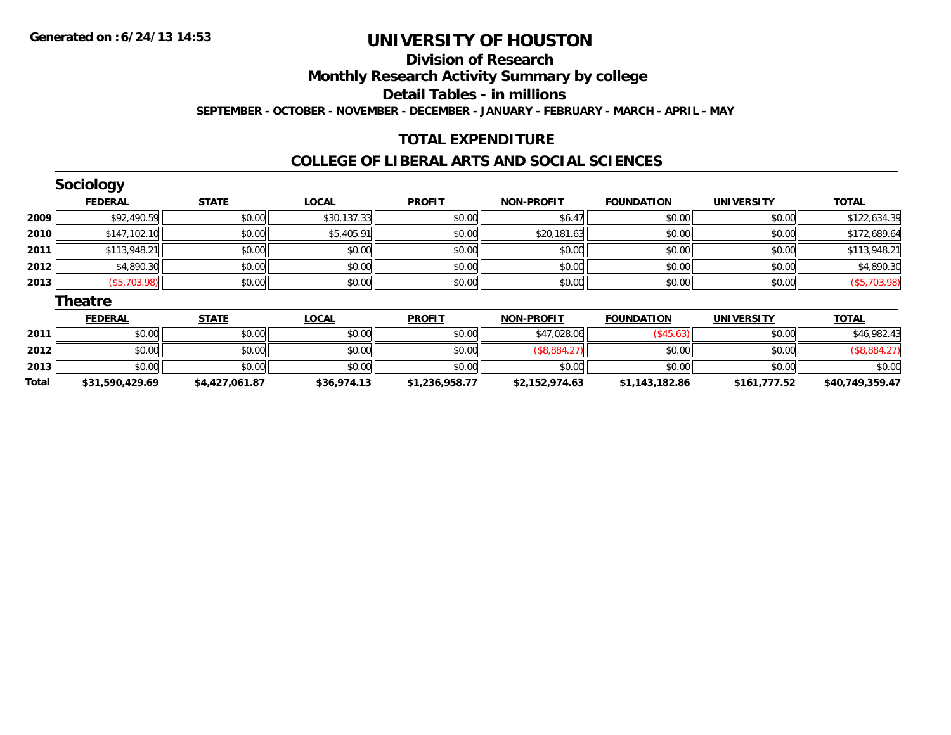#### **Division of Research**

**Monthly Research Activity Summary by college**

**Detail Tables - in millions**

**SEPTEMBER - OCTOBER - NOVEMBER - DECEMBER - JANUARY - FEBRUARY - MARCH - APRIL - MAY**

## **TOTAL EXPENDITURE**

### **COLLEGE OF LIBERAL ARTS AND SOCIAL SCIENCES**

|      | <b>Sociology</b> |              |              |               |                   |                   |                   |              |
|------|------------------|--------------|--------------|---------------|-------------------|-------------------|-------------------|--------------|
|      | <b>FEDERAL</b>   | <b>STATE</b> | <b>LOCAL</b> | <b>PROFIT</b> | <b>NON-PROFIT</b> | <b>FOUNDATION</b> | <b>UNIVERSITY</b> | <b>TOTAL</b> |
| 2009 | \$92,490.59      | \$0.00       | \$30,137.33  | \$0.00        | \$6.47            | \$0.00            | \$0.00            | \$122,634.39 |
| 2010 | \$147,102.10     | \$0.00       | \$5,405.91   | \$0.00        | \$20,181.63       | \$0.00            | \$0.00            | \$172,689.64 |
| 2011 | \$113,948.21     | \$0.00       | \$0.00       | \$0.00        | \$0.00            | \$0.00            | \$0.00            | \$113,948.21 |
| 2012 | \$4,890.30       | \$0.00       | \$0.00       | \$0.00        | \$0.00            | \$0.00            | \$0.00            | \$4,890.30   |
| 2013 | (\$5,703.98)     | \$0.00       | \$0.00       | \$0.00        | \$0.00            | \$0.00            | \$0.00            | (\$5,703.98) |
|      | <b>Theatre</b>   |              |              |               |                   |                   |                   |              |
|      | <b>FEDERAL</b>   | <b>STATE</b> | <b>LOCAL</b> | <b>PROFIT</b> | <b>NON-PROFIT</b> | <b>FOUNDATION</b> | <b>UNIVERSITY</b> | <b>TOTAL</b> |

|              | <u>I LULIANL</u> | 3171L          | <u>LUUNL</u> | <b>FNVIII</b>  | <b>IVON-FROLIL</b> | וטוח אשוטט     | <b>UNIVERSIII</b> | $101$ $AU$      |
|--------------|------------------|----------------|--------------|----------------|--------------------|----------------|-------------------|-----------------|
| 2011         | \$0.00           | \$0.00         | \$0.00       | \$0.00         | \$47,028.06        | \$45.63        | \$0.00            | \$46,982.43     |
| 2012         | \$0.00           | \$0.00         | \$0.00       | \$0.00         |                    | \$0.00         | \$0.00            |                 |
| 2013         | \$0.00           | \$0.00         | \$0.00       | \$0.00         | \$0.00             | \$0.00         | \$0.00            | \$0.00          |
| <b>Total</b> | \$31,590,429.69  | \$4,427,061.87 | \$36,974.13  | \$1,236,958.77 | \$2,152,974.63     | \$1,143,182.86 | \$161,777.52      | \$40,749,359.47 |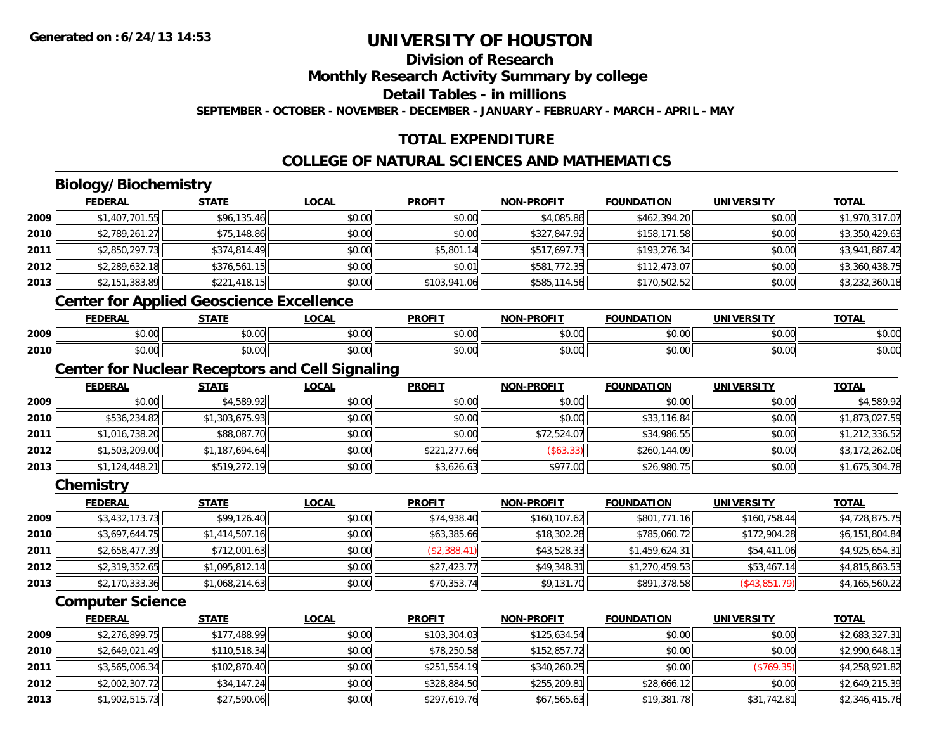## **Division of Research**

**Monthly Research Activity Summary by college**

**Detail Tables - in millions**

**SEPTEMBER - OCTOBER - NOVEMBER - DECEMBER - JANUARY - FEBRUARY - MARCH - APRIL - MAY**

## **TOTAL EXPENDITURE**

## **COLLEGE OF NATURAL SCIENCES AND MATHEMATICS**

## **Biology/Biochemistry**

|        | <b>FEDERAL</b> | <b>STATE</b>                             | <b>LOCAL</b> | <b>PROFIT</b> | <b>NON-PROFIT</b> | <b>FOUNDATION</b> | <b>UNIVERSITY</b> | <b>TOTAL</b>   |
|--------|----------------|------------------------------------------|--------------|---------------|-------------------|-------------------|-------------------|----------------|
| 2009   | \$1,407,701.55 | \$96,135.46                              | \$0.00       | \$0.00        | \$4,085.86        | \$462,394.20      | \$0.00            | \$1,970,317.07 |
| ا 2010 | \$2,789,261.27 | \$75,148.86                              | \$0.00       | \$0.00        | \$327,847.92      | \$158,171.58      | \$0.00            | \$3,350,429.63 |
| 2011   | \$2,850,297.73 | \$374,814.49                             | \$0.00       | \$5,801.14    | \$517,697.73      | \$193,276.34      | \$0.00            | \$3,941,887.42 |
| 2012   | \$2,289,632.18 | \$376,561.15                             | \$0.00       | \$0.01        | \$581,772.35      | \$112,473.07      | \$0.00            | \$3,360,438.75 |
| 2013   | \$2,151,383.89 | \$221,418.15                             | \$0.00       | \$103,941.06  | \$585,114.56      | \$170,502.52      | \$0.00            | \$3,232,360.18 |
|        |                | Contar for Applied Cooseienes Eveellense |              |               |                   |                   |                   |                |

#### **Center for Applied Geoscience Excellence**

|      | <b>FEDERAL</b>    | <b>STATE</b><br>,,,,,, | LOCAL | <b>PROFIT</b> | <b>J-PROFIT</b><br>חרות | <b>FOUNDATION</b>  | UNIVERSITY                 | <b>TOTAL</b>            |
|------|-------------------|------------------------|-------|---------------|-------------------------|--------------------|----------------------------|-------------------------|
| 2009 | ∖∩ ∩י<br>DU.UU    | $n \cap \neg$<br>DU.UU | vv.vv | 0000<br>JU.UU | \$0.00                  | $\sim$ 00<br>DU.UU | 0000<br>JU.UU              | $\sim$ $\sim$<br>\$U.UU |
| 2010 | $n \cap$<br>DU.UU | \$0.00                 | vu.vu | 0000<br>JU.UU | \$0.00                  | ልስ ስስ<br>DU.UU     | $*$ $\cap$ $\cap$<br>JU.UU | $\sim$ $\sim$<br>\$U.UU |

## **Center for Nuclear Receptors and Cell Signaling**

|      | <b>FEDERAL</b> | <b>STATE</b>   | <u>LOCAL</u> | <b>PROFIT</b> | <b>NON-PROFIT</b> | <b>FOUNDATION</b> | <b>UNIVERSITY</b> | <b>TOTAL</b>   |
|------|----------------|----------------|--------------|---------------|-------------------|-------------------|-------------------|----------------|
| 2009 | \$0.00         | \$4,589.92     | \$0.00       | \$0.00        | \$0.00            | \$0.00            | \$0.00            | \$4,589.92     |
| 2010 | \$536,234.82   | \$1,303,675.93 | \$0.00       | \$0.00        | \$0.00            | \$33,116.84       | \$0.00            | \$1,873,027.59 |
| 2011 | \$1,016,738.20 | \$88,087.70    | \$0.00       | \$0.00        | \$72,524.07       | \$34,986.55       | \$0.00            | \$1,212,336.52 |
| 2012 | \$1,503,209.00 | \$1,187,694.64 | \$0.00       | \$221,277.66  | (\$63.33)         | \$260,144.09      | \$0.00            | \$3,172,262.06 |
| 2013 | \$1,124,448.21 | \$519,272.19   | \$0.00       | \$3,626.63    | \$977.00          | \$26,980.75       | \$0.00            | \$1,675,304.78 |

#### **Chemistry**

|      | <b>FEDERAL</b> | <b>STATE</b>   | <b>LOCAL</b> | <b>PROFIT</b> | <b>NON-PROFIT</b> | <b>FOUNDATION</b> | <b>UNIVERSITY</b> | <u>TOTAL</u>   |
|------|----------------|----------------|--------------|---------------|-------------------|-------------------|-------------------|----------------|
| 2009 | \$3,432,173.73 | \$99,126.40    | \$0.00       | \$74,938.40   | \$160,107.62      | \$801,771.16      | \$160,758.44      | \$4,728,875.75 |
| 2010 | \$3,697,644.75 | \$1,414,507.16 | \$0.00       | \$63,385.66   | \$18,302.28       | \$785,060.72      | \$172,904.28      | \$6,151,804.84 |
| 2011 | \$2,658,477.39 | \$712,001.63   | \$0.00       | (S2, 388.41)  | \$43,528.33       | \$1,459,624.31    | \$54,411.06       | \$4,925,654.31 |
| 2012 | \$2,319,352.65 | \$1,095,812.14 | \$0.00       | \$27,423.77   | \$49,348.31       | \$1,270,459.53    | \$53,467.14       | \$4,815,863.53 |
| 2013 | \$2,170,333.36 | \$1,068,214.63 | \$0.00       | \$70,353.74   | \$9,131.70        | \$891,378.58      | $($ \$43,851.79)  | \$4,165,560.22 |

## **Computer Science**

|      | <b>FEDERAL</b> | <b>STATE</b> | <b>LOCAL</b> | <b>PROFIT</b> | <b>NON-PROFIT</b> | <b>FOUNDATION</b> | <b>UNIVERSITY</b> | <b>TOTAL</b>   |
|------|----------------|--------------|--------------|---------------|-------------------|-------------------|-------------------|----------------|
| 2009 | \$2,276,899.75 | \$177,488.99 | \$0.00       | \$103,304.03  | \$125,634.54      | \$0.00            | \$0.00            | \$2,683,327.31 |
| 2010 | \$2,649,021.49 | \$110,518.34 | \$0.00       | \$78,250.58   | \$152,857.72      | \$0.00            | \$0.00            | \$2,990,648.13 |
| 2011 | \$3,565,006.34 | \$102,870.40 | \$0.00       | \$251,554.19  | \$340,260.25      | \$0.00            | (\$769.35)        | \$4,258,921.82 |
| 2012 | \$2,002,307.72 | \$34,147.24  | \$0.00       | \$328,884.50  | \$255,209.81      | \$28,666.12       | \$0.00            | \$2,649,215.39 |
| 2013 | \$1,902,515.73 | \$27,590.06  | \$0.00       | \$297,619.76  | \$67,565.63       | \$19,381.78       | \$31,742.81       | \$2,346,415.76 |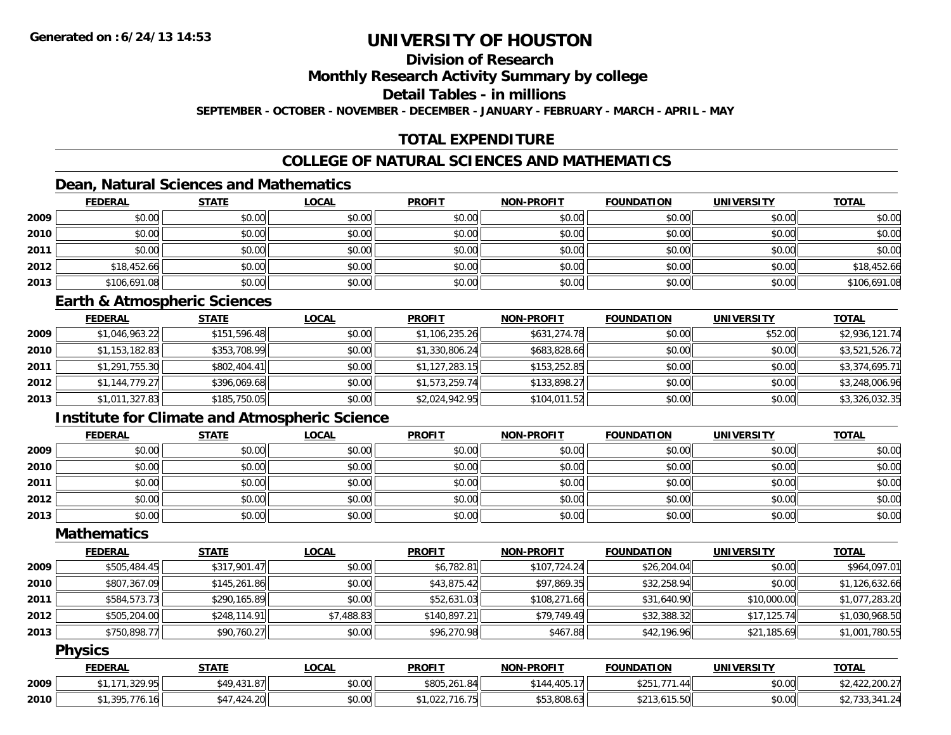## **Division of Research**

**Monthly Research Activity Summary by college**

**Detail Tables - in millions**

**SEPTEMBER - OCTOBER - NOVEMBER - DECEMBER - JANUARY - FEBRUARY - MARCH - APRIL - MAY**

## **TOTAL EXPENDITURE**

## **COLLEGE OF NATURAL SCIENCES AND MATHEMATICS**

## **Dean, Natural Sciences and Mathematics**

|      | <b>FEDERAL</b> | <b>STATE</b> | <u>LOCAL</u> | <b>PROFIT</b> | <b>NON-PROFIT</b> | <b>FOUNDATION</b> | <b>UNIVERSITY</b> | <b>TOTAL</b> |
|------|----------------|--------------|--------------|---------------|-------------------|-------------------|-------------------|--------------|
| 2009 | \$0.00         | \$0.00       | \$0.00       | \$0.00        | \$0.00            | \$0.00            | \$0.00            | \$0.00       |
| 2010 | \$0.00         | \$0.00       | \$0.00       | \$0.00        | \$0.00            | \$0.00            | \$0.00            | \$0.00       |
| 2011 | \$0.00         | \$0.00       | \$0.00       | \$0.00        | \$0.00            | \$0.00            | \$0.00            | \$0.00       |
| 2012 | \$18,452.66    | \$0.00       | \$0.00       | \$0.00        | \$0.00            | \$0.00            | \$0.00            | \$18,452.66  |
| 2013 | \$106,691.08   | \$0.00       | \$0.00       | \$0.00        | \$0.00            | \$0.00            | \$0.00            | \$106,691.08 |

#### **Earth & Atmospheric Sciences**

|      | <b>FEDERAL</b> | <u>STATE</u> | <b>LOCAL</b> | <b>PROFIT</b>  | <b>NON-PROFIT</b> | <b>FOUNDATION</b> | <b>UNIVERSITY</b> | <b>TOTAL</b>   |
|------|----------------|--------------|--------------|----------------|-------------------|-------------------|-------------------|----------------|
| 2009 | \$1,046,963.22 | \$151,596.48 | \$0.00       | \$1,106,235.26 | \$631,274.78      | \$0.00            | \$52.00           | \$2,936,121.74 |
| 2010 | \$1,153,182.83 | \$353,708.99 | \$0.00       | \$1,330,806.24 | \$683,828.66      | \$0.00            | \$0.00            | \$3,521,526.72 |
| 2011 | \$1,291,755.30 | \$802,404.41 | \$0.00       | \$1,127,283.15 | \$153,252.85      | \$0.00            | \$0.00            | \$3,374,695.71 |
| 2012 | \$1,144,779.27 | \$396,069.68 | \$0.00       | \$1,573,259.74 | \$133,898.27      | \$0.00            | \$0.00            | \$3,248,006.96 |
| 2013 | \$1,011,327.83 | \$185,750.05 | \$0.00       | \$2,024,942.95 | \$104,011.52      | \$0.00            | \$0.00            | \$3,326,032.35 |

## **Institute for Climate and Atmospheric Science**

|      | <b>FEDERAL</b> | <b>STATE</b> | <u>LOCAL</u> | <b>PROFIT</b> | <b>NON-PROFIT</b> | <b>FOUNDATION</b> | <b>UNIVERSITY</b> | <b>TOTAL</b> |
|------|----------------|--------------|--------------|---------------|-------------------|-------------------|-------------------|--------------|
| 2009 | \$0.00         | \$0.00       | \$0.00       | \$0.00        | \$0.00            | \$0.00            | \$0.00            | \$0.00       |
| 2010 | \$0.00         | \$0.00       | \$0.00       | \$0.00        | \$0.00            | \$0.00            | \$0.00            | \$0.00       |
| 2011 | \$0.00         | \$0.00       | \$0.00       | \$0.00        | \$0.00            | \$0.00            | \$0.00            | \$0.00       |
| 2012 | \$0.00         | \$0.00       | \$0.00       | \$0.00        | \$0.00            | \$0.00            | \$0.00            | \$0.00       |
| 2013 | \$0.00         | \$0.00       | \$0.00       | \$0.00        | \$0.00            | \$0.00            | \$0.00            | \$0.00       |

## **Mathematics**

|      | <b>FEDERAL</b> | <b>STATE</b> | <b>LOCAL</b> | <b>PROFIT</b> | <b>NON-PROFIT</b> | <b>FOUNDATION</b> | <b>UNIVERSITY</b> | <b>TOTAL</b>   |
|------|----------------|--------------|--------------|---------------|-------------------|-------------------|-------------------|----------------|
| 2009 | \$505,484.45   | \$317,901.47 | \$0.00       | \$6,782.81    | \$107,724.24      | \$26,204.04       | \$0.00            | \$964,097.01   |
| 2010 | \$807,367.09   | \$145,261.86 | \$0.00       | \$43,875.42   | \$97,869.35       | \$32,258.94       | \$0.00            | \$1,126,632.66 |
| 2011 | \$584,573.73   | \$290.165.89 | \$0.00       | \$52,631.03   | \$108,271.66      | \$31,640.90       | \$10,000.00       | \$1,077,283.20 |
| 2012 | \$505,204.00   | \$248,114.91 | \$7,488.83   | \$140,897.21  | \$79,749.49       | \$32,388.32       | \$17,125.74       | \$1,030,968.50 |
| 2013 | \$750,898.77   | \$90,760.27  | \$0.00       | \$96,270.98   | \$467.88          | \$42,196.96       | \$21,185.69       | \$1,001,780.55 |

### **Physics**

|      | <b>FEDERAL</b>       | <b>STATE</b>      | <b>LOCAL</b> | <b>PROFIT</b>                                   | <b>NON-PROFIT</b> | <b>FOUNDATION</b>   | UNIVERSITY | <b>TOTAL</b>    |
|------|----------------------|-------------------|--------------|-------------------------------------------------|-------------------|---------------------|------------|-----------------|
| 2009 | .171.329.95          | \$49,431.87       | \$0.00       | \$805,261.84                                    | \$144.405.17      | 771<br>ぐつにつ<br>1.44 | \$0.00     | 7.422,200,2⊽    |
| 2010 | 395.776.16<br>,,,,,, | .1,424.20<br>0.47 | \$0.00       | (102271675)<br>10.75<br>$\rightarrow$ $1,022,1$ | \$53,808.63       | \$213,615.50        | \$0.00     | 42, 133, 341.24 |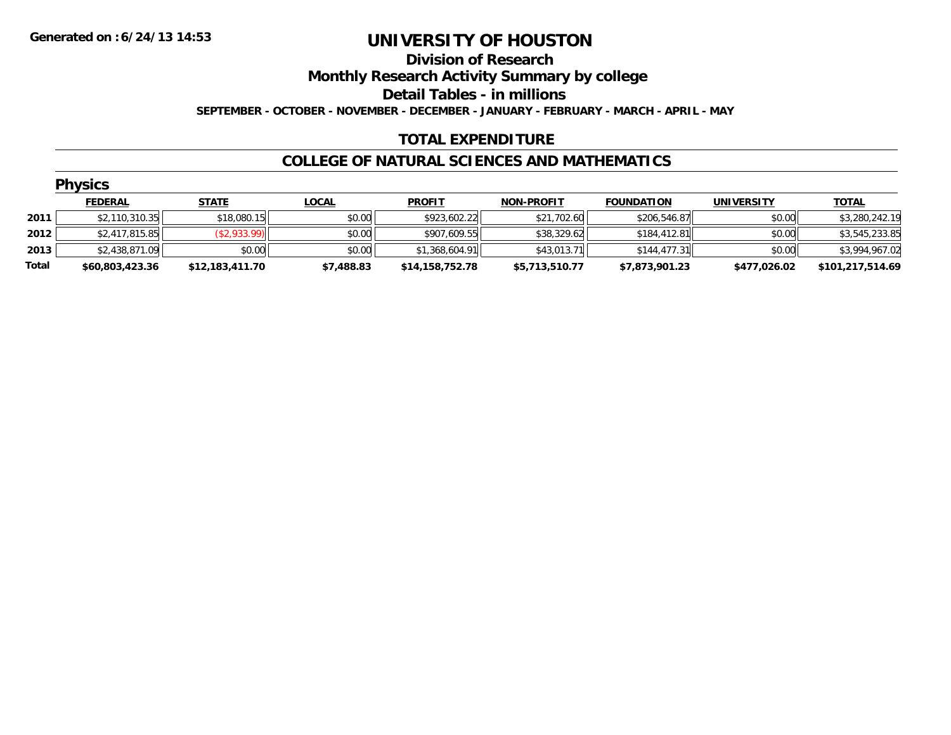## **Division of Research Monthly Research Activity Summary by college Detail Tables - in millions SEPTEMBER - OCTOBER - NOVEMBER - DECEMBER - JANUARY - FEBRUARY - MARCH - APRIL - MAY**

## **TOTAL EXPENDITURE**

## **COLLEGE OF NATURAL SCIENCES AND MATHEMATICS**

|       | <b>Physics</b>  |                 |              |                 |                   |                   |                   |                  |
|-------|-----------------|-----------------|--------------|-----------------|-------------------|-------------------|-------------------|------------------|
|       | <b>FEDERAL</b>  | <b>STATE</b>    | <b>LOCAL</b> | <b>PROFIT</b>   | <b>NON-PROFIT</b> | <b>FOUNDATION</b> | <b>UNIVERSITY</b> | <b>TOTAL</b>     |
| 2011  | \$2,110,310.35  | \$18,080.15     | \$0.00       | \$923,602.22    | \$21,702.60       | \$206,546.87      | \$0.00            | \$3,280,242.19   |
| 2012  | \$2,417,815.85  | (\$2,933.99)    | \$0.00       | \$907,609.55    | \$38,329.62       | \$184,412.81      | \$0.00            | \$3,545,233.85   |
| 2013  | \$2,438,871.09  | \$0.00          | \$0.00       | \$1,368,604.91  | \$43,013.71       | \$144,477.31      | \$0.00            | \$3,994,967.02   |
| Total | \$60,803,423.36 | \$12,183,411.70 | \$7,488.83   | \$14,158,752.78 | \$5,713,510.77    | \$7,873,901.23    | \$477,026.02      | \$101,217,514.69 |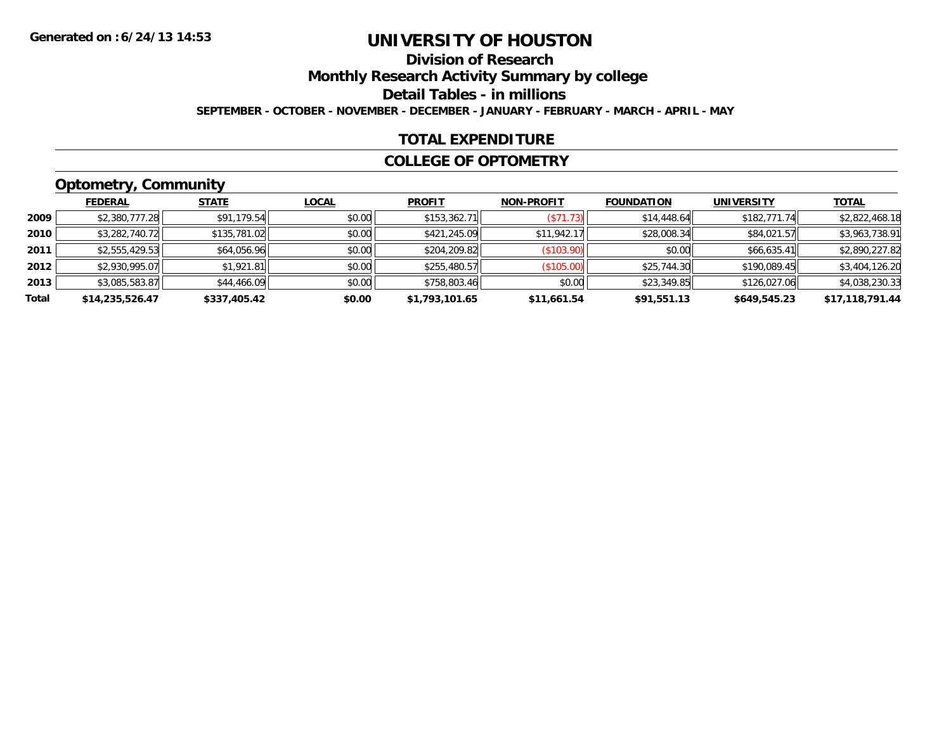# **Division of Research**

**Monthly Research Activity Summary by college**

**Detail Tables - in millions**

**SEPTEMBER - OCTOBER - NOVEMBER - DECEMBER - JANUARY - FEBRUARY - MARCH - APRIL - MAY**

## **TOTAL EXPENDITURE**

### **COLLEGE OF OPTOMETRY**

## **Optometry, Community**

|       | .               |              |              |                |                   |                   |              |                 |
|-------|-----------------|--------------|--------------|----------------|-------------------|-------------------|--------------|-----------------|
|       | <b>FEDERAL</b>  | <b>STATE</b> | <b>LOCAL</b> | <b>PROFIT</b>  | <b>NON-PROFIT</b> | <b>FOUNDATION</b> | UNIVERSITY   | <b>TOTAL</b>    |
| 2009  | \$2,380,777.28  | \$91,179.54  | \$0.00       | \$153,362.71   | (S71.73)          | \$14,448.64       | \$182,771.74 | \$2,822,468.18  |
| 2010  | \$3,282,740.72  | \$135,781.02 | \$0.00       | \$421,245.09   | \$11.942.17       | \$28,008.34       | \$84,021.57  | \$3,963,738.91  |
| 2011  | \$2,555,429.53  | \$64,056.96  | \$0.00       | \$204,209.82   | (\$103.90)        | \$0.00            | \$66,635.41  | \$2,890,227.82  |
| 2012  | \$2,930,995.07  | \$1,921.81   | \$0.00       | \$255,480.57   | (\$105.00)        | \$25,744.30       | \$190,089.45 | \$3,404,126.20  |
| 2013  | \$3,085,583.87  | \$44,466.09  | \$0.00       | \$758,803.46   | \$0.00            | \$23,349.85       | \$126,027.06 | \$4,038,230.33  |
| Total | \$14,235,526.47 | \$337,405.42 | \$0.00       | \$1,793,101.65 | \$11,661.54       | \$91,551.13       | \$649,545.23 | \$17,118,791.44 |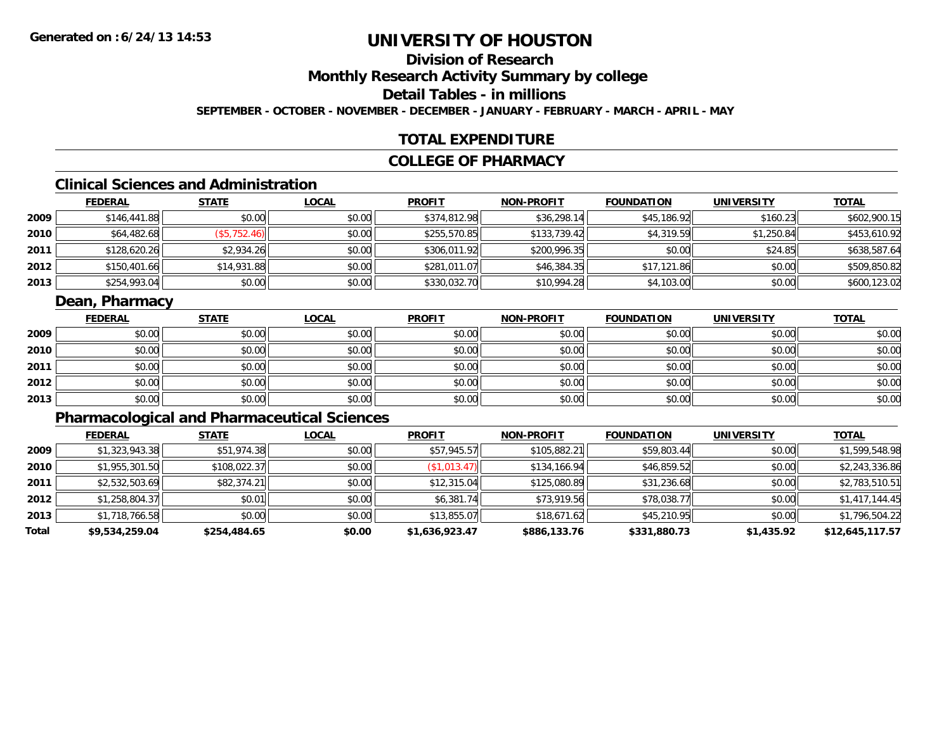# **Division of Research**

**Monthly Research Activity Summary by college**

**Detail Tables - in millions**

**SEPTEMBER - OCTOBER - NOVEMBER - DECEMBER - JANUARY - FEBRUARY - MARCH - APRIL - MAY**

## **TOTAL EXPENDITURE**

## **COLLEGE OF PHARMACY**

## **Clinical Sciences and Administration**

|      | <b>FEDERAL</b> | <u>STATE</u> | <b>LOCAL</b> | <b>PROFIT</b> | <b>NON-PROFIT</b> | <b>FOUNDATION</b> | <b>UNIVERSITY</b> | <b>TOTAL</b> |
|------|----------------|--------------|--------------|---------------|-------------------|-------------------|-------------------|--------------|
| 2009 | \$146,441.88   | \$0.00       | \$0.00       | \$374,812.98  | \$36,298.14       | \$45,186.92       | \$160.23          | \$602,900.15 |
| 2010 | \$64,482.68    | (\$5,752.46) | \$0.00       | \$255,570.85  | \$133,739.42      | \$4,319.59        | \$1,250.84        | \$453,610.92 |
| 2011 | \$128,620.26   | \$2,934.26   | \$0.00       | \$306,011.92  | \$200,996.35      | \$0.00            | \$24.85           | \$638,587.64 |
| 2012 | \$150,401.66   | \$14,931.88  | \$0.00       | \$281,011.07  | \$46,384.35       | \$17,121.86       | \$0.00            | \$509,850.82 |
| 2013 | \$254,993.04   | \$0.00       | \$0.00       | \$330,032.70  | \$10,994.28       | \$4,103.00        | \$0.00            | \$600,123.02 |

## **Dean, Pharmacy**

|      | <b>FEDERAL</b> | <b>STATE</b> | <u>LOCAL</u> | <b>PROFIT</b> | <b>NON-PROFIT</b> | <b>FOUNDATION</b> | <b>UNIVERSITY</b> | <b>TOTAL</b> |
|------|----------------|--------------|--------------|---------------|-------------------|-------------------|-------------------|--------------|
| 2009 | \$0.00         | \$0.00       | \$0.00       | \$0.00        | \$0.00            | \$0.00            | \$0.00            | \$0.00       |
| 2010 | \$0.00         | \$0.00       | \$0.00       | \$0.00        | \$0.00            | \$0.00            | \$0.00            | \$0.00       |
| 2011 | \$0.00         | \$0.00       | \$0.00       | \$0.00        | \$0.00            | \$0.00            | \$0.00            | \$0.00       |
| 2012 | \$0.00         | \$0.00       | \$0.00       | \$0.00        | \$0.00            | \$0.00            | \$0.00            | \$0.00       |
| 2013 | \$0.00         | \$0.00       | \$0.00       | \$0.00        | \$0.00            | \$0.00            | \$0.00            | \$0.00       |

## **Pharmacological and Pharmaceutical Sciences**

|       | <b>FEDERAL</b> | <b>STATE</b> | <b>LOCAL</b> | <b>PROFIT</b>  | <b>NON-PROFIT</b> | <b>FOUNDATION</b> | <b>UNIVERSITY</b> | <b>TOTAL</b>    |
|-------|----------------|--------------|--------------|----------------|-------------------|-------------------|-------------------|-----------------|
| 2009  | \$1,323,943.38 | \$51,974.38  | \$0.00       | \$57,945.57    | \$105,882.21      | \$59,803.44       | \$0.00            | \$1,599,548.98  |
| 2010  | \$1,955,301.50 | \$108,022.37 | \$0.00       | (\$1,013.47)   | \$134,166.94      | \$46,859.52       | \$0.00            | \$2,243,336.86  |
| 2011  | \$2,532,503.69 | \$82,374.21  | \$0.00       | \$12,315.04    | \$125,080.89      | \$31,236.68       | \$0.00            | \$2,783,510.51  |
| 2012  | \$1,258,804.37 | \$0.01       | \$0.00       | \$6,381.74     | \$73,919.56       | \$78,038.77       | \$0.00            | \$1,417,144.45  |
| 2013  | \$1,718,766.58 | \$0.00       | \$0.00       | \$13,855.07    | \$18,671.62       | \$45,210.95       | \$0.00            | \$1,796,504.22  |
| Total | \$9,534,259.04 | \$254,484.65 | \$0.00       | \$1,636,923.47 | \$886,133.76      | \$331,880.73      | \$1,435.92        | \$12,645,117.57 |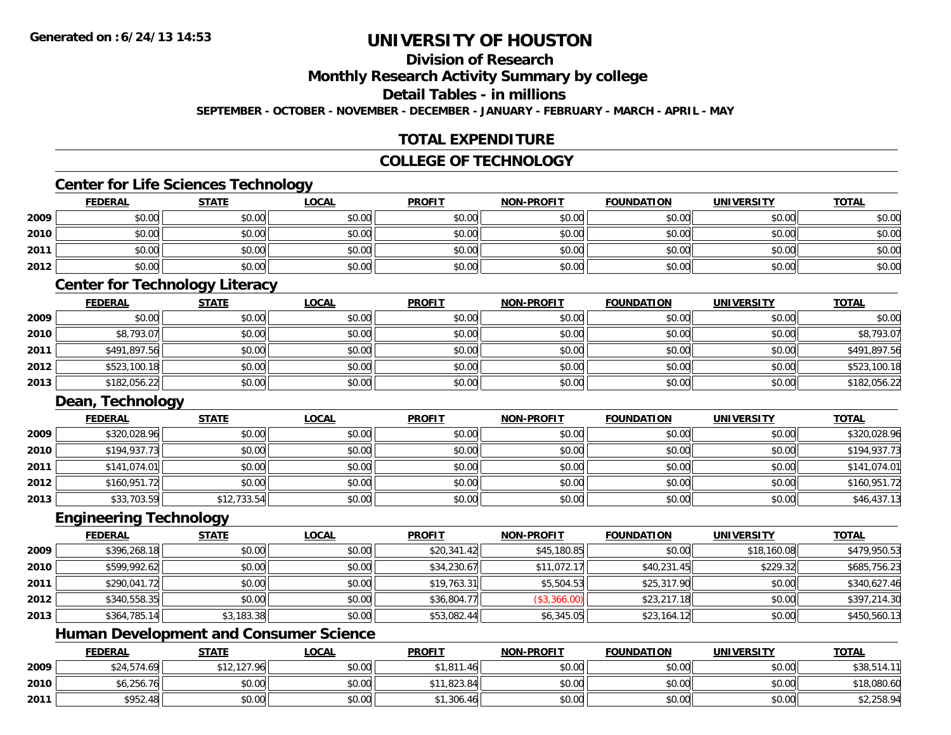## **Division of Research**

**Monthly Research Activity Summary by college**

**Detail Tables - in millions**

**SEPTEMBER - OCTOBER - NOVEMBER - DECEMBER - JANUARY - FEBRUARY - MARCH - APRIL - MAY**

## **TOTAL EXPENDITURE**

## **COLLEGE OF TECHNOLOGY**

## **Center for Life Sciences Technology**

|      | <b>FEDERAL</b> | <b>STATE</b> | <b>LOCAL</b> | <b>PROFIT</b> | <b>NON-PROFIT</b> | <b>FOUNDATION</b> | <b>UNIVERSITY</b> | <b>TOTAL</b> |
|------|----------------|--------------|--------------|---------------|-------------------|-------------------|-------------------|--------------|
| 2009 | \$0.00         | \$0.00       | \$0.00       | \$0.00        | \$0.00            | \$0.00            | \$0.00            | \$0.00       |
| 2010 | \$0.00         | \$0.00       | \$0.00       | \$0.00        | \$0.00            | \$0.00            | \$0.00            | \$0.00       |
| 2011 | \$0.00         | \$0.00       | \$0.00       | \$0.00        | \$0.00            | \$0.00            | \$0.00            | \$0.00       |
| 2012 | \$0.00         | \$0.00       | \$0.00       | \$0.00        | \$0.00            | \$0.00            | \$0.00            | \$0.00       |

## **Center for Technology Literacy**

|      | <u>FEDERAL</u> | <u>STATE</u> | <u>LOCAL</u> | <b>PROFIT</b> | <b>NON-PROFIT</b> | <b>FOUNDATION</b> | <b>UNIVERSITY</b> | <b>TOTAL</b> |
|------|----------------|--------------|--------------|---------------|-------------------|-------------------|-------------------|--------------|
| 2009 | \$0.00         | \$0.00       | \$0.00       | \$0.00        | \$0.00            | \$0.00            | \$0.00            | \$0.00       |
| 2010 | \$8,793.07     | \$0.00       | \$0.00       | \$0.00        | \$0.00            | \$0.00            | \$0.00            | \$8,793.07   |
| 2011 | \$491,897.56   | \$0.00       | \$0.00       | \$0.00        | \$0.00            | \$0.00            | \$0.00            | \$491,897.56 |
| 2012 | \$523,100.18   | \$0.00       | \$0.00       | \$0.00        | \$0.00            | \$0.00            | \$0.00            | \$523,100.18 |
| 2013 | \$182,056.22   | \$0.00       | \$0.00       | \$0.00        | \$0.00            | \$0.00            | \$0.00            | \$182,056.22 |

## **Dean, Technology**

|      | <b>FEDERAL</b> | <b>STATE</b> | <b>LOCAL</b> | <b>PROFIT</b> | <b>NON-PROFIT</b> | <b>FOUNDATION</b> | UNIVERSITY | <b>TOTAL</b> |
|------|----------------|--------------|--------------|---------------|-------------------|-------------------|------------|--------------|
| 2009 | \$320,028.96   | \$0.00       | \$0.00       | \$0.00        | \$0.00            | \$0.00            | \$0.00     | \$320,028.96 |
| 2010 | \$194,937.73   | \$0.00       | \$0.00       | \$0.00        | \$0.00            | \$0.00            | \$0.00     | \$194,937.73 |
| 2011 | \$141,074.01   | \$0.00       | \$0.00       | \$0.00        | \$0.00            | \$0.00            | \$0.00     | \$141,074.01 |
| 2012 | \$160,951.72   | \$0.00       | \$0.00       | \$0.00        | \$0.00            | \$0.00            | \$0.00     | \$160,951.72 |
| 2013 | \$33,703.59    | \$12,733.54  | \$0.00       | \$0.00        | \$0.00            | \$0.00            | \$0.00     | \$46,437.13  |

#### **Engineering Technology**

|      | <b>FEDERAL</b> | <b>STATE</b> | <u>LOCAL</u> | <b>PROFIT</b> | <b>NON-PROFIT</b> | <b>FOUNDATION</b> | <b>UNIVERSITY</b> | <b>TOTAL</b> |
|------|----------------|--------------|--------------|---------------|-------------------|-------------------|-------------------|--------------|
| 2009 | \$396,268.18   | \$0.00       | \$0.00       | \$20,341.42   | \$45,180.85       | \$0.00            | \$18,160.08       | \$479,950.53 |
| 2010 | \$599,992.62   | \$0.00       | \$0.00       | \$34,230.67   | \$11,072.17       | \$40,231.45       | \$229.32          | \$685,756.23 |
| 2011 | \$290,041.72   | \$0.00       | \$0.00       | \$19,763.31   | \$5,504.53        | \$25,317.90       | \$0.00            | \$340,627.46 |
| 2012 | \$340,558.35   | \$0.00       | \$0.00       | \$36,804.77   | (\$3,366.00)      | \$23,217.18       | \$0.00            | \$397,214.30 |
| 2013 | \$364,785.14   | \$3,183.38   | \$0.00       | \$53,082.44   | \$6,345.05        | \$23,164.12       | \$0.00            | \$450,560.13 |

## **Human Development and Consumer Science**

|      | <u>FEDERAL</u> | <b>STATE</b> | <u>LOCAL</u> | <b>PROFIT</b> | <b>NON-PROFIT</b> | <b>FOUNDATION</b> | <b>UNIVERSITY</b> | <b>TOTAL</b> |
|------|----------------|--------------|--------------|---------------|-------------------|-------------------|-------------------|--------------|
| 2009 | \$24,574.69    | 12,127.96    | \$0.00       | 1,811.46      | \$0.00            | \$0.00            | \$0.00            | \$38,514.11  |
| 2010 | \$6,256.76     | \$0.00       | \$0.00       | ,823.84       | \$0.00            | \$0.00            | \$0.00            | \$18,080.60  |
| 2011 | \$952.48       | \$0.00       | \$0.00       | 1,306.46      | \$0.00            | \$0.00            | \$0.00            | \$2,258.94   |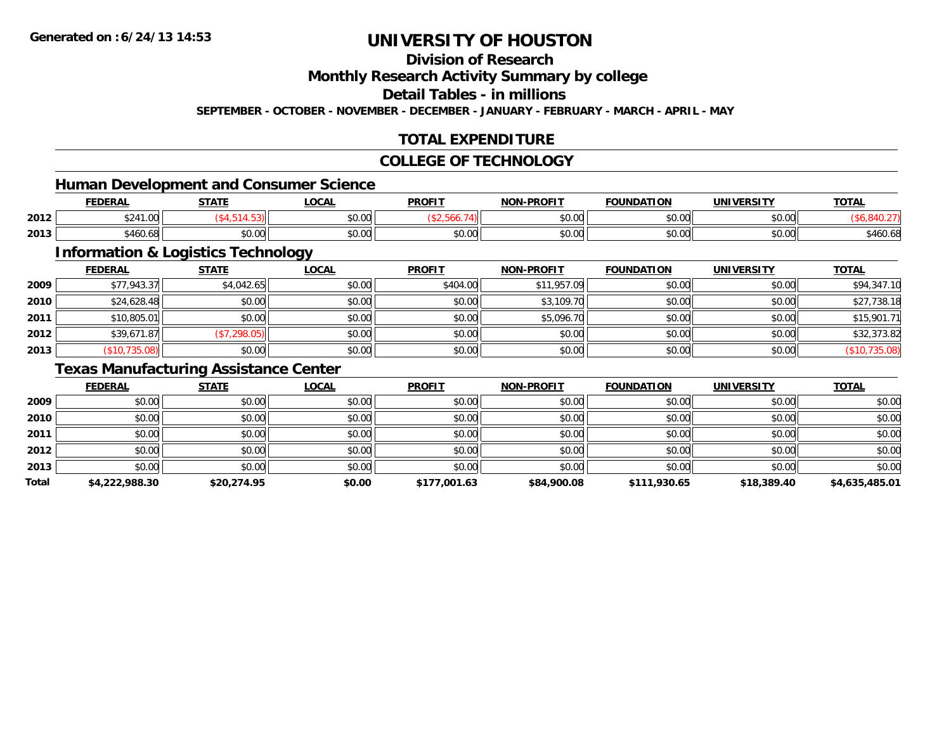## **Division of Research**

**Monthly Research Activity Summary by college**

**Detail Tables - in millions**

**SEPTEMBER - OCTOBER - NOVEMBER - DECEMBER - JANUARY - FEBRUARY - MARCH - APRIL - MAY**

## **TOTAL EXPENDITURE**

### **COLLEGE OF TECHNOLOGY**

<u> 1980 - Johann Barbara, martxa amerikan bashkar (</u>

## **Human Development and Consumer Science**

|      | EENEDA<br>LI\ <i>r</i> | <b>CTATE</b>   | <b>OCAL</b>   | <b>PROFIT</b> | -PROFIT<br>NON- | <b>FOUNDATION</b>        | UNIVERSITY           | <b>TOTAL</b> |
|------|------------------------|----------------|---------------|---------------|-----------------|--------------------------|----------------------|--------------|
| 2012 | 324<br>$\sqrt{2}$      |                | 0.00<br>JU.UU |               | 0000<br>vv.vv   | $n \cap \Omega$<br>וט.טי | 0000<br><b>JU.UU</b> |              |
| 2013 | <br>$\sim$<br>460.68   | ሶስ ሰሰ<br>JU.UU | 0.00<br>JU.UU | JU.UU         | 0000<br>JU.UU   | $n \cap \Omega$<br>JU.UU | \$0.00               | \$460.68     |

## **Information & Logistics Technology**

|      | <b>FEDERAL</b> | <b>STATE</b> | <b>LOCAL</b> | <b>PROFIT</b> | <b>NON-PROFIT</b> | <b>FOUNDATION</b> | <b>UNIVERSITY</b> | <b>TOTAL</b>  |
|------|----------------|--------------|--------------|---------------|-------------------|-------------------|-------------------|---------------|
| 2009 | \$77,943.37    | \$4,042.65   | \$0.00       | \$404.00      | \$11,957.09       | \$0.00            | \$0.00            | \$94,347.10   |
| 2010 | \$24,628.48    | \$0.00       | \$0.00       | \$0.00        | \$3,109.70        | \$0.00            | \$0.00            | \$27,738.18   |
| 2011 | \$10,805.01    | \$0.00       | \$0.00       | \$0.00        | \$5,096.70        | \$0.00            | \$0.00            | \$15,901.71   |
| 2012 | \$39,671.87    | (\$7,298.05) | \$0.00       | \$0.00        | \$0.00            | \$0.00            | \$0.00            | \$32,373.82   |
| 2013 | \$10,735.08    | \$0.00       | \$0.00       | \$0.00        | \$0.00            | \$0.00            | \$0.00            | (\$10,735.08) |

## **Texas Manufacturing Assistance Center**

|       | <b>FEDERAL</b> | <b>STATE</b> | LOCAL  | <b>PROFIT</b> | <b>NON-PROFIT</b> | <b>FOUNDATION</b> | <b>UNIVERSITY</b> | <b>TOTAL</b>   |
|-------|----------------|--------------|--------|---------------|-------------------|-------------------|-------------------|----------------|
| 2009  | \$0.00         | \$0.00       | \$0.00 | \$0.00        | \$0.00            | \$0.00            | \$0.00            | \$0.00         |
| 2010  | \$0.00         | \$0.00       | \$0.00 | \$0.00        | \$0.00            | \$0.00            | \$0.00            | \$0.00         |
| 2011  | \$0.00         | \$0.00       | \$0.00 | \$0.00        | \$0.00            | \$0.00            | \$0.00            | \$0.00         |
| 2012  | \$0.00         | \$0.00       | \$0.00 | \$0.00        | \$0.00            | \$0.00            | \$0.00            | \$0.00         |
| 2013  | \$0.00         | \$0.00       | \$0.00 | \$0.00        | \$0.00            | \$0.00            | \$0.00            | \$0.00         |
| Total | \$4,222,988.30 | \$20,274.95  | \$0.00 | \$177,001.63  | \$84,900.08       | \$111,930.65      | \$18,389.40       | \$4,635,485.01 |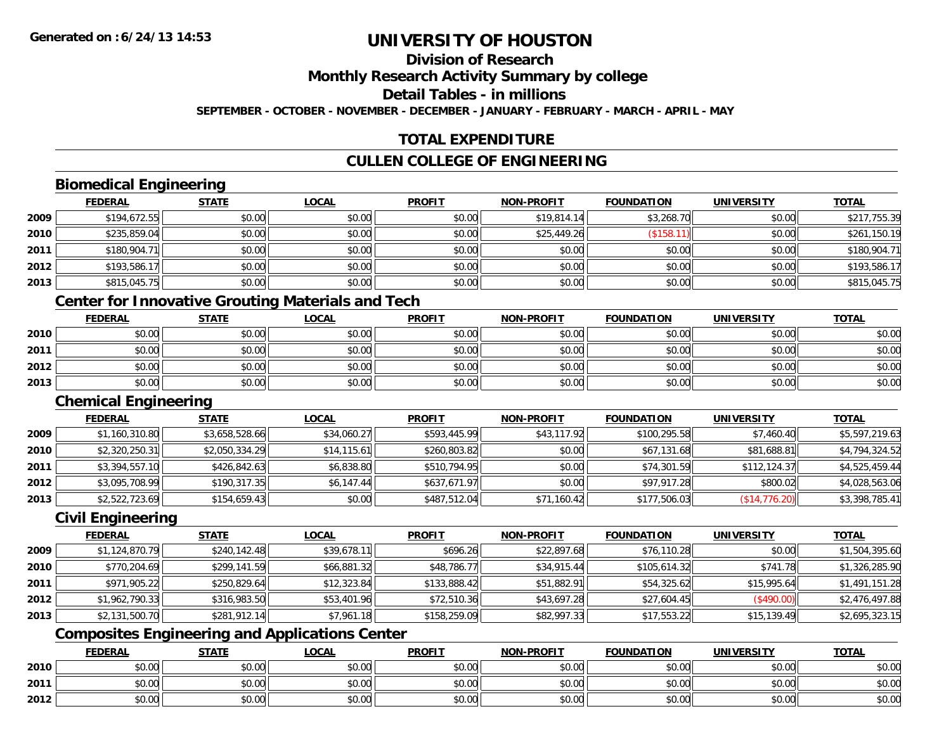## **Division of Research**

**Monthly Research Activity Summary by college**

**Detail Tables - in millions**

**SEPTEMBER - OCTOBER - NOVEMBER - DECEMBER - JANUARY - FEBRUARY - MARCH - APRIL - MAY**

## **TOTAL EXPENDITURE**

## **CULLEN COLLEGE OF ENGINEERING**

## **Biomedical Engineering**

|      | <b>FEDERAL</b> | <b>STATE</b> | <u>LOCAL</u> | <b>PROFIT</b> | <b>NON-PROFIT</b> | <b>FOUNDATION</b> | <b>UNIVERSITY</b> | <b>TOTAL</b> |
|------|----------------|--------------|--------------|---------------|-------------------|-------------------|-------------------|--------------|
| 2009 | \$194,672.55   | \$0.00       | \$0.00       | \$0.00        | \$19,814.14       | \$3,268.70        | \$0.00            | \$217,755.39 |
| 2010 | \$235,859.04   | \$0.00       | \$0.00       | \$0.00        | \$25,449.26       | (\$158.1"         | \$0.00            | \$261,150.19 |
| 2011 | \$180,904.71   | \$0.00       | \$0.00       | \$0.00        | \$0.00            | \$0.00            | \$0.00            | \$180,904.71 |
| 2012 | \$193,586.17   | \$0.00       | \$0.00       | \$0.00        | \$0.00            | \$0.00            | \$0.00            | \$193,586.17 |
| 2013 | \$815,045.75   | \$0.00       | \$0.00       | \$0.00        | \$0.00            | \$0.00            | \$0.00            | \$815,045.75 |

## **Center for Innovative Grouting Materials and Tech**

|      | <b>FEDERAL</b> | <b>STATE</b> | <u>LOCAL</u> | <b>PROFIT</b> | <b>NON-PROFIT</b> | <b>FOUNDATION</b> | UNIVERSITY | <b>TOTAL</b> |
|------|----------------|--------------|--------------|---------------|-------------------|-------------------|------------|--------------|
| 2010 | \$0.00         | \$0.00       | \$0.00       | \$0.00        | \$0.00            | \$0.00            | \$0.00     | \$0.00       |
| 2011 | \$0.00         | \$0.00       | \$0.00       | \$0.00        | \$0.00            | \$0.00            | \$0.00     | \$0.00       |
| 2012 | \$0.00         | \$0.00       | \$0.00       | \$0.00        | \$0.00            | \$0.00            | \$0.00     | \$0.00       |
| 2013 | \$0.00         | \$0.00       | \$0.00       | \$0.00        | \$0.00            | \$0.00            | \$0.00     | \$0.00       |

### **Chemical Engineering**

|      | <b>FEDERAL</b> | <b>STATE</b>   | <b>LOCAL</b> | <b>PROFIT</b> | <b>NON-PROFIT</b> | <b>FOUNDATION</b> | UNIVERSITY    | <b>TOTAL</b>   |
|------|----------------|----------------|--------------|---------------|-------------------|-------------------|---------------|----------------|
| 2009 | \$1,160,310.80 | \$3,658,528.66 | \$34,060.27  | \$593,445.99  | \$43,117.92       | \$100,295.58      | \$7,460.40    | \$5,597,219.63 |
| 2010 | \$2,320,250.31 | \$2,050,334.29 | \$14.115.61  | \$260,803.82  | \$0.00            | \$67,131.68       | \$81,688.81   | \$4,794,324.52 |
| 2011 | \$3,394,557.10 | \$426,842.63   | \$6,838.80   | \$510,794.95  | \$0.00            | \$74,301.59       | \$112,124.37  | \$4,525,459.44 |
| 2012 | \$3,095,708.99 | \$190,317.35   | \$6,147.44   | \$637,671.97  | \$0.00            | \$97,917.28       | \$800.02      | \$4,028,563.06 |
| 2013 | \$2,522,723.69 | \$154,659.43   | \$0.00       | \$487,512.04  | \$71,160.42       | \$177,506.03      | (\$14,776.20) | \$3,398,785.41 |

## **Civil Engineering**

|      | <b>FEDERAL</b> | <b>STATE</b> | <b>LOCAL</b> | <b>PROFIT</b> | <b>NON-PROFIT</b> | <b>FOUNDATION</b> | <b>UNIVERSITY</b> | <b>TOTAL</b>   |
|------|----------------|--------------|--------------|---------------|-------------------|-------------------|-------------------|----------------|
| 2009 | \$1,124,870.79 | \$240,142.48 | \$39,678.11  | \$696.26      | \$22,897.68       | \$76,110.28       | \$0.00            | \$1,504,395.60 |
| 2010 | \$770,204.69   | \$299,141.59 | \$66,881.32  | \$48,786.77   | \$34.915.44       | \$105,614.32      | \$741.78          | \$1,326,285.90 |
| 2011 | \$971,905.22   | \$250.829.64 | \$12,323.84  | \$133,888.42  | \$51,882.91       | \$54,325.62       | \$15,995.64       | \$1,491,151.28 |
| 2012 | \$1,962,790.33 | \$316,983.50 | \$53,401.96  | \$72,510.36   | \$43,697.28       | \$27,604.45       | (\$490.00)        | \$2,476,497.88 |
| 2013 | \$2,131,500.70 | \$281,912.14 | \$7,961.18   | \$158,259.09  | \$82,997.33       | \$17,553.22       | \$15,139.49       | \$2,695,323.15 |

## **Composites Engineering and Applications Center**

|      | <b>FEDERAL</b>                                        | <b>STATE</b> | LOCAL          | <b>PROFIT</b> | <b>NON-PROFIT</b> | <b>FOUNDATION</b> | <b>UNIVERSITY</b> | <b>TOTAL</b> |
|------|-------------------------------------------------------|--------------|----------------|---------------|-------------------|-------------------|-------------------|--------------|
| 2010 | 0.00<br>vu.uu                                         | \$0.00       | \$0.00         | \$0.00        | \$0.00            | \$0.00            | \$0.00            | \$0.00       |
| 2011 | $\sim$<br>JU.UU                                       | \$0.00       | 0000<br>\$U.UU | \$0.00        | \$0.00            | \$0.00            | \$0.00            | \$0.00       |
| 2012 | $\mathsf{A} \cap \mathsf{A} \cap \mathsf{A}$<br>DU.U¢ | \$0.00       | 0000<br>\$0.00 | \$0.00        | \$0.00            | \$0.00            | \$0.00            | \$0.00       |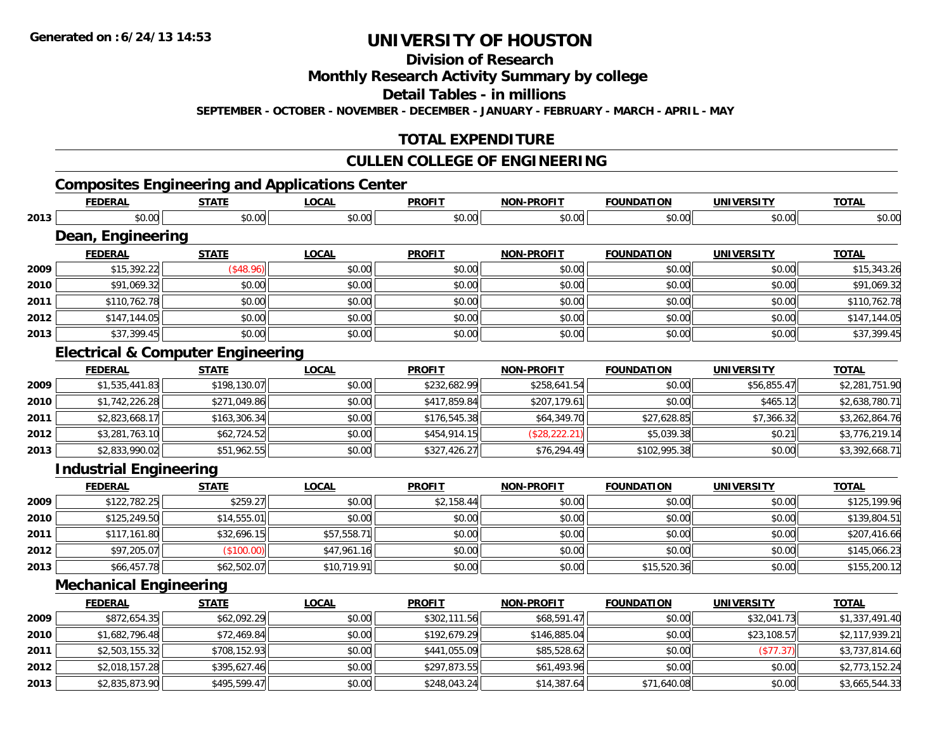**2013**

# **UNIVERSITY OF HOUSTON**

**Division of Research**

**Monthly Research Activity Summary by college**

**Detail Tables - in millions**

**SEPTEMBER - OCTOBER - NOVEMBER - DECEMBER - JANUARY - FEBRUARY - MARCH - APRIL - MAY**

## **TOTAL EXPENDITURE**

## **CULLEN COLLEGE OF ENGINEERING**

## **Composites Engineering and Applications Center**

|      | <b>FEDERAL</b>                               | <b>STATE</b> | <b>LOCAL</b> | <b>PROFIT</b> | <b>NON-PROFIT</b> | <b>FOUNDATION</b> | <b>UNIVERSITY</b> | <b>TOTAL</b>   |
|------|----------------------------------------------|--------------|--------------|---------------|-------------------|-------------------|-------------------|----------------|
| 2013 | \$0.00                                       | \$0.00       | \$0.00       | \$0.00        | \$0.00            | \$0.00            | \$0.00            | \$0.00         |
|      | Dean, Engineering                            |              |              |               |                   |                   |                   |                |
|      | <b>FEDERAL</b>                               | <b>STATE</b> | <b>LOCAL</b> | <b>PROFIT</b> | <b>NON-PROFIT</b> | <b>FOUNDATION</b> | <b>UNIVERSITY</b> | <b>TOTAL</b>   |
| 2009 | \$15,392.22                                  | (\$48.96)    | \$0.00       | \$0.00        | \$0.00            | \$0.00            | \$0.00            | \$15,343.26    |
| 2010 | \$91,069.32                                  | \$0.00       | \$0.00       | \$0.00        | \$0.00            | \$0.00            | \$0.00            | \$91,069.32    |
| 2011 | \$110,762.78                                 | \$0.00       | \$0.00       | \$0.00        | \$0.00            | \$0.00            | \$0.00            | \$110,762.78   |
| 2012 | \$147,144.05                                 | \$0.00       | \$0.00       | \$0.00        | \$0.00            | \$0.00            | \$0.00            | \$147,144.05   |
| 2013 | \$37,399.45                                  | \$0.00       | \$0.00       | \$0.00        | \$0.00            | \$0.00            | \$0.00            | \$37,399.45    |
|      | <b>Electrical &amp; Computer Engineering</b> |              |              |               |                   |                   |                   |                |
|      | <b>FEDERAL</b>                               | <b>STATE</b> | <b>LOCAL</b> | <b>PROFIT</b> | <b>NON-PROFIT</b> | <b>FOUNDATION</b> | <b>UNIVERSITY</b> | <b>TOTAL</b>   |
| 2009 | \$1,535,441.83                               | \$198,130.07 | \$0.00       | \$232,682.99  | \$258,641.54      | \$0.00            | \$56,855.47       | \$2,281,751.90 |
| 2010 | \$1,742,226.28                               | \$271,049.86 | \$0.00       | \$417,859.84  | \$207,179.61      | \$0.00            | \$465.12          | \$2,638,780.71 |
| 2011 | \$2,823,668.17                               | \$163,306.34 | \$0.00       | \$176,545.38  | \$64,349.70       | \$27,628.85       | \$7,366.32        | \$3,262,864.76 |
| 2012 | \$3,281,763.10                               | \$62,724.52  | \$0.00       | \$454,914.15  | (\$28, 222.21)    | \$5,039.38        | \$0.21            | \$3,776,219.14 |
| 2013 | \$2,833,990.02                               | \$51,962.55  | \$0.00       | \$327,426.27  | \$76,294.49       | \$102,995.38      | \$0.00            | \$3,392,668.71 |
|      | <b>Industrial Engineering</b>                |              |              |               |                   |                   |                   |                |
|      | <b>FEDERAL</b>                               | <b>STATE</b> | <b>LOCAL</b> | <b>PROFIT</b> | <b>NON-PROFIT</b> | <b>FOUNDATION</b> | <b>UNIVERSITY</b> | <b>TOTAL</b>   |
| 2009 | \$122,782.25                                 | \$259.27     | \$0.00       | \$2,158.44    | \$0.00            | \$0.00            | \$0.00            | \$125,199.96   |
| 2010 | \$125,249.50                                 | \$14,555.01  | \$0.00       | \$0.00        | \$0.00            | \$0.00            | \$0.00            | \$139,804.51   |
| 2011 | \$117,161.80                                 | \$32,696.15  | \$57,558.71  | \$0.00        | \$0.00            | \$0.00            | \$0.00            | \$207,416.66   |
| 2012 | \$97,205.07                                  | (\$100.00)   | \$47,961.16  | \$0.00        | \$0.00            | \$0.00            | \$0.00            | \$145,066.23   |
| 2013 | \$66,457.78                                  | \$62,502.07  | \$10,719.91  | \$0.00        | \$0.00            | \$15,520.36       | \$0.00            | \$155,200.12   |
|      | <b>Mechanical Engineering</b>                |              |              |               |                   |                   |                   |                |
|      | <b>FEDERAL</b>                               | <b>STATE</b> | <b>LOCAL</b> | <b>PROFIT</b> | <b>NON-PROFIT</b> | <b>FOUNDATION</b> | <b>UNIVERSITY</b> | <b>TOTAL</b>   |
| 2009 | \$872,654.35                                 | \$62,092.29  | \$0.00       | \$302,111.56  | \$68,591.47       | \$0.00            | \$32,041.73       | \$1,337,491.40 |
| 2010 | \$1,682,796.48                               | \$72,469.84  | \$0.00       | \$192,679.29  | \$146,885.04      | \$0.00            | \$23,108.57       | \$2,117,939.21 |
| 2011 | \$2,503,155.32                               | \$708,152.93 | \$0.00       | \$441,055.09  | \$85,528.62       | \$0.00            | (\$77.37)         | \$3,737,814.60 |
| 2012 | \$2,018,157.28                               | \$395,627.46 | \$0.00       | \$297,873.55  | \$61,493.96       | \$0.00            | \$0.00            | \$2,773,152.24 |

\$2,835,873.90 \$495,599.47 \$0.00 \$248,043.24 \$14,387.64 \$71,640.08 \$0.00 \$3,665,544.33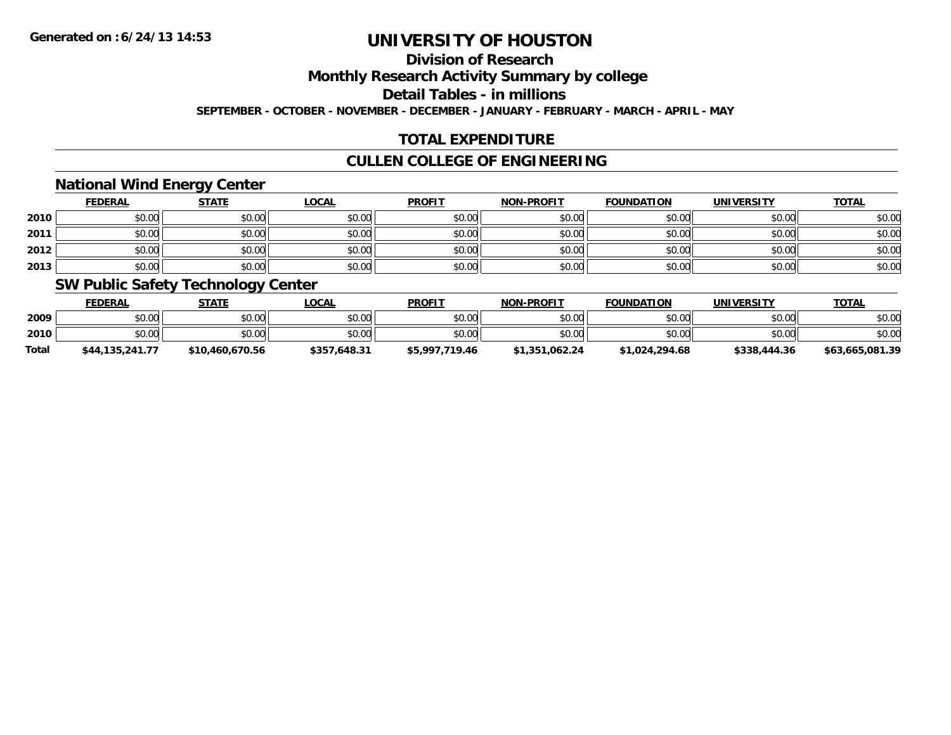## **Division of Research**

**Monthly Research Activity Summary by college**

**Detail Tables - in millions**

**SEPTEMBER - OCTOBER - NOVEMBER - DECEMBER - JANUARY - FEBRUARY - MARCH - APRIL - MAY**

## **TOTAL EXPENDITURE**

## **CULLEN COLLEGE OF ENGINEERING**

## **National Wind Energy Center**

|      | <b>FEDERAL</b> | <b>STATE</b> | <u>LOCAL</u> | <b>PROFIT</b> | <b>NON-PROFIT</b> | <b>FOUNDATION</b> | <b>UNIVERSITY</b> | <b>TOTAL</b> |
|------|----------------|--------------|--------------|---------------|-------------------|-------------------|-------------------|--------------|
| 2010 | \$0.00         | \$0.00       | \$0.00       | \$0.00        | \$0.00            | \$0.00            | \$0.00            | \$0.00       |
| 2011 | \$0.00         | \$0.00       | \$0.00       | \$0.00        | \$0.00            | \$0.00            | \$0.00            | \$0.00       |
| 2012 | \$0.00         | \$0.00       | \$0.00       | \$0.00        | \$0.00            | \$0.00            | \$0.00            | \$0.00       |
| 2013 | \$0.00         | \$0.00       | \$0.00       | \$0.00        | \$0.00            | \$0.00            | \$0.00            | \$0.00       |

## **SW Public Safety Technology Center**

|              | <b>FEDERAL</b>  | STATE           | _OCAL        | <b>PROFIT</b>  | <b>NON-PROFIT</b> | <b>FOUNDATION</b> | UNIVERSITY   | <b>TOTAL</b>    |
|--------------|-----------------|-----------------|--------------|----------------|-------------------|-------------------|--------------|-----------------|
| 2009         | \$0.00          | \$0.00          | \$0.00       | \$0.00         | \$0.00            | \$0.00            | \$0.00       | \$0.00          |
| 2010         | \$0.00          | \$0.00          | \$0.00       | \$0.00         | \$0.00            | \$0.00            | \$0.00       | \$0.00          |
| <b>Total</b> | \$44.135.241.77 | \$10,460,670.56 | \$357.648.31 | \$5,997,719.46 | \$1,351,062,24    | \$1,024,294.68    | \$338,444.36 | \$63,665,081.39 |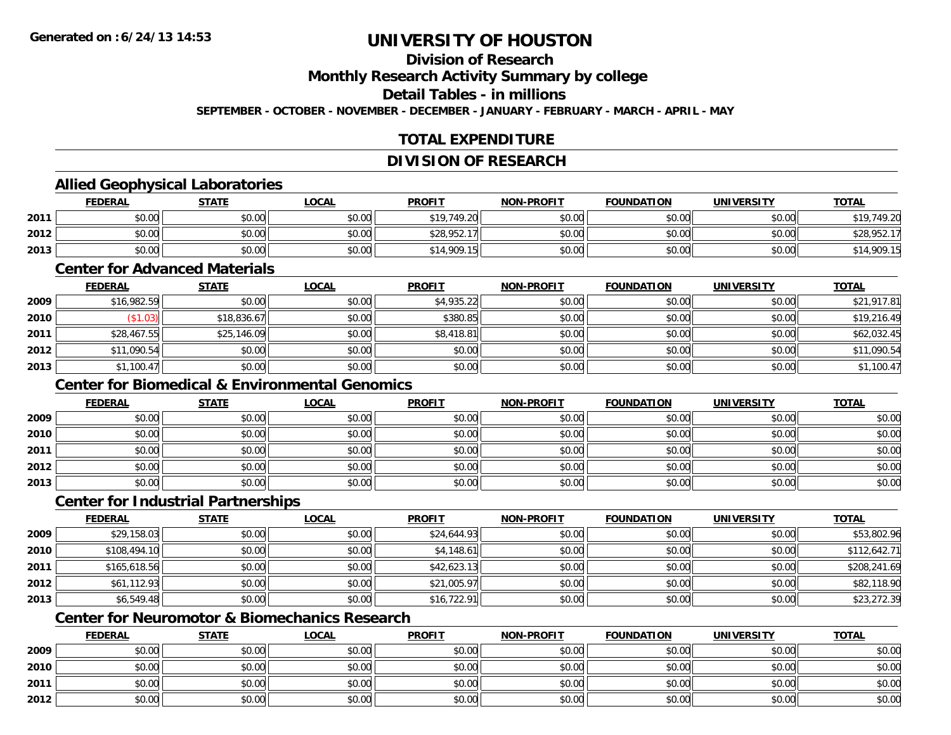## **Division of Research**

**Monthly Research Activity Summary by college**

**Detail Tables - in millions**

**SEPTEMBER - OCTOBER - NOVEMBER - DECEMBER - JANUARY - FEBRUARY - MARCH - APRIL - MAY**

## **TOTAL EXPENDITURE**

### **DIVISION OF RESEARCH**

## **Allied Geophysical Laboratories**

|      | <b>FEDERAL</b> | <b>STATE</b> | <u>LOCAL</u> | <b>PROFIT</b> | <b>NON-PROFIT</b> | <b>FOUNDATION</b> | <b>UNIVERSITY</b> | <b>TOTAL</b> |
|------|----------------|--------------|--------------|---------------|-------------------|-------------------|-------------------|--------------|
| 2011 | \$0.00         | \$0.00       | \$0.00       | \$19,749.20   | \$0.00            | \$0.00            | \$0.00            | \$19,749.20  |
| 2012 | \$0.00         | \$0.00       | \$0.00       | \$28,952.17   | \$0.00            | \$0.00            | \$0.00            | \$28,952.17  |
| 2013 | \$0.00         | \$0.00       | \$0.00       | \$14,909.15   | \$0.00            | \$0.00            | \$0.00            | \$14,909.15  |

#### **Center for Advanced Materials**

|      | <u>FEDERAL</u> | <u>STATE</u> | <b>LOCAL</b> | <b>PROFIT</b> | <b>NON-PROFIT</b> | <b>FOUNDATION</b> | <b>UNIVERSITY</b> | <b>TOTAL</b> |
|------|----------------|--------------|--------------|---------------|-------------------|-------------------|-------------------|--------------|
| 2009 | \$16,982.59    | \$0.00       | \$0.00       | \$4,935.22    | \$0.00            | \$0.00            | \$0.00            | \$21,917.81  |
| 2010 | \$1.03)        | \$18,836.67  | \$0.00       | \$380.85      | \$0.00            | \$0.00            | \$0.00            | \$19,216.49  |
| 2011 | \$28,467.55    | \$25,146.09  | \$0.00       | \$8,418.81    | \$0.00            | \$0.00            | \$0.00            | \$62,032.45  |
| 2012 | \$11,090.54    | \$0.00       | \$0.00       | \$0.00        | \$0.00            | \$0.00            | \$0.00            | \$11,090.54  |
| 2013 | \$1,100.47     | \$0.00       | \$0.00       | \$0.00        | \$0.00            | \$0.00            | \$0.00            | \$1,100.47   |

## **Center for Biomedical & Environmental Genomics**

|      | <b>FEDERAL</b> | <b>STATE</b> | <u>LOCAL</u> | <b>PROFIT</b> | <b>NON-PROFIT</b> | <b>FOUNDATION</b> | <b>UNIVERSITY</b> | <b>TOTAL</b> |
|------|----------------|--------------|--------------|---------------|-------------------|-------------------|-------------------|--------------|
| 2009 | \$0.00         | \$0.00       | \$0.00       | \$0.00        | \$0.00            | \$0.00            | \$0.00            | \$0.00       |
| 2010 | \$0.00         | \$0.00       | \$0.00       | \$0.00        | \$0.00            | \$0.00            | \$0.00            | \$0.00       |
| 2011 | \$0.00         | \$0.00       | \$0.00       | \$0.00        | \$0.00            | \$0.00            | \$0.00            | \$0.00       |
| 2012 | \$0.00         | \$0.00       | \$0.00       | \$0.00        | \$0.00            | \$0.00            | \$0.00            | \$0.00       |
| 2013 | \$0.00         | \$0.00       | \$0.00       | \$0.00        | \$0.00            | \$0.00            | \$0.00            | \$0.00       |

### **Center for Industrial Partnerships**

|      | <b>FEDERAL</b> | <b>STATE</b> | <b>LOCAL</b> | <b>PROFIT</b> | <b>NON-PROFIT</b> | <b>FOUNDATION</b> | <b>UNIVERSITY</b> | <b>TOTAL</b> |
|------|----------------|--------------|--------------|---------------|-------------------|-------------------|-------------------|--------------|
| 2009 | \$29,158.03    | \$0.00       | \$0.00       | \$24,644.93   | \$0.00            | \$0.00            | \$0.00            | \$53,802.96  |
| 2010 | \$108,494.10   | \$0.00       | \$0.00       | \$4,148.61    | \$0.00            | \$0.00            | \$0.00            | \$112,642.71 |
| 2011 | \$165,618.56   | \$0.00       | \$0.00       | \$42,623.13   | \$0.00            | \$0.00            | \$0.00            | \$208,241.69 |
| 2012 | \$61,112.93    | \$0.00       | \$0.00       | \$21,005.97   | \$0.00            | \$0.00            | \$0.00            | \$82,118.90  |
| 2013 | \$6,549.48     | \$0.00       | \$0.00       | \$16,722.91   | \$0.00            | \$0.00            | \$0.00            | \$23,272.39  |

## **Center for Neuromotor & Biomechanics Research**

|      | <b>FEDERAL</b> | <b>STATE</b> | <b>LOCAL</b> | <b>PROFIT</b> | <b>NON-PROFIT</b> | <b>FOUNDATION</b> | <b>UNIVERSITY</b> | <b>TOTAL</b> |
|------|----------------|--------------|--------------|---------------|-------------------|-------------------|-------------------|--------------|
| 2009 | \$0.00         | \$0.00       | \$0.00       | \$0.00        | \$0.00            | \$0.00            | \$0.00            | \$0.00       |
| 2010 | \$0.00         | \$0.00       | \$0.00       | \$0.00        | \$0.00            | \$0.00            | \$0.00            | \$0.00       |
| 2011 | \$0.00         | \$0.00       | \$0.00       | \$0.00        | \$0.00            | \$0.00            | \$0.00            | \$0.00       |
| 2012 | \$0.00         | \$0.00       | \$0.00       | \$0.00        | \$0.00            | \$0.00            | \$0.00            | \$0.00       |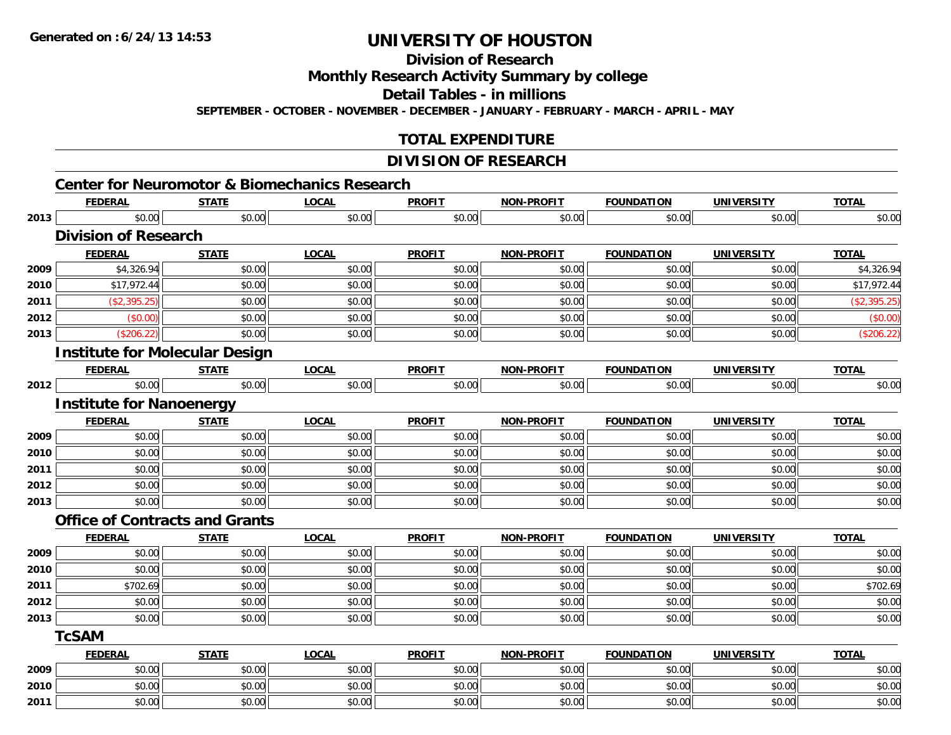**Division of Research**

**Monthly Research Activity Summary by college**

**Detail Tables - in millions**

**SEPTEMBER - OCTOBER - NOVEMBER - DECEMBER - JANUARY - FEBRUARY - MARCH - APRIL - MAY**

## **TOTAL EXPENDITURE**

## **DIVISION OF RESEARCH**

|      | <b>FEDERAL</b>                        | <b>STATE</b> | <b>LOCAL</b> | <b>PROFIT</b> | <b>NON-PROFIT</b> | <b>FOUNDATION</b> | <b>UNIVERSITY</b> | <b>TOTAL</b> |
|------|---------------------------------------|--------------|--------------|---------------|-------------------|-------------------|-------------------|--------------|
| 2013 | \$0.00                                | \$0.00       | \$0.00       | \$0.00        | \$0.00            | \$0.00            | \$0.00            | \$0.00       |
|      | <b>Division of Research</b>           |              |              |               |                   |                   |                   |              |
|      | <b>FEDERAL</b>                        | <b>STATE</b> | <b>LOCAL</b> | <b>PROFIT</b> | <b>NON-PROFIT</b> | <b>FOUNDATION</b> | <b>UNIVERSITY</b> | <b>TOTAL</b> |
| 2009 | \$4,326.94                            | \$0.00       | \$0.00       | \$0.00        | \$0.00            | \$0.00            | \$0.00            | \$4,326.94   |
| 2010 | \$17,972.44                           | \$0.00       | \$0.00       | \$0.00        | \$0.00            | \$0.00            | \$0.00            | \$17,972.44  |
| 2011 | (\$2,395.25)                          | \$0.00       | \$0.00       | \$0.00        | \$0.00            | \$0.00            | \$0.00            | (\$2,395.25) |
| 2012 | (\$0.00)                              | \$0.00       | \$0.00       | \$0.00        | \$0.00            | \$0.00            | \$0.00            | (\$0.00)     |
| 2013 | (\$206.22)                            | \$0.00       | \$0.00       | \$0.00        | \$0.00            | \$0.00            | \$0.00            | (\$206.22)   |
|      | <b>Institute for Molecular Design</b> |              |              |               |                   |                   |                   |              |
|      | <b>FEDERAL</b>                        | <b>STATE</b> | <b>LOCAL</b> | <b>PROFIT</b> | <b>NON-PROFIT</b> | <b>FOUNDATION</b> | <b>UNIVERSITY</b> | <b>TOTAL</b> |
| 2012 | \$0.00                                | \$0.00       | \$0.00       | \$0.00        | \$0.00            | \$0.00            | \$0.00            | \$0.00       |
|      | <b>Institute for Nanoenergy</b>       |              |              |               |                   |                   |                   |              |
|      | <b>FEDERAL</b>                        | <b>STATE</b> | <b>LOCAL</b> | <b>PROFIT</b> | <b>NON-PROFIT</b> | <b>FOUNDATION</b> | <b>UNIVERSITY</b> | <b>TOTAL</b> |
| 2009 | \$0.00                                | \$0.00       | \$0.00       | \$0.00        | \$0.00            | \$0.00            | \$0.00            | \$0.00       |
| 2010 | \$0.00                                | \$0.00       | \$0.00       | \$0.00        | \$0.00            | \$0.00            | \$0.00            | \$0.00       |
| 2011 | \$0.00                                | \$0.00       | \$0.00       | \$0.00        | \$0.00            | \$0.00            | \$0.00            | \$0.00       |
| 2012 | \$0.00                                | \$0.00       | \$0.00       | \$0.00        | \$0.00            | \$0.00            | \$0.00            | \$0.00       |
| 2013 | \$0.00                                | \$0.00       | \$0.00       | \$0.00        | \$0.00            | \$0.00            | \$0.00            | \$0.00       |
|      | <b>Office of Contracts and Grants</b> |              |              |               |                   |                   |                   |              |
|      | <b>FEDERAL</b>                        | <b>STATE</b> | <b>LOCAL</b> | <b>PROFIT</b> | <b>NON-PROFIT</b> | <b>FOUNDATION</b> | <b>UNIVERSITY</b> | <b>TOTAL</b> |
| 2009 | \$0.00                                | \$0.00       | \$0.00       | \$0.00        | \$0.00            | \$0.00            | \$0.00            | \$0.00       |
| 2010 | \$0.00                                | \$0.00       | \$0.00       | \$0.00        | \$0.00            | \$0.00            | \$0.00            | \$0.00       |
| 2011 | \$702.69                              | \$0.00       | \$0.00       | \$0.00        | \$0.00            | \$0.00            | \$0.00            | \$702.69     |
| 2012 | \$0.00                                | \$0.00       | \$0.00       | \$0.00        | \$0.00            | \$0.00            | \$0.00            | \$0.00       |
| 2013 | \$0.00                                | \$0.00       | \$0.00       | \$0.00        | \$0.00            | \$0.00            | \$0.00            | \$0.00       |
|      | <b>TcSAM</b>                          |              |              |               |                   |                   |                   |              |
|      | <b>FEDERAL</b>                        | <b>STATE</b> | <b>LOCAL</b> | <b>PROFIT</b> | <b>NON-PROFIT</b> | <b>FOUNDATION</b> | <b>UNIVERSITY</b> | <b>TOTAL</b> |
| 2009 | \$0.00                                | \$0.00       | \$0.00       | \$0.00        | \$0.00            | \$0.00            | \$0.00            | \$0.00       |
| 2010 | \$0.00                                | \$0.00       | \$0.00       | \$0.00        | \$0.00            | \$0.00            | \$0.00            | \$0.00       |
| 2011 | \$0.00                                | \$0.00       | \$0.00       | \$0.00        | \$0.00            | \$0.00            | \$0.00            | \$0.00       |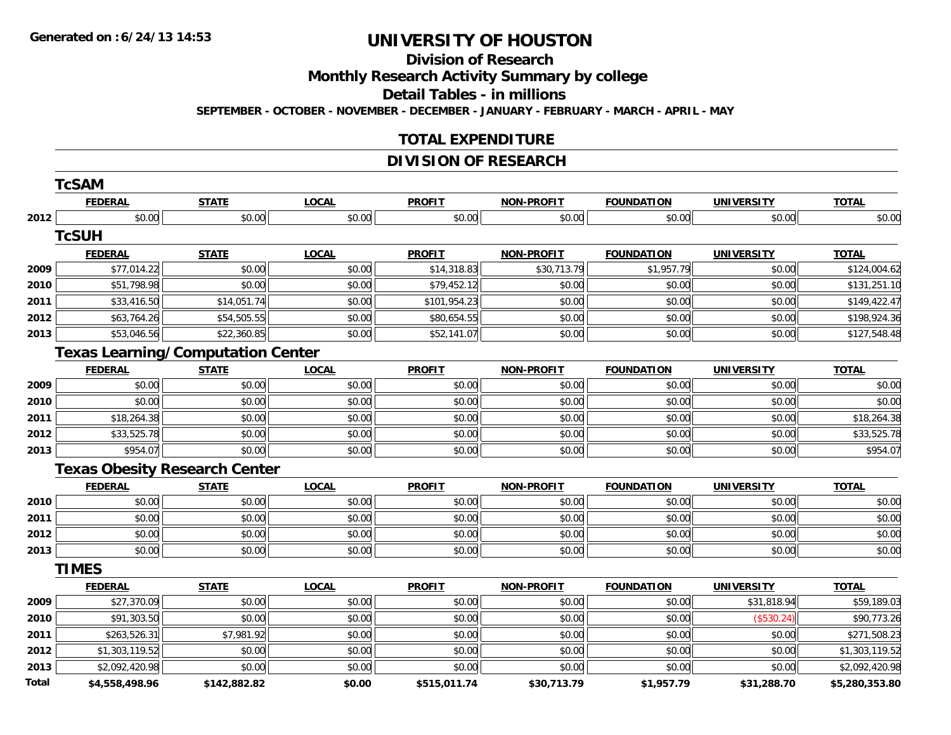#### **Division of Research**

**Monthly Research Activity Summary by college**

**Detail Tables - in millions**

**SEPTEMBER - OCTOBER - NOVEMBER - DECEMBER - JANUARY - FEBRUARY - MARCH - APRIL - MAY**

## **TOTAL EXPENDITURE**

## **DIVISION OF RESEARCH**

|       | <b>TcSAM</b>                             |              |              |               |                   |                   |                   |                |
|-------|------------------------------------------|--------------|--------------|---------------|-------------------|-------------------|-------------------|----------------|
|       | <b>FEDERAL</b>                           | <b>STATE</b> | <b>LOCAL</b> | <b>PROFIT</b> | <b>NON-PROFIT</b> | <b>FOUNDATION</b> | <b>UNIVERSITY</b> | <b>TOTAL</b>   |
| 2012  | \$0.00                                   | \$0.00       | \$0.00       | \$0.00        | \$0.00            | \$0.00            | \$0.00            | \$0.00         |
|       | <b>TcSUH</b>                             |              |              |               |                   |                   |                   |                |
|       | <b>FEDERAL</b>                           | <b>STATE</b> | <b>LOCAL</b> | <b>PROFIT</b> | <b>NON-PROFIT</b> | <b>FOUNDATION</b> | <b>UNIVERSITY</b> | <b>TOTAL</b>   |
| 2009  | \$77,014.22                              | \$0.00       | \$0.00       | \$14,318.83   | \$30,713.79       | \$1,957.79        | \$0.00            | \$124,004.62   |
| 2010  | \$51,798.98                              | \$0.00       | \$0.00       | \$79,452.12   | \$0.00            | \$0.00            | \$0.00            | \$131,251.10   |
| 2011  | \$33,416.50                              | \$14,051.74  | \$0.00       | \$101,954.23  | \$0.00            | \$0.00            | \$0.00            | \$149,422.47   |
| 2012  | \$63,764.26                              | \$54,505.55  | \$0.00       | \$80,654.55   | \$0.00            | \$0.00            | \$0.00            | \$198,924.36   |
| 2013  | \$53,046.56                              | \$22,360.85  | \$0.00       | \$52,141.07   | \$0.00            | \$0.00            | \$0.00            | \$127,548.48   |
|       | <b>Texas Learning/Computation Center</b> |              |              |               |                   |                   |                   |                |
|       | <b>FEDERAL</b>                           | <b>STATE</b> | <b>LOCAL</b> | <b>PROFIT</b> | <b>NON-PROFIT</b> | <b>FOUNDATION</b> | <b>UNIVERSITY</b> | <b>TOTAL</b>   |
| 2009  | \$0.00                                   | \$0.00       | \$0.00       | \$0.00        | \$0.00            | \$0.00            | \$0.00            | \$0.00         |
| 2010  | \$0.00                                   | \$0.00       | \$0.00       | \$0.00        | \$0.00            | \$0.00            | \$0.00            | \$0.00         |
| 2011  | \$18,264.38                              | \$0.00       | \$0.00       | \$0.00        | \$0.00            | \$0.00            | \$0.00            | \$18,264.38    |
| 2012  | \$33,525.78                              | \$0.00       | \$0.00       | \$0.00        | \$0.00            | \$0.00            | \$0.00            | \$33,525.78    |
| 2013  | \$954.07                                 | \$0.00       | \$0.00       | \$0.00        | \$0.00            | \$0.00            | \$0.00            | \$954.07       |
|       | <b>Texas Obesity Research Center</b>     |              |              |               |                   |                   |                   |                |
|       | <b>FEDERAL</b>                           | <b>STATE</b> | <b>LOCAL</b> | <b>PROFIT</b> | <b>NON-PROFIT</b> | <b>FOUNDATION</b> | <b>UNIVERSITY</b> | <b>TOTAL</b>   |
| 2010  | \$0.00                                   | \$0.00       | \$0.00       | \$0.00        | \$0.00            | \$0.00            | \$0.00            | \$0.00         |
| 2011  | \$0.00                                   | \$0.00       | \$0.00       | \$0.00        | \$0.00            | \$0.00            | \$0.00            | \$0.00         |
| 2012  | \$0.00                                   | \$0.00       | \$0.00       | \$0.00        | \$0.00            | \$0.00            | \$0.00            | \$0.00         |
| 2013  | \$0.00                                   | \$0.00       | \$0.00       | \$0.00        | \$0.00            | \$0.00            | \$0.00            | \$0.00         |
|       | <b>TIMES</b>                             |              |              |               |                   |                   |                   |                |
|       | <b>FEDERAL</b>                           | <b>STATE</b> | <b>LOCAL</b> | <b>PROFIT</b> | <b>NON-PROFIT</b> | <b>FOUNDATION</b> | <b>UNIVERSITY</b> | <b>TOTAL</b>   |
| 2009  | \$27,370.09                              | \$0.00       | \$0.00       | \$0.00        | \$0.00            | \$0.00            | \$31,818.94       | \$59,189.03    |
| 2010  | \$91,303.50                              | \$0.00       | \$0.00       | \$0.00        | \$0.00            | \$0.00            | (\$530.24)        | \$90,773.26    |
| 2011  | \$263,526.31                             | \$7,981.92   | \$0.00       | \$0.00        | \$0.00            | \$0.00            | \$0.00            | \$271,508.23   |
| 2012  | \$1,303,119.52                           | \$0.00       | \$0.00       | \$0.00        | \$0.00            | \$0.00            | \$0.00            | \$1,303,119.52 |
| 2013  | \$2,092,420.98                           | \$0.00       | \$0.00       | \$0.00        | \$0.00            | \$0.00            | \$0.00            | \$2,092,420.98 |
| Total | \$4,558,498.96                           | \$142,882.82 | \$0.00       | \$515,011.74  | \$30,713.79       | \$1,957.79        | \$31,288.70       | \$5,280,353.80 |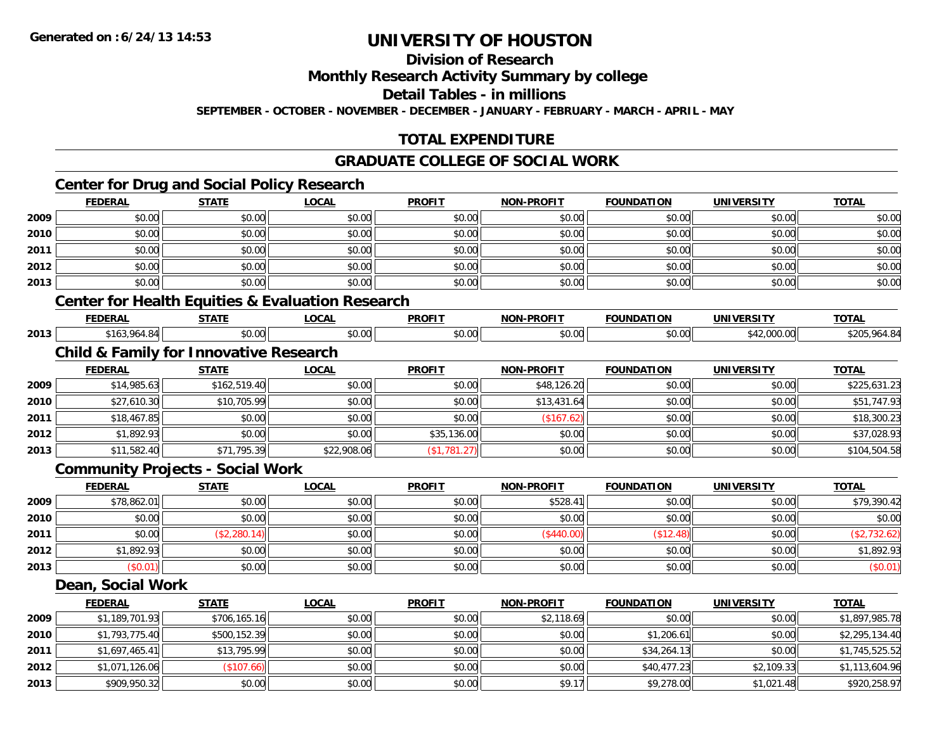## **Division of Research**

**Monthly Research Activity Summary by college**

**Detail Tables - in millions**

**SEPTEMBER - OCTOBER - NOVEMBER - DECEMBER - JANUARY - FEBRUARY - MARCH - APRIL - MAY**

## **TOTAL EXPENDITURE**

## **GRADUATE COLLEGE OF SOCIAL WORK**

## **Center for Drug and Social Policy Research**

|      | <b>FEDERAL</b>                                    | <b>STATE</b>                            | <b>LOCAL</b>                                                | <b>PROFIT</b> | <b>NON-PROFIT</b> | <b>FOUNDATION</b> | <b>UNIVERSITY</b> | <b>TOTAL</b> |  |
|------|---------------------------------------------------|-----------------------------------------|-------------------------------------------------------------|---------------|-------------------|-------------------|-------------------|--------------|--|
| 2009 | \$0.00                                            | \$0.00                                  | \$0.00                                                      | \$0.00        | \$0.00            | \$0.00            | \$0.00            | \$0.00       |  |
| 2010 | \$0.00                                            | \$0.00                                  | \$0.00                                                      | \$0.00        | \$0.00            | \$0.00            | \$0.00            | \$0.00       |  |
| 2011 | \$0.00                                            | \$0.00                                  | \$0.00                                                      | \$0.00        | \$0.00            | \$0.00            | \$0.00            | \$0.00       |  |
| 2012 | \$0.00                                            | \$0.00                                  | \$0.00                                                      | \$0.00        | \$0.00            | \$0.00            | \$0.00            | \$0.00       |  |
| 2013 | \$0.00                                            | \$0.00                                  | \$0.00                                                      | \$0.00        | \$0.00            | \$0.00            | \$0.00            | \$0.00       |  |
|      |                                                   |                                         | <b>Center for Health Equities &amp; Evaluation Research</b> |               |                   |                   |                   |              |  |
|      | <b>FEDERAL</b>                                    | <b>STATE</b>                            | <b>LOCAL</b>                                                | <b>PROFIT</b> | <b>NON-PROFIT</b> | <b>FOUNDATION</b> | <b>UNIVERSITY</b> | <b>TOTAL</b> |  |
| 2013 | \$163,964.84                                      | \$0.00                                  | \$0.00                                                      | \$0.00        | \$0.00            | \$0.00            | \$42,000.00       | \$205,964.84 |  |
|      | <b>Child &amp; Family for Innovative Research</b> |                                         |                                                             |               |                   |                   |                   |              |  |
|      | <b>FEDERAL</b>                                    | <b>STATE</b>                            | <b>LOCAL</b>                                                | <b>PROFIT</b> | <b>NON-PROFIT</b> | <b>FOUNDATION</b> | <b>UNIVERSITY</b> | <b>TOTAL</b> |  |
| 2009 | \$14,985.63                                       | \$162,519.40                            | \$0.00                                                      | \$0.00        | \$48,126.20       | \$0.00            | \$0.00            | \$225,631.23 |  |
| 2010 | \$27,610.30                                       | \$10,705.99                             | \$0.00                                                      | \$0.00        | \$13,431.64       | \$0.00            | \$0.00            | \$51,747.93  |  |
| 2011 | \$18,467.85                                       | \$0.00                                  | \$0.00                                                      | \$0.00        | (\$167.62)        | \$0.00            | \$0.00            | \$18,300.23  |  |
| 2012 | \$1,892.93                                        | \$0.00                                  | \$0.00                                                      | \$35,136.00   | \$0.00            | \$0.00            | \$0.00            | \$37,028.93  |  |
| 2013 | \$11,582.40                                       | \$71,795.39                             | \$22,908.06                                                 | (\$1,781.27)  | \$0.00            | \$0.00            | \$0.00            | \$104,504.58 |  |
|      |                                                   | <b>Community Projects - Social Work</b> |                                                             |               |                   |                   |                   |              |  |
|      | <b>FEDERAL</b>                                    | <b>STATE</b>                            | <b>LOCAL</b>                                                | <b>PROFIT</b> | <b>NON-PROFIT</b> | <b>FOUNDATION</b> | <b>UNIVERSITY</b> | <b>TOTAL</b> |  |
| 2009 | \$78,862.01                                       | \$0.00                                  | \$0.00                                                      | \$0.00        | \$528.41          | \$0.00            | \$0.00            | \$79,390.42  |  |
|      |                                                   |                                         |                                                             |               |                   |                   |                   |              |  |

| 2010 | \$0.00     | \$0.00         | \$0.00 | \$0.00 | \$0.00    | \$0.00       | \$0.00 | \$0.00     |
|------|------------|----------------|--------|--------|-----------|--------------|--------|------------|
| 2011 | \$0.00     | \$2,280.<br>лN | \$0.00 | \$0.00 | \$440.00) | \$12<br>.48) | \$0.00 | JZ.UZ.     |
| 2012 | \$1,892.93 | \$0.00         | \$0.00 | \$0.00 | \$0.00    | \$0.00       | \$0.00 | \$1,892.93 |
| 2013 | \$0.01     | \$0.00         | \$0.00 | \$0.00 | \$0.00    | \$0.00       | \$0.00 | $(\$0.01)$ |

#### **Dean, Social Work**

|      | <b>FEDERAL</b> | <b>STATE</b> | <u>LOCAL</u> | <b>PROFIT</b> | <b>NON-PROFIT</b> | <b>FOUNDATION</b> | <b>UNIVERSITY</b> | <b>TOTAL</b>   |
|------|----------------|--------------|--------------|---------------|-------------------|-------------------|-------------------|----------------|
| 2009 | \$1,189,701.93 | \$706,165.16 | \$0.00       | \$0.00        | \$2,118.69        | \$0.00            | \$0.00            | \$1,897,985.78 |
| 2010 | \$1,793,775.40 | \$500,152.39 | \$0.00       | \$0.00        | \$0.00            | \$1,206.61        | \$0.00            | \$2,295,134.40 |
| 2011 | \$1,697,465.41 | \$13,795.99  | \$0.00       | \$0.00        | \$0.00            | \$34,264.13       | \$0.00            | \$1,745,525.52 |
| 2012 | \$1,071,126.06 | (\$107.66)   | \$0.00       | \$0.00        | \$0.00            | \$40,477.23       | \$2,109.33        | \$1,113,604.96 |
| 2013 | \$909,950.32   | \$0.00       | \$0.00       | \$0.00        | \$9.17            | \$9,278.00        | \$1,021.48        | \$920,258.97   |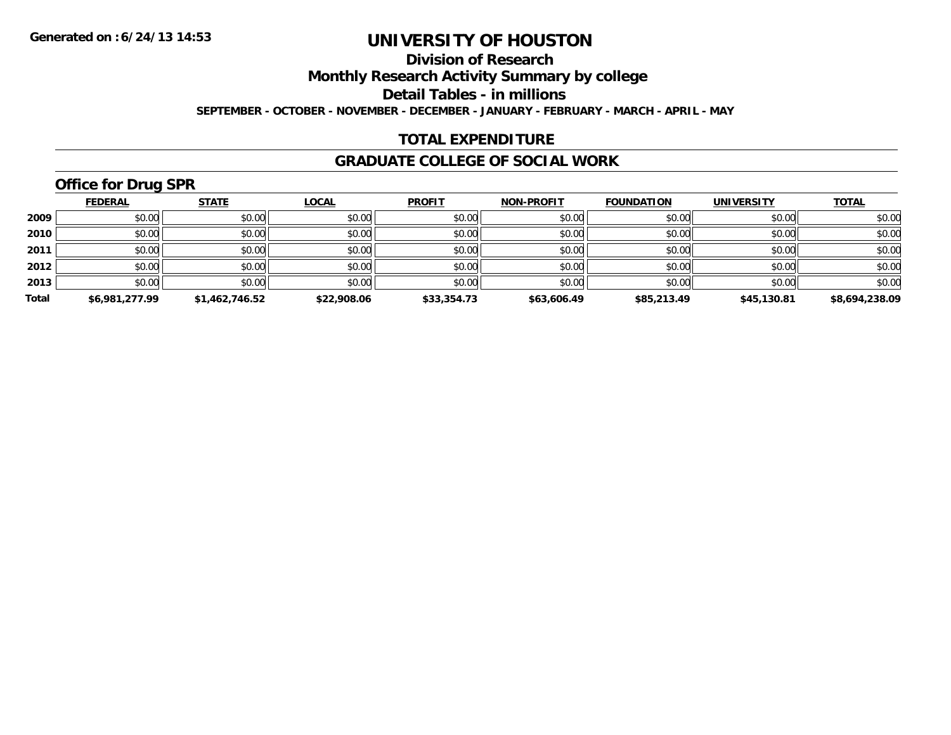## **Division of Research**

**Monthly Research Activity Summary by college**

**Detail Tables - in millions**

**SEPTEMBER - OCTOBER - NOVEMBER - DECEMBER - JANUARY - FEBRUARY - MARCH - APRIL - MAY**

## **TOTAL EXPENDITURE**

#### **GRADUATE COLLEGE OF SOCIAL WORK**

## **Office for Drug SPR**

|       | <b>FEDERAL</b> | <b>STATE</b>   | <b>LOCAL</b> | <b>PROFIT</b> | <b>NON-PROFIT</b> | <b>FOUNDATION</b> | <b>UNIVERSITY</b> | <b>TOTAL</b>   |
|-------|----------------|----------------|--------------|---------------|-------------------|-------------------|-------------------|----------------|
| 2009  | \$0.00         | \$0.00         | \$0.00       | \$0.00        | \$0.00            | \$0.00            | \$0.00            | \$0.00         |
| 2010  | \$0.00         | \$0.00         | \$0.00       | \$0.00        | \$0.00            | \$0.00            | \$0.00            | \$0.00         |
| 2011  | \$0.00         | \$0.00         | \$0.00       | \$0.00        | \$0.00            | \$0.00            | \$0.00            | \$0.00         |
| 2012  | \$0.00         | \$0.00         | \$0.00       | \$0.00        | \$0.00            | \$0.00            | \$0.00            | \$0.00         |
| 2013  | \$0.00         | \$0.00         | \$0.00       | \$0.00        | \$0.00            | \$0.00            | \$0.00            | \$0.00         |
| Total | \$6,981,277.99 | \$1,462,746.52 | \$22,908.06  | \$33,354.73   | \$63,606.49       | \$85,213.49       | \$45,130.81       | \$8,694,238.09 |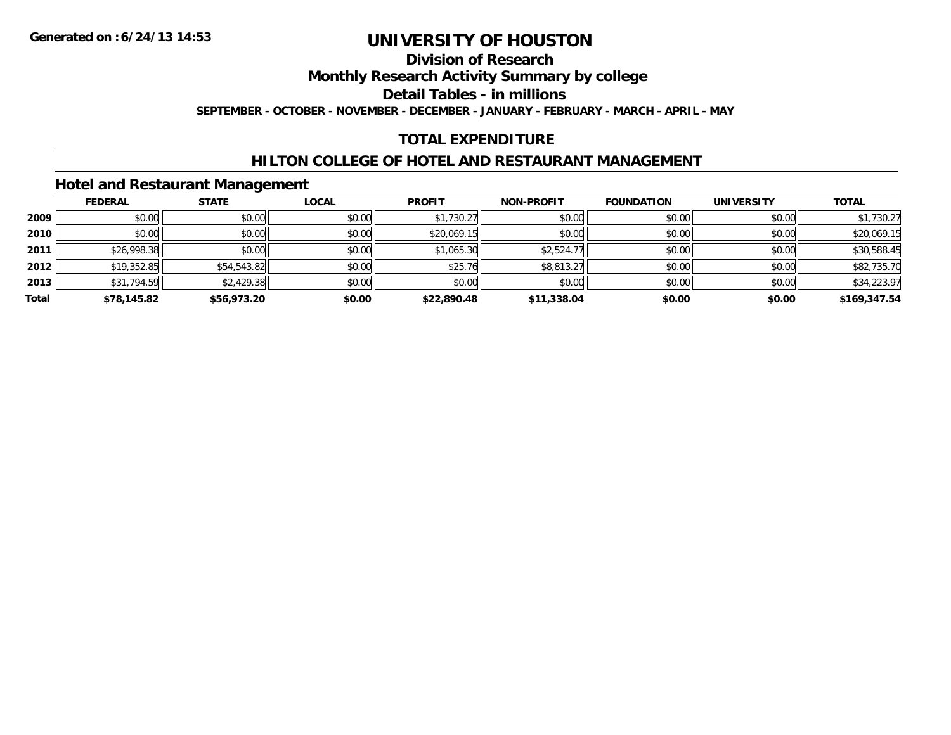## **Division of Research**

**Monthly Research Activity Summary by college**

**Detail Tables - in millions**

**SEPTEMBER - OCTOBER - NOVEMBER - DECEMBER - JANUARY - FEBRUARY - MARCH - APRIL - MAY**

## **TOTAL EXPENDITURE**

### **HILTON COLLEGE OF HOTEL AND RESTAURANT MANAGEMENT**

### **Hotel and Restaurant Management**

|       | <b>FEDERAL</b> | <b>STATE</b> | <u>LOCAL</u> | <b>PROFIT</b> | <b>NON-PROFIT</b> | <b>FOUNDATION</b> | <b>UNIVERSITY</b> | <b>TOTAL</b> |
|-------|----------------|--------------|--------------|---------------|-------------------|-------------------|-------------------|--------------|
| 2009  | \$0.00         | \$0.00       | \$0.00       | \$1,730.27    | \$0.00            | \$0.00            | \$0.00            | \$1,730.27   |
| 2010  | \$0.00         | \$0.00       | \$0.00       | \$20,069.15   | \$0.00            | \$0.00            | \$0.00            | \$20,069.15  |
| 2011  | \$26,998.38    | \$0.00       | \$0.00       | \$1,065.30    | \$2,524.77        | \$0.00            | \$0.00            | \$30,588.45  |
| 2012  | \$19,352.85    | \$54,543.82  | \$0.00       | \$25.76       | \$8,813.27        | \$0.00            | \$0.00            | \$82,735.70  |
| 2013  | \$31,794.59    | \$2,429.38   | \$0.00       | \$0.00        | \$0.00            | \$0.00            | \$0.00            | \$34,223.97  |
| Total | \$78,145.82    | \$56,973.20  | \$0.00       | \$22,890.48   | \$11,338.04       | \$0.00            | \$0.00            | \$169,347.54 |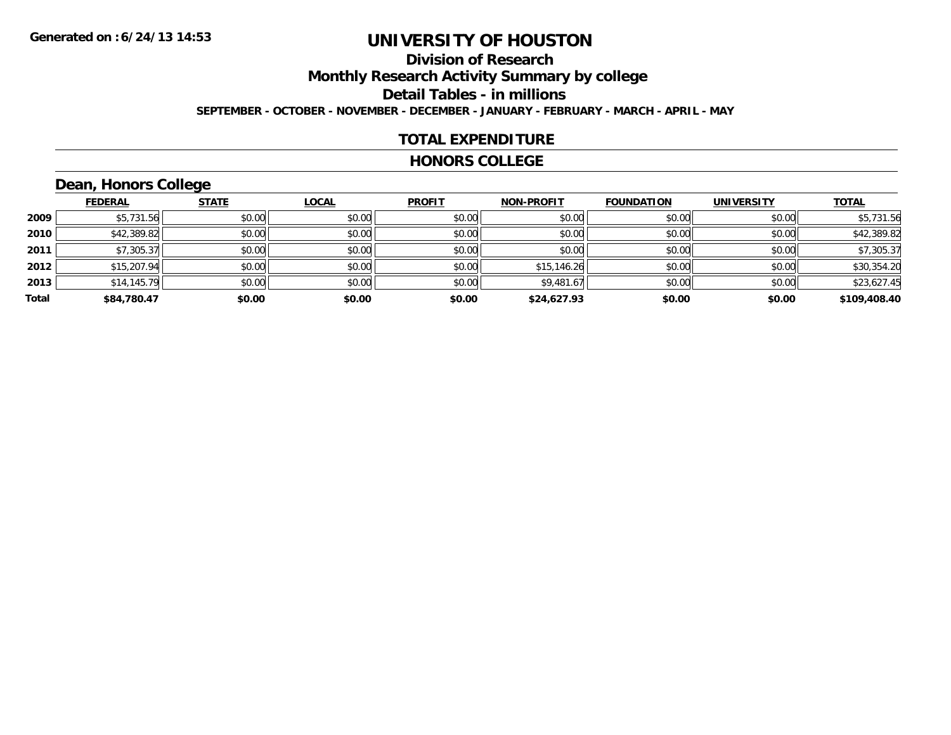## **Division of ResearchMonthly Research Activity Summary by college Detail Tables - in millions SEPTEMBER - OCTOBER - NOVEMBER - DECEMBER - JANUARY - FEBRUARY - MARCH - APRIL - MAY**

### **TOTAL EXPENDITURE**

#### **HONORS COLLEGE**

## **Dean, Honors College**

|       |                | __           |              |               |                   |                   |                   |              |
|-------|----------------|--------------|--------------|---------------|-------------------|-------------------|-------------------|--------------|
|       | <u>FEDERAL</u> | <b>STATE</b> | <b>LOCAL</b> | <b>PROFIT</b> | <b>NON-PROFIT</b> | <b>FOUNDATION</b> | <b>UNIVERSITY</b> | <b>TOTAL</b> |
| 2009  | \$5,731.56     | \$0.00       | \$0.00       | \$0.00        | \$0.00            | \$0.00            | \$0.00            | \$5,731.56   |
| 2010  | \$42,389.82    | \$0.00       | \$0.00       | \$0.00        | \$0.00            | \$0.00            | \$0.00            | \$42,389.82  |
| 2011  | \$7,305.37     | \$0.00       | \$0.00       | \$0.00        | \$0.00            | \$0.00            | \$0.00            | \$7,305.37   |
| 2012  | \$15,207.94    | \$0.00       | \$0.00       | \$0.00        | \$15,146.26       | \$0.00            | \$0.00            | \$30,354.20  |
| 2013  | \$14,145.79    | \$0.00       | \$0.00       | \$0.00        | \$9,481.67        | \$0.00            | \$0.00            | \$23,627.45  |
| Total | \$84,780.47    | \$0.00       | \$0.00       | \$0.00        | \$24,627.93       | \$0.00            | \$0.00            | \$109,408.40 |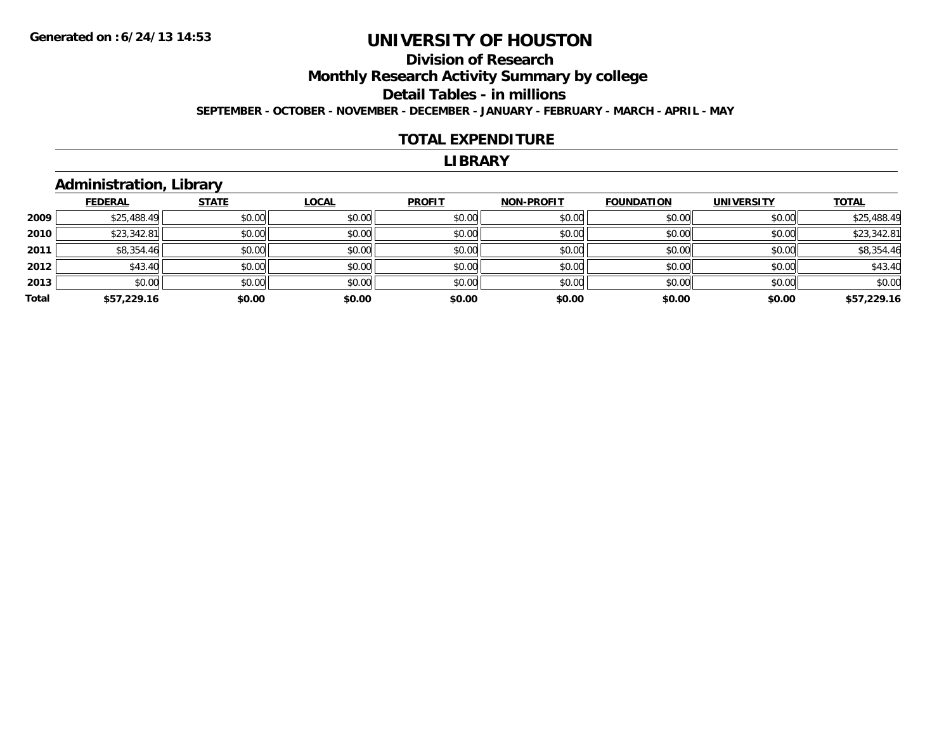## **Division of ResearchMonthly Research Activity Summary by college Detail Tables - in millions SEPTEMBER - OCTOBER - NOVEMBER - DECEMBER - JANUARY - FEBRUARY - MARCH - APRIL - MAY**

#### **TOTAL EXPENDITURE**

#### **LIBRARY**

## **Administration, Library**

|       | <b>FEDERAL</b> | <b>STATE</b> | <b>LOCAL</b> | <b>PROFIT</b> | <b>NON-PROFIT</b> | <b>FOUNDATION</b> | <b>UNIVERSITY</b> | <b>TOTAL</b> |
|-------|----------------|--------------|--------------|---------------|-------------------|-------------------|-------------------|--------------|
| 2009  | \$25,488.49    | \$0.00       | \$0.00       | \$0.00        | \$0.00            | \$0.00            | \$0.00            | \$25,488.49  |
| 2010  | \$23,342.81    | \$0.00       | \$0.00       | \$0.00        | \$0.00            | \$0.00            | \$0.00            | \$23,342.81  |
| 2011  | \$8,354.46     | \$0.00       | \$0.00       | \$0.00        | \$0.00            | \$0.00            | \$0.00            | \$8,354.46   |
| 2012  | \$43.40        | \$0.00       | \$0.00       | \$0.00        | \$0.00            | \$0.00            | \$0.00            | \$43.40      |
| 2013  | \$0.00         | \$0.00       | \$0.00       | \$0.00        | \$0.00            | \$0.00            | \$0.00            | \$0.00       |
| Total | \$57,229.16    | \$0.00       | \$0.00       | \$0.00        | \$0.00            | \$0.00            | \$0.00            | \$57,229.16  |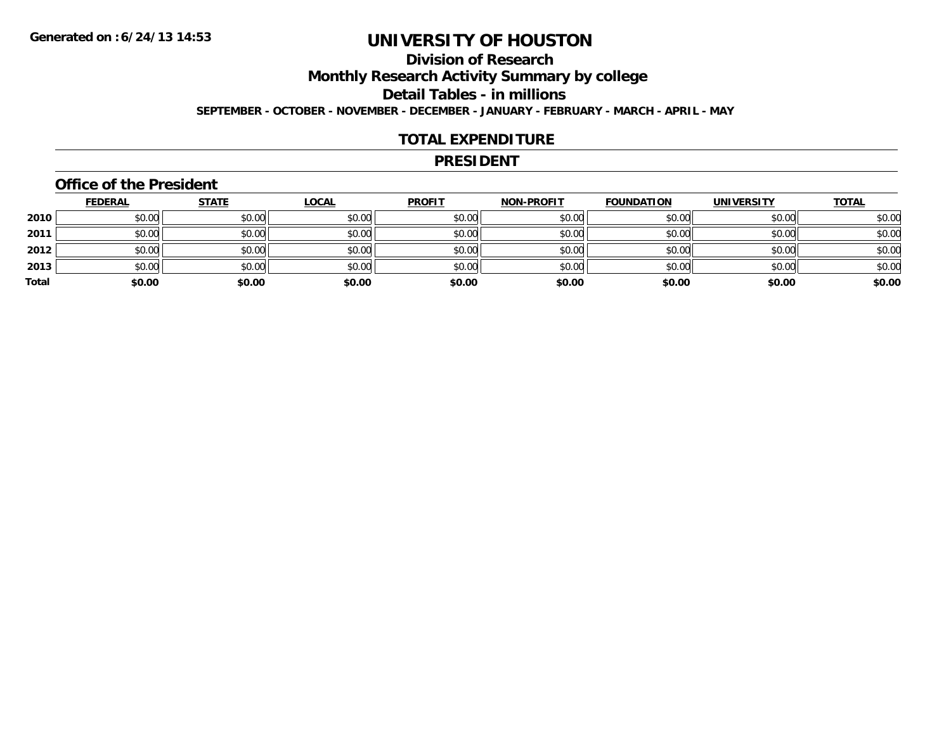## **Division of ResearchMonthly Research Activity Summary by college Detail Tables - in millions SEPTEMBER - OCTOBER - NOVEMBER - DECEMBER - JANUARY - FEBRUARY - MARCH - APRIL - MAY**

### **TOTAL EXPENDITURE**

#### **PRESIDENT**

### **Office of the President**

|       | <u>FEDERAL</u> | <u>STATE</u> | <b>LOCAL</b> | <b>PROFIT</b> | <b>NON-PROFIT</b> | <b>FOUNDATION</b> | <b>UNIVERSITY</b> | <b>TOTAL</b> |
|-------|----------------|--------------|--------------|---------------|-------------------|-------------------|-------------------|--------------|
| 2010  | \$0.00         | \$0.00       | \$0.00       | \$0.00        | \$0.00            | \$0.00            | \$0.00            | \$0.00       |
| 2011  | \$0.00         | \$0.00       | \$0.00       | \$0.00        | \$0.00            | \$0.00            | \$0.00            | \$0.00       |
| 2012  | \$0.00         | \$0.00       | \$0.00       | \$0.00        | \$0.00            | \$0.00            | \$0.00            | \$0.00       |
| 2013  | \$0.00         | \$0.00       | \$0.00       | \$0.00        | \$0.00            | \$0.00            | \$0.00            | \$0.00       |
| Total | \$0.00         | \$0.00       | \$0.00       | \$0.00        | \$0.00            | \$0.00            | \$0.00            | \$0.00       |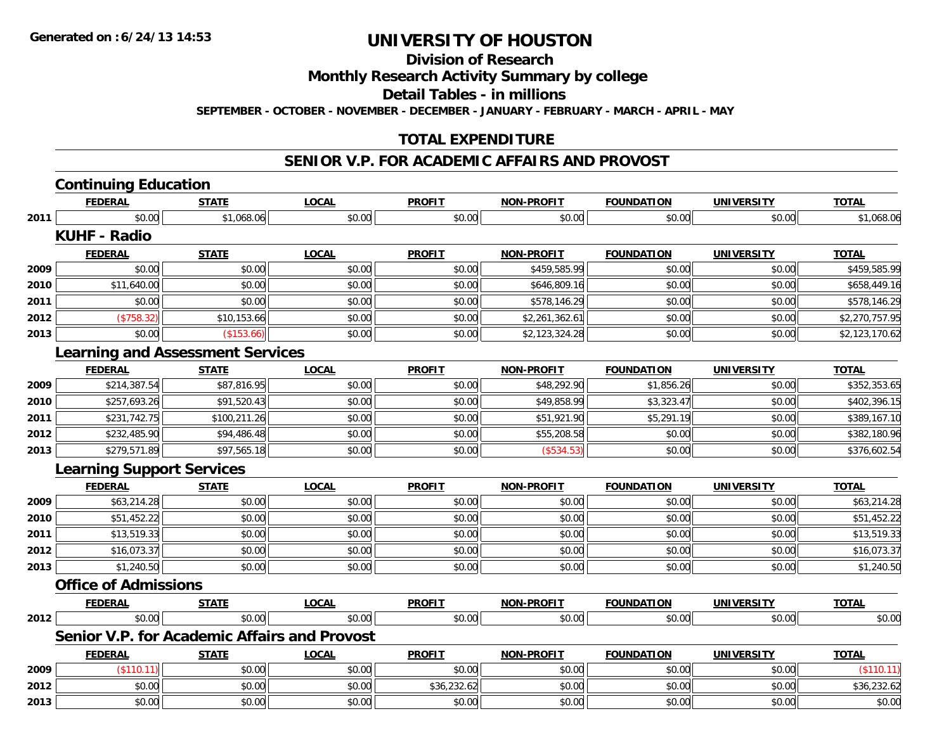**Division of Research**

**Monthly Research Activity Summary by college**

**Detail Tables - in millions**

**SEPTEMBER - OCTOBER - NOVEMBER - DECEMBER - JANUARY - FEBRUARY - MARCH - APRIL - MAY**

## **TOTAL EXPENDITURE**

#### **SENIOR V.P. FOR ACADEMIC AFFAIRS AND PROVOST**

|      | <b>Continuing Education</b>                  |              |              |               |                   |                   |                   |                |
|------|----------------------------------------------|--------------|--------------|---------------|-------------------|-------------------|-------------------|----------------|
|      | <b>FEDERAL</b>                               | <b>STATE</b> | <b>LOCAL</b> | <b>PROFIT</b> | <b>NON-PROFIT</b> | <b>FOUNDATION</b> | <b>UNIVERSITY</b> | <b>TOTAL</b>   |
| 2011 | \$0.00                                       | \$1,068.06   | \$0.00       | \$0.00        | \$0.00            | \$0.00            | \$0.00            | \$1,068.06     |
|      | <b>KUHF - Radio</b>                          |              |              |               |                   |                   |                   |                |
|      | <b>FEDERAL</b>                               | <b>STATE</b> | <b>LOCAL</b> | <b>PROFIT</b> | <b>NON-PROFIT</b> | <b>FOUNDATION</b> | <b>UNIVERSITY</b> | <b>TOTAL</b>   |
| 2009 | \$0.00                                       | \$0.00       | \$0.00       | \$0.00        | \$459,585.99      | \$0.00            | \$0.00            | \$459,585.99   |
| 2010 | \$11,640.00                                  | \$0.00       | \$0.00       | \$0.00        | \$646,809.16      | \$0.00            | \$0.00            | \$658,449.16   |
| 2011 | \$0.00                                       | \$0.00       | \$0.00       | \$0.00        | \$578,146.29      | \$0.00            | \$0.00            | \$578,146.29   |
| 2012 | (\$758.32)                                   | \$10,153.66  | \$0.00       | \$0.00        | \$2,261,362.61    | \$0.00            | \$0.00            | \$2,270,757.95 |
| 2013 | \$0.00                                       | (\$153.66)   | \$0.00       | \$0.00        | \$2,123,324.28    | \$0.00            | \$0.00            | \$2,123,170.62 |
|      | <b>Learning and Assessment Services</b>      |              |              |               |                   |                   |                   |                |
|      | <b>FEDERAL</b>                               | <b>STATE</b> | <b>LOCAL</b> | <b>PROFIT</b> | <b>NON-PROFIT</b> | <b>FOUNDATION</b> | <b>UNIVERSITY</b> | <b>TOTAL</b>   |
| 2009 | \$214,387.54                                 | \$87,816.95  | \$0.00       | \$0.00        | \$48,292.90       | \$1,856.26        | \$0.00            | \$352,353.65   |
| 2010 | \$257,693.26                                 | \$91,520.43  | \$0.00       | \$0.00        | \$49,858.99       | \$3,323.47        | \$0.00            | \$402,396.15   |
| 2011 | \$231,742.75                                 | \$100,211.26 | \$0.00       | \$0.00        | \$51,921.90       | \$5,291.19        | \$0.00            | \$389,167.10   |
| 2012 | \$232,485.90                                 | \$94,486.48  | \$0.00       | \$0.00        | \$55,208.58       | \$0.00            | \$0.00            | \$382,180.96   |
| 2013 | \$279,571.89                                 | \$97,565.18  | \$0.00       | \$0.00        | (\$534.53)        | \$0.00            | \$0.00            | \$376,602.54   |
|      | <b>Learning Support Services</b>             |              |              |               |                   |                   |                   |                |
|      | <b>FEDERAL</b>                               | <b>STATE</b> | <b>LOCAL</b> | <b>PROFIT</b> | <b>NON-PROFIT</b> | <b>FOUNDATION</b> | <b>UNIVERSITY</b> | <b>TOTAL</b>   |
| 2009 | \$63,214.28                                  | \$0.00       | \$0.00       | \$0.00        | \$0.00            | \$0.00            | \$0.00            | \$63,214.28    |
| 2010 | \$51,452.22                                  | \$0.00       | \$0.00       | \$0.00        | \$0.00            | \$0.00            | \$0.00            | \$51,452.22    |
| 2011 | \$13,519.33                                  | \$0.00       | \$0.00       | \$0.00        | \$0.00            | \$0.00            | \$0.00            | \$13,519.33    |
| 2012 | \$16,073.37                                  | \$0.00       | \$0.00       | \$0.00        | \$0.00            | \$0.00            | \$0.00            | \$16,073.37    |
| 2013 | \$1,240.50                                   | \$0.00       | \$0.00       | \$0.00        | \$0.00            | \$0.00            | \$0.00            | \$1,240.50     |
|      | <b>Office of Admissions</b>                  |              |              |               |                   |                   |                   |                |
|      | <b>FEDERAL</b>                               | <b>STATE</b> | <b>LOCAL</b> | <b>PROFIT</b> | <b>NON-PROFIT</b> | <b>FOUNDATION</b> | <b>UNIVERSITY</b> | <b>TOTAL</b>   |
| 2012 | \$0.00                                       | \$0.00       | \$0.00       | \$0.00        | \$0.00            | \$0.00            | \$0.00            | \$0.00         |
|      | Senior V.P. for Academic Affairs and Provost |              |              |               |                   |                   |                   |                |
|      | <b>FEDERAL</b>                               | <u>STATE</u> | <u>LOCAL</u> | <b>PROFIT</b> | <b>NON-PROFIT</b> | <b>FOUNDATION</b> | <b>UNIVERSITY</b> | <b>TOTAL</b>   |
| 2009 | (\$110.11)                                   | \$0.00       | \$0.00       | \$0.00        | \$0.00            | \$0.00            | \$0.00            | (\$110.11)     |
| 2012 | \$0.00                                       | \$0.00       | \$0.00       | \$36,232.62   | \$0.00            | \$0.00            | \$0.00            | \$36,232.62    |
| 2013 | \$0.00                                       | \$0.00       | \$0.00       | \$0.00        | \$0.00            | \$0.00            | \$0.00            | \$0.00         |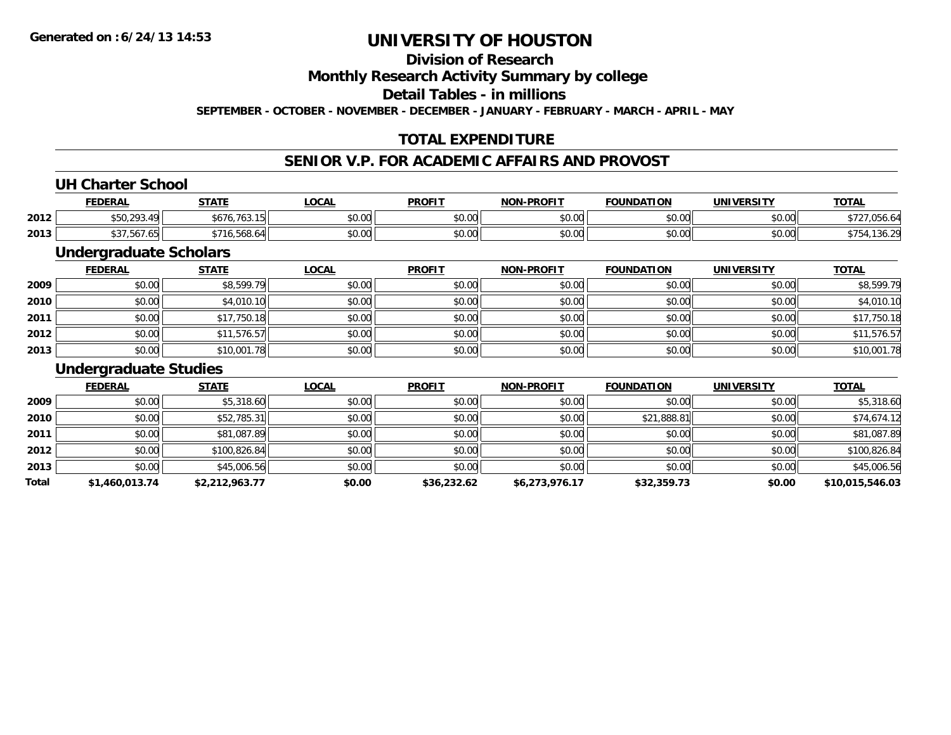## **Division of Research**

**Monthly Research Activity Summary by college**

**Detail Tables - in millions**

**SEPTEMBER - OCTOBER - NOVEMBER - DECEMBER - JANUARY - FEBRUARY - MARCH - APRIL - MAY**

## **TOTAL EXPENDITURE**

## **SENIOR V.P. FOR ACADEMIC AFFAIRS AND PROVOST**

### **UH Charter School**

|      | <b>FEDERAL</b>                           | <b>CTATE</b>                                            | .OCAL         | <b>PROFIT</b>          | <b>NON-PROFIT</b> | <b>FOUNDATION</b> | <b>UNIVERSITY</b> | <u>тота.</u>     |
|------|------------------------------------------|---------------------------------------------------------|---------------|------------------------|-------------------|-------------------|-------------------|------------------|
| 2012 | ົດດາ<br>⊿ ∩I<br>$\overline{\phantom{a}}$ | $\cdot$ . $\overline{\phantom{a}}$ .<br>763.<br>DO / O. | 0.00<br>pu.uu | JU.UU                  | 0000<br>ง∪.∪บ     | \$0.00            | \$0.00            | ט.טע             |
| 2013 | $\cdot$ $-$<br>اכס. / סכ. /              | .<br>$\sim$<br>၁၀୪.၀4'                                  | 0.00<br>pu.uu | $\sim$ $\sim$<br>JU.UU | 0000<br>PO.OO     | 40.00<br>DU.UU    | \$0.00            | $\sim$<br>1 JU.Z |

## **Undergraduate Scholars**

|      | <b>FEDERAL</b> | <u>STATE</u> | <u>LOCAL</u> | <b>PROFIT</b> | <b>NON-PROFIT</b> | <b>FOUNDATION</b> | <b>UNIVERSITY</b> | <b>TOTAL</b> |
|------|----------------|--------------|--------------|---------------|-------------------|-------------------|-------------------|--------------|
| 2009 | \$0.00         | \$8,599.79   | \$0.00       | \$0.00        | \$0.00            | \$0.00            | \$0.00            | \$8,599.79   |
| 2010 | \$0.00         | \$4,010.10   | \$0.00       | \$0.00        | \$0.00            | \$0.00            | \$0.00            | \$4,010.10   |
| 2011 | \$0.00         | \$17,750.18  | \$0.00       | \$0.00        | \$0.00            | \$0.00            | \$0.00            | \$17,750.18  |
| 2012 | \$0.00         | \$11,576.57  | \$0.00       | \$0.00        | \$0.00            | \$0.00            | \$0.00            | \$11,576.57  |
| 2013 | \$0.00         | \$10,001.78  | \$0.00       | \$0.00        | \$0.00            | \$0.00            | \$0.00            | \$10,001.78  |

#### **Undergraduate Studies**

|       | <b>FEDERAL</b> | <b>STATE</b>   | <u>LOCAL</u> | <b>PROFIT</b> | <b>NON-PROFIT</b> | <b>FOUNDATION</b> | <b>UNIVERSITY</b> | <b>TOTAL</b>    |
|-------|----------------|----------------|--------------|---------------|-------------------|-------------------|-------------------|-----------------|
| 2009  | \$0.00         | \$5,318.60     | \$0.00       | \$0.00        | \$0.00            | \$0.00            | \$0.00            | \$5,318.60      |
| 2010  | \$0.00         | \$52,785.31    | \$0.00       | \$0.00        | \$0.00            | \$21,888.81       | \$0.00            | \$74,674.12     |
| 2011  | \$0.00         | \$81,087.89    | \$0.00       | \$0.00        | \$0.00            | \$0.00            | \$0.00            | \$81,087.89     |
| 2012  | \$0.00         | \$100,826.84   | \$0.00       | \$0.00        | \$0.00            | \$0.00            | \$0.00            | \$100,826.84    |
| 2013  | \$0.00         | \$45,006.56    | \$0.00       | \$0.00        | \$0.00            | \$0.00            | \$0.00            | \$45,006.56     |
| Total | \$1,460,013.74 | \$2,212,963.77 | \$0.00       | \$36,232.62   | \$6,273,976.17    | \$32,359.73       | \$0.00            | \$10,015,546.03 |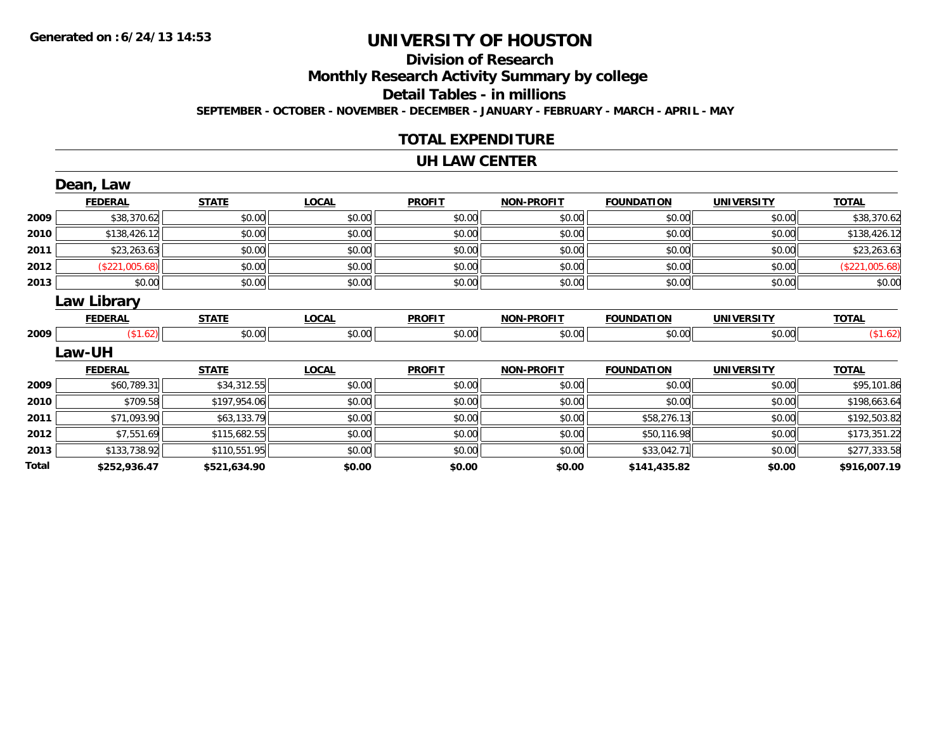# **Division of Research**

**Monthly Research Activity Summary by college**

**Detail Tables - in millions**

**SEPTEMBER - OCTOBER - NOVEMBER - DECEMBER - JANUARY - FEBRUARY - MARCH - APRIL - MAY**

## **TOTAL EXPENDITURE**

#### **UH LAW CENTER**

|       | Dean, Law          |              |              |               |                   |                   |                   |                |
|-------|--------------------|--------------|--------------|---------------|-------------------|-------------------|-------------------|----------------|
|       | <b>FEDERAL</b>     | <b>STATE</b> | <b>LOCAL</b> | <b>PROFIT</b> | <b>NON-PROFIT</b> | <b>FOUNDATION</b> | <b>UNIVERSITY</b> | <b>TOTAL</b>   |
| 2009  | \$38,370.62        | \$0.00       | \$0.00       | \$0.00        | \$0.00            | \$0.00            | \$0.00            | \$38,370.62    |
| 2010  | \$138,426.12       | \$0.00       | \$0.00       | \$0.00        | \$0.00            | \$0.00            | \$0.00            | \$138,426.12   |
| 2011  | \$23,263.63        | \$0.00       | \$0.00       | \$0.00        | \$0.00            | \$0.00            | \$0.00            | \$23,263.63    |
| 2012  | (\$221,005.68)     | \$0.00       | \$0.00       | \$0.00        | \$0.00            | \$0.00            | \$0.00            | (\$221,005.68) |
| 2013  | \$0.00             | \$0.00       | \$0.00       | \$0.00        | \$0.00            | \$0.00            | \$0.00            | \$0.00         |
|       | <b>Law Library</b> |              |              |               |                   |                   |                   |                |
|       | <b>FEDERAL</b>     | <b>STATE</b> | <b>LOCAL</b> | <b>PROFIT</b> | <b>NON-PROFIT</b> | <b>FOUNDATION</b> | <b>UNIVERSITY</b> | <b>TOTAL</b>   |
| 2009  | (\$1.62)           | \$0.00       | \$0.00       | \$0.00        | \$0.00            | \$0.00            | \$0.00            | (\$1.62)       |
|       | Law-UH             |              |              |               |                   |                   |                   |                |
|       | <b>FEDERAL</b>     | <b>STATE</b> | <b>LOCAL</b> | <b>PROFIT</b> | <b>NON-PROFIT</b> | <b>FOUNDATION</b> | <b>UNIVERSITY</b> | <b>TOTAL</b>   |
| 2009  | \$60,789.31        | \$34,312.55  | \$0.00       | \$0.00        | \$0.00            | \$0.00            | \$0.00            | \$95,101.86    |
| 2010  | \$709.58           | \$197,954.06 | \$0.00       | \$0.00        | \$0.00            | \$0.00            | \$0.00            | \$198,663.64   |
| 2011  | \$71,093.90        | \$63,133.79  | \$0.00       | \$0.00        | \$0.00            | \$58,276.13       | \$0.00            | \$192,503.82   |
| 2012  | \$7,551.69         | \$115,682.55 | \$0.00       | \$0.00        | \$0.00            | \$50,116.98       | \$0.00            | \$173,351.22   |
| 2013  | \$133,738.92       | \$110,551.95 | \$0.00       | \$0.00        | \$0.00            | \$33,042.71       | \$0.00            | \$277,333.58   |
| Total | \$252,936.47       | \$521,634.90 | \$0.00       | \$0.00        | \$0.00            | \$141,435.82      | \$0.00            | \$916,007.19   |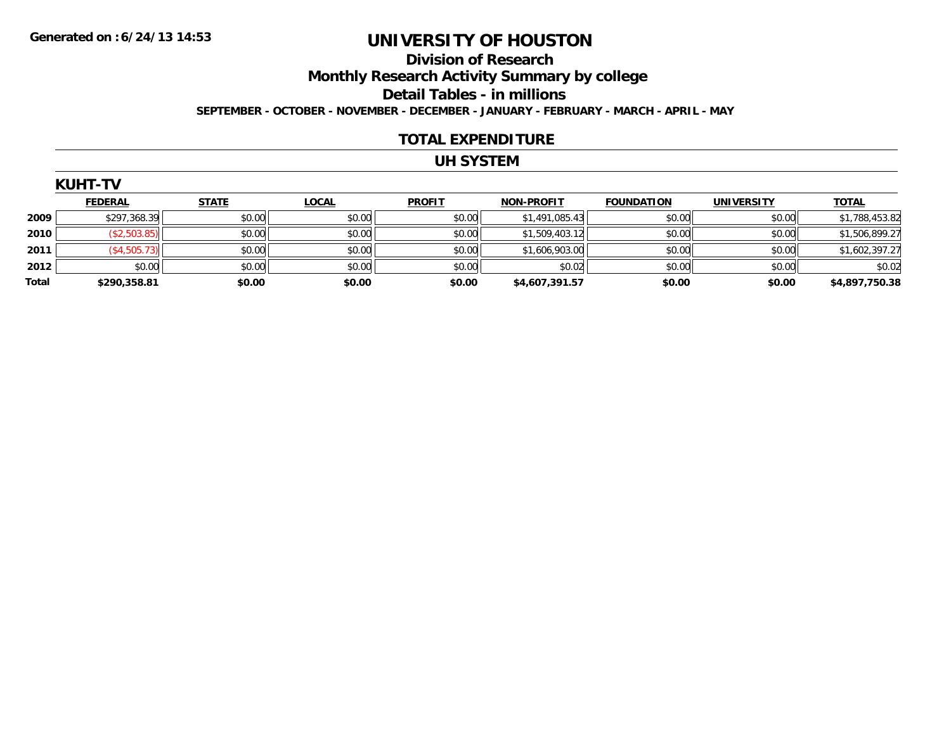### **Division of Research Monthly Research Activity Summary by college Detail Tables - in millions SEPTEMBER - OCTOBER - NOVEMBER - DECEMBER - JANUARY - FEBRUARY - MARCH - APRIL - MAY**

#### **TOTAL EXPENDITURE**

## **UH SYSTEM**

|       | <b>KUHT-TV</b>  |              |              |               |                   |                   |                   |                |
|-------|-----------------|--------------|--------------|---------------|-------------------|-------------------|-------------------|----------------|
|       | <b>FEDERAL</b>  | <b>STATE</b> | <b>LOCAL</b> | <b>PROFIT</b> | <b>NON-PROFIT</b> | <b>FOUNDATION</b> | <b>UNIVERSITY</b> | <b>TOTAL</b>   |
| 2009  | \$297,368.39    | \$0.00       | \$0.00       | \$0.00        | \$1,491,085.43    | \$0.00            | \$0.00            | \$1,788,453.82 |
| 2010  | (\$2,503.85)    | \$0.00       | \$0.00       | \$0.00        | \$1,509,403.12    | \$0.00            | \$0.00            | \$1,506,899.27 |
| 2011  | $($ \$4,505.73) | \$0.00       | \$0.00       | \$0.00        | \$1,606,903.00    | \$0.00            | \$0.00            | \$1,602,397.27 |
| 2012  | \$0.00          | \$0.00       | \$0.00       | \$0.00        | \$0.02            | \$0.00            | \$0.00            | \$0.02         |
| Total | \$290,358.81    | \$0.00       | \$0.00       | \$0.00        | \$4,607,391.57    | \$0.00            | \$0.00            | \$4,897,750.38 |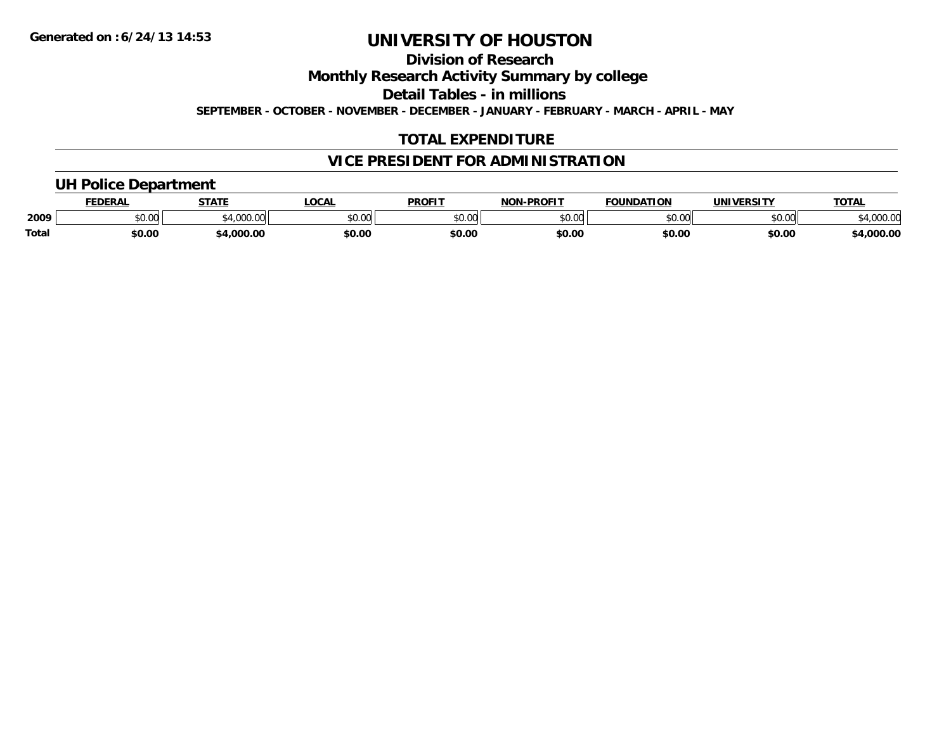**Division of Research**

**Monthly Research Activity Summary by college**

**Detail Tables - in millions**

**SEPTEMBER - OCTOBER - NOVEMBER - DECEMBER - JANUARY - FEBRUARY - MARCH - APRIL - MAY**

## **TOTAL EXPENDITURE**

## **VICE PRESIDENT FOR ADMINISTRATION**

## **UH Police Department**

|              | <b>FEDERAL</b> | <b>STATE</b>                                | <b>LOCAL</b>  | <b>PROFIT</b> | <b>J-PROFIT</b><br><b>NON</b> | <b>FOUNDATION</b> | UNIVERSITY | <b>TOTAL</b>      |
|--------------|----------------|---------------------------------------------|---------------|---------------|-------------------------------|-------------------|------------|-------------------|
| 2009         | vv.vv          | $\rightarrow$ 000.00 $\rightarrow$<br>uuu.u | 0000<br>PU.UU | 4000<br>DU.UU | 0000<br>ט.טע                  | \$0.00            | \$0.00     | 00000<br>4,000.00 |
| <b>Total</b> | \$0.00         | .000.00                                     | \$0.00        | \$0.00        | \$0.00                        | \$0.00            | \$0.00     | 4,000.00          |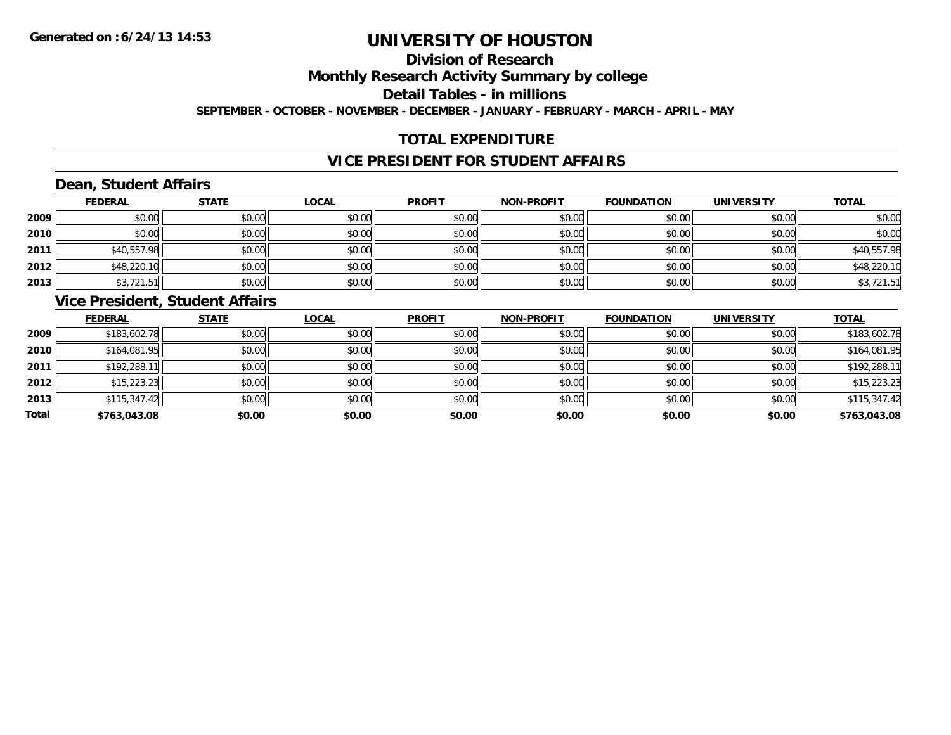# **Division of Research**

**Monthly Research Activity Summary by college**

**Detail Tables - in millions**

**SEPTEMBER - OCTOBER - NOVEMBER - DECEMBER - JANUARY - FEBRUARY - MARCH - APRIL - MAY**

## **TOTAL EXPENDITURE**

## **VICE PRESIDENT FOR STUDENT AFFAIRS**

## **Dean, Student Affairs**

|      | <b>FEDERAL</b> | <b>STATE</b> | <b>LOCAL</b> | <b>PROFIT</b> | <b>NON-PROFIT</b> | <b>FOUNDATION</b> | <b>UNIVERSITY</b> | <b>TOTAL</b> |
|------|----------------|--------------|--------------|---------------|-------------------|-------------------|-------------------|--------------|
| 2009 | \$0.00         | \$0.00       | \$0.00       | \$0.00        | \$0.00            | \$0.00            | \$0.00            | \$0.00       |
| 2010 | \$0.00         | \$0.00       | \$0.00       | \$0.00        | \$0.00            | \$0.00            | \$0.00            | \$0.00       |
| 2011 | \$40,557.98    | \$0.00       | \$0.00       | \$0.00        | \$0.00            | \$0.00            | \$0.00            | \$40,557.98  |
| 2012 | \$48,220.10    | \$0.00       | \$0.00       | \$0.00        | \$0.00            | \$0.00            | \$0.00            | \$48,220.10  |
| 2013 | \$3,721.51     | \$0.00       | \$0.00       | \$0.00        | \$0.00            | \$0.00            | \$0.00            | \$3,721.51   |

## **Vice President, Student Affairs**

|       | <b>FEDERAL</b> | <b>STATE</b> | <b>LOCAL</b> | <b>PROFIT</b> | <b>NON-PROFIT</b> | <b>FOUNDATION</b> | <b>UNIVERSITY</b> | <b>TOTAL</b> |
|-------|----------------|--------------|--------------|---------------|-------------------|-------------------|-------------------|--------------|
| 2009  | \$183,602.78   | \$0.00       | \$0.00       | \$0.00        | \$0.00            | \$0.00            | \$0.00            | \$183,602.78 |
| 2010  | \$164,081.95   | \$0.00       | \$0.00       | \$0.00        | \$0.00            | \$0.00            | \$0.00            | \$164,081.95 |
| 2011  | \$192,288.11   | \$0.00       | \$0.00       | \$0.00        | \$0.00            | \$0.00            | \$0.00            | \$192,288.11 |
| 2012  | \$15,223.23    | \$0.00       | \$0.00       | \$0.00        | \$0.00            | \$0.00            | \$0.00            | \$15,223.23  |
| 2013  | \$115,347.42   | \$0.00       | \$0.00       | \$0.00        | \$0.00            | \$0.00            | \$0.00            | \$115,347.42 |
| Total | \$763,043.08   | \$0.00       | \$0.00       | \$0.00        | \$0.00            | \$0.00            | \$0.00            | \$763,043.08 |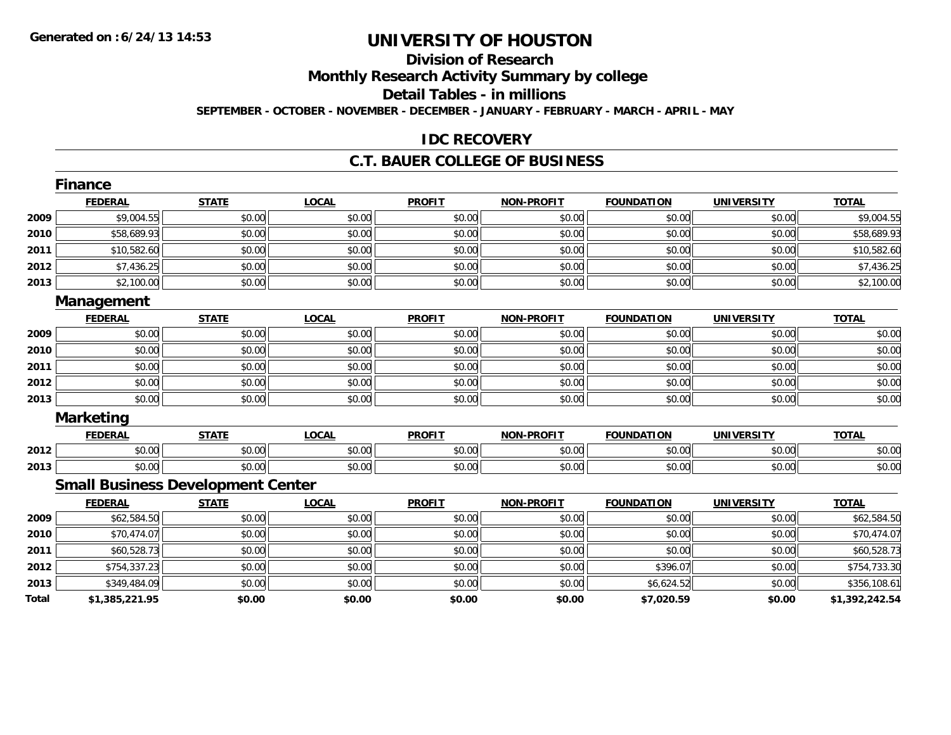# **Division of Research**

**Monthly Research Activity Summary by college**

**Detail Tables - in millions**

**SEPTEMBER - OCTOBER - NOVEMBER - DECEMBER - JANUARY - FEBRUARY - MARCH - APRIL - MAY**

### **IDC RECOVERY**

### **C.T. BAUER COLLEGE OF BUSINESS**

|       | Finance                                  |              |              |               |                   |                   |                   |                |
|-------|------------------------------------------|--------------|--------------|---------------|-------------------|-------------------|-------------------|----------------|
|       | <b>FEDERAL</b>                           | <b>STATE</b> | <b>LOCAL</b> | <b>PROFIT</b> | <b>NON-PROFIT</b> | <b>FOUNDATION</b> | <b>UNIVERSITY</b> | <b>TOTAL</b>   |
| 2009  | \$9,004.55                               | \$0.00       | \$0.00       | \$0.00        | \$0.00            | \$0.00            | \$0.00            | \$9,004.55     |
| 2010  | \$58,689.93                              | \$0.00       | \$0.00       | \$0.00        | \$0.00            | \$0.00            | \$0.00            | \$58,689.93    |
| 2011  | \$10,582.60                              | \$0.00       | \$0.00       | \$0.00        | \$0.00            | \$0.00            | \$0.00            | \$10,582.60    |
| 2012  | \$7,436.25                               | \$0.00       | \$0.00       | \$0.00        | \$0.00            | \$0.00            | \$0.00            | \$7,436.25     |
| 2013  | \$2,100.00                               | \$0.00       | \$0.00       | \$0.00        | \$0.00            | \$0.00            | \$0.00            | \$2,100.00     |
|       | Management                               |              |              |               |                   |                   |                   |                |
|       | <b>FEDERAL</b>                           | <b>STATE</b> | <b>LOCAL</b> | <b>PROFIT</b> | <b>NON-PROFIT</b> | <b>FOUNDATION</b> | <b>UNIVERSITY</b> | <b>TOTAL</b>   |
| 2009  | \$0.00                                   | \$0.00       | \$0.00       | \$0.00        | \$0.00            | \$0.00            | \$0.00            | \$0.00         |
| 2010  | \$0.00                                   | \$0.00       | \$0.00       | \$0.00        | \$0.00            | \$0.00            | \$0.00            | \$0.00         |
| 2011  | \$0.00                                   | \$0.00       | \$0.00       | \$0.00        | \$0.00            | \$0.00            | \$0.00            | \$0.00         |
| 2012  | \$0.00                                   | \$0.00       | \$0.00       | \$0.00        | \$0.00            | \$0.00            | \$0.00            | \$0.00         |
| 2013  | \$0.00                                   | \$0.00       | \$0.00       | \$0.00        | \$0.00            | \$0.00            | \$0.00            | \$0.00         |
|       | <b>Marketing</b>                         |              |              |               |                   |                   |                   |                |
|       | <b>FEDERAL</b>                           | <b>STATE</b> | <b>LOCAL</b> | <b>PROFIT</b> | <b>NON-PROFIT</b> | <b>FOUNDATION</b> | <b>UNIVERSITY</b> | <b>TOTAL</b>   |
| 2012  | \$0.00                                   | \$0.00       | \$0.00       | \$0.00        | \$0.00            | \$0.00            | \$0.00            | \$0.00         |
| 2013  | \$0.00                                   | \$0.00       | \$0.00       | \$0.00        | \$0.00            | \$0.00            | \$0.00            | \$0.00         |
|       | <b>Small Business Development Center</b> |              |              |               |                   |                   |                   |                |
|       | <b>FEDERAL</b>                           | <b>STATE</b> | <b>LOCAL</b> | <b>PROFIT</b> | <b>NON-PROFIT</b> | <b>FOUNDATION</b> | <b>UNIVERSITY</b> | <b>TOTAL</b>   |
| 2009  | \$62,584.50                              | \$0.00       | \$0.00       | \$0.00        | \$0.00            | \$0.00            | \$0.00            | \$62,584.50    |
| 2010  | \$70,474.07                              | \$0.00       | \$0.00       | \$0.00        | \$0.00            | \$0.00            | \$0.00            | \$70,474.07    |
| 2011  | \$60,528.73                              | \$0.00       | \$0.00       | \$0.00        | \$0.00            | \$0.00            | \$0.00            | \$60,528.73    |
| 2012  | \$754,337.23                             | \$0.00       | \$0.00       | \$0.00        | \$0.00            | \$396.07          | \$0.00            | \$754,733.30   |
| 2013  | \$349,484.09                             | \$0.00       | \$0.00       | \$0.00        | \$0.00            | \$6,624.52        | \$0.00            | \$356,108.61   |
| Total | \$1,385,221.95                           | \$0.00       | \$0.00       | \$0.00        | \$0.00            | \$7,020.59        | \$0.00            | \$1,392,242.54 |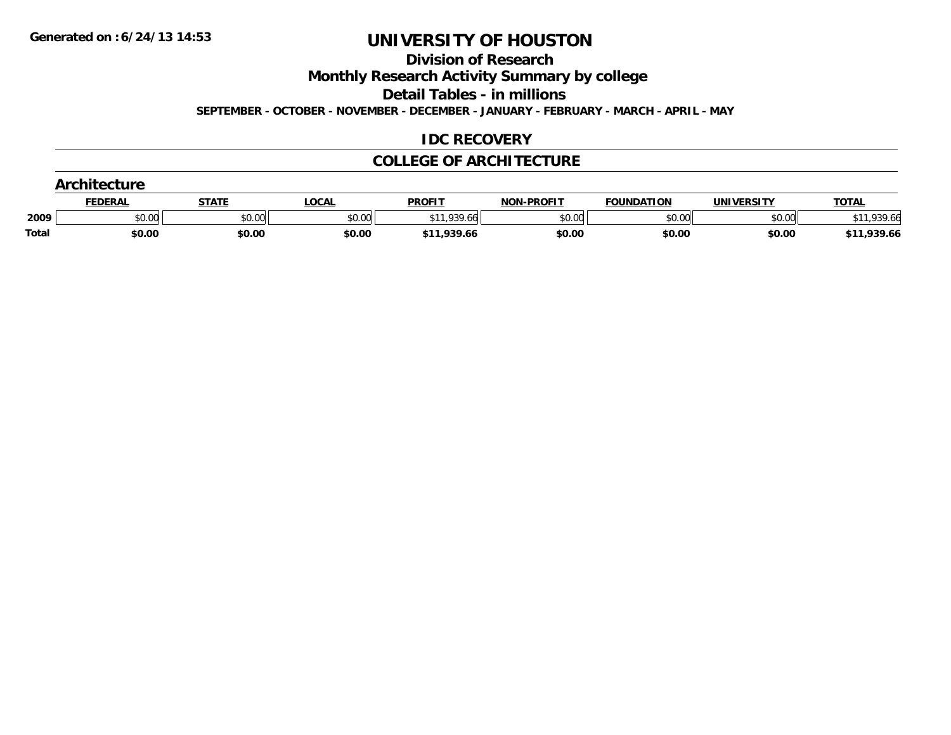**Division of Research**

**Monthly Research Activity Summary by college**

**Detail Tables - in millions**

**SEPTEMBER - OCTOBER - NOVEMBER - DECEMBER - JANUARY - FEBRUARY - MARCH - APRIL - MAY**

## **IDC RECOVERY**

## **COLLEGE OF ARCHITECTURE**

|       | <b>Architecture</b> |              |        |               |                   |                   |            |              |  |  |
|-------|---------------------|--------------|--------|---------------|-------------------|-------------------|------------|--------------|--|--|
|       | FEDERAL             | <b>STATE</b> | LOCAL  | <b>PROFIT</b> | <b>NON-PROFIT</b> | <b>FOUNDATION</b> | UNIVERSITY | <b>TOTAL</b> |  |  |
| 2009  | \$0.00              | \$0.00       | \$0.00 | \$11,939.66   | \$0.00            | \$0.00            | \$0.00     | $*11,939.66$ |  |  |
| Total | \$0.00              | \$0.00       | \$0.00 | \$11,939.66   | \$0.00            | \$0.00            | \$0.00     | \$11,939.66  |  |  |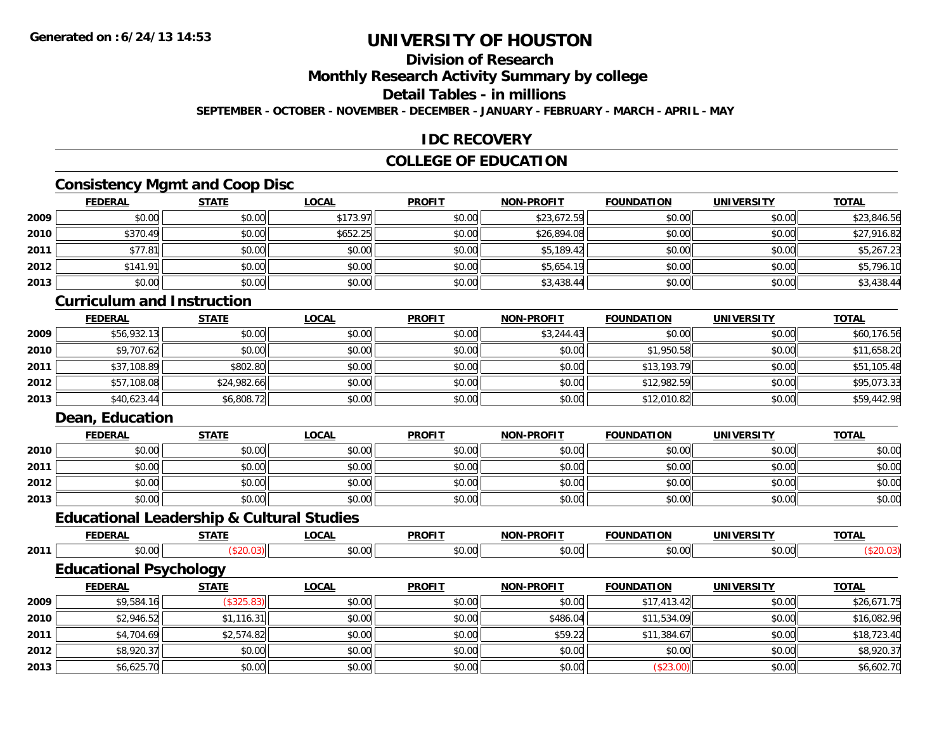## **Division of Research**

**Monthly Research Activity Summary by college**

**Detail Tables - in millions**

**SEPTEMBER - OCTOBER - NOVEMBER - DECEMBER - JANUARY - FEBRUARY - MARCH - APRIL - MAY**

## **IDC RECOVERY**

## **COLLEGE OF EDUCATION**

## **Consistency Mgmt and Coop Disc**

|      | <b>FEDERAL</b> | <b>STATE</b> | <b>LOCAL</b> | <b>PROFIT</b> | <b>NON-PROFIT</b> | <b>FOUNDATION</b> | <b>UNIVERSITY</b> | <b>TOTAL</b> |
|------|----------------|--------------|--------------|---------------|-------------------|-------------------|-------------------|--------------|
| 2009 | \$0.00         | \$0.00       | \$173.97     | \$0.00        | \$23,672.59       | \$0.00            | \$0.00            | \$23,846.56  |
| 2010 | \$370.49       | \$0.00       | \$652.25     | \$0.00        | \$26,894.08       | \$0.00            | \$0.00            | \$27,916.82  |
| 2011 | \$77.81        | \$0.00       | \$0.00       | \$0.00        | \$5,189.42        | \$0.00            | \$0.00            | \$5,267.23   |
| 2012 | \$141.91       | \$0.00       | \$0.00       | \$0.00        | \$5,654.19        | \$0.00            | \$0.00            | \$5,796.10   |
| 2013 | \$0.00         | \$0.00       | \$0.00       | \$0.00        | \$3,438.44        | \$0.00            | \$0.00            | \$3,438.44   |

## **Curriculum and Instruction**

|      | <b>FEDERAL</b> | <u>STATE</u> | <u>LOCAL</u> | <b>PROFIT</b> | <b>NON-PROFIT</b> | <b>FOUNDATION</b> | <b>UNIVERSITY</b> | <b>TOTAL</b> |
|------|----------------|--------------|--------------|---------------|-------------------|-------------------|-------------------|--------------|
| 2009 | \$56,932.13    | \$0.00       | \$0.00       | \$0.00        | \$3,244.43        | \$0.00            | \$0.00            | \$60,176.56  |
| 2010 | \$9,707.62     | \$0.00       | \$0.00       | \$0.00        | \$0.00            | \$1,950.58        | \$0.00            | \$11,658.20  |
| 2011 | \$37,108.89    | \$802.80     | \$0.00       | \$0.00        | \$0.00            | \$13,193.79       | \$0.00            | \$51,105.48  |
| 2012 | \$57,108.08    | \$24,982.66  | \$0.00       | \$0.00        | \$0.00            | \$12,982.59       | \$0.00            | \$95,073.33  |
| 2013 | \$40,623.44    | \$6,808.72   | \$0.00       | \$0.00        | \$0.00            | \$12,010.82       | \$0.00            | \$59,442.98  |

## **Dean, Education**

|      | <b>FEDERAL</b> | <b>STATE</b> | <u>LOCAL</u> | <b>PROFIT</b> | <b>NON-PROFIT</b> | <b>FOUNDATION</b> | <b>UNIVERSITY</b> | <b>TOTAL</b> |
|------|----------------|--------------|--------------|---------------|-------------------|-------------------|-------------------|--------------|
| 2010 | \$0.00         | \$0.00       | \$0.00       | \$0.00        | \$0.00            | \$0.00            | \$0.00            | \$0.00       |
| 2011 | \$0.00         | \$0.00       | \$0.00       | \$0.00        | \$0.00            | \$0.00            | \$0.00            | \$0.00       |
| 2012 | \$0.00         | \$0.00       | \$0.00       | \$0.00        | \$0.00            | \$0.00            | \$0.00            | \$0.00       |
| 2013 | \$0.00         | \$0.00       | \$0.00       | \$0.00        | \$0.00            | \$0.00            | \$0.00            | \$0.00       |

## **Educational Leadership & Cultural Studies**

|      | ------<br>.        | ----- | $\sim$<br>,,,, | <b>PROFIT</b> | ------<br><b>NIAR</b> | ----<br>10 N<br>מרוו | $- - -$<br>INIVE     | <b>TOTA</b><br>^` |
|------|--------------------|-------|----------------|---------------|-----------------------|----------------------|----------------------|-------------------|
| 2011 | $\sim$ 00<br>וט.טי |       | . n<br>vv.v    | ტი იი<br>ט.טע | $ -$<br>or<br>, J.UU  | ,,,,                 | $\sim$ 0.00<br>JU.UU |                   |

## **Educational Psychology**

|      | <b>FEDERAL</b> | <b>STATE</b> | <u>LOCAL</u> | <b>PROFIT</b> | <b>NON-PROFIT</b> | <b>FOUNDATION</b> | <b>UNIVERSITY</b> | <b>TOTAL</b> |
|------|----------------|--------------|--------------|---------------|-------------------|-------------------|-------------------|--------------|
| 2009 | \$9,584.16     | \$325.83     | \$0.00       | \$0.00        | \$0.00            | \$17,413.42       | \$0.00            | \$26,671.75  |
| 2010 | \$2,946.52     | \$1,116.31   | \$0.00       | \$0.00        | \$486.04          | \$11,534.09       | \$0.00            | \$16,082.96  |
| 2011 | \$4,704.69     | \$2,574.82   | \$0.00       | \$0.00        | \$59.22           | \$11,384.67       | \$0.00            | \$18,723.40  |
| 2012 | \$8,920.37     | \$0.00       | \$0.00       | \$0.00        | \$0.00            | \$0.00            | \$0.00            | \$8,920.37   |
| 2013 | \$6,625.70     | \$0.00       | \$0.00       | \$0.00        | \$0.00            | (\$23.00)         | \$0.00            | \$6,602.70   |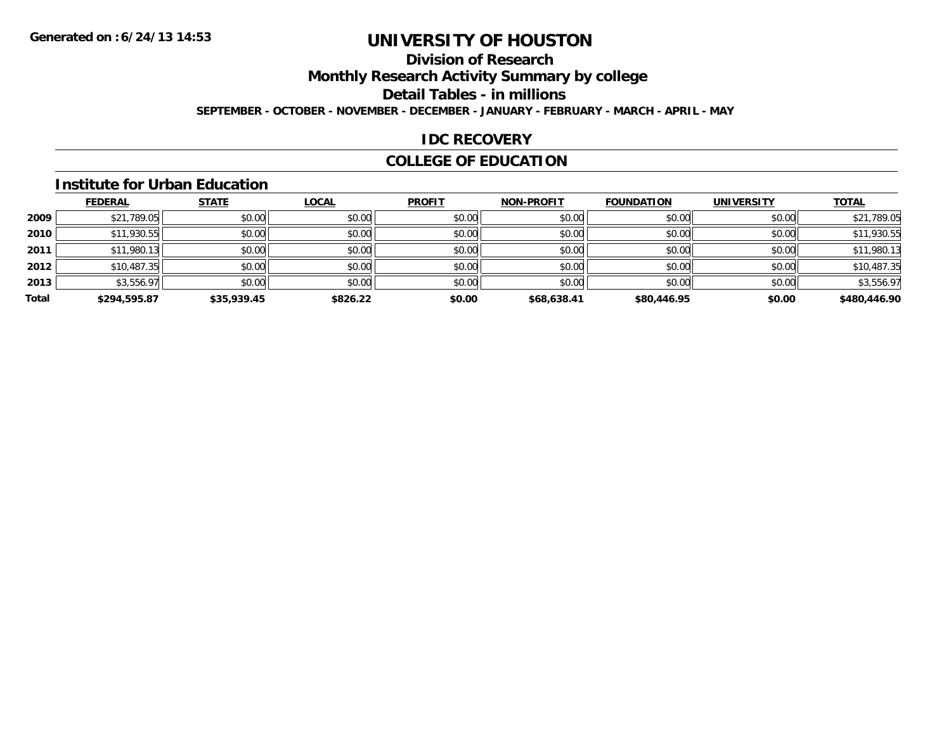## **Division of Research**

**Monthly Research Activity Summary by college**

**Detail Tables - in millions**

**SEPTEMBER - OCTOBER - NOVEMBER - DECEMBER - JANUARY - FEBRUARY - MARCH - APRIL - MAY**

## **IDC RECOVERY**

## **COLLEGE OF EDUCATION**

#### **Institute for Urban Education**

|       | <b>FEDERAL</b> | <b>STATE</b> | <b>LOCAL</b> | <b>PROFIT</b> | <b>NON-PROFIT</b> | <b>FOUNDATION</b> | <b>UNIVERSITY</b> | <b>TOTAL</b> |
|-------|----------------|--------------|--------------|---------------|-------------------|-------------------|-------------------|--------------|
|       |                |              |              |               |                   |                   |                   |              |
| 2009  | \$21,789.05    | \$0.00       | \$0.00       | \$0.00        | \$0.00            | \$0.00            | \$0.00            | \$21,789.05  |
| 2010  | \$11,930.55    | \$0.00       | \$0.00       | \$0.00        | \$0.00            | \$0.00            | \$0.00            | \$11,930.55  |
| 2011  | \$11,980.13    | \$0.00       | \$0.00       | \$0.00        | \$0.00            | \$0.00            | \$0.00            | \$11,980.13  |
| 2012  | \$10,487.35    | \$0.00       | \$0.00       | \$0.00        | \$0.00            | \$0.00            | \$0.00            | \$10,487.35  |
| 2013  | \$3,556.97     | \$0.00       | \$0.00       | \$0.00        | \$0.00            | \$0.00            | \$0.00            | \$3,556.97   |
| Total | \$294,595.87   | \$35,939.45  | \$826.22     | \$0.00        | \$68,638.41       | \$80,446.95       | \$0.00            | \$480,446.90 |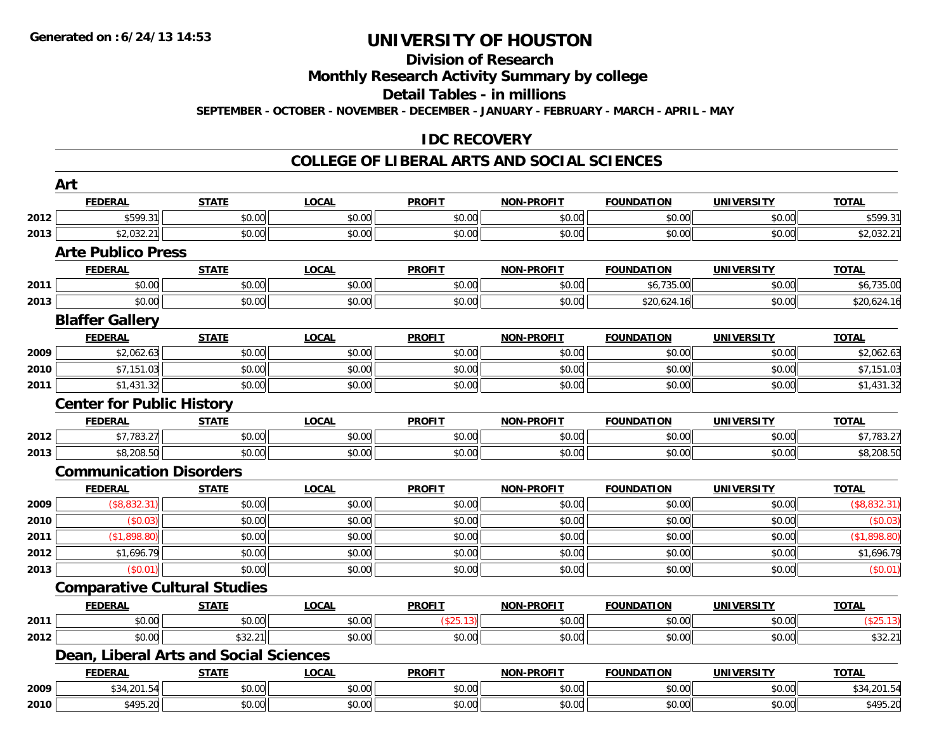## **Division of Research**

**Monthly Research Activity Summary by college**

**Detail Tables - in millions**

**SEPTEMBER - OCTOBER - NOVEMBER - DECEMBER - JANUARY - FEBRUARY - MARCH - APRIL - MAY**

## **IDC RECOVERY**

### **COLLEGE OF LIBERAL ARTS AND SOCIAL SCIENCES**

|      | Art                                    |              |              |               |                   |                   |                   |              |  |  |
|------|----------------------------------------|--------------|--------------|---------------|-------------------|-------------------|-------------------|--------------|--|--|
|      | <b>FEDERAL</b>                         | <b>STATE</b> | <b>LOCAL</b> | <b>PROFIT</b> | <b>NON-PROFIT</b> | <b>FOUNDATION</b> | <b>UNIVERSITY</b> | <b>TOTAL</b> |  |  |
| 2012 | \$599.31                               | \$0.00       | \$0.00       | \$0.00        | \$0.00            | \$0.00            | \$0.00            | \$599.31     |  |  |
| 2013 | \$2,032.21                             | \$0.00       | \$0.00       | \$0.00        | \$0.00            | \$0.00            | \$0.00            | \$2,032.21   |  |  |
|      | <b>Arte Publico Press</b>              |              |              |               |                   |                   |                   |              |  |  |
|      | <b>FEDERAL</b>                         | <b>STATE</b> | <b>LOCAL</b> | <b>PROFIT</b> | <b>NON-PROFIT</b> | <b>FOUNDATION</b> | <b>UNIVERSITY</b> | <b>TOTAL</b> |  |  |
| 2011 | \$0.00                                 | \$0.00       | \$0.00       | \$0.00        | \$0.00            | \$6,735.00        | \$0.00            | \$6,735.00   |  |  |
| 2013 | \$0.00                                 | \$0.00       | \$0.00       | \$0.00        | \$0.00            | \$20,624.16       | \$0.00            | \$20,624.16  |  |  |
|      | <b>Blaffer Gallery</b>                 |              |              |               |                   |                   |                   |              |  |  |
|      | <b>FEDERAL</b>                         | <b>STATE</b> | <b>LOCAL</b> | <b>PROFIT</b> | <b>NON-PROFIT</b> | <b>FOUNDATION</b> | <b>UNIVERSITY</b> | <b>TOTAL</b> |  |  |
| 2009 | \$2,062.63                             | \$0.00       | \$0.00       | \$0.00        | \$0.00            | \$0.00            | \$0.00            | \$2,062.63   |  |  |
| 2010 | \$7,151.03                             | \$0.00       | \$0.00       | \$0.00        | \$0.00            | \$0.00            | \$0.00            | \$7,151.03   |  |  |
| 2011 | \$1,431.32                             | \$0.00       | \$0.00       | \$0.00        | \$0.00            | \$0.00            | \$0.00            | \$1,431.32   |  |  |
|      | <b>Center for Public History</b>       |              |              |               |                   |                   |                   |              |  |  |
|      | <b>FEDERAL</b>                         | <b>STATE</b> | <b>LOCAL</b> | <b>PROFIT</b> | <b>NON-PROFIT</b> | <b>FOUNDATION</b> | <b>UNIVERSITY</b> | <b>TOTAL</b> |  |  |
| 2012 | \$7,783.27                             | \$0.00       | \$0.00       | \$0.00        | \$0.00            | \$0.00            | \$0.00            | \$7,783.27   |  |  |
| 2013 | \$8,208.50                             | \$0.00       | \$0.00       | \$0.00        | \$0.00            | \$0.00            | \$0.00            | \$8,208.50   |  |  |
|      | <b>Communication Disorders</b>         |              |              |               |                   |                   |                   |              |  |  |
|      | <b>FEDERAL</b>                         | <b>STATE</b> | <b>LOCAL</b> | <b>PROFIT</b> | <b>NON-PROFIT</b> | <b>FOUNDATION</b> | <b>UNIVERSITY</b> | <b>TOTAL</b> |  |  |
| 2009 | (\$8,832.31)                           | \$0.00       | \$0.00       | \$0.00        | \$0.00            | \$0.00            | \$0.00            | (\$8,832.31) |  |  |
| 2010 | (\$0.03)                               | \$0.00       | \$0.00       | \$0.00        | \$0.00            | \$0.00            | \$0.00            | (\$0.03)     |  |  |
| 2011 | (\$1,898.80)                           | \$0.00       | \$0.00       | \$0.00        | \$0.00            | \$0.00            | \$0.00            | (\$1,898.80) |  |  |
| 2012 | \$1,696.79                             | \$0.00       | \$0.00       | \$0.00        | \$0.00            | \$0.00            | \$0.00            | \$1,696.79   |  |  |
| 2013 | (\$0.01)                               | \$0.00       | \$0.00       | \$0.00        | \$0.00            | \$0.00            | \$0.00            | (\$0.01)     |  |  |
|      | <b>Comparative Cultural Studies</b>    |              |              |               |                   |                   |                   |              |  |  |
|      | <b>FEDERAL</b>                         | <b>STATE</b> | <b>LOCAL</b> | <b>PROFIT</b> | <b>NON-PROFIT</b> | <b>FOUNDATION</b> | <b>UNIVERSITY</b> | <b>TOTAL</b> |  |  |
| 2011 | \$0.00                                 | \$0.00       | \$0.00       | (\$25.13)     | \$0.00            | \$0.00            | \$0.00            | (\$25.13)    |  |  |
| 2012 | \$0.00                                 | \$32.21      | \$0.00       | \$0.00        | \$0.00            | \$0.00            | \$0.00            | \$32.21      |  |  |
|      | Dean, Liberal Arts and Social Sciences |              |              |               |                   |                   |                   |              |  |  |
|      | <b>FEDERAL</b>                         | <b>STATE</b> | <b>LOCAL</b> | <b>PROFIT</b> | <b>NON-PROFIT</b> | <b>FOUNDATION</b> | <b>UNIVERSITY</b> | <b>TOTAL</b> |  |  |
| 2009 | \$34,201.54                            | \$0.00       | \$0.00       | \$0.00        | \$0.00            | \$0.00            | \$0.00            | \$34,201.54  |  |  |
| 2010 | \$495.20                               | \$0.00       | \$0.00       | \$0.00        | \$0.00            | \$0.00            | \$0.00            | \$495.20     |  |  |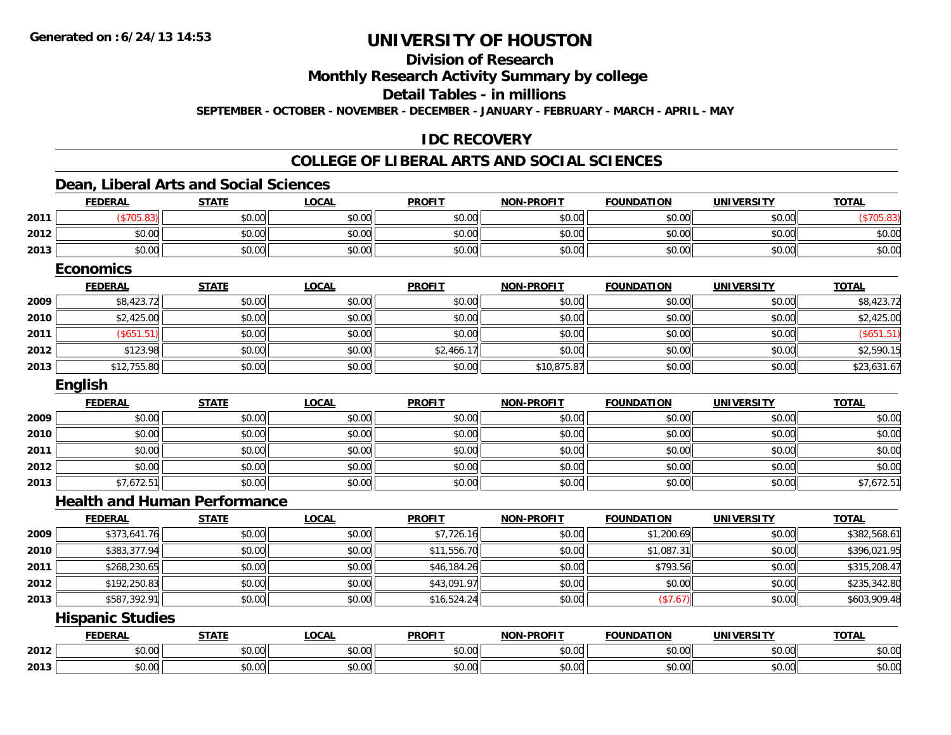## **Division of Research**

**Monthly Research Activity Summary by college**

**Detail Tables - in millions**

**SEPTEMBER - OCTOBER - NOVEMBER - DECEMBER - JANUARY - FEBRUARY - MARCH - APRIL - MAY**

## **IDC RECOVERY**

## **COLLEGE OF LIBERAL ARTS AND SOCIAL SCIENCES**

## **Dean, Liberal Arts and Social Sciences**

|      | <b>FEDERAL</b>                      | <b>STATE</b> | <b>LOCAL</b> | <b>PROFIT</b> | <b>NON-PROFIT</b> | <b>FOUNDATION</b> | <b>UNIVERSITY</b> | <b>TOTAL</b> |
|------|-------------------------------------|--------------|--------------|---------------|-------------------|-------------------|-------------------|--------------|
| 2011 | (\$705.83)                          | \$0.00       | \$0.00       | \$0.00        | \$0.00            | \$0.00            | \$0.00            | (\$705.83)   |
| 2012 | \$0.00                              | \$0.00       | \$0.00       | \$0.00        | \$0.00            | \$0.00            | \$0.00            | \$0.00       |
| 2013 | \$0.00                              | \$0.00       | \$0.00       | \$0.00        | \$0.00            | \$0.00            | \$0.00            | \$0.00       |
|      | <b>Economics</b>                    |              |              |               |                   |                   |                   |              |
|      | <b>FEDERAL</b>                      | <b>STATE</b> | <b>LOCAL</b> | <b>PROFIT</b> | <b>NON-PROFIT</b> | <b>FOUNDATION</b> | <b>UNIVERSITY</b> | <b>TOTAL</b> |
| 2009 | \$8,423.72                          | \$0.00       | \$0.00       | \$0.00        | \$0.00            | \$0.00            | \$0.00            | \$8,423.72   |
| 2010 | \$2,425.00                          | \$0.00       | \$0.00       | \$0.00        | \$0.00            | \$0.00            | \$0.00            | \$2,425.00   |
| 2011 | (\$651.51)                          | \$0.00       | \$0.00       | \$0.00        | \$0.00            | \$0.00            | \$0.00            | (\$651.51)   |
| 2012 | \$123.98                            | \$0.00       | \$0.00       | \$2,466.17    | \$0.00            | \$0.00            | \$0.00            | \$2,590.15   |
| 2013 | \$12,755.80                         | \$0.00       | \$0.00       | \$0.00        | \$10,875.87       | \$0.00            | \$0.00            | \$23,631.67  |
|      | English                             |              |              |               |                   |                   |                   |              |
|      | <b>FEDERAL</b>                      | <b>STATE</b> | <b>LOCAL</b> | <b>PROFIT</b> | <b>NON-PROFIT</b> | <b>FOUNDATION</b> | <b>UNIVERSITY</b> | <b>TOTAL</b> |
| 2009 | \$0.00                              | \$0.00       | \$0.00       | \$0.00        | \$0.00            | \$0.00            | \$0.00            | \$0.00       |
| 2010 | \$0.00                              | \$0.00       | \$0.00       | \$0.00        | \$0.00            | \$0.00            | \$0.00            | \$0.00       |
| 2011 | \$0.00                              | \$0.00       | \$0.00       | \$0.00        | \$0.00            | \$0.00            | \$0.00            | \$0.00       |
| 2012 | \$0.00                              | \$0.00       | \$0.00       | \$0.00        | \$0.00            | \$0.00            | \$0.00            | \$0.00       |
| 2013 | \$7,672.51                          | \$0.00       | \$0.00       | \$0.00        | \$0.00            | \$0.00            | \$0.00            | \$7,672.51   |
|      | <b>Health and Human Performance</b> |              |              |               |                   |                   |                   |              |
|      | <b>FEDERAL</b>                      | <b>STATE</b> | <b>LOCAL</b> | <b>PROFIT</b> | <b>NON-PROFIT</b> | <b>FOUNDATION</b> | <b>UNIVERSITY</b> | <b>TOTAL</b> |
| 2009 | \$373,641.76                        | \$0.00       | \$0.00       | \$7,726.16    | \$0.00            | \$1,200.69        | \$0.00            | \$382,568.61 |
| 2010 | \$383,377.94                        | \$0.00       | \$0.00       | \$11,556.70   | \$0.00            | \$1,087.31        | \$0.00            | \$396,021.95 |
| 2011 | \$268,230.65                        | \$0.00       | \$0.00       | \$46,184.26   | \$0.00            | \$793.56          | \$0.00            | \$315,208.47 |
| 2012 | \$192,250.83                        | \$0.00       | \$0.00       | \$43,091.97   | \$0.00            | \$0.00            | \$0.00            | \$235,342.80 |
| 2013 | \$587,392.91                        | \$0.00       | \$0.00       | \$16,524.24   | \$0.00            | (\$7.67)          | \$0.00            | \$603,909.48 |
|      | <b>Hispanic Studies</b>             |              |              |               |                   |                   |                   |              |
|      | <b>FEDERAL</b>                      | <b>STATE</b> | <b>LOCAL</b> | <b>PROFIT</b> | <b>NON-PROFIT</b> | <b>FOUNDATION</b> | <b>UNIVERSITY</b> | <b>TOTAL</b> |
| 2012 | \$0.00                              | \$0.00       | \$0.00       | \$0.00        | \$0.00            | \$0.00            | \$0.00            | \$0.00       |
| 2013 | \$0.00                              | \$0.00       | \$0.00       | \$0.00        | \$0.00            | \$0.00            | \$0.00            | \$0.00       |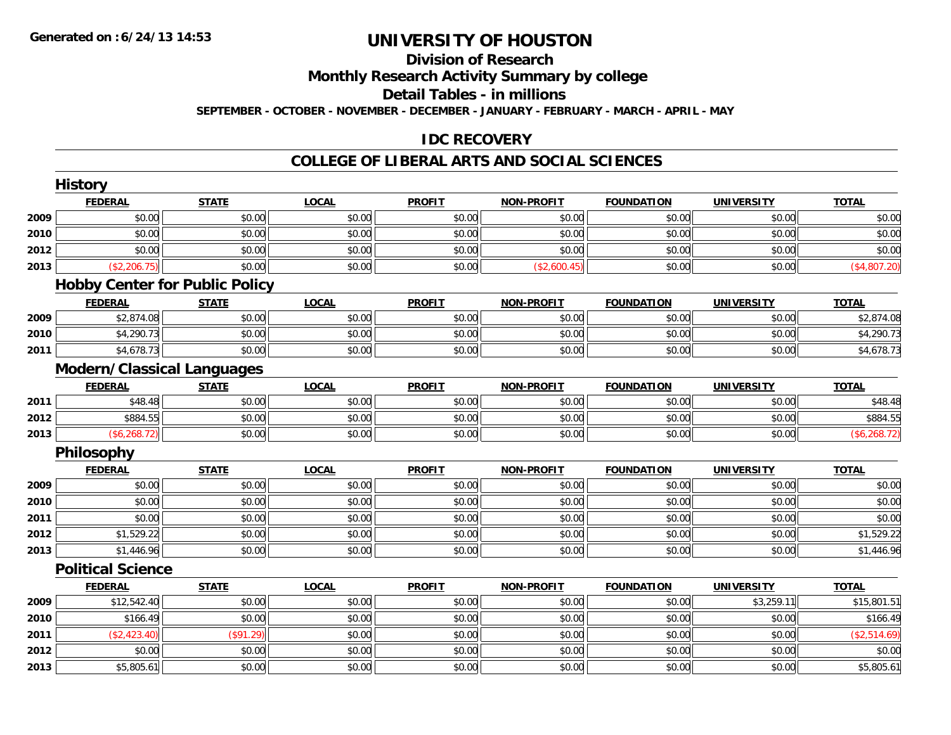## **Division of Research**

**Monthly Research Activity Summary by college**

**Detail Tables - in millions**

**SEPTEMBER - OCTOBER - NOVEMBER - DECEMBER - JANUARY - FEBRUARY - MARCH - APRIL - MAY**

## **IDC RECOVERY**

### **COLLEGE OF LIBERAL ARTS AND SOCIAL SCIENCES**

|      | <b>History</b>                        |              |              |               |                   |                   |                   |               |
|------|---------------------------------------|--------------|--------------|---------------|-------------------|-------------------|-------------------|---------------|
|      | <b>FEDERAL</b>                        | <b>STATE</b> | <b>LOCAL</b> | <b>PROFIT</b> | <b>NON-PROFIT</b> | <b>FOUNDATION</b> | <b>UNIVERSITY</b> | <b>TOTAL</b>  |
| 2009 | \$0.00                                | \$0.00       | \$0.00       | \$0.00        | \$0.00            | \$0.00            | \$0.00            | \$0.00        |
| 2010 | \$0.00                                | \$0.00       | \$0.00       | \$0.00        | \$0.00            | \$0.00            | \$0.00            | \$0.00        |
| 2012 | \$0.00                                | \$0.00       | \$0.00       | \$0.00        | \$0.00            | \$0.00            | \$0.00            | \$0.00        |
| 2013 | (\$2,206.75)                          | \$0.00       | \$0.00       | \$0.00        | (\$2,600.45)      | \$0.00            | \$0.00            | (\$4,807.20)  |
|      | <b>Hobby Center for Public Policy</b> |              |              |               |                   |                   |                   |               |
|      | <b>FEDERAL</b>                        | <b>STATE</b> | <b>LOCAL</b> | <b>PROFIT</b> | <b>NON-PROFIT</b> | <b>FOUNDATION</b> | <b>UNIVERSITY</b> | <b>TOTAL</b>  |
| 2009 | \$2,874.08                            | \$0.00       | \$0.00       | \$0.00        | \$0.00            | \$0.00            | \$0.00            | \$2,874.08    |
| 2010 | \$4,290.73                            | \$0.00       | \$0.00       | \$0.00        | \$0.00            | \$0.00            | \$0.00            | \$4,290.73    |
| 2011 | \$4,678.73                            | \$0.00       | \$0.00       | \$0.00        | \$0.00            | \$0.00            | \$0.00            | \$4,678.73    |
|      | <b>Modern/Classical Languages</b>     |              |              |               |                   |                   |                   |               |
|      | <b>FEDERAL</b>                        | <b>STATE</b> | <b>LOCAL</b> | <b>PROFIT</b> | <b>NON-PROFIT</b> | <b>FOUNDATION</b> | <b>UNIVERSITY</b> | <b>TOTAL</b>  |
| 2011 | \$48.48                               | \$0.00       | \$0.00       | \$0.00        | \$0.00            | \$0.00            | \$0.00            | \$48.48       |
| 2012 | \$884.55                              | \$0.00       | \$0.00       | \$0.00        | \$0.00            | \$0.00            | \$0.00            | \$884.55      |
| 2013 | (\$6,268.72)                          | \$0.00       | \$0.00       | \$0.00        | \$0.00            | \$0.00            | \$0.00            | (\$6, 268.72) |
|      | Philosophy                            |              |              |               |                   |                   |                   |               |
|      | <b>FEDERAL</b>                        | <b>STATE</b> | <b>LOCAL</b> | <b>PROFIT</b> | <b>NON-PROFIT</b> | <b>FOUNDATION</b> | <b>UNIVERSITY</b> | <b>TOTAL</b>  |
| 2009 | \$0.00                                | \$0.00       | \$0.00       | \$0.00        | \$0.00            | \$0.00            | \$0.00            | \$0.00        |
| 2010 | \$0.00                                | \$0.00       | \$0.00       | \$0.00        | \$0.00            | \$0.00            | \$0.00            | \$0.00        |
| 2011 | \$0.00                                | \$0.00       | \$0.00       | \$0.00        | \$0.00            | \$0.00            | \$0.00            | \$0.00        |
| 2012 | \$1,529.22                            | \$0.00       | \$0.00       | \$0.00        | \$0.00            | \$0.00            | \$0.00            | \$1,529.22    |
| 2013 | \$1,446.96                            | \$0.00       | \$0.00       | \$0.00        | \$0.00            | \$0.00            | \$0.00            | \$1,446.96    |
|      | <b>Political Science</b>              |              |              |               |                   |                   |                   |               |
|      | <b>FEDERAL</b>                        | <b>STATE</b> | <b>LOCAL</b> | <b>PROFIT</b> | <b>NON-PROFIT</b> | <b>FOUNDATION</b> | <b>UNIVERSITY</b> | <b>TOTAL</b>  |
| 2009 | \$12,542.40                           | \$0.00       | \$0.00       | \$0.00        | \$0.00            | \$0.00            | \$3,259.11        | \$15,801.51   |
| 2010 | \$166.49                              | \$0.00       | \$0.00       | \$0.00        | \$0.00            | \$0.00            | \$0.00            | \$166.49      |
| 2011 | (\$2,423.40)                          | (\$91.29)    | \$0.00       | \$0.00        | \$0.00            | \$0.00            | \$0.00            | (\$2,514.69)  |
| 2012 | \$0.00                                | \$0.00       | \$0.00       | \$0.00        | \$0.00            | \$0.00            | \$0.00            | \$0.00        |
| 2013 | \$5,805.61                            | \$0.00       | \$0.00       | \$0.00        | \$0.00            | \$0.00            | \$0.00            | \$5,805.61    |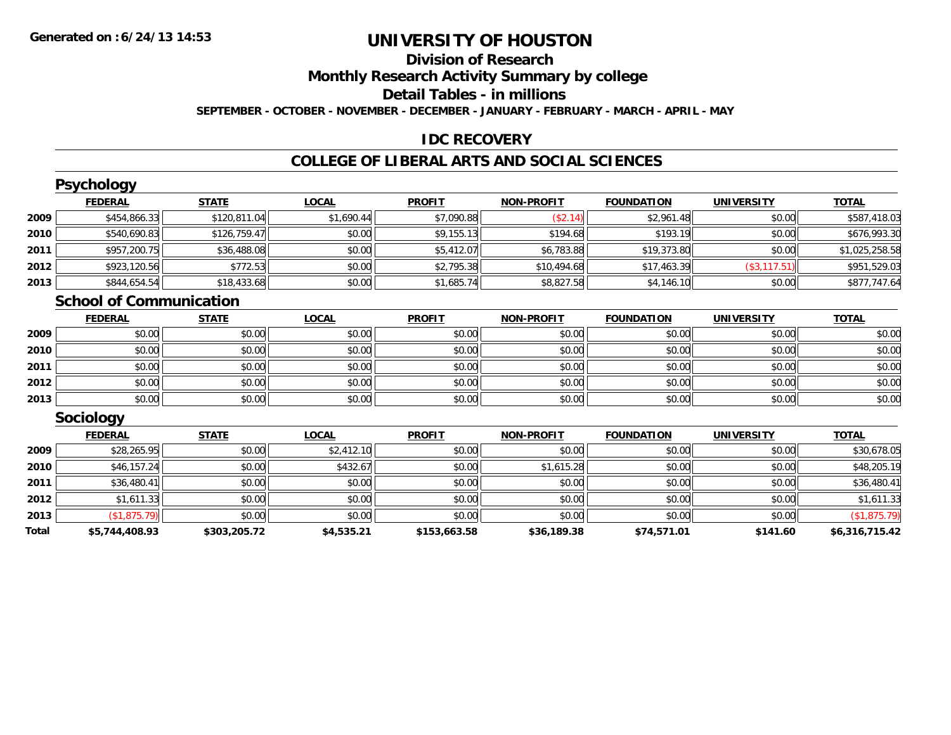#### **Division of Research**

**Monthly Research Activity Summary by college**

**Detail Tables - in millions**

**SEPTEMBER - OCTOBER - NOVEMBER - DECEMBER - JANUARY - FEBRUARY - MARCH - APRIL - MAY**

#### **IDC RECOVERY**

#### **COLLEGE OF LIBERAL ARTS AND SOCIAL SCIENCES**

|      | <b>Psychology</b>              |              |              |               |                   |                   |                   |                |
|------|--------------------------------|--------------|--------------|---------------|-------------------|-------------------|-------------------|----------------|
|      | <b>FEDERAL</b>                 | <b>STATE</b> | <b>LOCAL</b> | <b>PROFIT</b> | <b>NON-PROFIT</b> | <b>FOUNDATION</b> | <b>UNIVERSITY</b> | <b>TOTAL</b>   |
| 2009 | \$454,866.33                   | \$120,811.04 | \$1,690.44   | \$7,090.88    | (S2.14)           | \$2,961.48        | \$0.00            | \$587,418.03   |
| 2010 | \$540,690.83                   | \$126,759.47 | \$0.00       | \$9,155.13    | \$194.68          | \$193.19          | \$0.00            | \$676,993.30   |
| 2011 | \$957,200.75                   | \$36,488.08  | \$0.00       | \$5,412.07    | \$6,783.88        | \$19,373.80       | \$0.00            | \$1,025,258.58 |
| 2012 | \$923,120.56                   | \$772.53     | \$0.00       | \$2,795.38    | \$10,494.68       | \$17,463.39       | (\$3,117.51)      | \$951,529.03   |
| 2013 | \$844,654.54                   | \$18,433.68  | \$0.00       | \$1,685.74    | \$8,827.58        | \$4,146.10        | \$0.00            | \$877,747.64   |
|      | <b>School of Communication</b> |              |              |               |                   |                   |                   |                |
|      | <b>FEDERAL</b>                 | <b>STATE</b> | <b>LOCAL</b> | <b>PROFIT</b> | <b>NON-PROFIT</b> | <b>FOUNDATION</b> | <b>UNIVERSITY</b> | <b>TOTAL</b>   |
| 2009 | \$0.00                         | \$0.00       | \$0.00       | \$0.00        | \$0.00            | \$0.00            | \$0.00            | \$0.00         |
| 2010 | \$0.00                         | \$0.00       | \$0.00       | \$0.00        | \$0.00            | \$0.00            | \$0.00            | \$0.00         |
| 2011 | \$0.00                         | \$0.00       | \$0.00       | \$0.00        | \$0.00            | \$0.00            | \$0.00            | \$0.00         |

|      | <b>FEDERAL</b>   | <b>STATE</b> | <u>LOCAL</u> | <b>PROFIT</b> | <b>NON-PROFIT</b> | <b>FOUNDATION</b> | <b>UNIVERSITY</b> | <b>TOTAL</b> |
|------|------------------|--------------|--------------|---------------|-------------------|-------------------|-------------------|--------------|
|      | <b>Sociology</b> |              |              |               |                   |                   |                   |              |
| 2013 | \$0.00           | \$0.00       | \$0.00       | \$0.00        | \$0.00            | \$0.00            | \$0.00            | \$0.00       |
| 2012 | \$0.00           | \$0.00       | \$0.00       | \$0.00        | \$0.00            | \$0.00            | \$0.00            | \$0.00       |
| 2011 | \$0.00           | \$0.00       | \$0.00       | \$0.00        | \$0.00            | \$0.00            | \$0.00            | \$0.00       |

|       | FEDERAL        | SIAIL        | <u>LUCAL</u> | PRUFII       | <b>NUN-PRUFII</b> | <b>FUUNDATIUN</b> | UNIVERSITY | <u>IUIAL</u>   |
|-------|----------------|--------------|--------------|--------------|-------------------|-------------------|------------|----------------|
| 2009  | \$28,265.95    | \$0.00       | \$2,412.10   | \$0.00       | \$0.00            | \$0.00            | \$0.00     | \$30,678.05    |
| 2010  | \$46,157.24    | \$0.00       | \$432.67     | \$0.00       | \$1,615.28        | \$0.00            | \$0.00     | \$48,205.19    |
| 2011  | \$36,480.41    | \$0.00       | \$0.00       | \$0.00       | \$0.00            | \$0.00            | \$0.00     | \$36,480.41    |
| 2012  | \$1,611.33     | \$0.00       | \$0.00       | \$0.00       | \$0.00            | \$0.00            | \$0.00     | \$1,611.33     |
| 2013  | (\$1,875.79)   | \$0.00       | \$0.00       | \$0.00       | \$0.00            | \$0.00            | \$0.00     | (\$1,875.79)   |
| Total | \$5,744,408.93 | \$303,205.72 | \$4,535.21   | \$153,663.58 | \$36,189.38       | \$74,571.01       | \$141.60   | \$6,316,715.42 |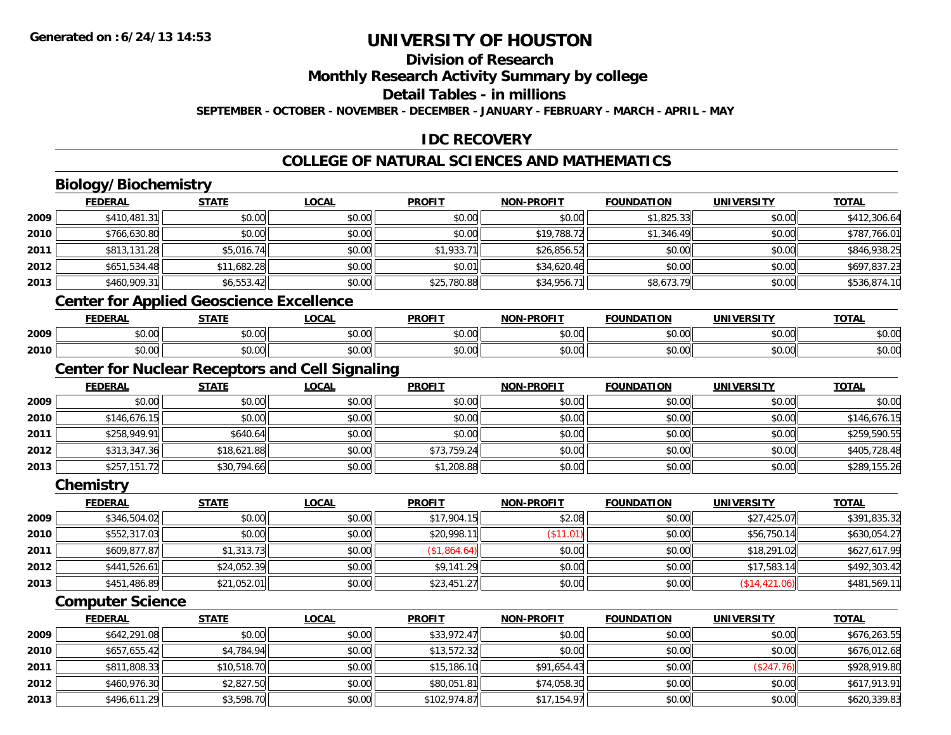### **Division of Research**

**Monthly Research Activity Summary by college**

**Detail Tables - in millions**

**SEPTEMBER - OCTOBER - NOVEMBER - DECEMBER - JANUARY - FEBRUARY - MARCH - APRIL - MAY**

### **IDC RECOVERY**

### **COLLEGE OF NATURAL SCIENCES AND MATHEMATICS**

# **Biology/Biochemistry**

| <b>FEDERAL</b> | <b>STATE</b> | <b>LOCAL</b>                                                                                                                                                                                                               | <b>PROFIT</b>                                                  | <b>NON-PROFIT</b>                                      | <b>FOUNDATION</b> | <b>UNIVERSITY</b> | <b>TOTAL</b> |
|----------------|--------------|----------------------------------------------------------------------------------------------------------------------------------------------------------------------------------------------------------------------------|----------------------------------------------------------------|--------------------------------------------------------|-------------------|-------------------|--------------|
|                | \$0.00       | \$0.00                                                                                                                                                                                                                     | \$0.00                                                         | \$0.00                                                 | \$1,825.33        | \$0.00            | \$412,306.64 |
|                | \$0.00       | \$0.00                                                                                                                                                                                                                     | \$0.00                                                         | \$19,788.72                                            | \$1,346.49        | \$0.00            | \$787,766.01 |
|                | \$5,016.74   | \$0.00                                                                                                                                                                                                                     | \$1,933.71                                                     | \$26,856.52                                            | \$0.00            | \$0.00            | \$846,938.25 |
|                | \$11,682.28  | \$0.00                                                                                                                                                                                                                     | \$0.01                                                         | \$34,620.46                                            | \$0.00            | \$0.00            | \$697,837.23 |
|                | \$6,553.42   | \$0.00                                                                                                                                                                                                                     | \$25,780.88                                                    | \$34,956.71                                            | \$8,673.79        | \$0.00            | \$536,874.10 |
|                |              |                                                                                                                                                                                                                            |                                                                |                                                        |                   |                   |              |
| <b>FEDERAL</b> | <b>STATE</b> | <b>LOCAL</b>                                                                                                                                                                                                               | <b>PROFIT</b>                                                  | <b>NON-PROFIT</b>                                      | <b>FOUNDATION</b> | <b>UNIVERSITY</b> | <b>TOTAL</b> |
|                | \$0.00       | \$0.00                                                                                                                                                                                                                     | \$0.00                                                         | \$0.00                                                 | \$0.00            | \$0.00            | \$0.00       |
|                | \$0.00       | \$0.00                                                                                                                                                                                                                     | \$0.00                                                         | \$0.00                                                 | \$0.00            | \$0.00            | \$0.00       |
|                |              |                                                                                                                                                                                                                            |                                                                |                                                        |                   |                   |              |
| <b>FEDERAL</b> | <b>STATE</b> | <b>LOCAL</b>                                                                                                                                                                                                               | <b>PROFIT</b>                                                  | <b>NON-PROFIT</b>                                      | <b>FOUNDATION</b> | <b>UNIVERSITY</b> | <b>TOTAL</b> |
|                | \$0.00       | \$0.00                                                                                                                                                                                                                     | \$0.00                                                         | \$0.00                                                 | \$0.00            | \$0.00            | \$0.00       |
|                | \$0.00       | \$0.00                                                                                                                                                                                                                     | \$0.00                                                         | \$0.00                                                 | \$0.00            | \$0.00            | \$146,676.15 |
|                | \$640.64     | \$0.00                                                                                                                                                                                                                     | \$0.00                                                         | \$0.00                                                 | \$0.00            | \$0.00            | \$259,590.55 |
|                | \$18,621.88  | \$0.00                                                                                                                                                                                                                     | \$73,759.24                                                    | \$0.00                                                 | \$0.00            | \$0.00            | \$405,728.48 |
|                |              | \$0.00                                                                                                                                                                                                                     |                                                                | \$0.00                                                 | \$0.00            | \$0.00            | \$289,155.26 |
| Chemistry      |              |                                                                                                                                                                                                                            |                                                                |                                                        |                   |                   |              |
| <b>FEDERAL</b> | <b>STATE</b> | <b>LOCAL</b>                                                                                                                                                                                                               | <b>PROFIT</b>                                                  | <b>NON-PROFIT</b>                                      | <b>FOUNDATION</b> | <b>UNIVERSITY</b> | <b>TOTAL</b> |
|                | \$0.00       | \$0.00                                                                                                                                                                                                                     | \$17,904.15                                                    | \$2.08                                                 | \$0.00            | \$27,425.07       | \$391,835.32 |
|                | \$0.00       | \$0.00                                                                                                                                                                                                                     | \$20,998.11                                                    | (\$11.01)                                              | \$0.00            | \$56,750.14       | \$630,054.27 |
|                | \$1,313.73   | \$0.00                                                                                                                                                                                                                     | (\$1,864.64)                                                   | \$0.00                                                 | \$0.00            | \$18,291.02       | \$627,617.99 |
|                |              | \$410,481.31<br>\$766,630.80<br>\$813,131.28<br>\$651,534.48<br>\$460,909.31<br>\$0.00<br>\$0.00<br>\$0.00<br>\$146,676.15<br>\$258,949.91<br>\$313,347.36<br>\$257,151.72<br>\$346,504.02<br>\$552,317.03<br>\$609,877.87 | <b>Center for Applied Geoscience Excellence</b><br>\$30,794.66 | <b>Center for Nuclear Receptors and Cell Signaling</b> | \$1,208.88        |                   |              |

### **Computer Science**

**2012**

**2013**

|      | <b>FEDERAL</b> | <b>STATE</b> | <b>LOCAL</b> | <b>PROFIT</b> | <b>NON-PROFIT</b> | <b>FOUNDATION</b> | <b>UNIVERSITY</b> | <b>TOTAL</b> |
|------|----------------|--------------|--------------|---------------|-------------------|-------------------|-------------------|--------------|
| 2009 | \$642,291.08   | \$0.00       | \$0.00       | \$33,972.47   | \$0.00            | \$0.00            | \$0.00            | \$676,263.55 |
| 2010 | \$657,655.42   | \$4,784.94   | \$0.00       | \$13,572.32   | \$0.00            | \$0.00            | \$0.00            | \$676,012.68 |
| 2011 | \$811,808.33   | \$10,518.70  | \$0.00       | \$15,186.10   | \$91,654.43       | \$0.00            | (\$247.76)        | \$928,919.80 |
| 2012 | \$460,976.30   | \$2,827.50   | \$0.00       | \$80,051.81   | \$74,058.30       | \$0.00            | \$0.00            | \$617,913.91 |
| 2013 | \$496,611.29   | \$3,598.70   | \$0.00       | \$102,974.87  | \$17,154.97       | \$0.00            | \$0.00            | \$620,339.83 |

\$441,526.61 \$24,052.39 \$0.00 \$9,141.29 \$0.00 \$0.00 \$17,583.14 \$492,303.42

\$451,486.89 \$21,052.01 \$0.00 \$23,451.27 \$0.00 \$0.00 (\$14,421.06) \$481,569.11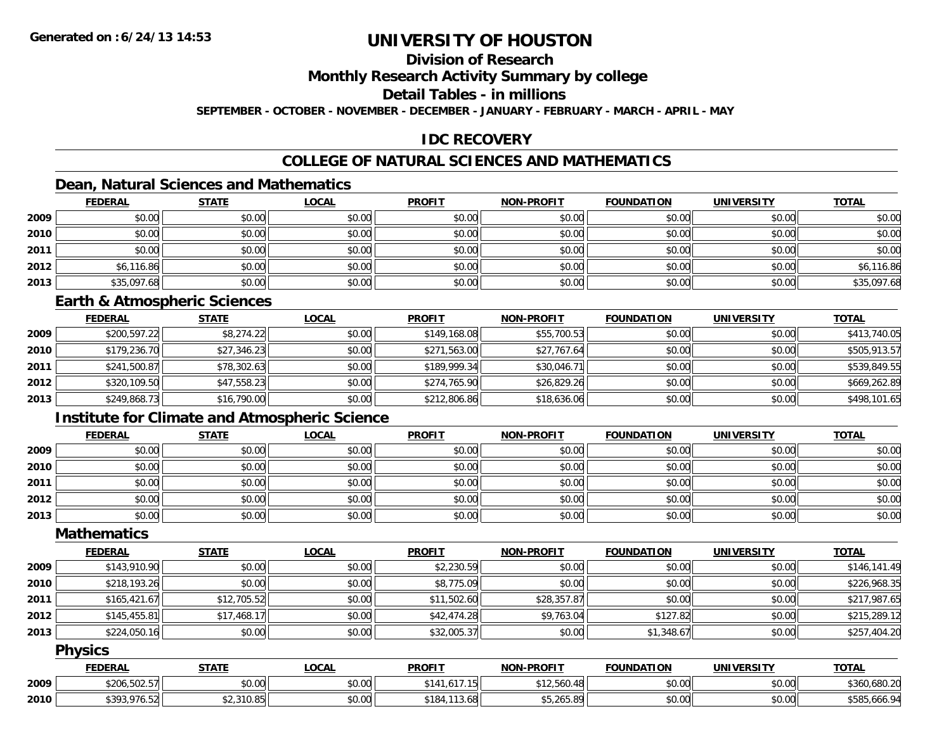### **Division of Research**

**Monthly Research Activity Summary by college**

**Detail Tables - in millions**

**SEPTEMBER - OCTOBER - NOVEMBER - DECEMBER - JANUARY - FEBRUARY - MARCH - APRIL - MAY**

### **IDC RECOVERY**

### **COLLEGE OF NATURAL SCIENCES AND MATHEMATICS**

### **Dean, Natural Sciences and Mathematics**

|      | <b>FEDERAL</b> | <b>STATE</b> | <u>LOCAL</u> | <b>PROFIT</b> | <b>NON-PROFIT</b> | <b>FOUNDATION</b> | <b>UNIVERSITY</b> | <b>TOTAL</b> |
|------|----------------|--------------|--------------|---------------|-------------------|-------------------|-------------------|--------------|
| 2009 | \$0.00         | \$0.00       | \$0.00       | \$0.00        | \$0.00            | \$0.00            | \$0.00            | \$0.00       |
| 2010 | \$0.00         | \$0.00       | \$0.00       | \$0.00        | \$0.00            | \$0.00            | \$0.00            | \$0.00       |
| 2011 | \$0.00         | \$0.00       | \$0.00       | \$0.00        | \$0.00            | \$0.00            | \$0.00            | \$0.00       |
| 2012 | \$6,116.86     | \$0.00       | \$0.00       | \$0.00        | \$0.00            | \$0.00            | \$0.00            | \$6,116.86   |
| 2013 | \$35,097.68    | \$0.00       | \$0.00       | \$0.00        | \$0.00            | \$0.00            | \$0.00            | \$35,097.68  |

#### **Earth & Atmospheric Sciences**

|      | <b>FEDERAL</b> | <u>STATE</u> | <b>LOCAL</b> | <b>PROFIT</b> | <b>NON-PROFIT</b> | <b>FOUNDATION</b> | <b>UNIVERSITY</b> | <u>TOTAL</u> |
|------|----------------|--------------|--------------|---------------|-------------------|-------------------|-------------------|--------------|
| 2009 | \$200,597.22   | \$8,274.22   | \$0.00       | \$149,168.08  | \$55,700.53       | \$0.00            | \$0.00            | \$413,740.05 |
| 2010 | \$179,236.70   | \$27,346.23  | \$0.00       | \$271,563.00  | \$27,767.64       | \$0.00            | \$0.00            | \$505,913.57 |
| 2011 | \$241,500.87   | \$78,302.63  | \$0.00       | \$189,999.34  | \$30,046.71       | \$0.00            | \$0.00            | \$539,849.55 |
| 2012 | \$320,109.50   | \$47,558.23  | \$0.00       | \$274,765.90  | \$26,829.26       | \$0.00            | \$0.00            | \$669,262.89 |
| 2013 | \$249,868.73   | \$16,790.00  | \$0.00       | \$212,806.86  | \$18,636.06       | \$0.00            | \$0.00            | \$498,101.65 |

### **Institute for Climate and Atmospheric Science**

|      | <b>FEDERAL</b> | <b>STATE</b> | <b>LOCAL</b> | <b>PROFIT</b> | <b>NON-PROFIT</b> | <b>FOUNDATION</b> | <b>UNIVERSITY</b> | <b>TOTAL</b> |
|------|----------------|--------------|--------------|---------------|-------------------|-------------------|-------------------|--------------|
| 2009 | \$0.00         | \$0.00       | \$0.00       | \$0.00        | \$0.00            | \$0.00            | \$0.00            | \$0.00       |
| 2010 | \$0.00         | \$0.00       | \$0.00       | \$0.00        | \$0.00            | \$0.00            | \$0.00            | \$0.00       |
| 2011 | \$0.00         | \$0.00       | \$0.00       | \$0.00        | \$0.00            | \$0.00            | \$0.00            | \$0.00       |
| 2012 | \$0.00         | \$0.00       | \$0.00       | \$0.00        | \$0.00            | \$0.00            | \$0.00            | \$0.00       |
| 2013 | \$0.00         | \$0.00       | \$0.00       | \$0.00        | \$0.00            | \$0.00            | \$0.00            | \$0.00       |

#### **Mathematics**

|      | <b>FEDERAL</b> | <b>STATE</b> | <b>LOCAL</b> | <b>PROFIT</b> | <b>NON-PROFIT</b> | <b>FOUNDATION</b> | <b>UNIVERSITY</b> | <b>TOTAL</b> |
|------|----------------|--------------|--------------|---------------|-------------------|-------------------|-------------------|--------------|
| 2009 | \$143,910.90   | \$0.00       | \$0.00       | \$2,230.59    | \$0.00            | \$0.00            | \$0.00            | \$146,141.49 |
| 2010 | \$218,193.26   | \$0.00       | \$0.00       | \$8,775.09    | \$0.00            | \$0.00            | \$0.00            | \$226,968.35 |
| 2011 | \$165,421.67   | \$12,705.52  | \$0.00       | \$11,502.60   | \$28,357.87       | \$0.00            | \$0.00            | \$217,987.65 |
| 2012 | \$145,455.81   | \$17,468.17  | \$0.00       | \$42,474.28   | \$9,763.04        | \$127.82          | \$0.00            | \$215,289.12 |
| 2013 | \$224,050.16   | \$0.00       | \$0.00       | \$32,005.37   | \$0.00            | \$1,348.67        | \$0.00            | \$257,404.20 |

#### **Physics**

|      | <b>FEDERAL</b> | <b>STATE</b>   | LOCAI  | <b>PROFIT</b>       | $J-PROF1$<br>NON-                      | <b>FOUNDATION</b> | <b>UNIVERSITY</b> | <b>TOTAL</b> |
|------|----------------|----------------|--------|---------------------|----------------------------------------|-------------------|-------------------|--------------|
| 2009 | \$206.502.57   | ልስ ለሰ<br>pv.uu | \$0.00 | 1.617.15            | $+40$ $-10$<br>$\sqrt{2}$<br>12,560.48 | \$0.00            | \$0.00            | \$360,680.20 |
| 2010 | *393.976.52⊩   | \$2,310.85     | \$0.00 | $-113.68$<br>\$184. | $AT$ $Q$ $T$ $Q$ $T$<br>5.Z05.8Y       | \$0.00            | \$0.00            | \$585,666.94 |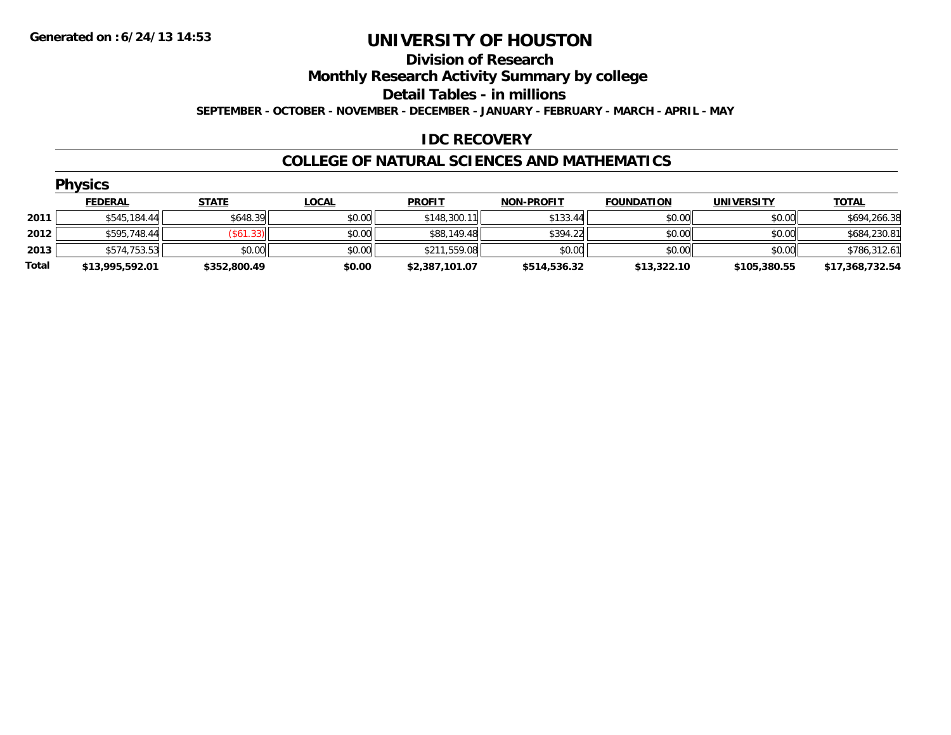#### **Division of Research**

**Monthly Research Activity Summary by college**

**Detail Tables - in millions**

**SEPTEMBER - OCTOBER - NOVEMBER - DECEMBER - JANUARY - FEBRUARY - MARCH - APRIL - MAY**

### **IDC RECOVERY**

#### **COLLEGE OF NATURAL SCIENCES AND MATHEMATICS**

|       | <b>Physics</b>  |              |              |                |                   |                   |                   |                 |  |  |  |
|-------|-----------------|--------------|--------------|----------------|-------------------|-------------------|-------------------|-----------------|--|--|--|
|       | <b>FEDERAL</b>  | <b>STATE</b> | <u>LOCAL</u> | <b>PROFIT</b>  | <b>NON-PROFIT</b> | <b>FOUNDATION</b> | <b>UNIVERSITY</b> | <b>TOTAL</b>    |  |  |  |
| 2011  | \$545,184.44    | \$648.39     | \$0.00       | \$148,300.11   | \$133.44          | \$0.00            | \$0.00            | \$694,266.38    |  |  |  |
| 2012  | \$595,748.44    | (\$61.33)    | \$0.00       | \$88,149.48    | \$394.22          | \$0.00            | \$0.00            | \$684,230.81    |  |  |  |
| 2013  | \$574,753.53    | \$0.00       | \$0.00       | \$211,559.08   | \$0.00            | \$0.00            | \$0.00            | \$786,312.61    |  |  |  |
| Total | \$13,995,592.01 | \$352,800.49 | \$0.00       | \$2,387,101.07 | \$514,536.32      | \$13,322.10       | \$105,380.55      | \$17,368,732.54 |  |  |  |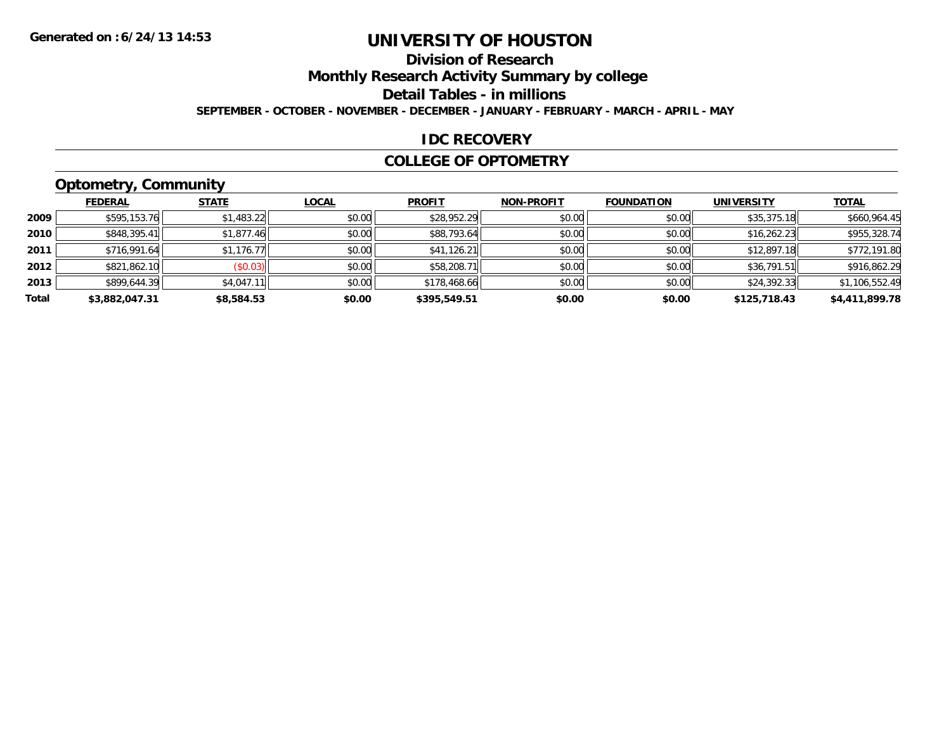# **Division of Research**

**Monthly Research Activity Summary by college**

**Detail Tables - in millions**

**SEPTEMBER - OCTOBER - NOVEMBER - DECEMBER - JANUARY - FEBRUARY - MARCH - APRIL - MAY**

#### **IDC RECOVERY**

#### **COLLEGE OF OPTOMETRY**

## **Optometry, Community**

|       | ___            |              |              |               |                   |                   |                   |                |
|-------|----------------|--------------|--------------|---------------|-------------------|-------------------|-------------------|----------------|
|       | <b>FEDERAL</b> | <b>STATE</b> | <b>LOCAL</b> | <b>PROFIT</b> | <b>NON-PROFIT</b> | <b>FOUNDATION</b> | <b>UNIVERSITY</b> | <b>TOTAL</b>   |
| 2009  | \$595,153.76   | \$1,483.22   | \$0.00       | \$28,952.29   | \$0.00            | \$0.00            | \$35,375.18       | \$660,964.45   |
| 2010  | \$848,395.41   | \$1,877.46   | \$0.00       | \$88,793.64   | \$0.00            | \$0.00            | \$16.262.23       | \$955,328.74   |
| 2011  | \$716,991.64   | \$1,176.77   | \$0.00       | \$41,126.21   | \$0.00            | \$0.00            | \$12,897.18       | \$772,191.80   |
| 2012  | \$821,862.10   | (\$0.03)     | \$0.00       | \$58,208.71   | \$0.00            | \$0.00            | \$36,791.51       | \$916,862.29   |
| 2013  | \$899,644.39   | \$4,047.11   | \$0.00       | \$178,468.66  | \$0.00            | \$0.00            | \$24,392.33       | \$1,106,552.49 |
| Total | \$3,882,047.31 | \$8,584.53   | \$0.00       | \$395,549.51  | \$0.00            | \$0.00            | \$125,718.43      | \$4,411,899.78 |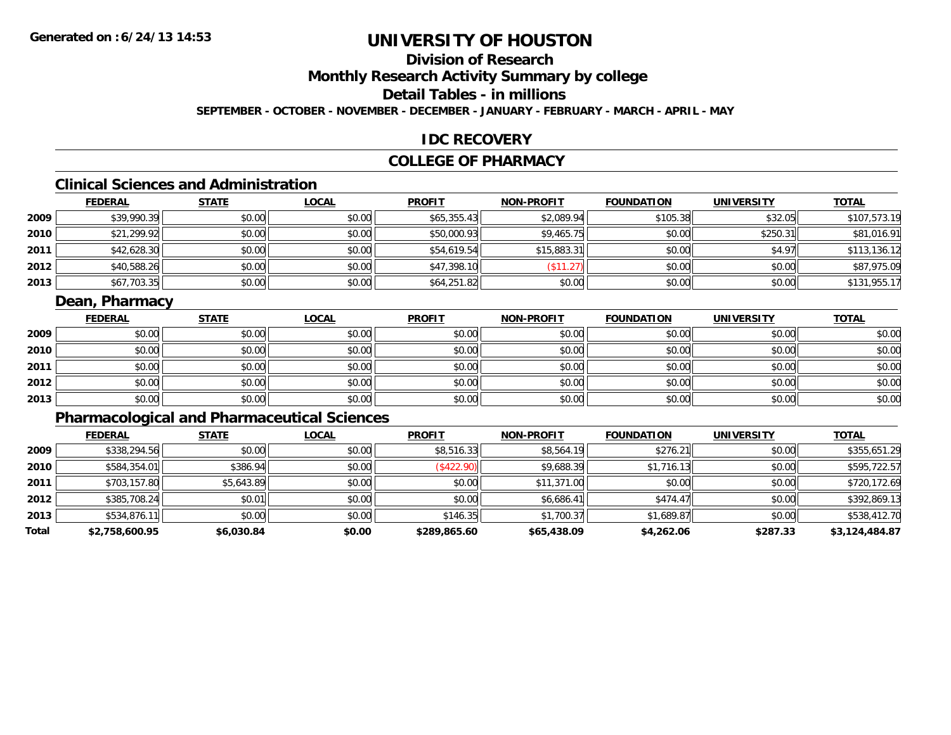### **Division of Research**

**Monthly Research Activity Summary by college**

**Detail Tables - in millions**

**SEPTEMBER - OCTOBER - NOVEMBER - DECEMBER - JANUARY - FEBRUARY - MARCH - APRIL - MAY**

#### **IDC RECOVERY**

#### **COLLEGE OF PHARMACY**

# **Clinical Sciences and Administration**

|      | <b>FEDERAL</b> | <b>STATE</b> | <b>LOCAL</b> | <b>PROFIT</b> | <b>NON-PROFIT</b> | <b>FOUNDATION</b> | <b>UNIVERSITY</b> | <b>TOTAL</b> |
|------|----------------|--------------|--------------|---------------|-------------------|-------------------|-------------------|--------------|
| 2009 | \$39,990.39    | \$0.00       | \$0.00       | \$65,355.43   | \$2,089.94        | \$105.38          | \$32.05           | \$107,573.19 |
| 2010 | \$21,299.92    | \$0.00       | \$0.00       | \$50,000.93   | \$9,465.75        | \$0.00            | \$250.31          | \$81,016.91  |
| 2011 | \$42,628.30    | \$0.00       | \$0.00       | \$54,619.54   | \$15,883.31       | \$0.00            | \$4.97            | \$113,136.12 |
| 2012 | \$40,588.26    | \$0.00       | \$0.00       | \$47,398.10   | (\$11.27)         | \$0.00            | \$0.00            | \$87,975.09  |
| 2013 | \$67,703.35    | \$0.00       | \$0.00       | \$64,251.82   | \$0.00            | \$0.00            | \$0.00            | \$131,955.17 |

#### **Dean, Pharmacy**

|      | <b>FEDERAL</b> | <b>STATE</b> | <u>LOCAL</u> | <b>PROFIT</b> | <b>NON-PROFIT</b> | <b>FOUNDATION</b> | <b>UNIVERSITY</b> | <b>TOTAL</b> |
|------|----------------|--------------|--------------|---------------|-------------------|-------------------|-------------------|--------------|
| 2009 | \$0.00         | \$0.00       | \$0.00       | \$0.00        | \$0.00            | \$0.00            | \$0.00            | \$0.00       |
| 2010 | \$0.00         | \$0.00       | \$0.00       | \$0.00        | \$0.00            | \$0.00            | \$0.00            | \$0.00       |
| 2011 | \$0.00         | \$0.00       | \$0.00       | \$0.00        | \$0.00            | \$0.00            | \$0.00            | \$0.00       |
| 2012 | \$0.00         | \$0.00       | \$0.00       | \$0.00        | \$0.00            | \$0.00            | \$0.00            | \$0.00       |
| 2013 | \$0.00         | \$0.00       | \$0.00       | \$0.00        | \$0.00            | \$0.00            | \$0.00            | \$0.00       |

## **Pharmacological and Pharmaceutical Sciences**

|       | <b>FEDERAL</b> | <b>STATE</b> | <b>LOCAL</b> | <b>PROFIT</b> | <b>NON-PROFIT</b> | <b>FOUNDATION</b> | <b>UNIVERSITY</b> | <b>TOTAL</b>   |
|-------|----------------|--------------|--------------|---------------|-------------------|-------------------|-------------------|----------------|
| 2009  | \$338,294.56   | \$0.00       | \$0.00       | \$8,516.33    | \$8,564.19        | \$276.21          | \$0.00            | \$355,651.29   |
| 2010  | \$584,354.01   | \$386.94     | \$0.00       | (\$422.90)    | \$9,688.39        | \$1,716.13        | \$0.00            | \$595,722.57   |
| 2011  | \$703,157.80   | \$5,643.89   | \$0.00       | \$0.00        | \$11,371.00       | \$0.00            | \$0.00            | \$720,172.69   |
| 2012  | \$385,708.24   | \$0.01       | \$0.00       | \$0.00        | \$6,686.41        | \$474.47          | \$0.00            | \$392,869.13   |
| 2013  | \$534,876.11   | \$0.00       | \$0.00       | \$146.35      | \$1,700.37        | \$1,689.87        | \$0.00            | \$538,412.70   |
| Total | \$2,758,600.95 | \$6,030.84   | \$0.00       | \$289,865.60  | \$65,438.09       | \$4,262.06        | \$287.33          | \$3,124,484.87 |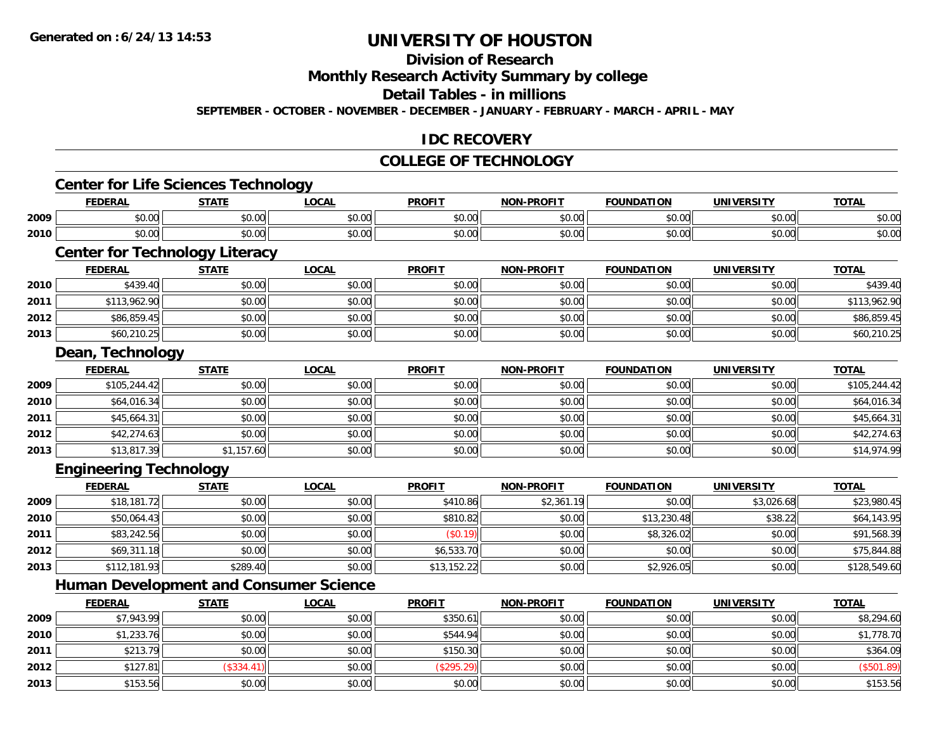**2012**

**2013**

# **UNIVERSITY OF HOUSTON**

### **Division of Research**

**Monthly Research Activity Summary by college**

**Detail Tables - in millions**

**SEPTEMBER - OCTOBER - NOVEMBER - DECEMBER - JANUARY - FEBRUARY - MARCH - APRIL - MAY**

#### **IDC RECOVERY**

## **COLLEGE OF TECHNOLOGY**

|      | <b>Center for Life Sciences Technology</b>    |              |              |               |                   |                   |                   |              |
|------|-----------------------------------------------|--------------|--------------|---------------|-------------------|-------------------|-------------------|--------------|
|      | <b>FEDERAL</b>                                | <b>STATE</b> | <b>LOCAL</b> | <b>PROFIT</b> | <b>NON-PROFIT</b> | <b>FOUNDATION</b> | <b>UNIVERSITY</b> | <b>TOTAL</b> |
| 2009 | \$0.00                                        | \$0.00       | \$0.00       | \$0.00        | \$0.00            | \$0.00            | \$0.00            | \$0.00       |
| 2010 | \$0.00                                        | \$0.00       | \$0.00       | \$0.00        | \$0.00            | \$0.00            | \$0.00            | \$0.00       |
|      | <b>Center for Technology Literacy</b>         |              |              |               |                   |                   |                   |              |
|      | <b>FEDERAL</b>                                | <b>STATE</b> | <b>LOCAL</b> | <b>PROFIT</b> | <b>NON-PROFIT</b> | <b>FOUNDATION</b> | <b>UNIVERSITY</b> | <b>TOTAL</b> |
| 2010 | \$439.40                                      | \$0.00       | \$0.00       | \$0.00        | \$0.00            | \$0.00            | \$0.00            | \$439.40     |
| 2011 | \$113,962.90                                  | \$0.00       | \$0.00       | \$0.00        | \$0.00            | \$0.00            | \$0.00            | \$113,962.90 |
| 2012 | \$86,859.45                                   | \$0.00       | \$0.00       | \$0.00        | \$0.00            | \$0.00            | \$0.00            | \$86,859.45  |
| 2013 | \$60,210.25                                   | \$0.00       | \$0.00       | \$0.00        | \$0.00            | \$0.00            | \$0.00            | \$60,210.25  |
|      | Dean, Technology                              |              |              |               |                   |                   |                   |              |
|      | <b>FEDERAL</b>                                | <b>STATE</b> | <b>LOCAL</b> | <b>PROFIT</b> | <b>NON-PROFIT</b> | <b>FOUNDATION</b> | <b>UNIVERSITY</b> | <b>TOTAL</b> |
| 2009 | \$105,244.42                                  | \$0.00       | \$0.00       | \$0.00        | \$0.00            | \$0.00            | \$0.00            | \$105,244.42 |
| 2010 | \$64,016.34                                   | \$0.00       | \$0.00       | \$0.00        | \$0.00            | \$0.00            | \$0.00            | \$64,016.34  |
| 2011 | \$45,664.31                                   | \$0.00       | \$0.00       | \$0.00        | \$0.00            | \$0.00            | \$0.00            | \$45,664.31  |
| 2012 | \$42,274.63                                   | \$0.00       | \$0.00       | \$0.00        | \$0.00            | \$0.00            | \$0.00            | \$42,274.63  |
| 2013 | \$13,817.39                                   | \$1,157.60   | \$0.00       | \$0.00        | \$0.00            | \$0.00            | \$0.00            | \$14,974.99  |
|      | <b>Engineering Technology</b>                 |              |              |               |                   |                   |                   |              |
|      | <b>FEDERAL</b>                                | <b>STATE</b> | <b>LOCAL</b> | <b>PROFIT</b> | <b>NON-PROFIT</b> | <b>FOUNDATION</b> | <b>UNIVERSITY</b> | <b>TOTAL</b> |
| 2009 | \$18,181.72                                   | \$0.00       | \$0.00       | \$410.86      | \$2,361.19        | \$0.00            | \$3,026.68        | \$23,980.45  |
| 2010 | \$50,064.43                                   | \$0.00       | \$0.00       | \$810.82      | \$0.00            | \$13,230.48       | \$38.22           | \$64,143.95  |
| 2011 | \$83,242.56                                   | \$0.00       | \$0.00       | (\$0.19)      | \$0.00            | \$8,326.02        | \$0.00            | \$91,568.39  |
| 2012 | \$69,311.18                                   | \$0.00       | \$0.00       | \$6,533.70    | \$0.00            | \$0.00            | \$0.00            | \$75,844.88  |
| 2013 | \$112,181.93                                  | \$289.40     | \$0.00       | \$13,152.22   | \$0.00            | \$2,926.05        | \$0.00            | \$128,549.60 |
|      | <b>Human Development and Consumer Science</b> |              |              |               |                   |                   |                   |              |
|      | <b>FEDERAL</b>                                | <b>STATE</b> | <b>LOCAL</b> | <b>PROFIT</b> | <b>NON-PROFIT</b> | <b>FOUNDATION</b> | <b>UNIVERSITY</b> | <b>TOTAL</b> |
| 2009 | \$7,943.99                                    | \$0.00       | \$0.00       | \$350.61      | \$0.00            | \$0.00            | \$0.00            | \$8,294.60   |
| 2010 | \$1,233.76                                    | \$0.00       | \$0.00       | \$544.94      | \$0.00            | \$0.00            | \$0.00            | \$1,778.70   |
| 2011 | \$213.79                                      | \$0.00       | \$0.00       | \$150.30      | \$0.00            | \$0.00            | \$0.00            | \$364.09     |

2 | \$127.81|| (\$334.41)| \$0.00|| (\$295.29)|| \$0.00|| \$0.00|| \$0.00|| \$0.00|| (\$501.89)

 $\textbf{3} \hspace{14mm} \text{$0.00]} \hspace{14mm} \text{$0.00]} \hspace{14mm} \text{$0.5.56}$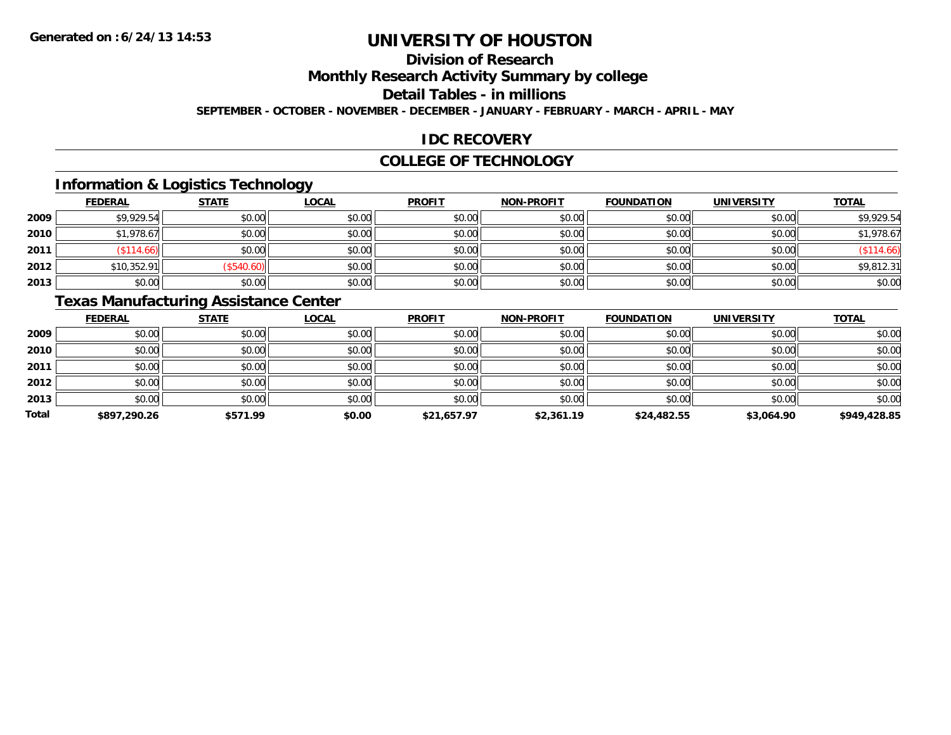# **Division of Research**

**Monthly Research Activity Summary by college**

**Detail Tables - in millions**

**SEPTEMBER - OCTOBER - NOVEMBER - DECEMBER - JANUARY - FEBRUARY - MARCH - APRIL - MAY**

#### **IDC RECOVERY**

#### **COLLEGE OF TECHNOLOGY**

### **Information & Logistics Technology**

|      | <b>FEDERAL</b> | <b>STATE</b> | <u>LOCAL</u> | <b>PROFIT</b> | <b>NON-PROFIT</b> | <b>FOUNDATION</b> | <b>UNIVERSITY</b> | <b>TOTAL</b> |
|------|----------------|--------------|--------------|---------------|-------------------|-------------------|-------------------|--------------|
| 2009 | \$9,929.54     | \$0.00       | \$0.00       | \$0.00        | \$0.00            | \$0.00            | \$0.00            | \$9,929.54   |
| 2010 | \$1,978.67     | \$0.00       | \$0.00       | \$0.00        | \$0.00            | \$0.00            | \$0.00            | \$1,978.67   |
| 2011 | \$114.66)      | \$0.00       | \$0.00       | \$0.00        | \$0.00            | \$0.00            | \$0.00            | \$114.66     |
| 2012 | \$10,352.91    | \$540.60     | \$0.00       | \$0.00        | \$0.00            | \$0.00            | \$0.00            | \$9,812.31   |
| 2013 | \$0.00         | \$0.00       | \$0.00       | \$0.00        | \$0.00            | \$0.00            | \$0.00            | \$0.00       |

### **Texas Manufacturing Assistance Center**

|              | <b>FEDERAL</b> | <b>STATE</b> | <b>LOCAL</b> | <b>PROFIT</b> | <b>NON-PROFIT</b> | <b>FOUNDATION</b> | <b>UNIVERSITY</b> | <b>TOTAL</b> |
|--------------|----------------|--------------|--------------|---------------|-------------------|-------------------|-------------------|--------------|
| 2009         | \$0.00         | \$0.00       | \$0.00       | \$0.00        | \$0.00            | \$0.00            | \$0.00            | \$0.00       |
| 2010         | \$0.00         | \$0.00       | \$0.00       | \$0.00        | \$0.00            | \$0.00            | \$0.00            | \$0.00       |
| 2011         | \$0.00         | \$0.00       | \$0.00       | \$0.00        | \$0.00            | \$0.00            | \$0.00            | \$0.00       |
| 2012         | \$0.00         | \$0.00       | \$0.00       | \$0.00        | \$0.00            | \$0.00            | \$0.00            | \$0.00       |
| 2013         | \$0.00         | \$0.00       | \$0.00       | \$0.00        | \$0.00            | \$0.00            | \$0.00            | \$0.00       |
| <b>Total</b> | \$897,290.26   | \$571.99     | \$0.00       | \$21,657.97   | \$2,361.19        | \$24,482.55       | \$3,064.90        | \$949,428.85 |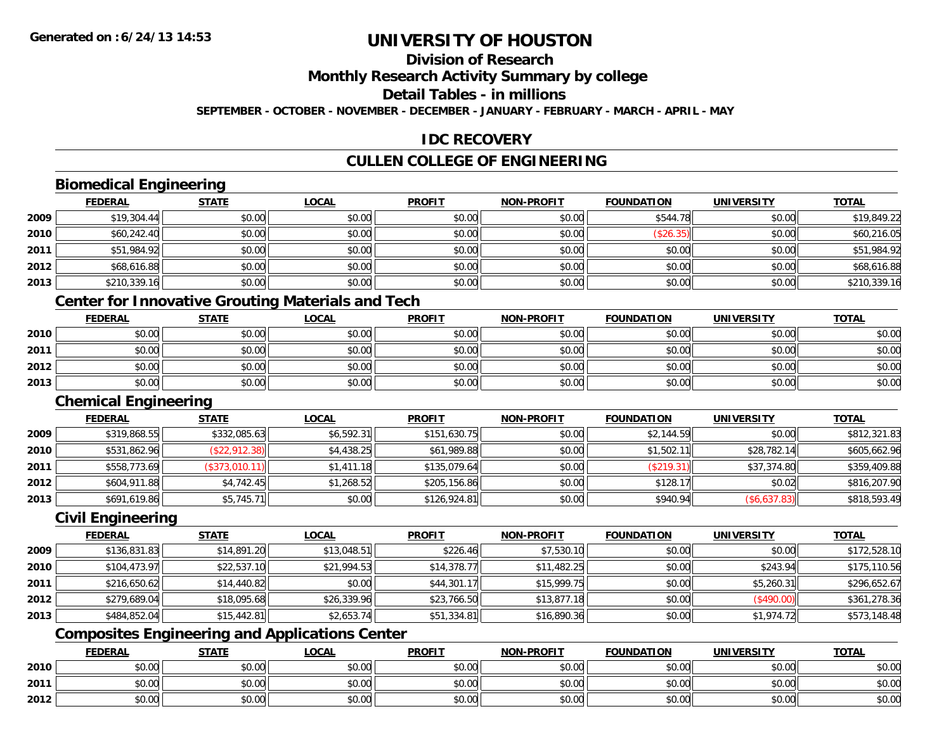### **Division of Research**

**Monthly Research Activity Summary by college**

**Detail Tables - in millions**

**SEPTEMBER - OCTOBER - NOVEMBER - DECEMBER - JANUARY - FEBRUARY - MARCH - APRIL - MAY**

### **IDC RECOVERY**

### **CULLEN COLLEGE OF ENGINEERING**

### **Biomedical Engineering**

|      | <b>FEDERAL</b> | <b>STATE</b> | <b>LOCAL</b> | <b>PROFIT</b> | <b>NON-PROFIT</b> | <b>FOUNDATION</b> | <b>UNIVERSITY</b> | <b>TOTAL</b> |
|------|----------------|--------------|--------------|---------------|-------------------|-------------------|-------------------|--------------|
| 2009 | \$19,304.44    | \$0.00       | \$0.00       | \$0.00        | \$0.00            | \$544.78          | \$0.00            | \$19,849.22  |
| 2010 | \$60,242.40    | \$0.00       | \$0.00       | \$0.00        | \$0.00            | (\$26.35)         | \$0.00            | \$60,216.05  |
| 2011 | \$51,984.92    | \$0.00       | \$0.00       | \$0.00        | \$0.00            | \$0.00            | \$0.00            | \$51,984.92  |
| 2012 | \$68,616.88    | \$0.00       | \$0.00       | \$0.00        | \$0.00            | \$0.00            | \$0.00            | \$68,616.88  |
| 2013 | \$210,339.16   | \$0.00       | \$0.00       | \$0.00        | \$0.00            | \$0.00            | \$0.00            | \$210,339.16 |

### **Center for Innovative Grouting Materials and Tech**

|      | <u>FEDERAL</u> | <b>STATE</b> | <u>LOCAL</u> | <b>PROFIT</b> | <b>NON-PROFIT</b> | <b>FOUNDATION</b> | <b>UNIVERSITY</b> | <b>TOTAL</b> |
|------|----------------|--------------|--------------|---------------|-------------------|-------------------|-------------------|--------------|
| 2010 | \$0.00         | \$0.00       | \$0.00       | \$0.00        | \$0.00            | \$0.00            | \$0.00            | \$0.00       |
| 2011 | \$0.00         | \$0.00       | \$0.00       | \$0.00        | \$0.00            | \$0.00            | \$0.00            | \$0.00       |
| 2012 | \$0.00         | \$0.00       | \$0.00       | \$0.00        | \$0.00            | \$0.00            | \$0.00            | \$0.00       |
| 2013 | \$0.00         | \$0.00       | \$0.00       | \$0.00        | \$0.00            | \$0.00            | \$0.00            | \$0.00       |

#### **Chemical Engineering**

|      | <b>FEDERAL</b> | <b>STATE</b>   | <u>LOCAL</u> | <b>PROFIT</b> | <b>NON-PROFIT</b> | <b>FOUNDATION</b> | UNIVERSITY   | <b>TOTAL</b> |
|------|----------------|----------------|--------------|---------------|-------------------|-------------------|--------------|--------------|
| 2009 | \$319,868.55   | \$332,085.63   | \$6,592.31   | \$151,630.75  | \$0.00            | \$2,144.59        | \$0.00       | \$812,321.83 |
| 2010 | \$531,862.96   | (\$22,912.38)  | \$4,438.25   | \$61,989.88   | \$0.00            | \$1,502.11        | \$28,782.14  | \$605,662.96 |
| 2011 | \$558,773.69   | (\$373,010.11) | \$1,411.18   | \$135,079.64  | \$0.00            | (S219.31)         | \$37,374.80  | \$359,409.88 |
| 2012 | \$604,911.88   | \$4,742.45     | \$1,268.52   | \$205,156.86  | \$0.00            | \$128.1           | \$0.02       | \$816,207.90 |
| 2013 | \$691,619.86   | \$5,745.71     | \$0.00       | \$126,924.81  | \$0.00            | \$940.94          | (\$6,637.83) | \$818,593.49 |

#### **Civil Engineering**

|      | <b>FEDERAL</b> | <b>STATE</b> | <b>LOCAL</b> | <b>PROFIT</b> | <b>NON-PROFIT</b> | <b>FOUNDATION</b> | <b>UNIVERSITY</b> | <b>TOTAL</b> |
|------|----------------|--------------|--------------|---------------|-------------------|-------------------|-------------------|--------------|
| 2009 | \$136,831.83   | \$14,891.20  | \$13,048.51  | \$226.46      | \$7,530.10        | \$0.00            | \$0.00            | \$172,528.10 |
| 2010 | \$104,473.97   | \$22,537.10  | \$21,994.53  | \$14,378.77   | \$11,482.25       | \$0.00            | \$243.94          | \$175,110.56 |
| 2011 | \$216,650.62   | \$14,440.82  | \$0.00       | \$44,301.17   | \$15.999.75       | \$0.00            | \$5,260.31        | \$296.652.67 |
| 2012 | \$279,689.04   | \$18,095.68  | \$26,339.96  | \$23,766.50   | \$13,877.18       | \$0.00            | (\$490.00)        | \$361,278.36 |
| 2013 | \$484,852.04   | \$15,442.81  | \$2,653.74   | \$51,334.81   | \$16,890.36       | \$0.00            | \$1,974.72        | \$573,148.48 |

## **Composites Engineering and Applications Center**

|      | <b>FEDERAL</b> | <b>STATE</b>   | <u>LOCAL</u> | <b>PROFIT</b> | <b>NON-PROFIT</b> | <b>FOUNDATION</b> | <b>UNIVERSITY</b> | <b>TOTAL</b> |
|------|----------------|----------------|--------------|---------------|-------------------|-------------------|-------------------|--------------|
| 2010 | \$0.00         | 40.00<br>JU.UU | \$0.00       | \$0.00        | \$0.00            | \$0.00            | \$0.00            | \$0.00       |
| 2011 | \$0.00         | \$0.00         | \$0.00       | \$0.00        | \$0.00            | \$0.00            | \$0.00            | \$0.00       |
| 2012 | \$0.00         | 40.00<br>DU.UU | \$0.00       | \$0.00        | \$0.00            | \$0.00            | \$0.00            | \$0.00       |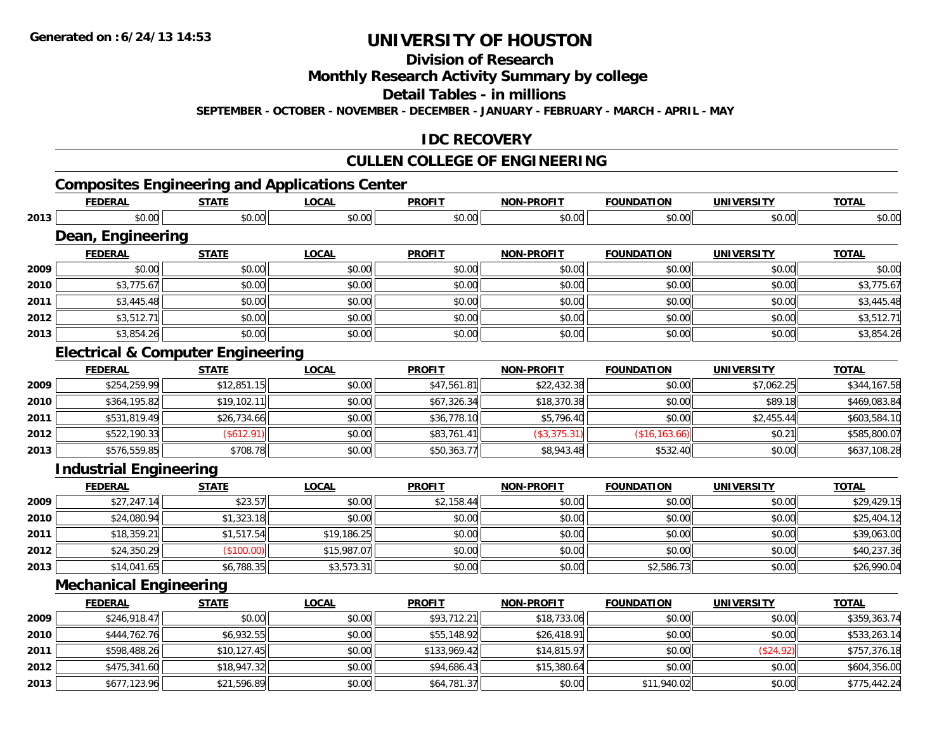**2013**

# **UNIVERSITY OF HOUSTON**

**Division of Research**

**Monthly Research Activity Summary by college**

**Detail Tables - in millions**

**SEPTEMBER - OCTOBER - NOVEMBER - DECEMBER - JANUARY - FEBRUARY - MARCH - APRIL - MAY**

#### **IDC RECOVERY**

### **CULLEN COLLEGE OF ENGINEERING**

### **Composites Engineering and Applications Center**

|      | <b>FEDERAL</b>                               | <b>STATE</b> | <b>LOCAL</b> | <b>PROFIT</b> | <b>NON-PROFIT</b> | <b>FOUNDATION</b> | <b>UNIVERSITY</b> | <b>TOTAL</b> |
|------|----------------------------------------------|--------------|--------------|---------------|-------------------|-------------------|-------------------|--------------|
| 2013 | \$0.00                                       | \$0.00       | \$0.00       | \$0.00        | \$0.00            | \$0.00            | \$0.00            | \$0.00       |
|      | Dean, Engineering                            |              |              |               |                   |                   |                   |              |
|      | <b>FEDERAL</b>                               | <b>STATE</b> | <b>LOCAL</b> | <b>PROFIT</b> | <b>NON-PROFIT</b> | <b>FOUNDATION</b> | <b>UNIVERSITY</b> | <b>TOTAL</b> |
| 2009 | \$0.00                                       | \$0.00       | \$0.00       | \$0.00        | \$0.00            | \$0.00            | \$0.00            | \$0.00       |
| 2010 | \$3,775.67                                   | \$0.00       | \$0.00       | \$0.00        | \$0.00            | \$0.00            | \$0.00            | \$3,775.67   |
| 2011 | \$3,445.48                                   | \$0.00       | \$0.00       | \$0.00        | \$0.00            | \$0.00            | \$0.00            | \$3,445.48   |
| 2012 | \$3,512.71                                   | \$0.00       | \$0.00       | \$0.00        | \$0.00            | \$0.00            | \$0.00            | \$3,512.71   |
| 2013 | \$3,854.26                                   | \$0.00       | \$0.00       | \$0.00        | \$0.00            | \$0.00            | \$0.00            | \$3,854.26   |
|      | <b>Electrical &amp; Computer Engineering</b> |              |              |               |                   |                   |                   |              |
|      | <b>FEDERAL</b>                               | <b>STATE</b> | <b>LOCAL</b> | <b>PROFIT</b> | <b>NON-PROFIT</b> | <b>FOUNDATION</b> | <b>UNIVERSITY</b> | <b>TOTAL</b> |
| 2009 | \$254,259.99                                 | \$12,851.15  | \$0.00       | \$47,561.81   | \$22,432.38       | \$0.00            | \$7,062.25        | \$344,167.58 |
| 2010 | \$364,195.82                                 | \$19,102.11  | \$0.00       | \$67,326.34   | \$18,370.38       | \$0.00            | \$89.18           | \$469,083.84 |
| 2011 | \$531,819.49                                 | \$26,734.66  | \$0.00       | \$36,778.10   | \$5,796.40        | \$0.00            | \$2,455.44        | \$603,584.10 |
| 2012 | \$522,190.33                                 | (\$612.91)   | \$0.00       | \$83,761.41   | (\$3,375.31)      | (\$16, 163.66)    | \$0.21            | \$585,800.07 |
| 2013 | \$576,559.85                                 | \$708.78     | \$0.00       | \$50,363.77   | \$8,943.48        | \$532.40          | \$0.00            | \$637,108.28 |
|      | <b>Industrial Engineering</b>                |              |              |               |                   |                   |                   |              |
|      | <b>FEDERAL</b>                               | <b>STATE</b> | <b>LOCAL</b> | <b>PROFIT</b> | <b>NON-PROFIT</b> | <b>FOUNDATION</b> | <b>UNIVERSITY</b> | <b>TOTAL</b> |
| 2009 | \$27,247.14                                  | \$23.57      | \$0.00       | \$2,158.44    | \$0.00            | \$0.00            | \$0.00            | \$29,429.15  |
| 2010 | \$24,080.94                                  | \$1,323.18   | \$0.00       | \$0.00        | \$0.00            | \$0.00            | \$0.00            | \$25,404.12  |
| 2011 | \$18,359.21                                  | \$1,517.54   | \$19,186.25  | \$0.00        | \$0.00            | \$0.00            | \$0.00            | \$39,063.00  |
| 2012 | \$24,350.29                                  | (\$100.00)   | \$15,987.07  | \$0.00        | \$0.00            | \$0.00            | \$0.00            | \$40,237.36  |
| 2013 | \$14,041.65                                  | \$6,788.35   | \$3,573.31   | \$0.00        | \$0.00            | \$2,586.73        | \$0.00            | \$26,990.04  |
|      | <b>Mechanical Engineering</b>                |              |              |               |                   |                   |                   |              |
|      | <b>FEDERAL</b>                               | <b>STATE</b> | <b>LOCAL</b> | <b>PROFIT</b> | <b>NON-PROFIT</b> | <b>FOUNDATION</b> | <b>UNIVERSITY</b> | <b>TOTAL</b> |
| 2009 | \$246,918.47                                 | \$0.00       | \$0.00       | \$93,712.21   | \$18,733.06       | \$0.00            | \$0.00            | \$359,363.74 |
| 2010 | \$444,762.76                                 | \$6,932.55   | \$0.00       | \$55,148.92   | \$26,418.91       | \$0.00            | \$0.00            | \$533,263.14 |
| 2011 | \$598,488.26                                 | \$10,127.45  | \$0.00       | \$133,969.42  | \$14,815.97       | \$0.00            | (\$24.92)         | \$757,376.18 |
| 2012 | \$475,341.60                                 | \$18,947.32  | \$0.00       | \$94,686.43   | \$15,380.64       | \$0.00            | \$0.00            | \$604,356.00 |

\$677,123.96 \$21,596.89 \$0.00 \$64,781.37 \$0.00 \$11,940.02 \$0.00 \$775,442.24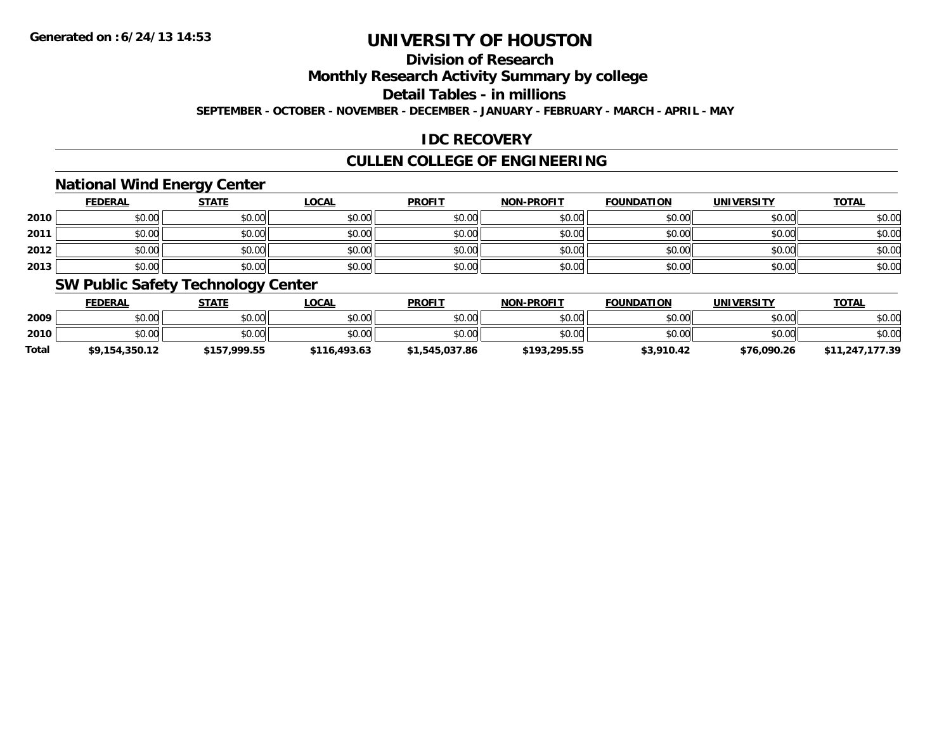### **Division of Research**

**Monthly Research Activity Summary by college**

**Detail Tables - in millions**

**SEPTEMBER - OCTOBER - NOVEMBER - DECEMBER - JANUARY - FEBRUARY - MARCH - APRIL - MAY**

### **IDC RECOVERY**

### **CULLEN COLLEGE OF ENGINEERING**

#### **National Wind Energy Center**

|      | <b>FEDERAL</b> | <b>STATE</b> | <u>LOCAL</u> | <b>PROFIT</b> | <b>NON-PROFIT</b> | <b>FOUNDATION</b> | <b>UNIVERSITY</b> | <b>TOTAL</b> |
|------|----------------|--------------|--------------|---------------|-------------------|-------------------|-------------------|--------------|
| 2010 | \$0.00         | \$0.00       | \$0.00       | \$0.00        | \$0.00            | \$0.00            | \$0.00            | \$0.00       |
| 2011 | \$0.00         | \$0.00       | \$0.00       | \$0.00        | \$0.00            | \$0.00            | \$0.00            | \$0.00       |
| 2012 | \$0.00         | \$0.00       | \$0.00       | \$0.00        | \$0.00            | \$0.00            | \$0.00            | \$0.00       |
| 2013 | \$0.00         | \$0.00       | \$0.00       | \$0.00        | \$0.00            | \$0.00            | \$0.00            | \$0.00       |

#### **SW Public Safety Technology Center**

|              | <b>FEDERAL</b> | STATE        | _OCAL        | <b>PROFIT</b>  | <b>NON-PROFIT</b> | <b>FOUNDATION</b> | <b>UNIVERSITY</b> | <b>TOTAL</b>    |
|--------------|----------------|--------------|--------------|----------------|-------------------|-------------------|-------------------|-----------------|
| 2009         | \$0.00         | \$0.00       | \$0.00       | \$0.00         | \$0.00            | \$0.00            | \$0.00            | \$0.00          |
| 2010         | \$0.00         | \$0.00       | \$0.00       | \$0.00         | \$0.00            | \$0.00            | \$0.00            | \$0.00          |
| <b>Total</b> | \$9,154,350.12 | \$157.999.55 | \$116,493.63 | \$1,545,037.86 | \$193,295.55      | \$3,910.42        | \$76,090.26       | \$11,247,177.39 |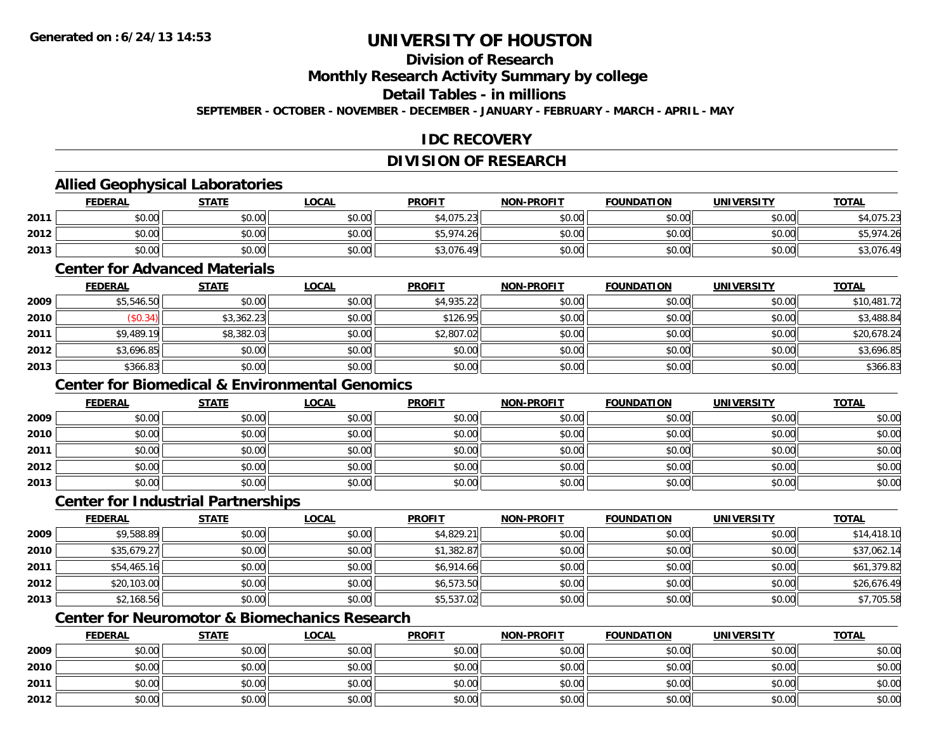### **Division of Research**

**Monthly Research Activity Summary by college**

**Detail Tables - in millions**

**SEPTEMBER - OCTOBER - NOVEMBER - DECEMBER - JANUARY - FEBRUARY - MARCH - APRIL - MAY**

### **IDC RECOVERY**

### **DIVISION OF RESEARCH**

### **Allied Geophysical Laboratories**

|      | <b>FEDERAL</b> | <b>STATE</b>   | <u>LOCAL</u>                                | <b>PROFIT</b>  | <b>NON-PROFIT</b> | <b>FOUNDATION</b> | <b>UNIVERSITY</b> | <b>TOTAL</b>        |
|------|----------------|----------------|---------------------------------------------|----------------|-------------------|-------------------|-------------------|---------------------|
| 2011 | 40.00<br>,u.uu | ደስ ሰሰ<br>PU.UU | $\mathfrak{c}\cap\mathfrak{a}\cap$<br>JU.UU | \$4,075.23     | \$0.00            | \$0.00            | \$0.00            | 075.23              |
| 2012 | \$0.00         | \$0.00         | $n \cap \neg$<br>DU.U¢                      | \$5,974<br>.26 | \$0.00            | \$0.00            | \$0.00            | $.1 \sigma$<br>റാ   |
| 2013 | \$0.00         | \$0.00         | \$0.00                                      | \$3,076.49     | \$0.00            | \$0.00            | \$0.00            | $\sim$<br>↓3,076.4' |

#### **Center for Advanced Materials**

|      | <b>FEDERAL</b> | <u>STATE</u> | <b>LOCAL</b> | <b>PROFIT</b> | <b>NON-PROFIT</b> | <b>FOUNDATION</b> | <b>UNIVERSITY</b> | <b>TOTAL</b> |
|------|----------------|--------------|--------------|---------------|-------------------|-------------------|-------------------|--------------|
| 2009 | \$5,546.50     | \$0.00       | \$0.00       | \$4,935.22    | \$0.00            | \$0.00            | \$0.00            | \$10,481.72  |
| 2010 | (\$0.34)       | \$3,362.23   | \$0.00       | \$126.95      | \$0.00            | \$0.00            | \$0.00            | \$3,488.84   |
| 2011 | \$9,489.19     | \$8,382.03   | \$0.00       | \$2,807.02    | \$0.00            | \$0.00            | \$0.00            | \$20,678.24  |
| 2012 | \$3,696.85     | \$0.00       | \$0.00       | \$0.00        | \$0.00            | \$0.00            | \$0.00            | \$3,696.85   |
| 2013 | \$366.83       | \$0.00       | \$0.00       | \$0.00        | \$0.00            | \$0.00            | \$0.00            | \$366.83     |

## **Center for Biomedical & Environmental Genomics**

|      | <u>FEDERAL</u> | <b>STATE</b> | <u>LOCAL</u> | <b>PROFIT</b> | <b>NON-PROFIT</b> | <b>FOUNDATION</b> | <b>UNIVERSITY</b> | <b>TOTAL</b> |
|------|----------------|--------------|--------------|---------------|-------------------|-------------------|-------------------|--------------|
| 2009 | \$0.00         | \$0.00       | \$0.00       | \$0.00        | \$0.00            | \$0.00            | \$0.00            | \$0.00       |
| 2010 | \$0.00         | \$0.00       | \$0.00       | \$0.00        | \$0.00            | \$0.00            | \$0.00            | \$0.00       |
| 2011 | \$0.00         | \$0.00       | \$0.00       | \$0.00        | \$0.00            | \$0.00            | \$0.00            | \$0.00       |
| 2012 | \$0.00         | \$0.00       | \$0.00       | \$0.00        | \$0.00            | \$0.00            | \$0.00            | \$0.00       |
| 2013 | \$0.00         | \$0.00       | \$0.00       | \$0.00        | \$0.00            | \$0.00            | \$0.00            | \$0.00       |

#### **Center for Industrial Partnerships**

|      | <b>FEDERAL</b> | <b>STATE</b> | <u>LOCAL</u> | <b>PROFIT</b> | <b>NON-PROFIT</b> | <b>FOUNDATION</b> | <b>UNIVERSITY</b> | <b>TOTAL</b> |
|------|----------------|--------------|--------------|---------------|-------------------|-------------------|-------------------|--------------|
| 2009 | \$9,588.89     | \$0.00       | \$0.00       | \$4,829.21    | \$0.00            | \$0.00            | \$0.00            | \$14,418.10  |
| 2010 | \$35,679.27    | \$0.00       | \$0.00       | \$1,382.87    | \$0.00            | \$0.00            | \$0.00            | \$37,062.14  |
| 2011 | \$54,465.16    | \$0.00       | \$0.00       | \$6,914.66    | \$0.00            | \$0.00            | \$0.00            | \$61,379.82  |
| 2012 | \$20,103.00    | \$0.00       | \$0.00       | \$6,573.50    | \$0.00            | \$0.00            | \$0.00            | \$26,676.49  |
| 2013 | \$2,168.56     | \$0.00       | \$0.00       | \$5,537.02    | \$0.00            | \$0.00            | \$0.00            | \$7,705.58   |

## **Center for Neuromotor & Biomechanics Research**

|      | <b>FEDERAL</b> | <b>STATE</b> | <b>LOCAL</b> | <b>PROFIT</b> | <b>NON-PROFIT</b> | <b>FOUNDATION</b> | <b>UNIVERSITY</b> | <b>TOTAL</b> |
|------|----------------|--------------|--------------|---------------|-------------------|-------------------|-------------------|--------------|
| 2009 | \$0.00         | \$0.00       | \$0.00       | \$0.00        | \$0.00            | \$0.00            | \$0.00            | \$0.00       |
| 2010 | \$0.00         | \$0.00       | \$0.00       | \$0.00        | \$0.00            | \$0.00            | \$0.00            | \$0.00       |
| 2011 | \$0.00         | \$0.00       | \$0.00       | \$0.00        | \$0.00            | \$0.00            | \$0.00            | \$0.00       |
| 2012 | \$0.00         | \$0.00       | \$0.00       | \$0.00        | \$0.00            | \$0.00            | \$0.00            | \$0.00       |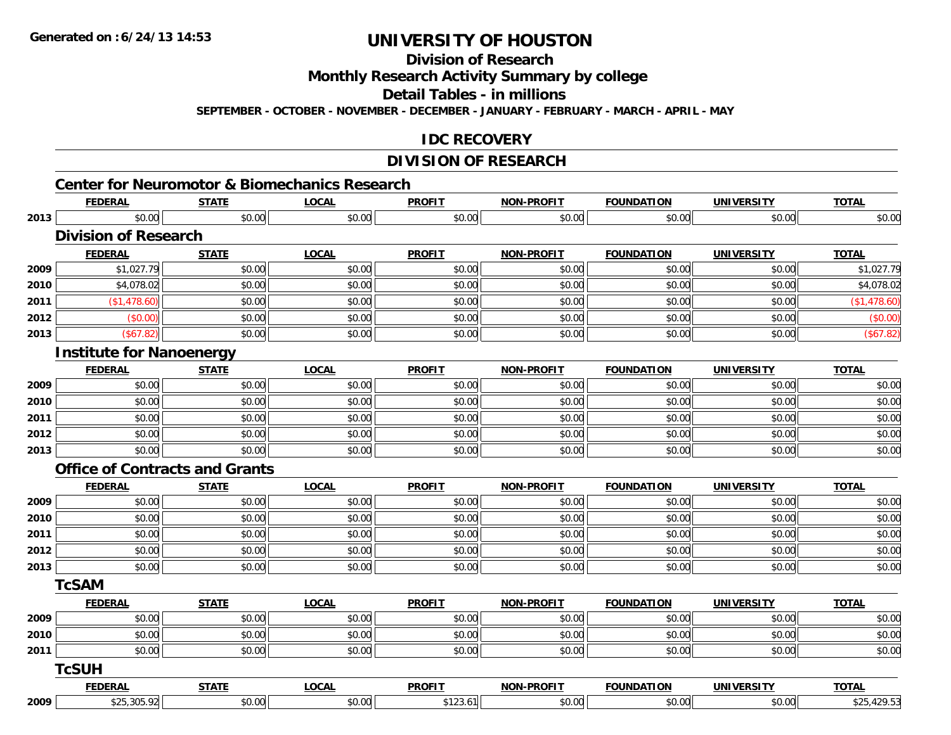**Division of Research**

**Monthly Research Activity Summary by college**

**Detail Tables - in millions**

**SEPTEMBER - OCTOBER - NOVEMBER - DECEMBER - JANUARY - FEBRUARY - MARCH - APRIL - MAY**

#### **IDC RECOVERY**

### **DIVISION OF RESEARCH**

|      | <b>FEDERAL</b>                        | <b>STATE</b> | <b>Center for Neuromotor &amp; Biomechanics Research</b><br><b>LOCAL</b> | <b>PROFIT</b> | <b>NON-PROFIT</b> | <b>FOUNDATION</b> | <b>UNIVERSITY</b> | <b>TOTAL</b> |
|------|---------------------------------------|--------------|--------------------------------------------------------------------------|---------------|-------------------|-------------------|-------------------|--------------|
| 2013 | \$0.00                                | \$0.00       | \$0.00                                                                   | \$0.00        | \$0.00            | \$0.00            | \$0.00            | \$0.00       |
|      | <b>Division of Research</b>           |              |                                                                          |               |                   |                   |                   |              |
|      | <b>FEDERAL</b>                        | <b>STATE</b> | <b>LOCAL</b>                                                             | <b>PROFIT</b> | <b>NON-PROFIT</b> | <b>FOUNDATION</b> | <b>UNIVERSITY</b> | <b>TOTAL</b> |
| 2009 | \$1,027.79                            | \$0.00       | \$0.00                                                                   | \$0.00        | \$0.00            | \$0.00            | \$0.00            | \$1,027.79   |
| 2010 | \$4,078.02                            | \$0.00       | \$0.00                                                                   | \$0.00        | \$0.00            | \$0.00            | \$0.00            | \$4,078.02   |
| 2011 | (\$1,478.60)                          | \$0.00       | \$0.00                                                                   | \$0.00        | \$0.00            | \$0.00            | \$0.00            | (\$1,478.60) |
| 2012 | (\$0.00)                              | \$0.00       | \$0.00                                                                   | \$0.00        | \$0.00            | \$0.00            | \$0.00            | (\$0.00)     |
| 2013 | (\$67.82)                             | \$0.00       | \$0.00                                                                   | \$0.00        | \$0.00            | \$0.00            | \$0.00            | (\$67.82)    |
|      | <b>Institute for Nanoenergy</b>       |              |                                                                          |               |                   |                   |                   |              |
|      | <b>FEDERAL</b>                        | <b>STATE</b> | <b>LOCAL</b>                                                             | <b>PROFIT</b> | <b>NON-PROFIT</b> | <b>FOUNDATION</b> | <b>UNIVERSITY</b> | <b>TOTAL</b> |
| 2009 | \$0.00                                | \$0.00       | \$0.00                                                                   | \$0.00        | \$0.00            | \$0.00            | \$0.00            | \$0.00       |
| 2010 | \$0.00                                | \$0.00       | \$0.00                                                                   | \$0.00        | \$0.00            | \$0.00            | \$0.00            | \$0.00       |
| 2011 | \$0.00                                | \$0.00       | \$0.00                                                                   | \$0.00        | \$0.00            | \$0.00            | \$0.00            | \$0.00       |
| 2012 | \$0.00                                | \$0.00       | \$0.00                                                                   | \$0.00        | \$0.00            | \$0.00            | \$0.00            | \$0.00       |
| 2013 | \$0.00                                | \$0.00       | \$0.00                                                                   | \$0.00        | \$0.00            | \$0.00            | \$0.00            | \$0.00       |
|      | <b>Office of Contracts and Grants</b> |              |                                                                          |               |                   |                   |                   |              |
|      | <b>FEDERAL</b>                        | <b>STATE</b> | <b>LOCAL</b>                                                             | <b>PROFIT</b> | <b>NON-PROFIT</b> | <b>FOUNDATION</b> | <b>UNIVERSITY</b> | <b>TOTAL</b> |
| 2009 | \$0.00                                | \$0.00       | \$0.00                                                                   | \$0.00        | \$0.00            | \$0.00            | \$0.00            | \$0.00       |
| 2010 | \$0.00                                | \$0.00       | \$0.00                                                                   | \$0.00        | \$0.00            | \$0.00            | \$0.00            | \$0.00       |
| 2011 | \$0.00                                | \$0.00       | \$0.00                                                                   | \$0.00        | \$0.00            | \$0.00            | \$0.00            | \$0.00       |
| 2012 | \$0.00                                | \$0.00       | \$0.00                                                                   | \$0.00        | \$0.00            | \$0.00            | \$0.00            | \$0.00       |
| 2013 | \$0.00                                | \$0.00       | \$0.00                                                                   | \$0.00        | \$0.00            | \$0.00            | \$0.00            | \$0.00       |
|      | <b>TcSAM</b>                          |              |                                                                          |               |                   |                   |                   |              |
|      | <b>FEDERAL</b>                        | <b>STATE</b> | <b>LOCAL</b>                                                             | <b>PROFIT</b> | NON-PROFIT        | <b>FOUNDATION</b> | <b>UNIVERSITY</b> | <b>TOTAL</b> |
| 2009 | \$0.00                                | \$0.00       | \$0.00                                                                   | \$0.00        | \$0.00            | \$0.00            | \$0.00            | \$0.00       |
| 2010 | \$0.00                                | \$0.00       | \$0.00                                                                   | \$0.00        | \$0.00            | \$0.00            | \$0.00            | \$0.00       |
| 2011 | \$0.00                                | \$0.00       | \$0.00                                                                   | \$0.00        | \$0.00            | \$0.00            | \$0.00            | \$0.00       |
|      | <b>TcSUH</b>                          |              |                                                                          |               |                   |                   |                   |              |
|      | <b>FEDERAL</b>                        | <b>STATE</b> | <b>LOCAL</b>                                                             | <b>PROFIT</b> | <b>NON-PROFIT</b> | <b>FOUNDATION</b> | <b>UNIVERSITY</b> | <b>TOTAL</b> |
| 2009 | \$25,305.92                           | \$0.00       | \$0.00                                                                   | \$123.61      | \$0.00            | \$0.00            | \$0.00            | \$25,429.53  |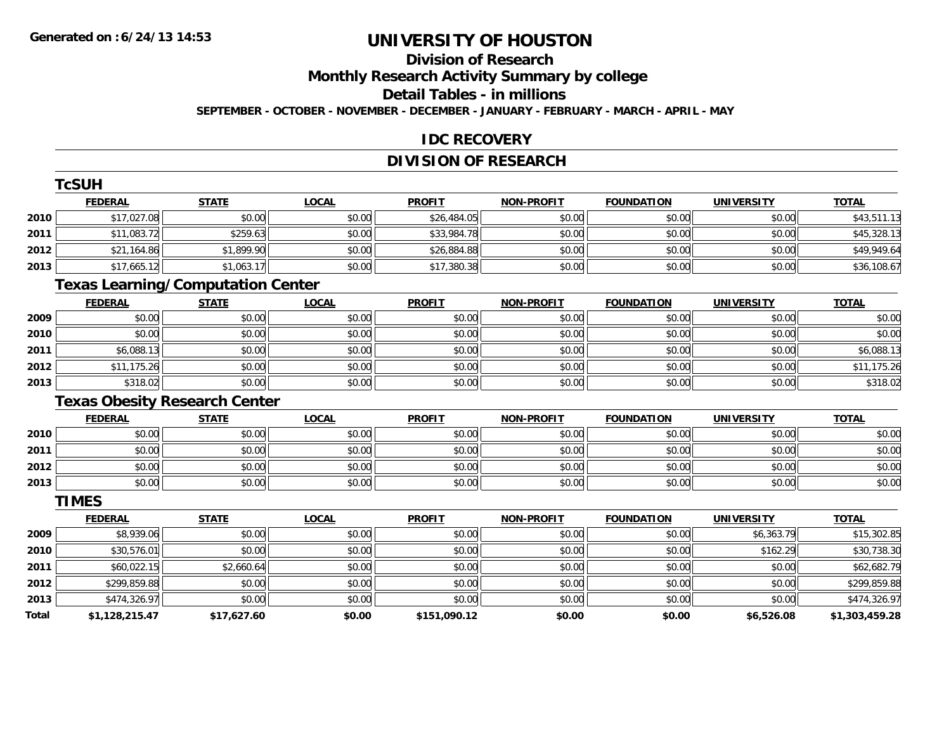# **Division of Research**

**Monthly Research Activity Summary by college**

**Detail Tables - in millions**

**SEPTEMBER - OCTOBER - NOVEMBER - DECEMBER - JANUARY - FEBRUARY - MARCH - APRIL - MAY**

#### **IDC RECOVERY**

### **DIVISION OF RESEARCH**

|       | <b>TcSUH</b>                             |              |              |               |                   |                   |                   |                |
|-------|------------------------------------------|--------------|--------------|---------------|-------------------|-------------------|-------------------|----------------|
|       | <b>FEDERAL</b>                           | <b>STATE</b> | <b>LOCAL</b> | <b>PROFIT</b> | <b>NON-PROFIT</b> | <b>FOUNDATION</b> | <b>UNIVERSITY</b> | <b>TOTAL</b>   |
| 2010  | \$17,027.08                              | \$0.00       | \$0.00       | \$26,484.05   | \$0.00            | \$0.00            | \$0.00            | \$43,511.13    |
| 2011  | \$11,083.72                              | \$259.63     | \$0.00       | \$33,984.78   | \$0.00            | \$0.00            | \$0.00            | \$45,328.13    |
| 2012  | \$21,164.86                              | \$1,899.90   | \$0.00       | \$26,884.88   | \$0.00            | \$0.00            | \$0.00            | \$49,949.64    |
| 2013  | \$17,665.12                              | \$1,063.17   | \$0.00       | \$17,380.38   | \$0.00            | \$0.00            | \$0.00            | \$36,108.67    |
|       | <b>Texas Learning/Computation Center</b> |              |              |               |                   |                   |                   |                |
|       | <b>FEDERAL</b>                           | <b>STATE</b> | <b>LOCAL</b> | <b>PROFIT</b> | <b>NON-PROFIT</b> | <b>FOUNDATION</b> | <b>UNIVERSITY</b> | <b>TOTAL</b>   |
| 2009  | \$0.00                                   | \$0.00       | \$0.00       | \$0.00        | \$0.00            | \$0.00            | \$0.00            | \$0.00         |
| 2010  | \$0.00                                   | \$0.00       | \$0.00       | \$0.00        | \$0.00            | \$0.00            | \$0.00            | \$0.00         |
| 2011  | \$6,088.13                               | \$0.00       | \$0.00       | \$0.00        | \$0.00            | \$0.00            | \$0.00            | \$6,088.13     |
| 2012  | \$11,175.26                              | \$0.00       | \$0.00       | \$0.00        | \$0.00            | \$0.00            | \$0.00            | \$11,175.26    |
| 2013  | \$318.02                                 | \$0.00       | \$0.00       | \$0.00        | \$0.00            | \$0.00            | \$0.00            | \$318.02       |
|       | <b>Texas Obesity Research Center</b>     |              |              |               |                   |                   |                   |                |
|       | <b>FEDERAL</b>                           | <b>STATE</b> | <b>LOCAL</b> | <b>PROFIT</b> | <b>NON-PROFIT</b> | <b>FOUNDATION</b> | <b>UNIVERSITY</b> | <b>TOTAL</b>   |
| 2010  | \$0.00                                   | \$0.00       | \$0.00       | \$0.00        | \$0.00            | \$0.00            | \$0.00            | \$0.00         |
| 2011  | \$0.00                                   | \$0.00       | \$0.00       | \$0.00        | \$0.00            | \$0.00            | \$0.00            | \$0.00         |
| 2012  | \$0.00                                   | \$0.00       | \$0.00       | \$0.00        | \$0.00            | \$0.00            | \$0.00            | \$0.00         |
| 2013  | \$0.00                                   | \$0.00       | \$0.00       | \$0.00        | \$0.00            | \$0.00            | \$0.00            | \$0.00         |
|       | <b>TIMES</b>                             |              |              |               |                   |                   |                   |                |
|       | <b>FEDERAL</b>                           | <b>STATE</b> | <b>LOCAL</b> | <b>PROFIT</b> | <b>NON-PROFIT</b> | <b>FOUNDATION</b> | <b>UNIVERSITY</b> | <b>TOTAL</b>   |
| 2009  | \$8,939.06                               | \$0.00       | \$0.00       | \$0.00        | \$0.00            | \$0.00            | \$6,363.79        | \$15,302.85    |
| 2010  | \$30,576.01                              | \$0.00       | \$0.00       | \$0.00        | \$0.00            | \$0.00            | \$162.29          | \$30,738.30    |
| 2011  | \$60,022.15                              | \$2,660.64   | \$0.00       | \$0.00        | \$0.00            | \$0.00            | \$0.00            | \$62,682.79    |
| 2012  | \$299,859.88                             | \$0.00       | \$0.00       | \$0.00        | \$0.00            | \$0.00            | \$0.00            | \$299,859.88   |
| 2013  | \$474,326.97                             | \$0.00       | \$0.00       | \$0.00        | \$0.00            | \$0.00            | \$0.00            | \$474,326.97   |
| Total | \$1,128,215.47                           | \$17,627.60  | \$0.00       | \$151,090.12  | \$0.00            | \$0.00            | \$6,526.08        | \$1,303,459.28 |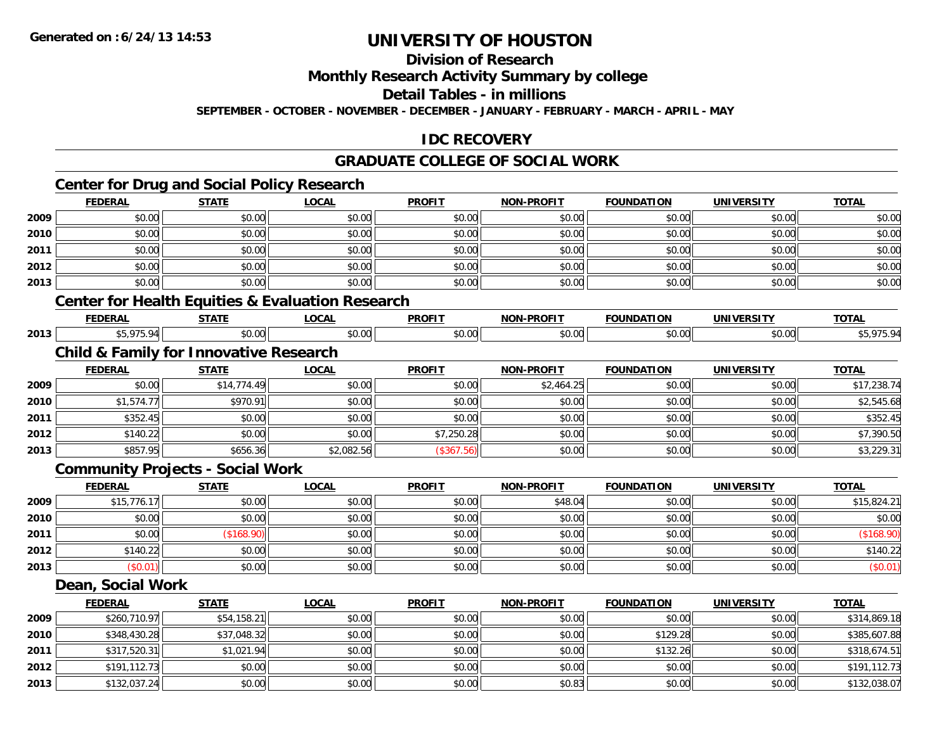**2011**

**2012**

**2013**

# **UNIVERSITY OF HOUSTON**

**Division of Research**

**Monthly Research Activity Summary by college**

**Detail Tables - in millions**

**SEPTEMBER - OCTOBER - NOVEMBER - DECEMBER - JANUARY - FEBRUARY - MARCH - APRIL - MAY**

### **IDC RECOVERY**

### **GRADUATE COLLEGE OF SOCIAL WORK**

# **Center for Drug and Social Policy Research**

|      | <b>FEDERAL</b>                                              | <b>STATE</b> | <b>LOCAL</b> | <b>PROFIT</b> | <b>NON-PROFIT</b> | <b>FOUNDATION</b> | <b>UNIVERSITY</b> | <b>TOTAL</b> |
|------|-------------------------------------------------------------|--------------|--------------|---------------|-------------------|-------------------|-------------------|--------------|
| 2009 | \$0.00                                                      | \$0.00       | \$0.00       | \$0.00        | \$0.00            | \$0.00            | \$0.00            | \$0.00       |
| 2010 | \$0.00                                                      | \$0.00       | \$0.00       | \$0.00        | \$0.00            | \$0.00            | \$0.00            | \$0.00       |
| 2011 | \$0.00                                                      | \$0.00       | \$0.00       | \$0.00        | \$0.00            | \$0.00            | \$0.00            | \$0.00       |
| 2012 | \$0.00                                                      | \$0.00       | \$0.00       | \$0.00        | \$0.00            | \$0.00            | \$0.00            | \$0.00       |
| 2013 | \$0.00                                                      | \$0.00       | \$0.00       | \$0.00        | \$0.00            | \$0.00            | \$0.00            | \$0.00       |
|      | <b>Center for Health Equities &amp; Evaluation Research</b> |              |              |               |                   |                   |                   |              |
|      | <b>FEDERAL</b>                                              | <b>STATE</b> | <b>LOCAL</b> | <b>PROFIT</b> | <b>NON-PROFIT</b> | <b>FOUNDATION</b> | <b>UNIVERSITY</b> | <b>TOTAL</b> |
| 2013 | \$5,975.94                                                  | \$0.00       | \$0.00       | \$0.00        | \$0.00            | \$0.00            | \$0.00            | \$5,975.94   |
|      | <b>Child &amp; Family for Innovative Research</b>           |              |              |               |                   |                   |                   |              |
|      | <b>FEDERAL</b>                                              | <b>STATE</b> | <b>LOCAL</b> | <b>PROFIT</b> | <b>NON-PROFIT</b> | <b>FOUNDATION</b> | <b>UNIVERSITY</b> | <b>TOTAL</b> |
| 2009 | \$0.00                                                      | \$14,774.49  | \$0.00       | \$0.00        | \$2,464.25        | \$0.00            | \$0.00            | \$17,238.74  |
| 2010 | \$1,574.77                                                  | \$970.91     | \$0.00       | \$0.00        | \$0.00            | \$0.00            | \$0.00            | \$2,545.68   |
| 2011 | \$352.45                                                    | \$0.00       | \$0.00       | \$0.00        | \$0.00            | \$0.00            | \$0.00            | \$352.45     |
| 2012 | \$140.22                                                    | \$0.00       | \$0.00       | \$7,250.28    | \$0.00            | \$0.00            | \$0.00            | \$7,390.50   |
| 2013 | \$857.95                                                    | \$656.36     | \$2,082.56   | (\$367.56)    | \$0.00            | \$0.00            | \$0.00            | \$3,229.31   |
|      | <b>Community Projects - Social Work</b>                     |              |              |               |                   |                   |                   |              |
|      | <b>FEDERAL</b>                                              | <b>STATE</b> | <b>LOCAL</b> | <b>PROFIT</b> | <b>NON-PROFIT</b> | <b>FOUNDATION</b> | <b>UNIVERSITY</b> | <b>TOTAL</b> |
| 2009 | \$15,776.17                                                 | \$0.00       | \$0.00       | \$0.00        | \$48.04           | \$0.00            | \$0.00            | \$15,824.21  |
| 2010 | \$0.00                                                      | \$0.00       | \$0.00       | \$0.00        | \$0.00            | \$0.00            | \$0.00            | \$0.00       |
| 2011 | \$0.00                                                      | (\$168.90)   | \$0.00       | \$0.00        | \$0.00            | \$0.00            | \$0.00            | (\$168.90)   |
| 2012 | \$140.22                                                    | \$0.00       | \$0.00       | \$0.00        | \$0.00            | \$0.00            | \$0.00            | \$140.22     |
| 2013 | (\$0.01)                                                    | \$0.00       | \$0.00       | \$0.00        | \$0.00            | \$0.00            | \$0.00            | (\$0.01)     |
|      | Dean, Social Work                                           |              |              |               |                   |                   |                   |              |
|      | <b>FEDERAL</b>                                              | <b>STATE</b> | <b>LOCAL</b> | <b>PROFIT</b> | <b>NON-PROFIT</b> | <b>FOUNDATION</b> | <b>UNIVERSITY</b> | <b>TOTAL</b> |
| 2009 | \$260,710.97                                                | \$54,158.21  | \$0.00       | \$0.00        | \$0.00            | \$0.00            | \$0.00            | \$314,869.18 |
| 2010 | \$348,430.28                                                | \$37,048.32  | \$0.00       | \$0.00        | \$0.00            | \$129.28          | \$0.00            | \$385,607.88 |

1 \$317,520.31|| \$1,021.94|| \$0.00|| \$0.00|| \$0.00|| \$0.00|| \$132.26|| \$0.20|| \$318,674.51

\$191,112.73 \$0.00 \$0.00 \$0.00 \$0.00 \$0.00 \$0.00 \$191,112.73

\$132,037.24 \$0.00 \$0.00 \$0.00 \$0.83 \$0.00 \$0.00 \$132,038.07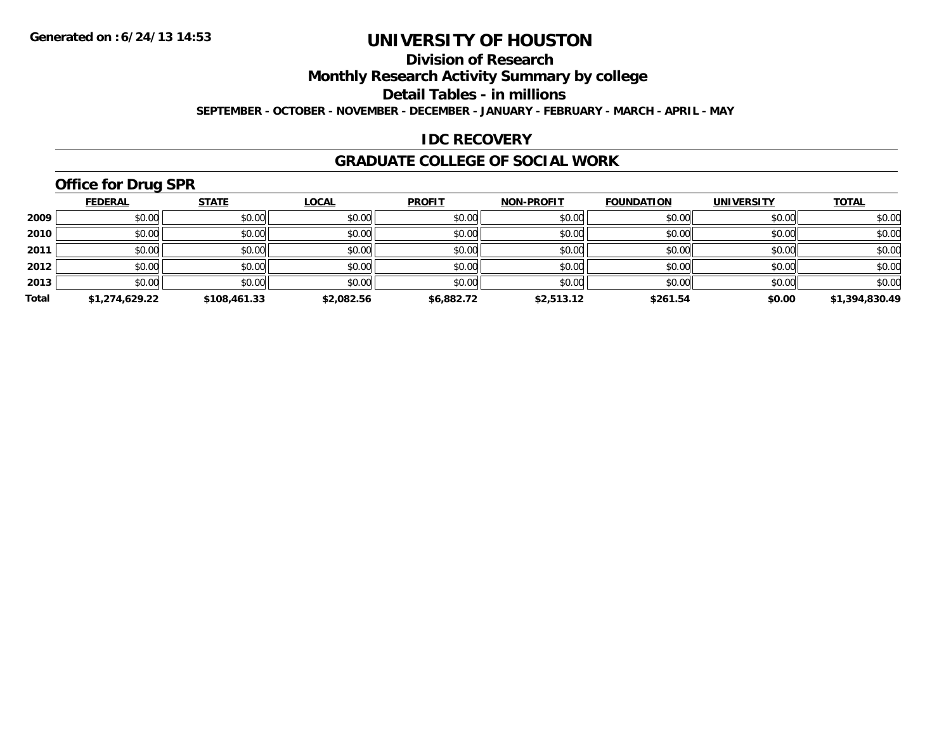### **Division of Research**

**Monthly Research Activity Summary by college**

**Detail Tables - in millions**

**SEPTEMBER - OCTOBER - NOVEMBER - DECEMBER - JANUARY - FEBRUARY - MARCH - APRIL - MAY**

#### **IDC RECOVERY**

#### **GRADUATE COLLEGE OF SOCIAL WORK**

# **Office for Drug SPR**

|       | <b>FEDERAL</b> | <b>STATE</b> | <b>LOCAL</b> | <b>PROFIT</b> | <b>NON-PROFIT</b> | <b>FOUNDATION</b> | <b>UNIVERSITY</b> | <b>TOTAL</b>   |
|-------|----------------|--------------|--------------|---------------|-------------------|-------------------|-------------------|----------------|
| 2009  | \$0.00         | \$0.00       | \$0.00       | \$0.00        | \$0.00            | \$0.00            | \$0.00            | \$0.00         |
| 2010  | \$0.00         | \$0.00       | \$0.00       | \$0.00        | \$0.00            | \$0.00            | \$0.00            | \$0.00         |
| 2011  | \$0.00         | \$0.00       | \$0.00       | \$0.00        | \$0.00            | \$0.00            | \$0.00            | \$0.00         |
| 2012  | \$0.00         | \$0.00       | \$0.00       | \$0.00        | \$0.00            | \$0.00            | \$0.00            | \$0.00         |
| 2013  | \$0.00         | \$0.00       | \$0.00       | \$0.00        | \$0.00            | \$0.00            | \$0.00            | \$0.00         |
| Total | \$1,274,629.22 | \$108,461.33 | \$2,082.56   | \$6,882.72    | \$2,513.12        | \$261.54          | \$0.00            | \$1,394,830.49 |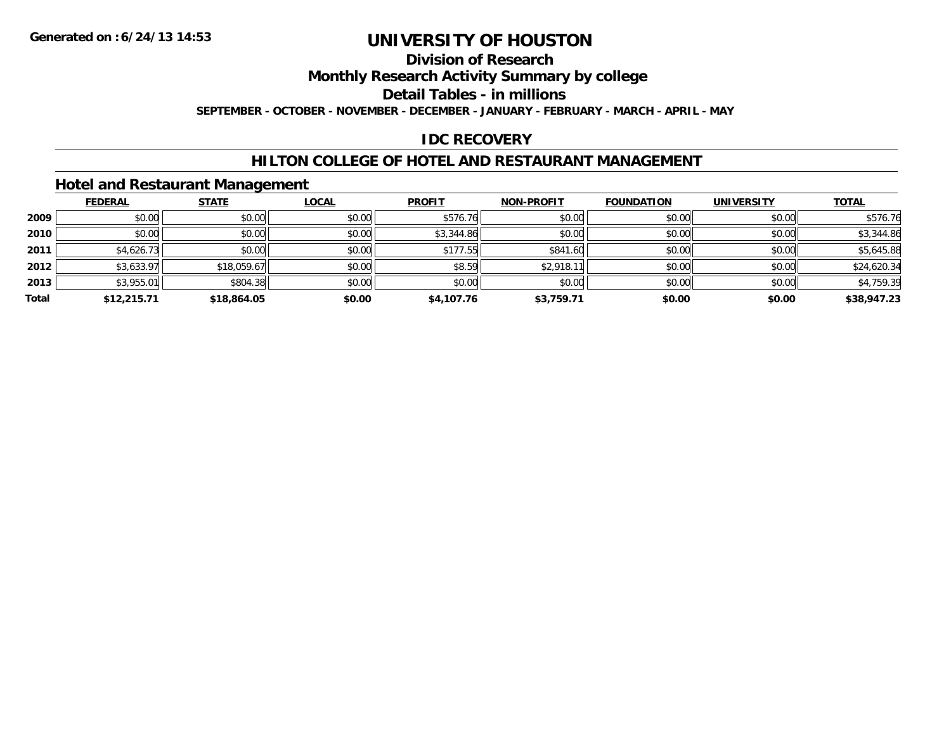## **Division of Research**

**Monthly Research Activity Summary by college**

**Detail Tables - in millions**

**SEPTEMBER - OCTOBER - NOVEMBER - DECEMBER - JANUARY - FEBRUARY - MARCH - APRIL - MAY**

### **IDC RECOVERY**

#### **HILTON COLLEGE OF HOTEL AND RESTAURANT MANAGEMENT**

#### **Hotel and Restaurant Management**

|       | <b>FEDERAL</b> | <b>STATE</b> | <b>LOCAL</b> | <b>PROFIT</b> | <b>NON-PROFIT</b> | <b>FOUNDATION</b> | <b>UNIVERSITY</b> | <b>TOTAL</b> |
|-------|----------------|--------------|--------------|---------------|-------------------|-------------------|-------------------|--------------|
| 2009  | \$0.00         | \$0.00       | \$0.00       | \$576.76      | \$0.00            | \$0.00            | \$0.00            | \$576.76     |
| 2010  | \$0.00         | \$0.00       | \$0.00       | \$3,344.86    | \$0.00            | \$0.00            | \$0.00            | \$3,344.86   |
| 2011  | \$4,626.73     | \$0.00       | \$0.00       | \$177.55      | \$841.60          | \$0.00            | \$0.00            | \$5,645.88   |
| 2012  | \$3,633.97     | \$18,059.67  | \$0.00       | \$8.59        | \$2,918.11        | \$0.00            | \$0.00            | \$24,620.34  |
| 2013  | \$3,955.01     | \$804.38     | \$0.00       | \$0.00        | \$0.00            | \$0.00            | \$0.00            | \$4,759.39   |
| Total | \$12,215.71    | \$18,864.05  | \$0.00       | \$4,107.76    | \$3,759.71        | \$0.00            | \$0.00            | \$38,947.23  |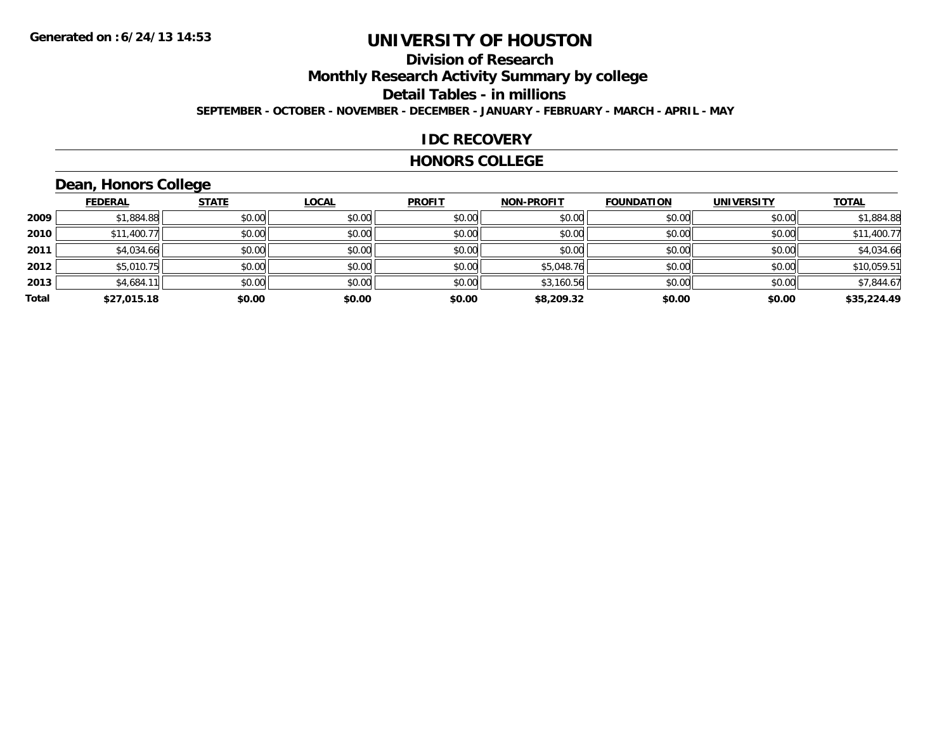### **Division of ResearchMonthly Research Activity Summary by college Detail Tables - in millions SEPTEMBER - OCTOBER - NOVEMBER - DECEMBER - JANUARY - FEBRUARY - MARCH - APRIL - MAY**

#### **IDC RECOVERY**

#### **HONORS COLLEGE**

# **Dean, Honors College**

|       |                | $\sim$       |              |               |                   |                   |                   |              |
|-------|----------------|--------------|--------------|---------------|-------------------|-------------------|-------------------|--------------|
|       | <b>FEDERAL</b> | <b>STATE</b> | <b>LOCAL</b> | <b>PROFIT</b> | <b>NON-PROFIT</b> | <b>FOUNDATION</b> | <b>UNIVERSITY</b> | <b>TOTAL</b> |
| 2009  | \$1,884.88     | \$0.00       | \$0.00       | \$0.00        | \$0.00            | \$0.00            | \$0.00            | \$1,884.88   |
| 2010  | \$11,400.77    | \$0.00       | \$0.00       | \$0.00        | \$0.00            | \$0.00            | \$0.00            | \$11,400.77  |
| 2011  | \$4,034.66     | \$0.00       | \$0.00       | \$0.00        | \$0.00            | \$0.00            | \$0.00            | \$4,034.66   |
| 2012  | \$5,010.75     | \$0.00       | \$0.00       | \$0.00        | \$5,048.76        | \$0.00            | \$0.00            | \$10,059.51  |
| 2013  | \$4,684.11     | \$0.00       | \$0.00       | \$0.00        | \$3,160.56        | \$0.00            | \$0.00            | \$7,844.67   |
| Total | \$27,015.18    | \$0.00       | \$0.00       | \$0.00        | \$8,209.32        | \$0.00            | \$0.00            | \$35,224.49  |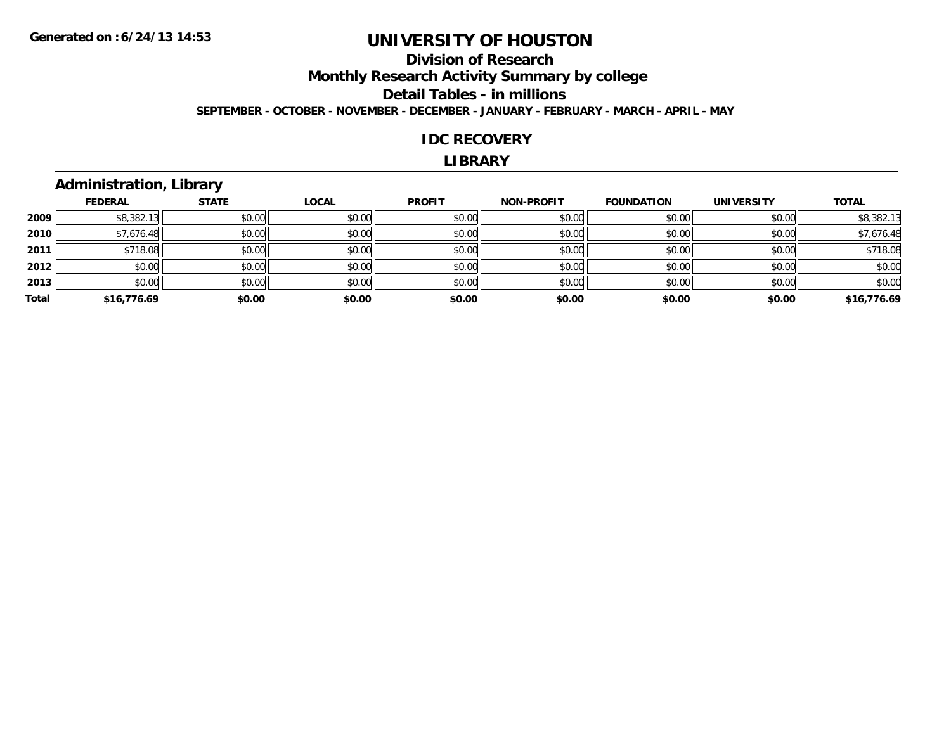### **Division of ResearchMonthly Research Activity Summary by college Detail Tables - in millions SEPTEMBER - OCTOBER - NOVEMBER - DECEMBER - JANUARY - FEBRUARY - MARCH - APRIL - MAY**

#### **IDC RECOVERY**

#### **LIBRARY**

## **Administration, Library**

|       | <b>FEDERAL</b> | <b>STATE</b> | <b>LOCAL</b> | <b>PROFIT</b> | <b>NON-PROFIT</b> | <b>FOUNDATION</b> | <b>UNIVERSITY</b> | <b>TOTAL</b> |
|-------|----------------|--------------|--------------|---------------|-------------------|-------------------|-------------------|--------------|
| 2009  | \$8,382.13     | \$0.00       | \$0.00       | \$0.00        | \$0.00            | \$0.00            | \$0.00            | \$8,382.13   |
| 2010  | \$7,676.48     | \$0.00       | \$0.00       | \$0.00        | \$0.00            | \$0.00            | \$0.00            | \$7,676.48   |
| 2011  | \$718.08       | \$0.00       | \$0.00       | \$0.00        | \$0.00            | \$0.00            | \$0.00            | \$718.08     |
| 2012  | \$0.00         | \$0.00       | \$0.00       | \$0.00        | \$0.00            | \$0.00            | \$0.00            | \$0.00       |
| 2013  | \$0.00         | \$0.00       | \$0.00       | \$0.00        | \$0.00            | \$0.00            | \$0.00            | \$0.00       |
| Total | \$16,776.69    | \$0.00       | \$0.00       | \$0.00        | \$0.00            | \$0.00            | \$0.00            | \$16,776.69  |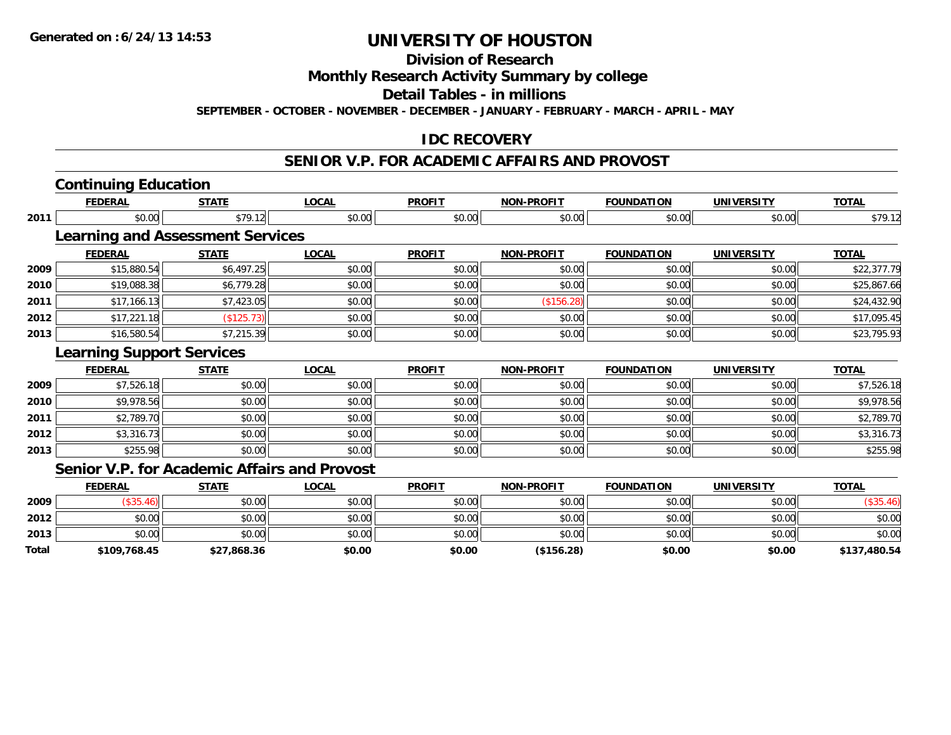**Total**

# **UNIVERSITY OF HOUSTON**

**Division of Research**

**Monthly Research Activity Summary by college**

**Detail Tables - in millions**

**SEPTEMBER - OCTOBER - NOVEMBER - DECEMBER - JANUARY - FEBRUARY - MARCH - APRIL - MAY**

### **IDC RECOVERY**

#### **SENIOR V.P. FOR ACADEMIC AFFAIRS AND PROVOST**

|      | <b>Continuing Education</b>                         |              |              |               |                   |                   |                   |              |
|------|-----------------------------------------------------|--------------|--------------|---------------|-------------------|-------------------|-------------------|--------------|
|      | <b>FEDERAL</b>                                      | <b>STATE</b> | <b>LOCAL</b> | <b>PROFIT</b> | <b>NON-PROFIT</b> | <b>FOUNDATION</b> | <b>UNIVERSITY</b> | <b>TOTAL</b> |
| 2011 | \$0.00                                              | \$79.12      | \$0.00       | \$0.00        | \$0.00            | \$0.00            | \$0.00            | \$79.12      |
|      | <b>Learning and Assessment Services</b>             |              |              |               |                   |                   |                   |              |
|      | <b>FEDERAL</b>                                      | <b>STATE</b> | <b>LOCAL</b> | <b>PROFIT</b> | <b>NON-PROFIT</b> | <b>FOUNDATION</b> | <b>UNIVERSITY</b> | <b>TOTAL</b> |
| 2009 | \$15,880.54                                         | \$6,497.25   | \$0.00       | \$0.00        | \$0.00            | \$0.00            | \$0.00            | \$22,377.79  |
| 2010 | \$19,088.38                                         | \$6,779.28   | \$0.00       | \$0.00        | \$0.00            | \$0.00            | \$0.00            | \$25,867.66  |
| 2011 | \$17,166.13                                         | \$7,423.05   | \$0.00       | \$0.00        | (\$156.28)        | \$0.00            | \$0.00            | \$24,432.90  |
| 2012 | \$17,221.18                                         | (\$125.73)   | \$0.00       | \$0.00        | \$0.00            | \$0.00            | \$0.00            | \$17,095.45  |
| 2013 | \$16,580.54                                         | \$7,215.39   | \$0.00       | \$0.00        | \$0.00            | \$0.00            | \$0.00            | \$23,795.93  |
|      | <b>Learning Support Services</b>                    |              |              |               |                   |                   |                   |              |
|      | <b>FEDERAL</b>                                      | <b>STATE</b> | <b>LOCAL</b> | <b>PROFIT</b> | <b>NON-PROFIT</b> | <b>FOUNDATION</b> | <b>UNIVERSITY</b> | <b>TOTAL</b> |
| 2009 | \$7,526.18                                          | \$0.00       | \$0.00       | \$0.00        | \$0.00            | \$0.00            | \$0.00            | \$7,526.18   |
| 2010 | \$9,978.56                                          | \$0.00       | \$0.00       | \$0.00        | \$0.00            | \$0.00            | \$0.00            | \$9,978.56   |
| 2011 | \$2,789.70                                          | \$0.00       | \$0.00       | \$0.00        | \$0.00            | \$0.00            | \$0.00            | \$2,789.70   |
| 2012 | \$3,316.73                                          | \$0.00       | \$0.00       | \$0.00        | \$0.00            | \$0.00            | \$0.00            | \$3,316.73   |
| 2013 | \$255.98                                            | \$0.00       | \$0.00       | \$0.00        | \$0.00            | \$0.00            | \$0.00            | \$255.98     |
|      | <b>Senior V.P. for Academic Affairs and Provost</b> |              |              |               |                   |                   |                   |              |
|      | <b>FEDERAL</b>                                      | <b>STATE</b> | <b>LOCAL</b> | <b>PROFIT</b> | <b>NON-PROFIT</b> | <b>FOUNDATION</b> | <b>UNIVERSITY</b> | <b>TOTAL</b> |
| 2009 | (\$35.46)                                           | \$0.00       | \$0.00       | \$0.00        | \$0.00            | \$0.00            | \$0.00            | (\$35.46)    |
| 2012 | \$0.00                                              | \$0.00       | \$0.00       | \$0.00        | \$0.00            | \$0.00            | \$0.00            | \$0.00       |
| 2013 | \$0.00                                              | \$0.00       | \$0.00       | \$0.00        | \$0.00            | \$0.00            | \$0.00            | \$0.00       |

**\$109,768.45 \$27,868.36 \$0.00 \$0.00 (\$156.28) \$0.00 \$0.00 \$137,480.54**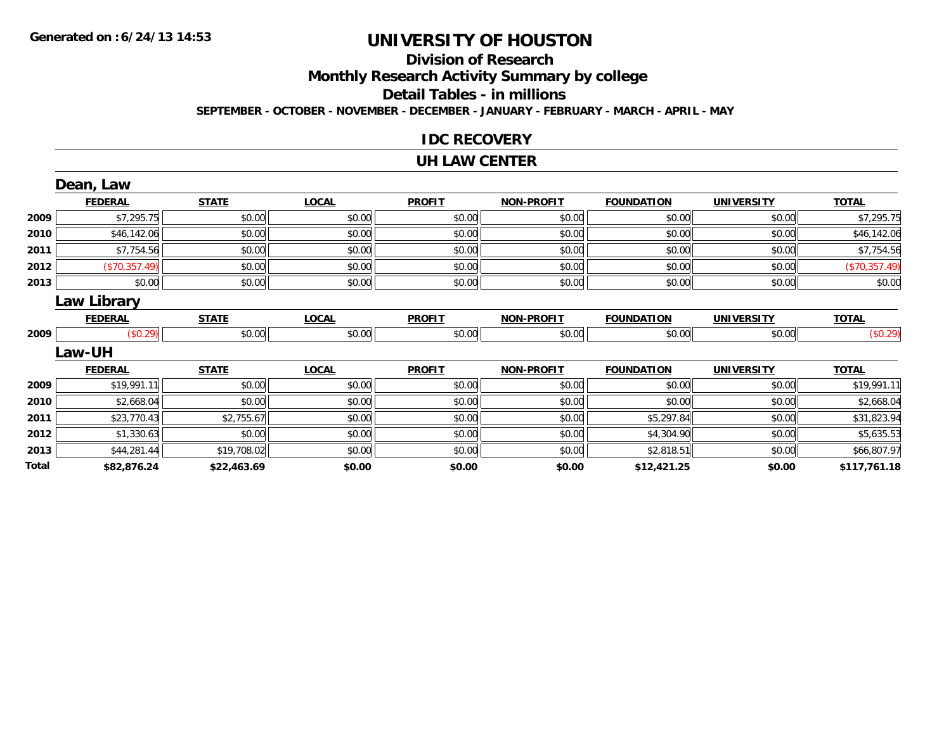# **Division of Research**

**Monthly Research Activity Summary by college**

**Detail Tables - in millions**

**SEPTEMBER - OCTOBER - NOVEMBER - DECEMBER - JANUARY - FEBRUARY - MARCH - APRIL - MAY**

#### **IDC RECOVERY**

#### **UH LAW CENTER**

|       | Dean, Law          |              |              |               |                   |                   |                   |               |
|-------|--------------------|--------------|--------------|---------------|-------------------|-------------------|-------------------|---------------|
|       | <b>FEDERAL</b>     | <b>STATE</b> | <b>LOCAL</b> | <b>PROFIT</b> | <b>NON-PROFIT</b> | <b>FOUNDATION</b> | <b>UNIVERSITY</b> | <b>TOTAL</b>  |
| 2009  | \$7,295.75         | \$0.00       | \$0.00       | \$0.00        | \$0.00            | \$0.00            | \$0.00            | \$7,295.75    |
| 2010  | \$46,142.06        | \$0.00       | \$0.00       | \$0.00        | \$0.00            | \$0.00            | \$0.00            | \$46,142.06   |
| 2011  | \$7,754.56         | \$0.00       | \$0.00       | \$0.00        | \$0.00            | \$0.00            | \$0.00            | \$7,754.56    |
| 2012  | (\$70,357.49)      | \$0.00       | \$0.00       | \$0.00        | \$0.00            | \$0.00            | \$0.00            | (\$70,357.49) |
| 2013  | \$0.00             | \$0.00       | \$0.00       | \$0.00        | \$0.00            | \$0.00            | \$0.00            | \$0.00        |
|       | <b>Law Library</b> |              |              |               |                   |                   |                   |               |
|       | <b>FEDERAL</b>     | <b>STATE</b> | <b>LOCAL</b> | <b>PROFIT</b> | <b>NON-PROFIT</b> | <b>FOUNDATION</b> | <b>UNIVERSITY</b> | <b>TOTAL</b>  |
| 2009  | (\$0.29)           | \$0.00       | \$0.00       | \$0.00        | \$0.00            | \$0.00            | \$0.00            | (\$0.29)      |
|       | <b>Law-UH</b>      |              |              |               |                   |                   |                   |               |
|       | <b>FEDERAL</b>     | <b>STATE</b> | <b>LOCAL</b> | <b>PROFIT</b> | <b>NON-PROFIT</b> | <b>FOUNDATION</b> | <b>UNIVERSITY</b> | <b>TOTAL</b>  |
| 2009  | \$19,991.11        | \$0.00       | \$0.00       | \$0.00        | \$0.00            | \$0.00            | \$0.00            | \$19,991.11   |
| 2010  | \$2,668.04         | \$0.00       | \$0.00       | \$0.00        | \$0.00            | \$0.00            | \$0.00            | \$2,668.04    |
| 2011  | \$23,770.43        | \$2,755.67   | \$0.00       | \$0.00        | \$0.00            | \$5,297.84        | \$0.00            | \$31,823.94   |
| 2012  | \$1,330.63         | \$0.00       | \$0.00       | \$0.00        | \$0.00            | \$4,304.90        | \$0.00            | \$5,635.53    |
| 2013  | \$44,281.44        | \$19,708.02  | \$0.00       | \$0.00        | \$0.00            | \$2,818.51        | \$0.00            | \$66,807.97   |
| Total | \$82,876.24        | \$22,463.69  | \$0.00       | \$0.00        | \$0.00            | \$12,421.25       | \$0.00            | \$117,761.18  |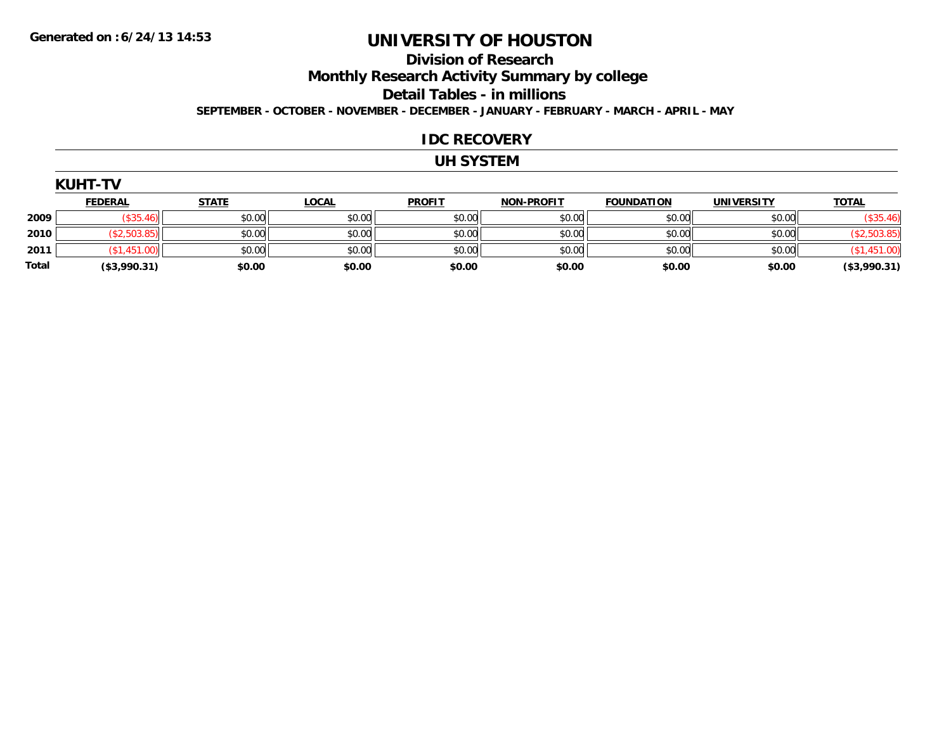#### **Division of Research Monthly Research Activity Summary by college Detail Tables - in millions SEPTEMBER - OCTOBER - NOVEMBER - DECEMBER - JANUARY - FEBRUARY - MARCH - APRIL - MAY**

#### **IDC RECOVERY**

#### **UH SYSTEM**

| <b>KUHT-TV</b> |                |              |              |               |                   |                   |                   |              |  |
|----------------|----------------|--------------|--------------|---------------|-------------------|-------------------|-------------------|--------------|--|
|                | <b>FEDERAL</b> | <b>STATE</b> | <u>LOCAL</u> | <b>PROFIT</b> | <b>NON-PROFIT</b> | <b>FOUNDATION</b> | <b>UNIVERSITY</b> | <b>TOTAL</b> |  |
| 2009           | (\$35.46)      | \$0.00       | \$0.00       | \$0.00        | \$0.00            | \$0.00            | \$0.00            | (\$35.46)    |  |
| 2010           | (\$2,503.85)   | \$0.00       | \$0.00       | \$0.00        | \$0.00            | \$0.00            | \$0.00            | (\$2,503.85) |  |
| 2011           | (\$1,451.00)   | \$0.00       | \$0.00       | \$0.00        | \$0.00            | \$0.00            | \$0.00            | (\$1,451.00) |  |
| Total          | (\$3,990.31)   | \$0.00       | \$0.00       | \$0.00        | \$0.00            | \$0.00            | \$0.00            | (\$3,990.31) |  |